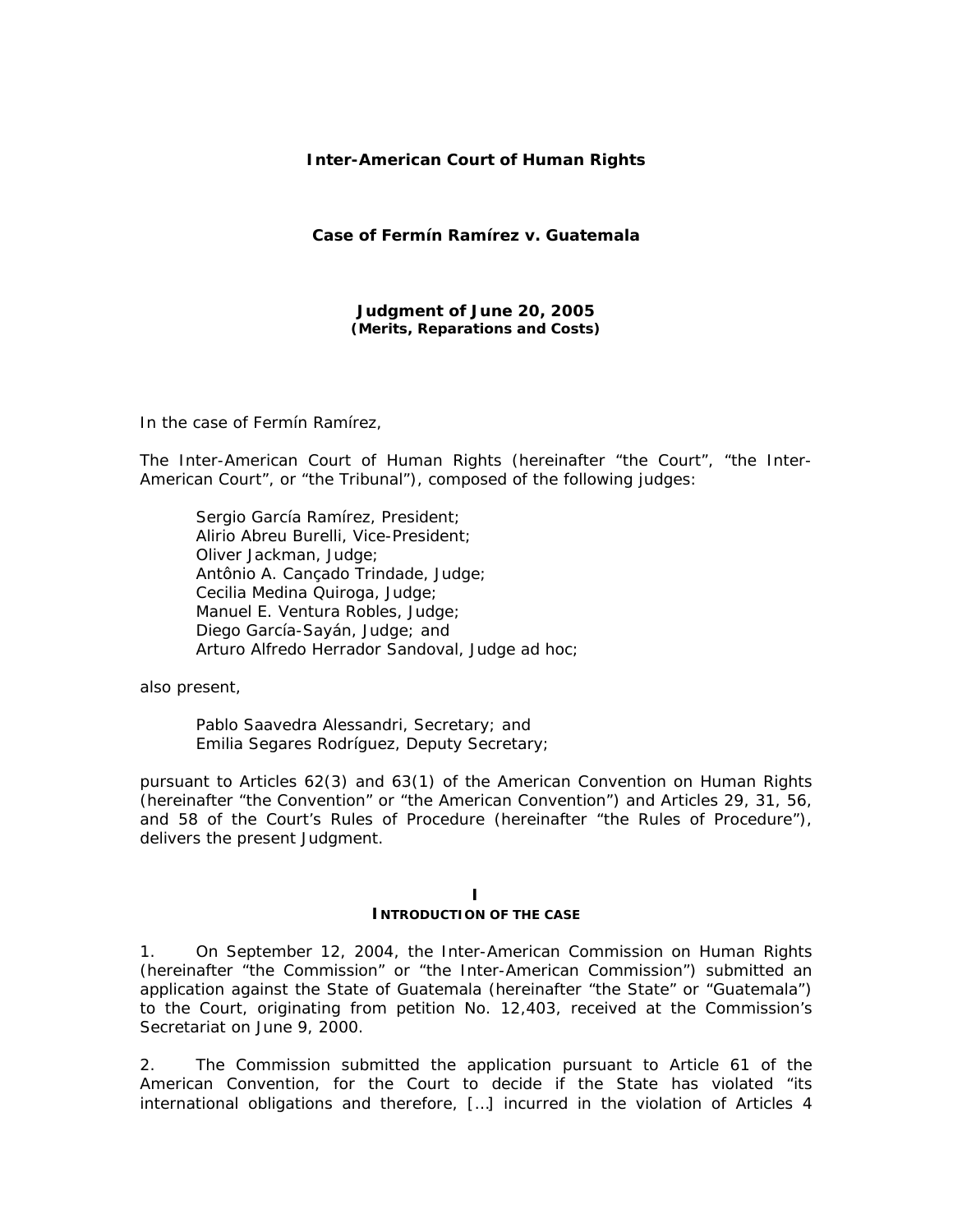### **Inter-American Court of Human Rights**

**Case of Fermín Ramírez** *v***. Guatemala** 

**Judgment of June 20, 2005**  *(Merits, Reparations and Costs)* 

In the case of *Fermín Ramírez*,

The Inter-American Court of Human Rights (hereinafter "the Court", "the Inter-American Court", or "the Tribunal"), composed of the following judges:

 Sergio García Ramírez, President; Alirio Abreu Burelli, Vice-President; Oliver Jackman, Judge; Antônio A. Cançado Trindade, Judge; Cecilia Medina Quiroga, Judge; Manuel E. Ventura Robles, Judge; Diego García-Sayán, Judge; and Arturo Alfredo Herrador Sandoval, Judge *ad hoc;*

also present,

 Pablo Saavedra Alessandri, Secretary; and Emilia Segares Rodríguez, Deputy Secretary;

pursuant to Articles 62(3) and 63(1) of the American Convention on Human Rights (hereinafter "the Convention" or "the American Convention") and Articles 29, 31, 56, and 58 of the Court's Rules of Procedure (hereinafter "the Rules of Procedure"), delivers the present Judgment.

#### **I INTRODUCTION OF THE CASE**

1. On September 12, 2004, the Inter-American Commission on Human Rights (hereinafter "the Commission" or "the Inter-American Commission") submitted an application against the State of Guatemala (hereinafter "the State" or "Guatemala") to the Court, originating from petition No. 12,403, received at the Commission's Secretariat on June 9, 2000.

2. The Commission submitted the application pursuant to Article 61 of the American Convention, for the Court to decide if the State has violated "its international obligations and therefore, […] incurred in the violation of Articles 4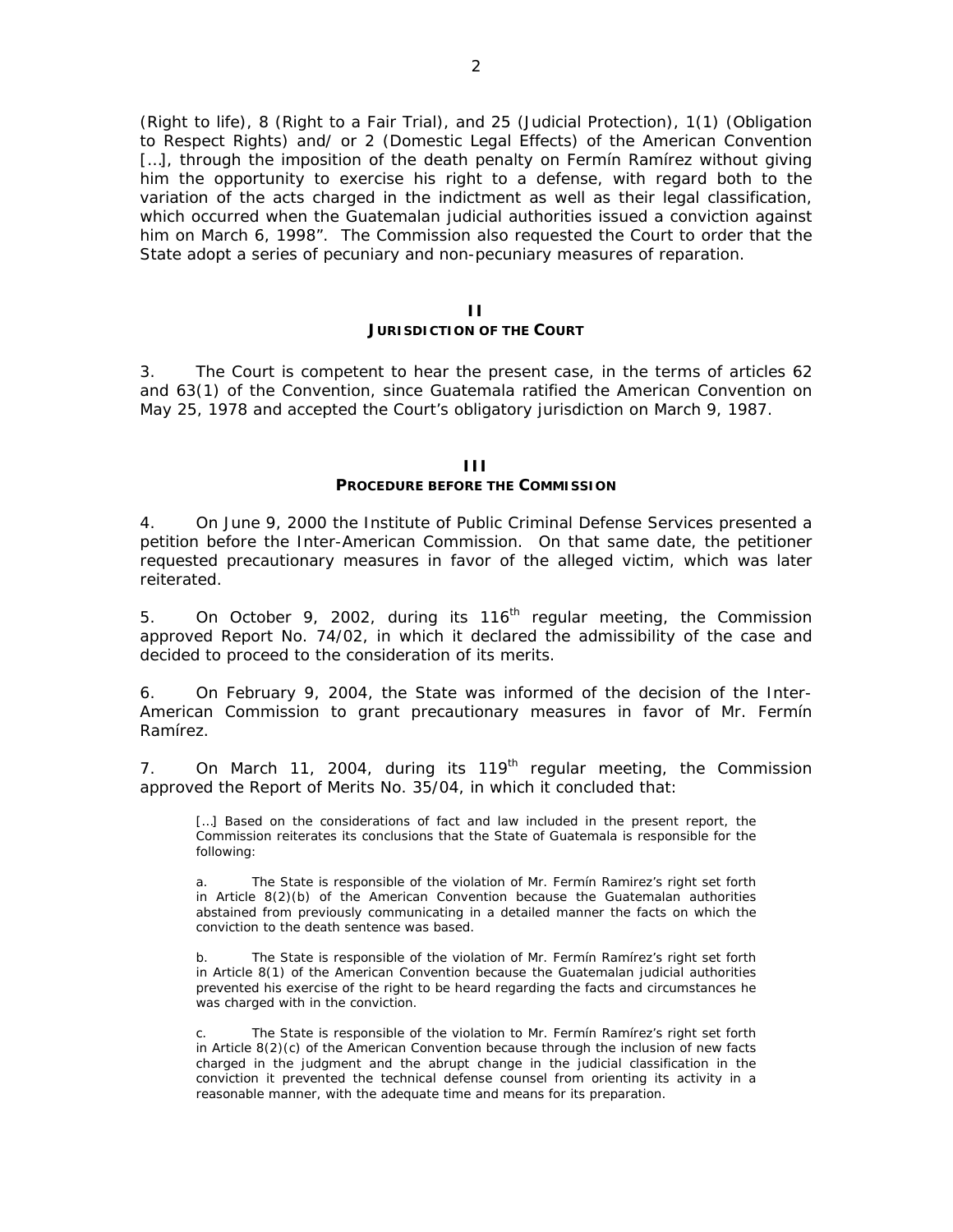(Right to life), 8 (Right to a Fair Trial), and 25 (Judicial Protection), 1(1) (Obligation to Respect Rights) and/ or 2 (Domestic Legal Effects) of the American Convention [...], through the imposition of the death penalty on Fermin Ramirez without giving him the opportunity to exercise his right to a defense, with regard both to the variation of the acts charged in the indictment as well as their legal classification, which occurred when the Guatemalan judicial authorities issued a conviction against him on March 6, 1998". The Commission also requested the Court to order that the State adopt a series of pecuniary and non-pecuniary measures of reparation.

#### **II**

#### **JURISDICTION OF THE COURT**

3. The Court is competent to hear the present case, in the terms of articles 62 and 63(1) of the Convention, since Guatemala ratified the American Convention on May 25, 1978 and accepted the Court's obligatory jurisdiction on March 9, 1987.

### **III**

### **PROCEDURE BEFORE THE COMMISSION**

4. On June 9, 2000 the Institute of Public Criminal Defense Services presented a petition before the Inter-American Commission. On that same date, the petitioner requested precautionary measures in favor of the alleged victim, which was later reiterated.

5. On October 9, 2002, during its  $116<sup>th</sup>$  regular meeting, the Commission approved Report No. 74/02, in which it declared the admissibility of the case and decided to proceed to the consideration of its merits.

6. On February 9, 2004, the State was informed of the decision of the Inter-American Commission to grant precautionary measures in favor of Mr. Fermín Ramírez.

7. On March 11, 2004, during its  $119<sup>th</sup>$  regular meeting, the Commission approved the Report of Merits No. 35/04, in which it concluded that:

[...] Based on the considerations of fact and law included in the present report, the Commission reiterates its conclusions that the State of Guatemala is responsible for the following:

a. The State is responsible of the violation of Mr. Fermín Ramirez's right set forth in Article 8(2)(b) of the American Convention because the Guatemalan authorities abstained from previously communicating in a detailed manner the facts on which the conviction to the death sentence was based.

b. The State is responsible of the violation of Mr. Fermín Ramírez's right set forth in Article 8(1) of the American Convention because the Guatemalan judicial authorities prevented his exercise of the right to be heard regarding the facts and circumstances he was charged with in the conviction.

The State is responsible of the violation to Mr. Fermín Ramírez's right set forth in Article 8(2)(c) of the American Convention because through the inclusion of new facts charged in the judgment and the abrupt change in the judicial classification in the conviction it prevented the technical defense counsel from orienting its activity in a reasonable manner, with the adequate time and means for its preparation.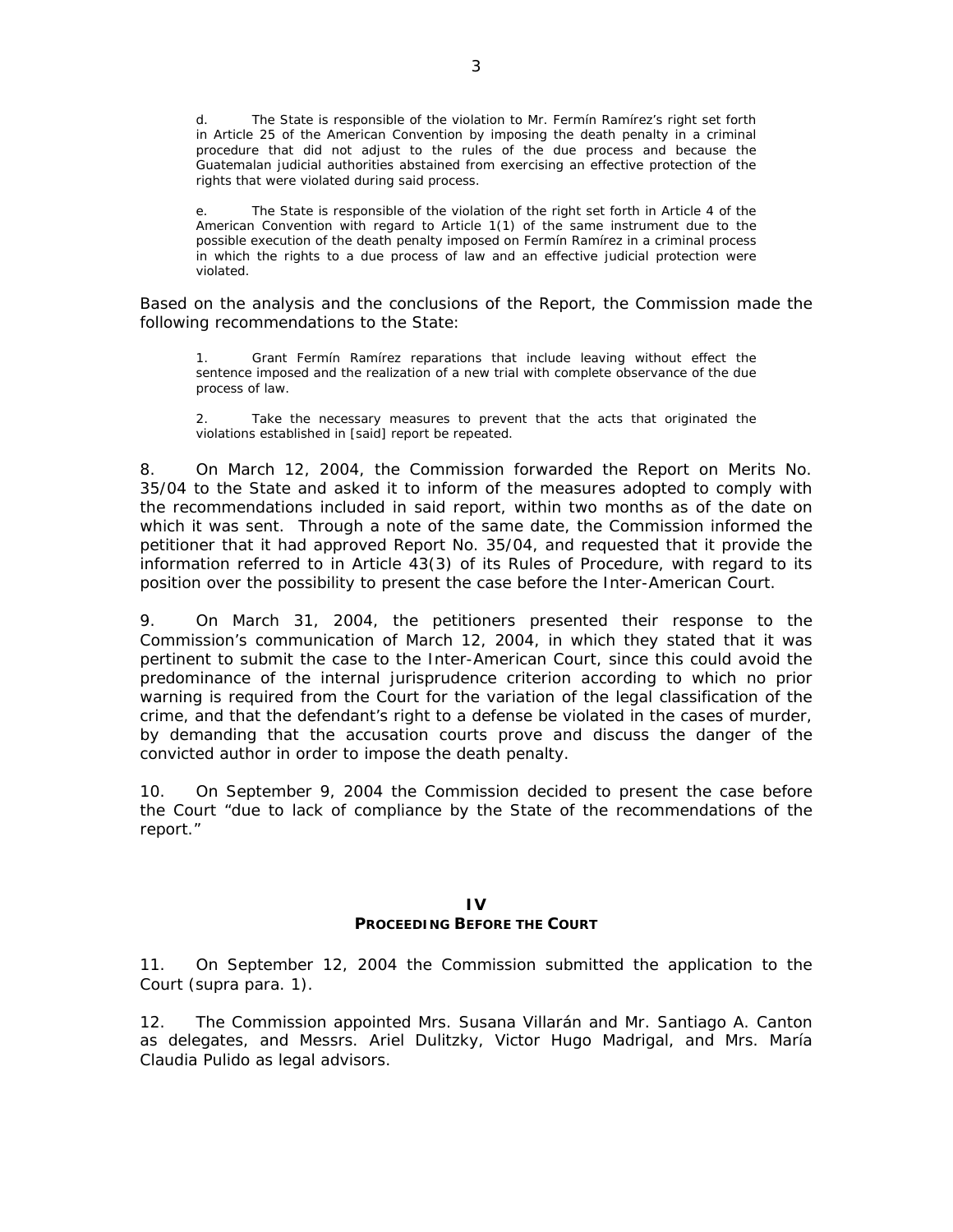d. The State is responsible of the violation to Mr. Fermín Ramírez's right set forth in Article 25 of the American Convention by imposing the death penalty in a criminal procedure that did not adjust to the rules of the due process and because the Guatemalan judicial authorities abstained from exercising an effective protection of the rights that were violated during said process.

e. The State is responsible of the violation of the right set forth in Article 4 of the American Convention with regard to Article 1(1) of the same instrument due to the possible execution of the death penalty imposed on Fermín Ramírez in a criminal process in which the rights to a due process of law and an effective judicial protection were violated.

Based on the analysis and the conclusions of the Report, the Commission made the following recommendations to the State:

1. Grant Fermín Ramírez reparations that include leaving without effect the sentence imposed and the realization of a new trial with complete observance of the due process of law.

2. Take the necessary measures to prevent that the acts that originated the violations established in [said] report be repeated.

8. On March 12, 2004, the Commission forwarded the Report on Merits No. 35/04 to the State and asked it to inform of the measures adopted to comply with the recommendations included in said report, within two months as of the date on which it was sent. Through a note of the same date, the Commission informed the petitioner that it had approved Report No. 35/04, and requested that it provide the information referred to in Article 43(3) of its Rules of Procedure, with regard to its position over the possibility to present the case before the Inter-American Court.

9. On March 31, 2004, the petitioners presented their response to the Commission's communication of March 12, 2004, in which they stated that it was pertinent to submit the case to the Inter-American Court, since this could avoid the predominance of the internal jurisprudence criterion according to which no prior warning is required from the Court for the variation of the legal classification of the crime, and that the defendant's right to a defense be violated in the cases of murder, by demanding that the accusation courts prove and discuss the danger of the convicted author in order to impose the death penalty.

10. On September 9, 2004 the Commission decided to present the case before the Court "due to lack of compliance by the State of the recommendations of the report."

### **IV PROCEEDING BEFORE THE COURT**

11. On September 12, 2004 the Commission submitted the application to the Court (*supra* para. 1).

12. The Commission appointed Mrs. Susana Villarán and Mr. Santiago A. Canton as delegates, and Messrs. Ariel Dulitzky, Victor Hugo Madrigal, and Mrs. María Claudia Pulido as legal advisors.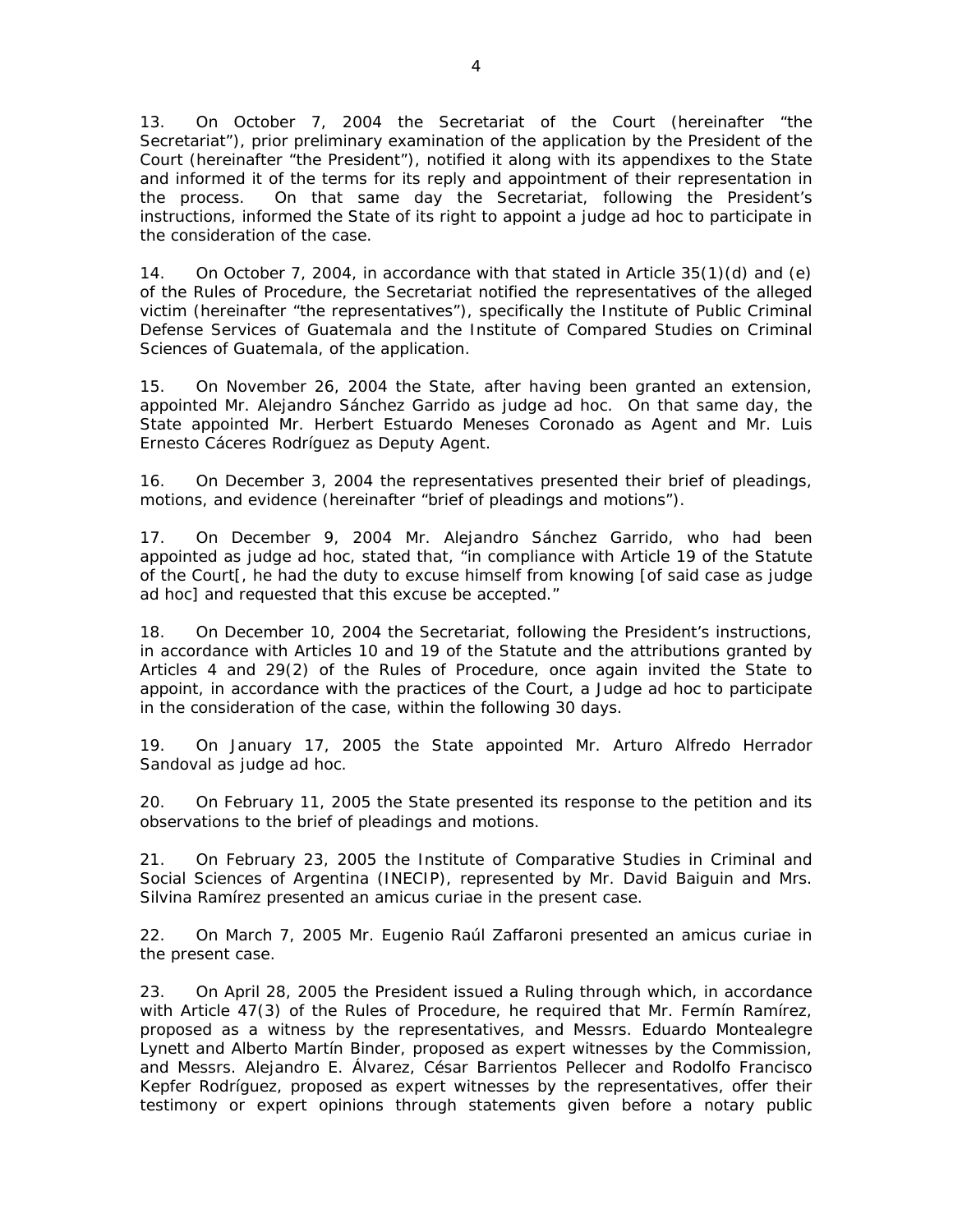13. On October 7, 2004 the Secretariat of the Court (hereinafter "the Secretariat"), prior preliminary examination of the application by the President of the Court (hereinafter "the President"), notified it along with its appendixes to the State and informed it of the terms for its reply and appointment of their representation in the process. On that same day the Secretariat, following the President's instructions, informed the State of its right to appoint a judge *ad hoc* to participate in the consideration of the case.

14. On October 7, 2004, in accordance with that stated in Article 35(1)(d) and (e) of the Rules of Procedure, the Secretariat notified the representatives of the alleged victim (hereinafter "the representatives"), specifically the Institute of Public Criminal Defense Services of Guatemala and the Institute of Compared Studies on Criminal Sciences of Guatemala, of the application.

15. On November 26, 2004 the State, after having been granted an extension, appointed Mr. Alejandro Sánchez Garrido as judge *ad hoc.* On that same day, the State appointed Mr. Herbert Estuardo Meneses Coronado as Agent and Mr. Luis Ernesto Cáceres Rodríguez as Deputy Agent.

16. On December 3, 2004 the representatives presented their brief of pleadings, motions, and evidence (hereinafter "brief of pleadings and motions").

17. On December 9, 2004 Mr. Alejandro Sánchez Garrido, who had been appointed as judge *ad hoc,* stated that, "in compliance with Article 19 of the Statute of the Court[, he had the duty to excuse himself from knowing [of said case as judge *ad hoc*] and requested that this excuse be accepted."

18. On December 10, 2004 the Secretariat, following the President's instructions, in accordance with Articles 10 and 19 of the Statute and the attributions granted by Articles 4 and 29(2) of the Rules of Procedure, once again invited the State to appoint, in accordance with the practices of the Court, a Judge *ad hoc* to participate in the consideration of the case, within the following 30 days.

19. On January 17, 2005 the State appointed Mr. Arturo Alfredo Herrador Sandoval as judge *ad hoc*.

20. On February 11, 2005 the State presented its response to the petition and its observations to the brief of pleadings and motions.

21. On February 23, 2005 the Institute of Comparative Studies in Criminal and Social Sciences of Argentina (INECIP), represented by Mr. David Baiguin and Mrs. Silvina Ramírez presented an *amicus curiae* in the present case.

22. On March 7, 2005 Mr. Eugenio Raúl Zaffaroni presented an *amicus curiae* in the present case.

23. On April 28, 2005 the President issued a Ruling through which, in accordance with Article 47(3) of the Rules of Procedure, he required that Mr. Fermín Ramírez, proposed as a witness by the representatives, and Messrs. Eduardo Montealegre Lynett and Alberto Martín Binder, proposed as expert witnesses by the Commission, and Messrs. Alejandro E. Álvarez, César Barrientos Pellecer and Rodolfo Francisco Kepfer Rodríguez, proposed as expert witnesses by the representatives, offer their testimony or expert opinions through statements given before a notary public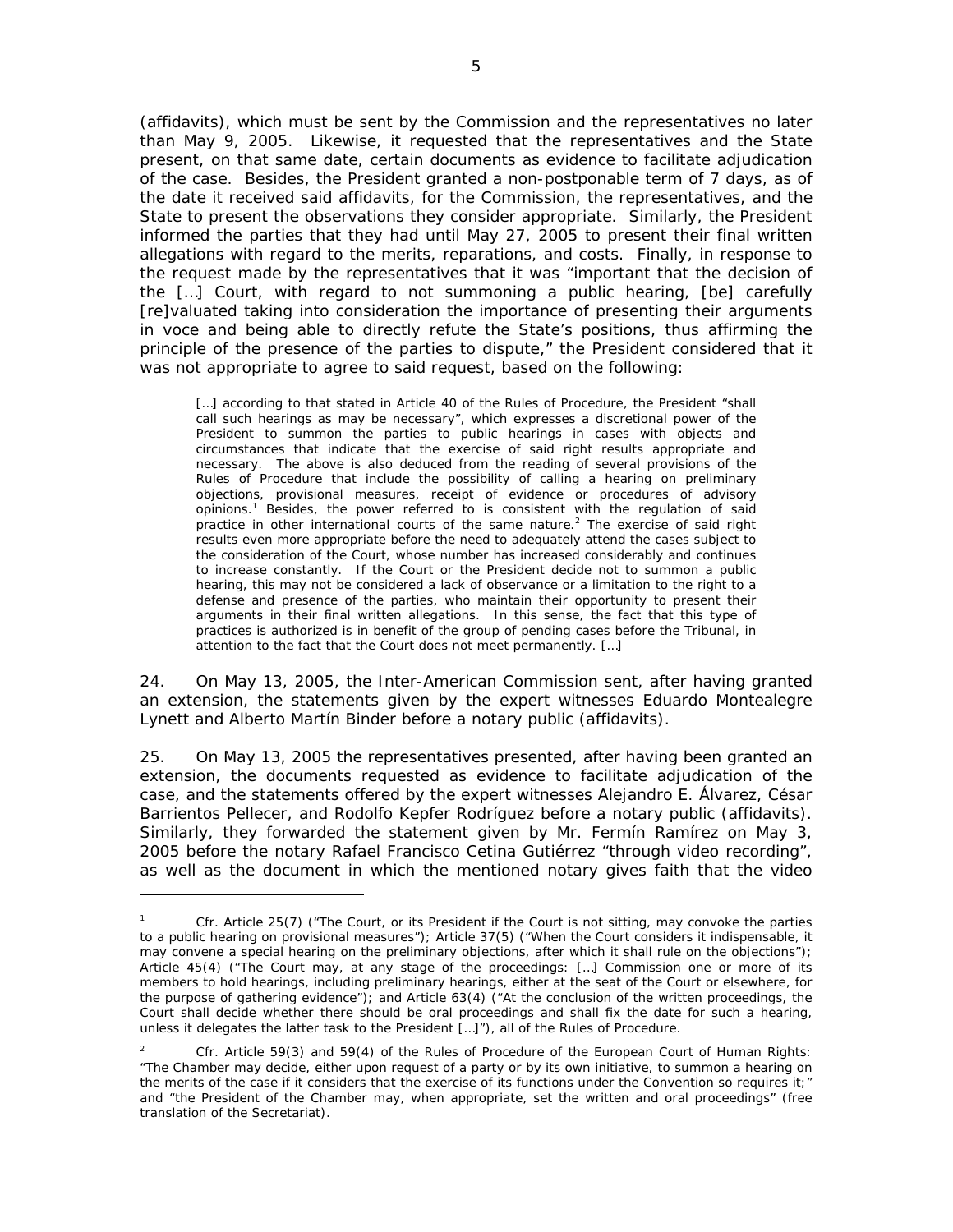(affidavits), which must be sent by the Commission and the representatives no later than May 9, 2005. Likewise, it requested that the representatives and the State present, on that same date, certain documents as evidence to facilitate adjudication of the case. Besides, the President granted a non-postponable term of 7 days, as of the date it received said affidavits, for the Commission, the representatives, and the State to present the observations they consider appropriate. Similarly, the President informed the parties that they had until May 27, 2005 to present their final written allegations with regard to the merits, reparations, and costs. Finally, in response to the request made by the representatives that it was "important that the decision of the […] Court, with regard to not summoning a public hearing, [be] carefully [re]valuated taking into consideration the importance of presenting their arguments *in voce* and being able to directly refute the State's positions, thus affirming the principle of the presence of the parties to dispute," the President considered that it was not appropriate to agree to said request, based on the following:

[...] according to that stated in Article 40 of the Rules of Procedure, the President "shall call such hearings *as may be necessary"*, which expresses a discretional power of the President to summon the parties to public hearings in cases with objects and circumstances that indicate that the exercise of said right results appropriate and necessary. The above is also deduced from the reading of several provisions of the Rules of Procedure that include the possibility of calling a hearing on preliminary objections, provisional measures, receipt of evidence or procedures of advisory opinions.<sup>1</sup> Besides, the power referred to is consistent with the regulation of said practice in other international courts of the same nature.<sup>2</sup> The exercise of said right results even more appropriate before the need to adequately attend the cases subject to the consideration of the Court, whose number has increased considerably and continues to increase constantly. If the Court or the President decide not to summon a public hearing, this may not be considered a lack of observance or a limitation to the right to a defense and presence of the parties, who maintain their opportunity to present their arguments in their final written allegations. In this sense, the fact that this type of practices is authorized is in benefit of the group of pending cases before the Tribunal, in attention to the fact that the Court does not meet permanently. […]

24. On May 13, 2005, the Inter-American Commission sent, after having granted an extension, the statements given by the expert witnesses Eduardo Montealegre Lynett and Alberto Martín Binder before a notary public (affidavits).

25. On May 13, 2005 the representatives presented, after having been granted an extension, the documents requested as evidence to facilitate adjudication of the case, and the statements offered by the expert witnesses Alejandro E. Álvarez, César Barrientos Pellecer, and Rodolfo Kepfer Rodríguez before a notary public (affidavits). Similarly, they forwarded the statement given by Mr. Fermín Ramírez on May 3, 2005 before the notary Rafael Francisco Cetina Gutiérrez "through video recording", as well as the document in which the mentioned notary gives faith that the video

<sup>1</sup> *Cfr.* Article 25(7) ("The Court, or its President if the Court is not sitting, may convoke the parties to a public hearing on provisional measures"); Article 37(5) ("When the Court considers it indispensable, it may convene a special hearing on the preliminary objections, after which it shall rule on the objections"); Article 45(4) ("The Court may, at any stage of the proceedings: […] Commission one or more of its members to hold hearings, including preliminary hearings, either at the seat of the Court or elsewhere, for the purpose of gathering evidence"); and Article 63(4) ("At the conclusion of the written proceedings, the Court shall decide whether there should be oral proceedings and shall fix the date for such a hearing, unless it delegates the latter task to the President […]"), all of the Rules of Procedure.

<sup>2</sup> *Cfr.* Article 59(3) and 59(4) of the Rules of Procedure of the European Court of Human Rights: "The Chamber may decide, either upon request of a party or by its own initiative, to summon a hearing on the merits of the case if it considers that the exercise of its functions under the Convention so requires it;" and "the President of the Chamber may, when appropriate, set the written and oral proceedings" (free translation of the Secretariat).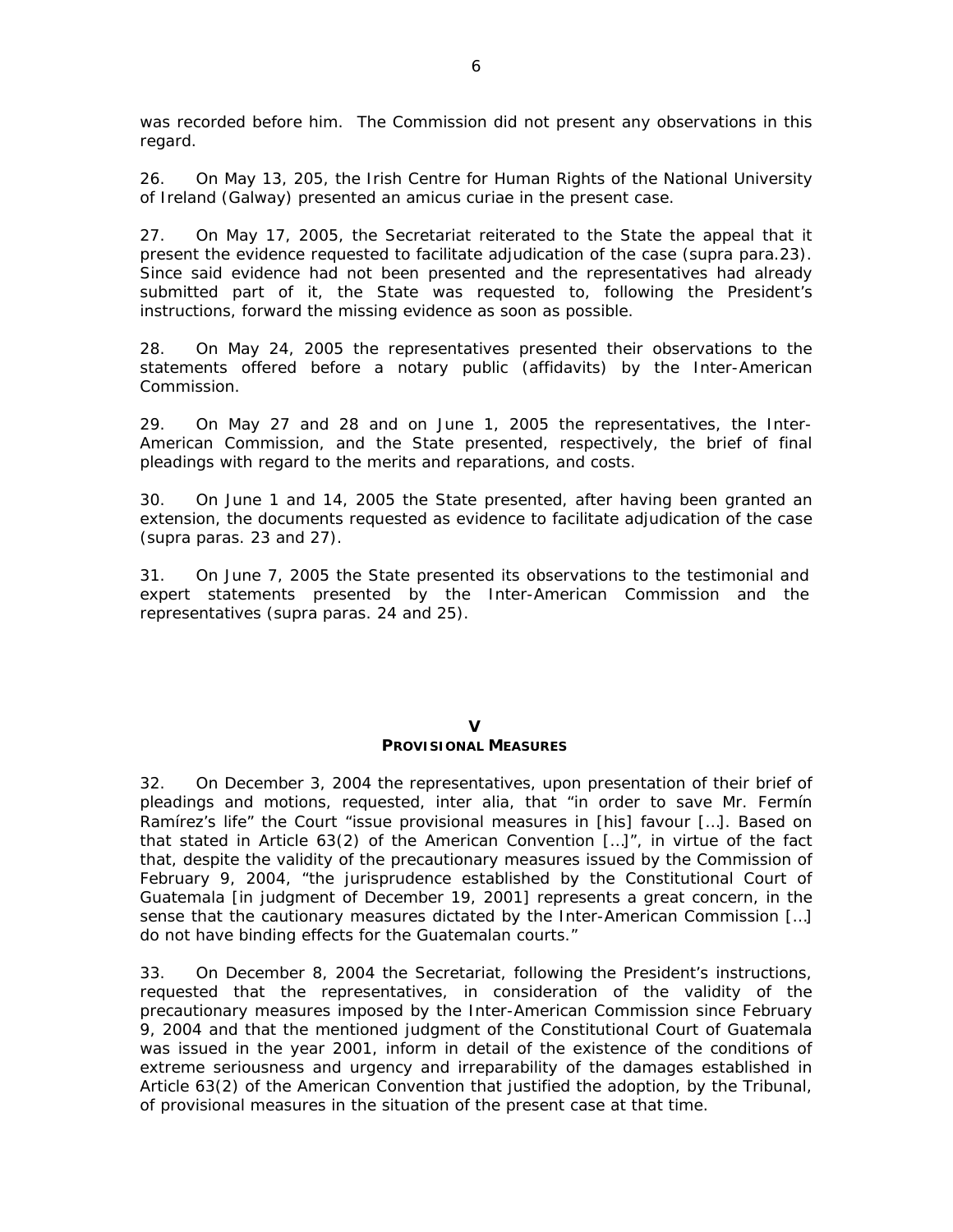was recorded before him. The Commission did not present any observations in this regard.

26. On May 13, 205, the *Irish Centre for Human Rights* of the *National University of Ireland (Galway)* presented an *amicus curiae* in the present case.

27. On May 17, 2005, the Secretariat reiterated to the State the appeal that it present the evidence requested to facilitate adjudication of the case (*supra* para.23). Since said evidence had not been presented and the representatives had already submitted part of it, the State was requested to, following the President's instructions, forward the missing evidence as soon as possible.

28. On May 24, 2005 the representatives presented their observations to the statements offered before a notary public (affidavits) by the Inter-American Commission.

29. On May 27 and 28 and on June 1, 2005 the representatives, the Inter-American Commission, and the State presented, respectively, the brief of final pleadings with regard to the merits and reparations, and costs.

30. On June 1 and 14, 2005 the State presented, after having been granted an extension, the documents requested as evidence to facilitate adjudication of the case (*supra* paras. 23 and 27).

31. On June 7, 2005 the State presented its observations to the testimonial and expert statements presented by the Inter-American Commission and the representatives (*supra* paras. 24 and 25).

### **V PROVISIONAL MEASURES**

32. On December 3, 2004 the representatives, upon presentation of their brief of pleadings and motions, requested, *inter alia,* that "in order to save Mr. Fermín Ramírez's life" the Court "issue provisional measures in [his] favour […]. Based on that stated in Article 63(2) of the American Convention […]", in virtue of the fact that, despite the validity of the precautionary measures issued by the Commission of February 9, 2004, "the jurisprudence established by the Constitutional Court of Guatemala [in judgment of December 19, 2001] represents a great concern, in the sense that the cautionary measures dictated by the Inter-American Commission […] do not have binding effects for the Guatemalan courts."

33. On December 8, 2004 the Secretariat, following the President's instructions, requested that the representatives, in consideration of the validity of the precautionary measures imposed by the Inter-American Commission since February 9, 2004 and that the mentioned judgment of the Constitutional Court of Guatemala was issued in the year 2001, inform in detail of the existence of the conditions of extreme seriousness and urgency and irreparability of the damages established in Article 63(2) of the American Convention that justified the adoption, by the Tribunal, of provisional measures in the situation of the present case at that time.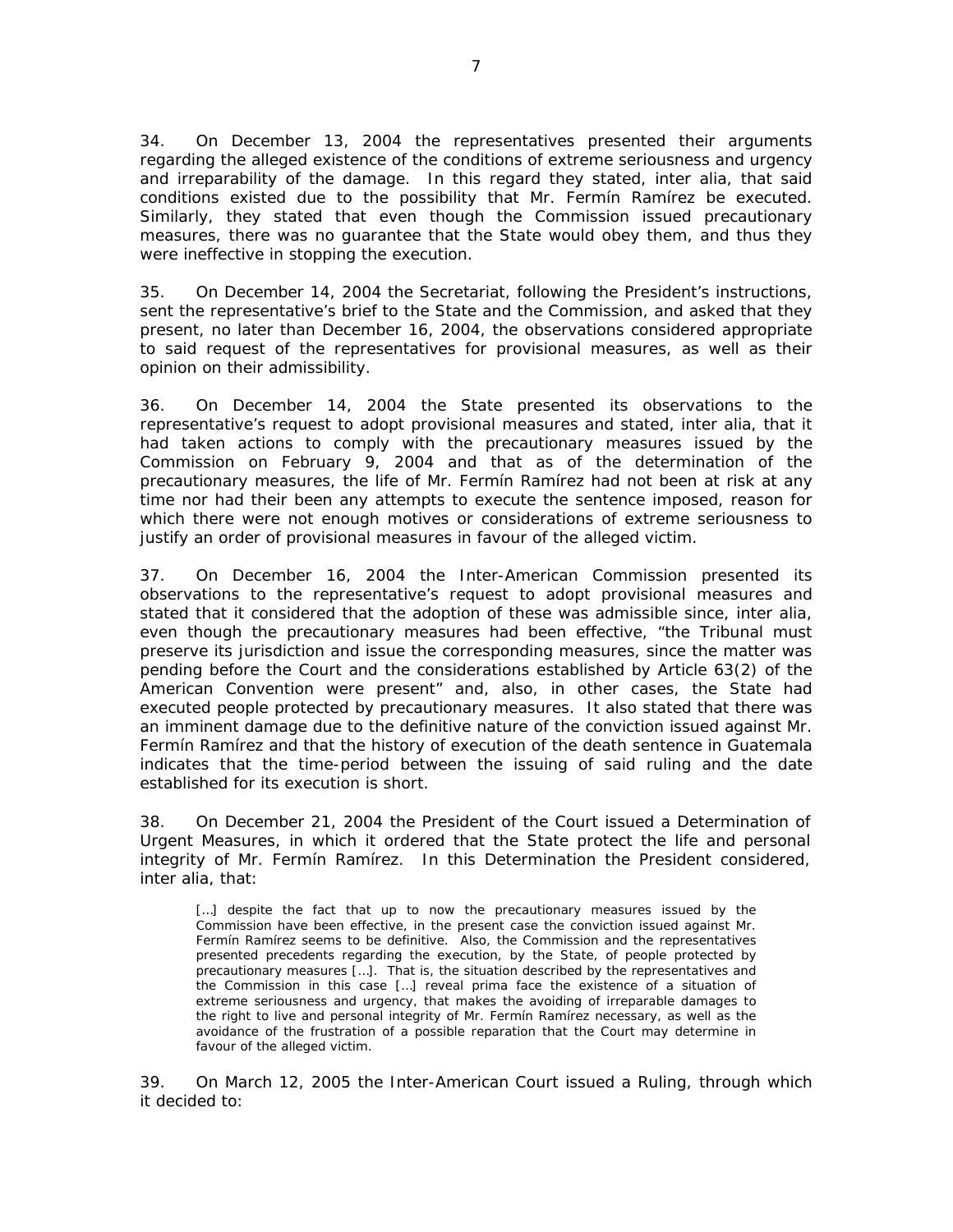34. On December 13, 2004 the representatives presented their arguments regarding the alleged existence of the conditions of extreme seriousness and urgency and irreparability of the damage. In this regard they stated, *inter alia*, that said conditions existed due to the possibility that Mr. Fermín Ramírez be executed. Similarly, they stated that even though the Commission issued precautionary measures, there was no guarantee that the State would obey them, and thus they were ineffective in stopping the execution.

35. On December 14, 2004 the Secretariat, following the President's instructions, sent the representative's brief to the State and the Commission, and asked that they present, no later than December 16, 2004, the observations considered appropriate to said request of the representatives for provisional measures, as well as their opinion on their admissibility.

36. On December 14, 2004 the State presented its observations to the representative's request to adopt provisional measures and stated, *inter alia,* that it had taken actions to comply with the precautionary measures issued by the Commission on February 9, 2004 and that as of the determination of the precautionary measures, the life of Mr. Fermín Ramírez had not been at risk at any time nor had their been any attempts to execute the sentence imposed, reason for which there were not enough motives or considerations of extreme seriousness to justify an order of provisional measures in favour of the alleged victim.

37. On December 16, 2004 the Inter-American Commission presented its observations to the representative's request to adopt provisional measures and stated that it considered that the adoption of these was admissible since, *inter alia,* even though the precautionary measures had been effective, "the Tribunal must preserve its jurisdiction and issue the corresponding measures, since the matter was pending before the Court and the considerations established by Article 63(2) of the American Convention were present" and, also, in other cases, the State had executed people protected by precautionary measures. It also stated that there was an imminent damage due to the definitive nature of the conviction issued against Mr. Fermín Ramírez and that the history of execution of the death sentence in Guatemala indicates that the time-period between the issuing of said ruling and the date established for its execution is short.

38. On December 21, 2004 the President of the Court issued a Determination of Urgent Measures, in which it ordered that the State protect the life and personal integrity of Mr. Fermín Ramírez. In this Determination the President considered, *inter alia*, that:

[...] despite the fact that up to now the precautionary measures issued by the Commission have been effective, in the present case the conviction issued against Mr. Fermín Ramírez seems to be definitive. Also, the Commission and the representatives presented precedents regarding the execution, by the State, of people protected by precautionary measures […]. That is, the situation described by the representatives and the Commission in this case […] reveal *prima face* the existence of a situation of extreme seriousness and urgency, that makes the avoiding of irreparable damages to the right to live and personal integrity of Mr. Fermín Ramírez necessary, as well as the avoidance of the frustration of a possible reparation that the Court may determine in favour of the alleged victim.

39. On March 12, 2005 the Inter-American Court issued a Ruling, through which it decided to: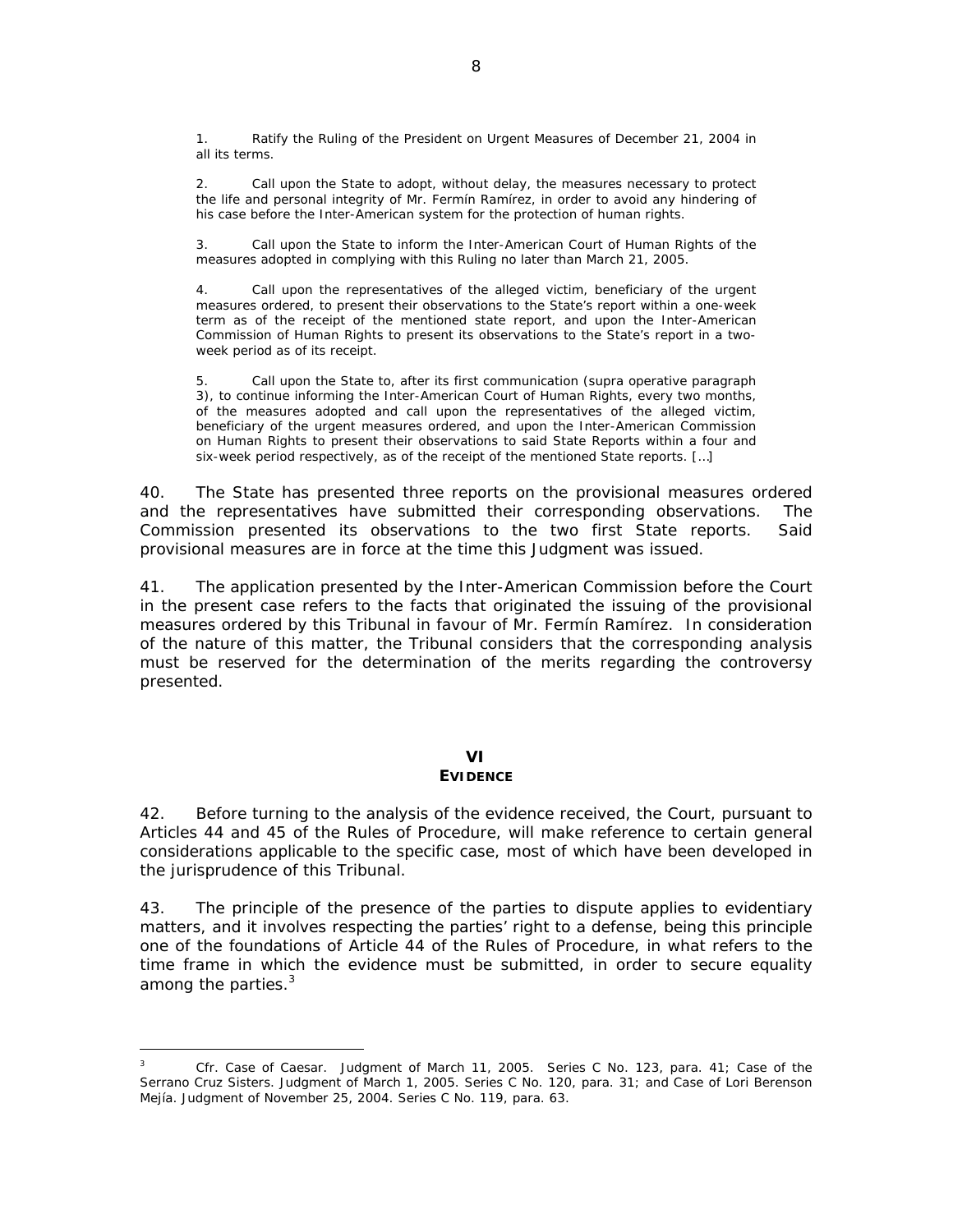Ratify the Ruling of the President on Urgent Measures of December 21, 2004 in all its terms.

2. Call upon the State to adopt, without delay, the measures necessary to protect the life and personal integrity of Mr. Fermín Ramírez, in order to avoid any hindering of his case before the Inter-American system for the protection of human rights.

3. Call upon the State to inform the Inter-American Court of Human Rights of the measures adopted in complying with this Ruling no later than March 21, 2005.

4. Call upon the representatives of the alleged victim, beneficiary of the urgent measures ordered, to present their observations to the State's report within a one-week term as of the receipt of the mentioned state report, and upon the Inter-American Commission of Human Rights to present its observations to the State's report in a twoweek period as of its receipt.

5. Call upon the State to, after its first communication (*supra* operative paragraph 3), to continue informing the Inter-American Court of Human Rights, every two months, of the measures adopted and call upon the representatives of the alleged victim, beneficiary of the urgent measures ordered, and upon the Inter-American Commission on Human Rights to present their observations to said State Reports within a four and six-week period respectively, as of the receipt of the mentioned State reports. […]

40. The State has presented three reports on the provisional measures ordered and the representatives have submitted their corresponding observations. The Commission presented its observations to the two first State reports. Said provisional measures are in force at the time this Judgment was issued.

41. The application presented by the Inter-American Commission before the Court in the present case refers to the facts that originated the issuing of the provisional measures ordered by this Tribunal in favour of Mr. Fermín Ramírez. In consideration of the nature of this matter, the Tribunal considers that the corresponding analysis must be reserved for the determination of the merits regarding the controversy presented.

### **VI EVIDENCE**

42. Before turning to the analysis of the evidence received, the Court, pursuant to Articles 44 and 45 of the Rules of Procedure, will make reference to certain general considerations applicable to the specific case, most of which have been developed in the jurisprudence of this Tribunal.

43. The principle of the presence of the parties to dispute applies to evidentiary matters, and it involves respecting the parties' right to a defense, being this principle one of the foundations of Article 44 of the Rules of Procedure, in what refers to the time frame in which the evidence must be submitted, in order to secure equality among the parties.<sup>3</sup>

 $\overline{3}$ *<sup>3</sup> Cfr. Case of Caesar.* Judgment of March 11, 2005. Series C No. 123, para. 41; *Case of the Serrano Cruz Sisters*. Judgment of March 1, 2005. Series C No. 120, para. 31; and *Case of Lori Berenson Mejía.* Judgment of November 25, 2004. Series C No. 119, para. 63.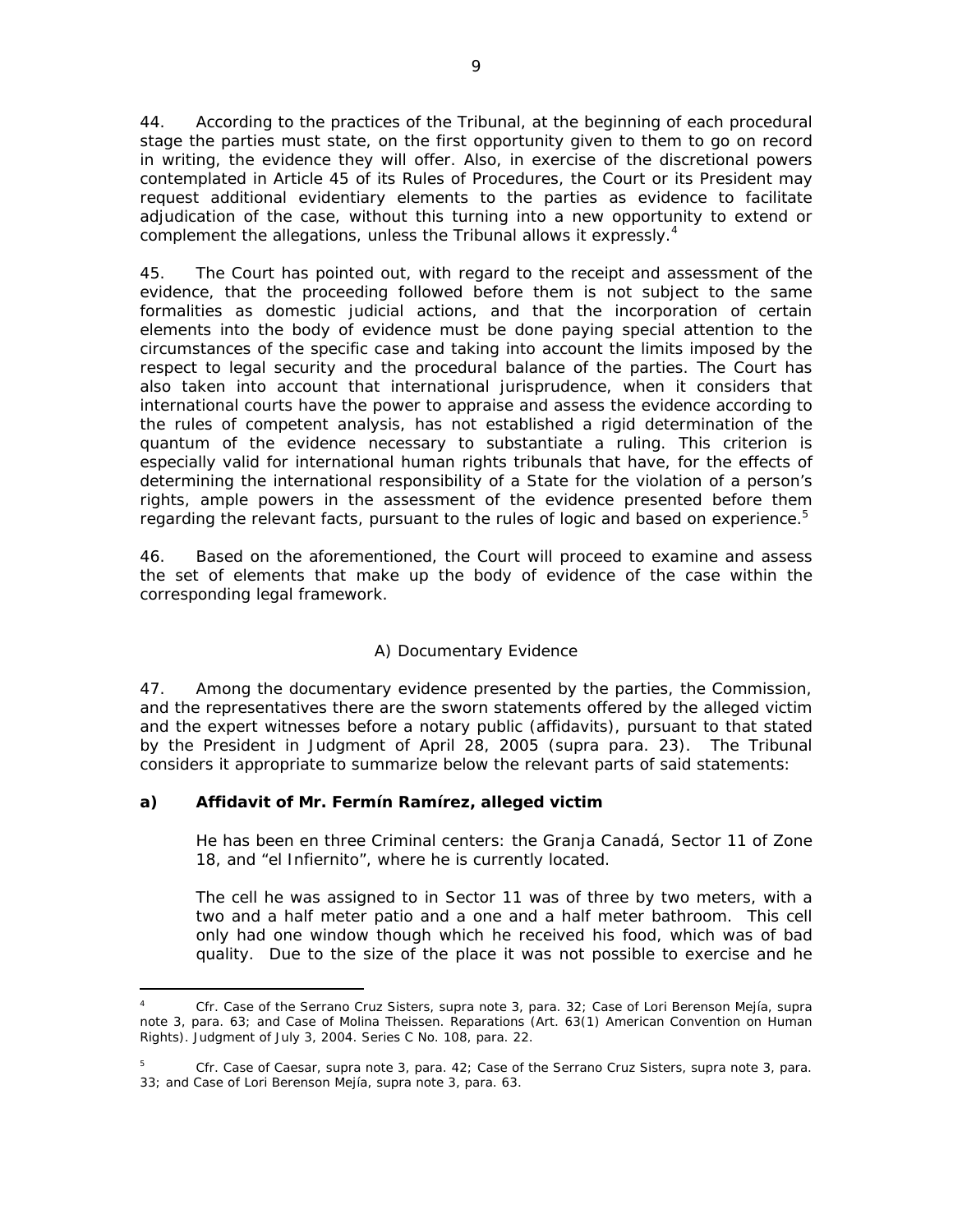44. According to the practices of the Tribunal, at the beginning of each procedural stage the parties must state, on the first opportunity given to them to go on record in writing, the evidence they will offer. Also, in exercise of the discretional powers contemplated in Article 45 of its Rules of Procedures, the Court or its President may request additional evidentiary elements to the parties as evidence to facilitate adjudication of the case, without this turning into a new opportunity to extend or complement the allegations, unless the Tribunal allows it expressly.*<sup>4</sup>*

45. The Court has pointed out, with regard to the receipt and assessment of the evidence, that the proceeding followed before them is not subject to the same formalities as domestic judicial actions, and that the incorporation of certain elements into the body of evidence must be done paying special attention to the circumstances of the specific case and taking into account the limits imposed by the respect to legal security and the procedural balance of the parties. The Court has also taken into account that international jurisprudence, when it considers that international courts have the power to appraise and assess the evidence according to the rules of competent analysis, has not established a rigid determination of the *quantum* of the evidence necessary to substantiate a ruling. This criterion is especially valid for international human rights tribunals that have, for the effects of determining the international responsibility of a State for the violation of a person's rights, ample powers in the assessment of the evidence presented before them regarding the relevant facts, pursuant to the rules of logic and based on experience.*<sup>5</sup>*

46. Based on the aforementioned, the Court will proceed to examine and assess the set of elements that make up the body of evidence of the case within the corresponding legal framework.

# *A) Documentary Evidence*

47. Among the documentary evidence presented by the parties, the Commission, and the representatives there are the sworn statements offered by the alleged victim and the expert witnesses before a notary public (affidavits), pursuant to that stated by the President in Judgment of April 28, 2005 (*supra* para. 23). The Tribunal considers it appropriate to summarize below the relevant parts of said statements:

# **a) Affidavit of Mr. Fermín Ramírez, alleged victim**

 $\overline{a}$ 

He has been en three Criminal centers: the Granja Canadá, Sector 11 of Zone 18, and "el Infiernito", where he is currently located.

The cell he was assigned to in Sector 11 was of three by two meters, with a two and a half meter patio and a one and a half meter bathroom. This cell only had one window though which he received his food, which was of bad quality. Due to the size of the place it was not possible to exercise and he

*<sup>4</sup> Cfr. Case of the Serrano Cruz Sisters*, *supra* note 3, para. 32; *Case of Lori Berenson Mejía, supra*  note 3, para. 63; and *Case of Molina Theissen*. *Reparations* (Art. 63(1) American Convention on Human Rights). Judgment of July 3, 2004. Series C No. 108, para. 22.

*<sup>5</sup> Cfr. Case of Caesar, supra* note 3, para. 42; *Case of the Serrano Cruz Sisters*, *supra* note 3, para. 33; and *Case of Lori Berenson Mejía, supra note 3,* para. 63.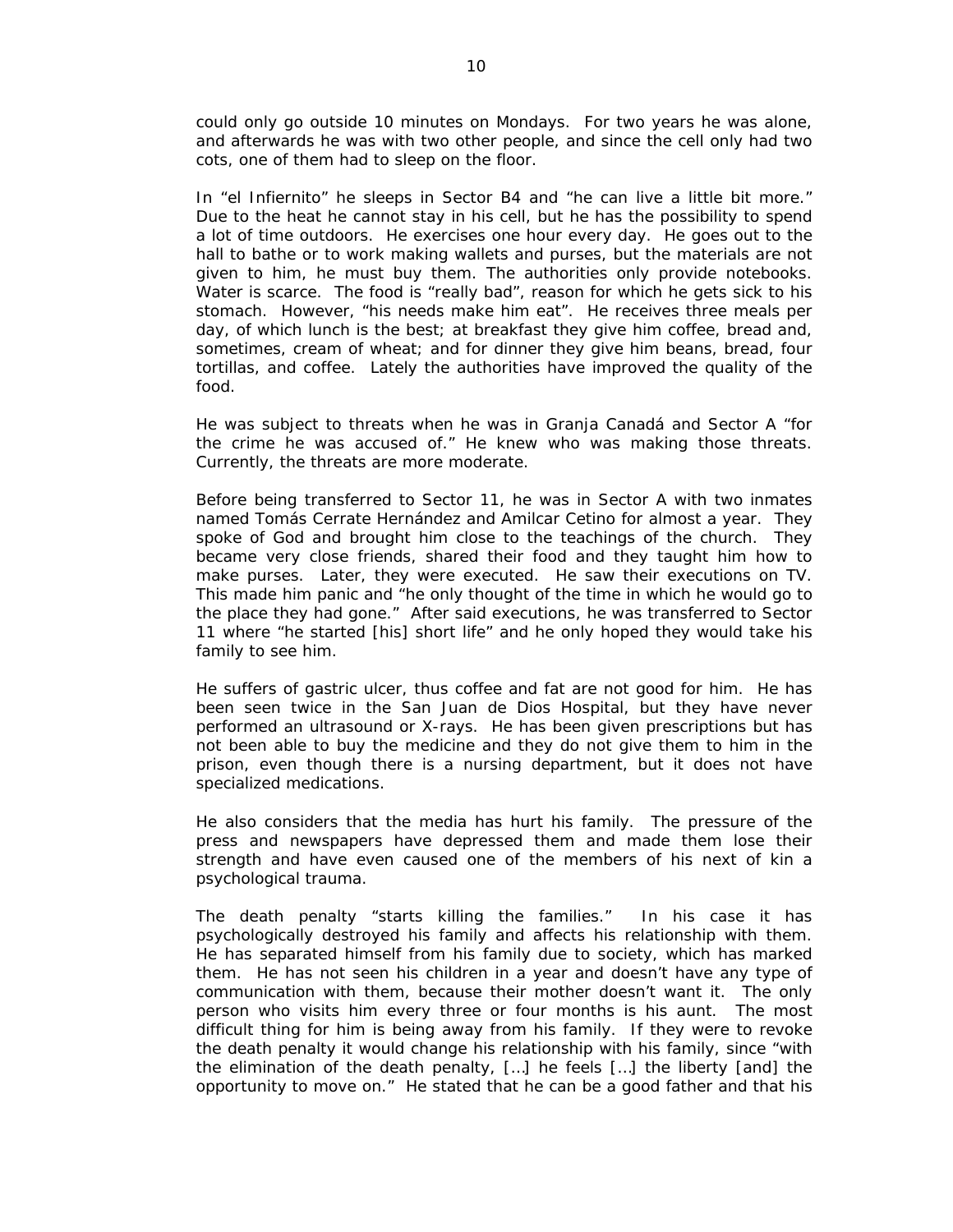could only go outside 10 minutes on Mondays. For two years he was alone, and afterwards he was with two other people, and since the cell only had two cots, one of them had to sleep on the floor.

In "el Infiernito" he sleeps in Sector B4 and "he can live a little bit more." Due to the heat he cannot stay in his cell, but he has the possibility to spend a lot of time outdoors. He exercises one hour every day. He goes out to the hall to bathe or to work making wallets and purses, but the materials are not given to him, he must buy them. The authorities only provide notebooks. Water is scarce. The food is "really bad", reason for which he gets sick to his stomach. However, "his needs make him eat". He receives three meals per day, of which lunch is the best; at breakfast they give him coffee, bread and, sometimes, cream of wheat; and for dinner they give him beans, bread, four tortillas, and coffee. Lately the authorities have improved the quality of the food.

He was subject to threats when he was in Granja Canadá and Sector A "for the crime he was accused of." He knew who was making those threats. Currently, the threats are more moderate.

Before being transferred to Sector 11, he was in Sector A with two inmates named Tomás Cerrate Hernández and Amilcar Cetino for almost a year. They spoke of God and brought him close to the teachings of the church. They became very close friends, shared their food and they taught him how to make purses. Later, they were executed. He saw their executions on TV. This made him panic and "he only thought of the time in which he would go to the place they had gone." After said executions, he was transferred to Sector 11 where "he started [his] short life" and he only hoped they would take his family to see him.

He suffers of gastric ulcer, thus coffee and fat are not good for him. He has been seen twice in the San Juan de Dios Hospital, but they have never performed an ultrasound or X-rays. He has been given prescriptions but has not been able to buy the medicine and they do not give them to him in the prison, even though there is a nursing department, but it does not have specialized medications.

He also considers that the media has hurt his family. The pressure of the press and newspapers have depressed them and made them lose their strength and have even caused one of the members of his next of kin a psychological trauma.

The death penalty "starts killing the families." In his case it has psychologically destroyed his family and affects his relationship with them. He has separated himself from his family due to society, which has marked them. He has not seen his children in a year and doesn't have any type of communication with them, because their mother doesn't want it. The only person who visits him every three or four months is his aunt. The most difficult thing for him is being away from his family. If they were to revoke the death penalty it would change his relationship with his family, since "with the elimination of the death penalty, […] he feels […] the liberty [and] the opportunity to move on." He stated that he can be a good father and that his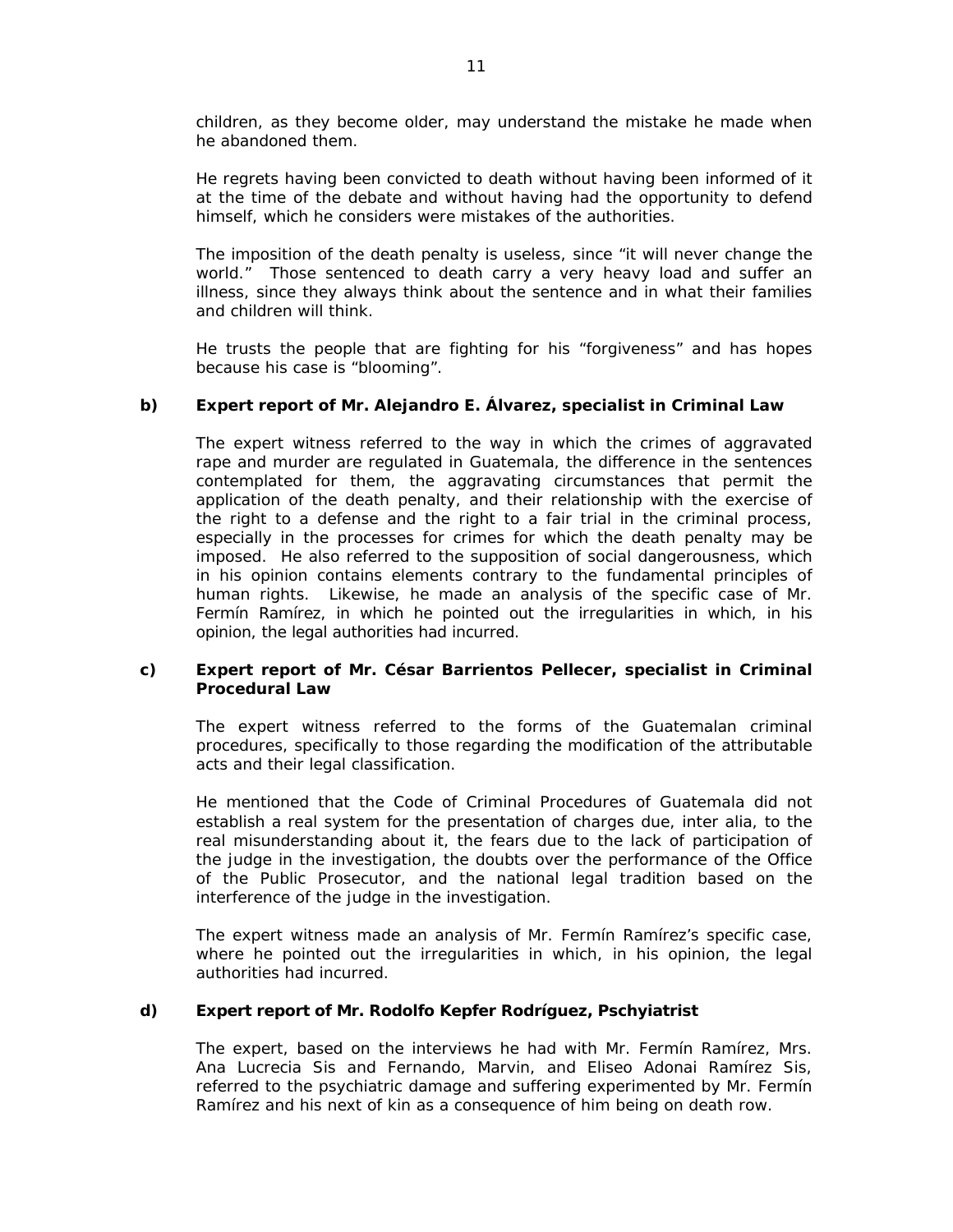children, as they become older, may understand the mistake he made when he abandoned them.

He regrets having been convicted to death without having been informed of it at the time of the debate and without having had the opportunity to defend himself, which he considers were mistakes of the authorities.

The imposition of the death penalty is useless, since "it will never change the world." Those sentenced to death carry a very heavy load and suffer an illness, since they always think about the sentence and in what their families and children will think.

He trusts the people that are fighting for his "forgiveness" and has hopes because his case is "blooming".

### **b) Expert report of Mr. Alejandro E. Álvarez, specialist in Criminal Law**

The expert witness referred to the way in which the crimes of aggravated rape and murder are regulated in Guatemala, the difference in the sentences contemplated for them, the aggravating circumstances that permit the application of the death penalty, and their relationship with the exercise of the right to a defense and the right to a fair trial in the criminal process, especially in the processes for crimes for which the death penalty may be imposed. He also referred to the supposition of social dangerousness, which in his opinion contains elements contrary to the fundamental principles of human rights. Likewise, he made an analysis of the specific case of Mr. Fermín Ramírez, in which he pointed out the irregularities in which, in his opinion, the legal authorities had incurred.

### **c) Expert report of Mr. César Barrientos Pellecer, specialist in Criminal Procedural Law**

The expert witness referred to the forms of the Guatemalan criminal procedures, specifically to those regarding the modification of the attributable acts and their legal classification.

He mentioned that the Code of Criminal Procedures of Guatemala did not establish a real system for the presentation of charges due, *inter alia,* to the real misunderstanding about it, the fears due to the lack of participation of the judge in the investigation, the doubts over the performance of the Office of the Public Prosecutor, and the national legal tradition based on the interference of the judge in the investigation.

The expert witness made an analysis of Mr. Fermín Ramírez's specific case, where he pointed out the irregularities in which, in his opinion, the legal authorities had incurred.

### **d) Expert report of Mr. Rodolfo Kepfer Rodríguez, Pschyiatrist**

The expert, based on the interviews he had with Mr. Fermín Ramírez, Mrs. Ana Lucrecia Sis and Fernando, Marvin, and Eliseo Adonai Ramírez Sis, referred to the psychiatric damage and suffering experimented by Mr. Fermín Ramírez and his next of kin as a consequence of him being on death row.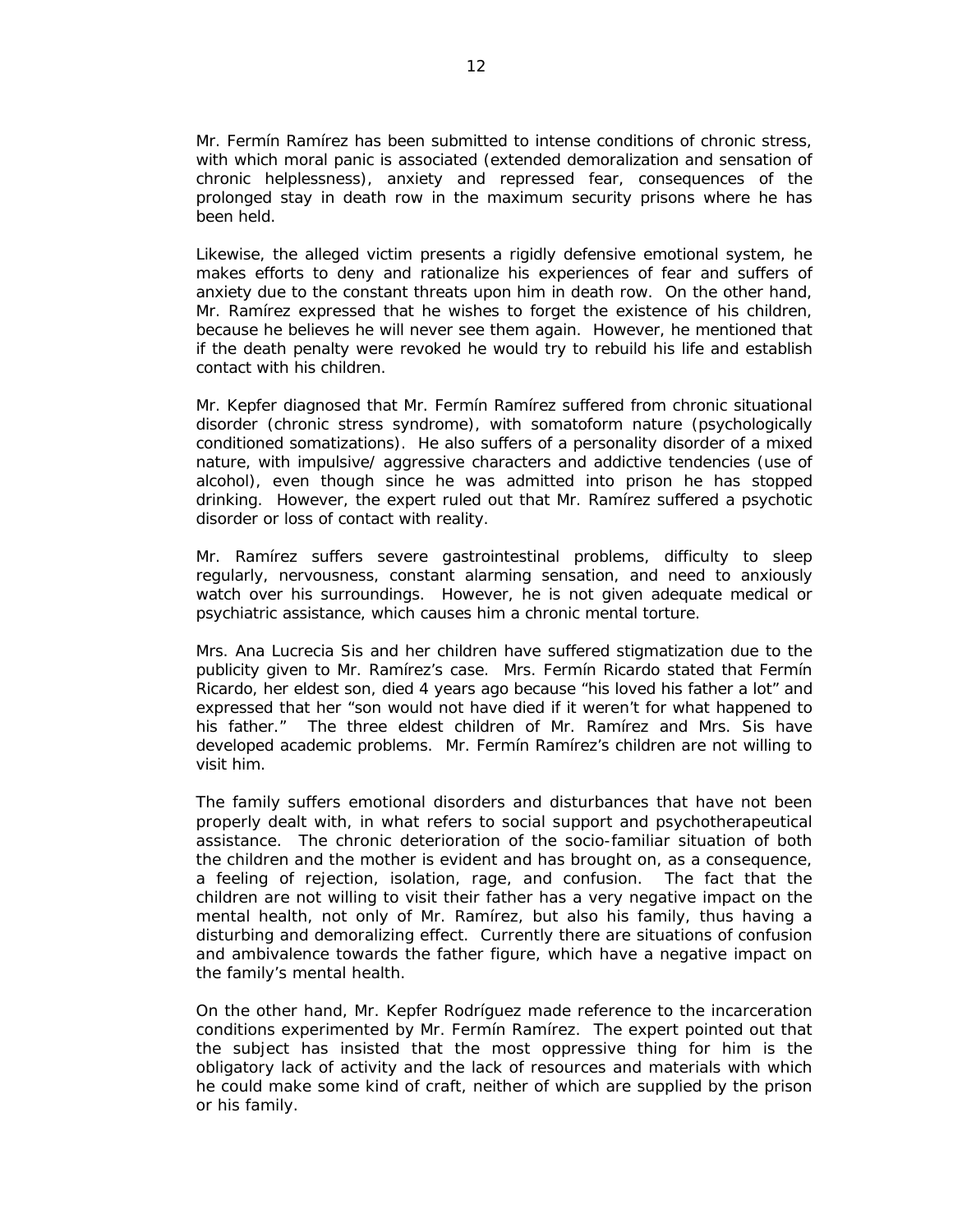Mr. Fermín Ramírez has been submitted to intense conditions of chronic stress, with which moral panic is associated (extended demoralization and sensation of chronic helplessness), anxiety and repressed fear, consequences of the prolonged stay in death row in the maximum security prisons where he has been held.

Likewise, the alleged victim presents a rigidly defensive emotional system, he makes efforts to deny and rationalize his experiences of fear and suffers of anxiety due to the constant threats upon him in death row. On the other hand, Mr. Ramírez expressed that he wishes to forget the existence of his children, because he believes he will never see them again. However, he mentioned that if the death penalty were revoked he would try to rebuild his life and establish contact with his children.

Mr. Kepfer diagnosed that Mr. Fermín Ramírez suffered from chronic situational disorder (chronic stress syndrome), with somatoform nature (psychologically conditioned somatizations). He also suffers of a personality disorder of a mixed nature, with impulsive/ aggressive characters and addictive tendencies (use of alcohol), even though since he was admitted into prison he has stopped drinking. However, the expert ruled out that Mr. Ramírez suffered a psychotic disorder or loss of contact with reality.

Mr. Ramírez suffers severe gastrointestinal problems, difficulty to sleep regularly, nervousness, constant alarming sensation, and need to anxiously watch over his surroundings. However, he is not given adequate medical or psychiatric assistance, which causes him a chronic mental torture.

Mrs. Ana Lucrecia Sis and her children have suffered stigmatization due to the publicity given to Mr. Ramírez's case. Mrs. Fermín Ricardo stated that Fermín Ricardo, her eldest son, died 4 years ago because "his loved his father a lot" and expressed that her "son would not have died if it weren't for what happened to his father." The three eldest children of Mr. Ramírez and Mrs. Sis have developed academic problems. Mr. Fermín Ramírez's children are not willing to visit him.

The family suffers emotional disorders and disturbances that have not been properly dealt with, in what refers to social support and psychotherapeutical assistance. The chronic deterioration of the socio-familiar situation of both the children and the mother is evident and has brought on, as a consequence, a feeling of rejection, isolation, rage, and confusion. The fact that the children are not willing to visit their father has a very negative impact on the mental health, not only of Mr. Ramírez, but also his family, thus having a disturbing and demoralizing effect. Currently there are situations of confusion and ambivalence towards the father figure, which have a negative impact on the family's mental health.

On the other hand, Mr. Kepfer Rodríguez made reference to the incarceration conditions experimented by Mr. Fermín Ramírez. The expert pointed out that the subject has insisted that the most oppressive thing for him is the obligatory lack of activity and the lack of resources and materials with which he could make some kind of craft, neither of which are supplied by the prison or his family.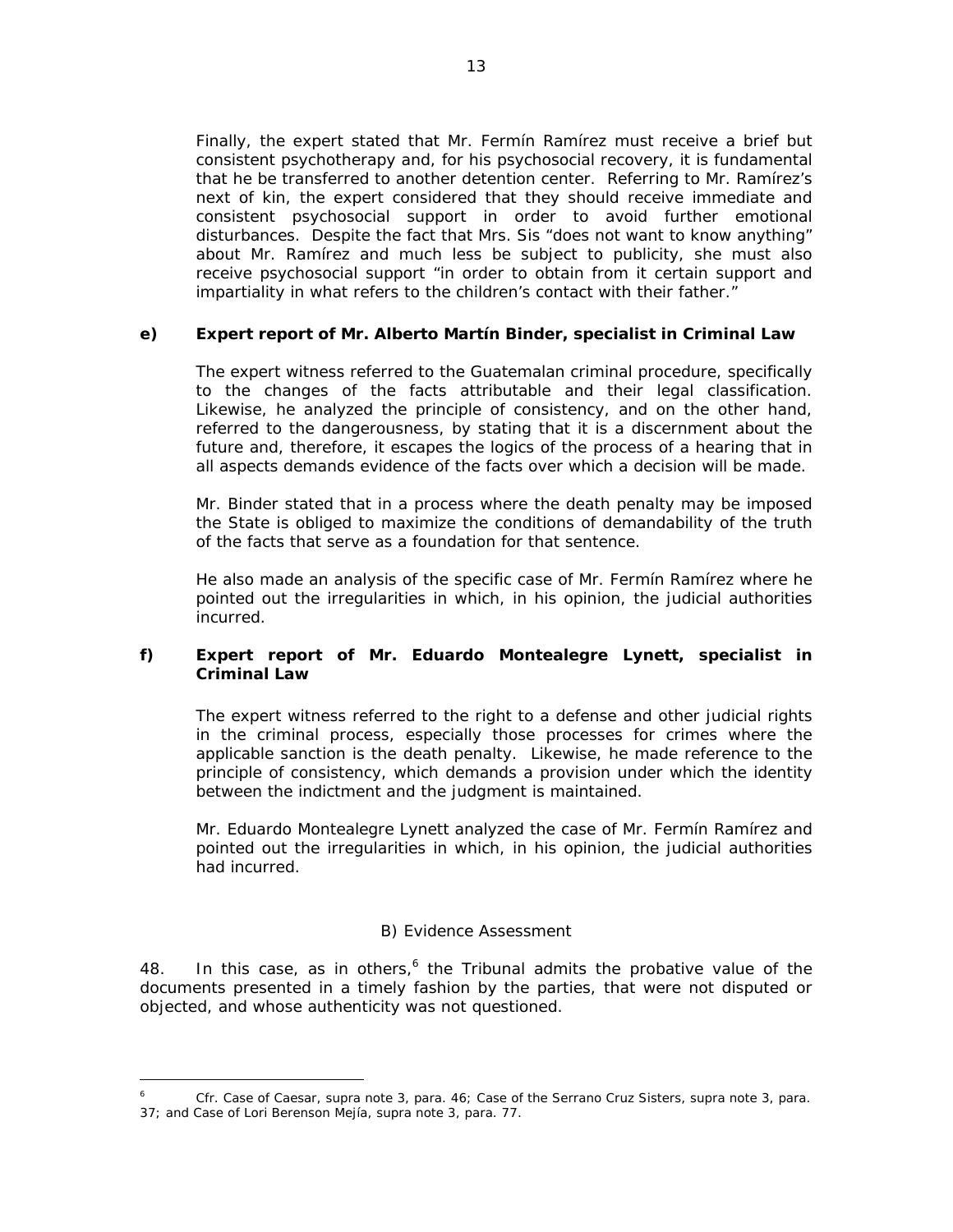Finally, the expert stated that Mr. Fermín Ramírez must receive a brief but consistent psychotherapy and, for his psychosocial recovery, it is fundamental that he be transferred to another detention center. Referring to Mr. Ramírez's next of kin, the expert considered that they should receive immediate and consistent psychosocial support in order to avoid further emotional disturbances. Despite the fact that Mrs. Sis "does not want to know anything" about Mr. Ramírez and much less be subject to publicity, she must also receive psychosocial support "in order to obtain from it certain support and impartiality in what refers to the children's contact with their father."

# **e) Expert report of Mr. Alberto Martín Binder, specialist in Criminal Law**

The expert witness referred to the Guatemalan criminal procedure, specifically to the changes of the facts attributable and their legal classification. Likewise, he analyzed the principle of consistency, and on the other hand, referred to the dangerousness, by stating that it is a discernment about the future and, therefore, it escapes the logics of the process of a hearing that in all aspects demands evidence of the facts over which a decision will be made.

Mr. Binder stated that in a process where the death penalty may be imposed the State is obliged to maximize the conditions of demandability of the truth of the facts that serve as a foundation for that sentence.

He also made an analysis of the specific case of Mr. Fermín Ramírez where he pointed out the irregularities in which, in his opinion, the judicial authorities incurred.

# **f) Expert report of Mr. Eduardo Montealegre Lynett, specialist in Criminal Law**

The expert witness referred to the right to a defense and other judicial rights in the criminal process, especially those processes for crimes where the applicable sanction is the death penalty. Likewise, he made reference to the principle of consistency, which demands a provision under which the identity between the indictment and the judgment is maintained.

Mr. Eduardo Montealegre Lynett analyzed the case of Mr. Fermín Ramírez and pointed out the irregularities in which, in his opinion, the judicial authorities had incurred.

### *B) Evidence Assessment*

48. In this case, as in others,<sup>6</sup> the Tribunal admits the probative value of the documents presented in a timely fashion by the parties, that were not disputed or objected, and whose authenticity was not questioned.

*<sup>6</sup>* Cfr. *Case of Caesar, supra* note 3, para. 46; *Case of the Serrano Cruz Sisters, supra* note 3, para. 37; and *Case of Lori Berenson Mejía, supra* note 3, para. 77.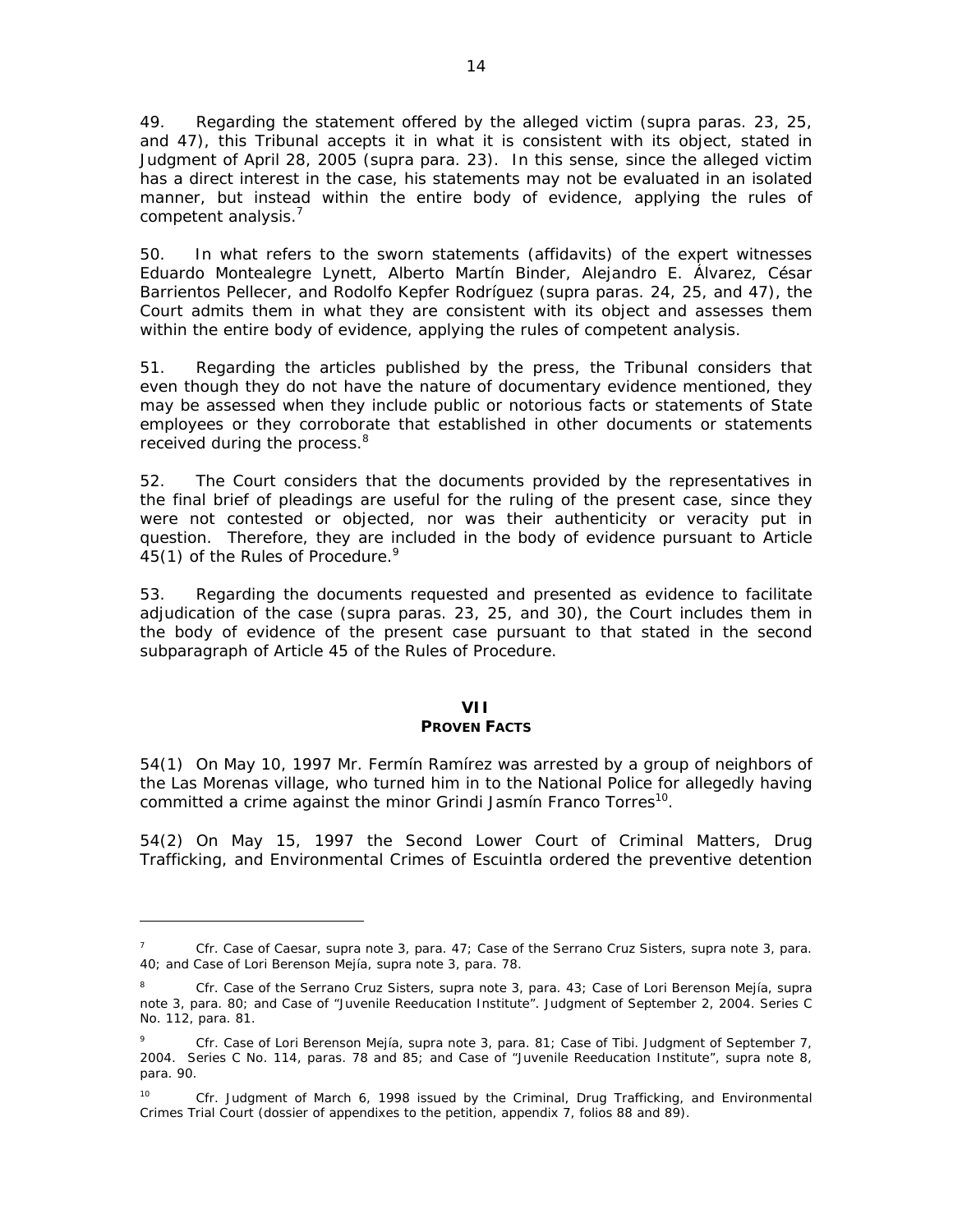49. Regarding the statement offered by the alleged victim (*supra* paras. 23, 25, and 47), this Tribunal accepts it in what it is consistent with its object, stated in Judgment of April 28, 2005 (*supra* para. 23). In this sense, since the alleged victim has a direct interest in the case, his statements may not be evaluated in an isolated manner, but instead within the entire body of evidence, applying the rules of competent analysis.<sup>7</sup>

50. In what refers to the sworn statements (affidavits) of the expert witnesses Eduardo Montealegre Lynett, Alberto Martín Binder, Alejandro E. Álvarez, César Barrientos Pellecer, and Rodolfo Kepfer Rodríguez (*supra* paras. 24, 25, and 47), the Court admits them in what they are consistent with its object and assesses them within the entire body of evidence, applying the rules of competent analysis.

51. Regarding the articles published by the press, the Tribunal considers that even though they do not have the nature of documentary evidence mentioned, they may be assessed when they include public or notorious facts or statements of State employees or they corroborate that established in other documents or statements received during the process.<sup>8</sup>

52. The Court considers that the documents provided by the representatives in the final brief of pleadings are useful for the ruling of the present case, since they were not contested or objected, nor was their authenticity or veracity put in question. Therefore, they are included in the body of evidence pursuant to Article 45(1) of the Rules of Procedure.<sup>9</sup>

53. Regarding the documents requested and presented as evidence to facilitate adjudication of the case (*supra* paras. 23, 25, and 30), the Court includes them in the body of evidence of the present case pursuant to that stated in the second subparagraph of Article 45 of the Rules of Procedure.

# **VII**

# **PROVEN FACTS**

54(1) On May 10, 1997 Mr. Fermín Ramírez was arrested by a group of neighbors of the Las Morenas village, who turned him in to the National Police for allegedly having committed a crime against the minor Grindi Jasmín Franco Torres<sup>10</sup>.

54(2) On May 15, 1997 the Second Lower Court of Criminal Matters, Drug Trafficking, and Environmental Crimes of Escuintla ordered the preventive detention

<sup>7</sup> *Cfr. Case of Caesar, supra* note 3, para. 47; *Case of the Serrano Cruz Sisters, supra* note 3, para. 40; and *Case of Lori Berenson Mejía, supra* note 3, para. 78.

<sup>8</sup> *Cfr. Case of the Serrano Cruz Sisters, supra* note 3, para. 43; *Case of Lori Berenson Mejía, supra*  note 3, para. 80; and *Case of "Juvenile Reeducation Institute"*. Judgment of September 2, 2004. Series C No. 112, para. 81.

<sup>9</sup> *Cfr. Case of Lori Berenson Mejía, supra* note 3, para. 81; *Case of Tibi.* Judgment of September 7, 2004. Series C No. 114, paras. 78 and 85; and *Case of "Juvenile Reeducation Institute", supra* note 8, para. 90.

<sup>10</sup> *Cfr.* Judgment of March 6, 1998 issued by the Criminal, Drug Trafficking, and Environmental Crimes Trial Court (dossier of appendixes to the petition, appendix 7, folios 88 and 89).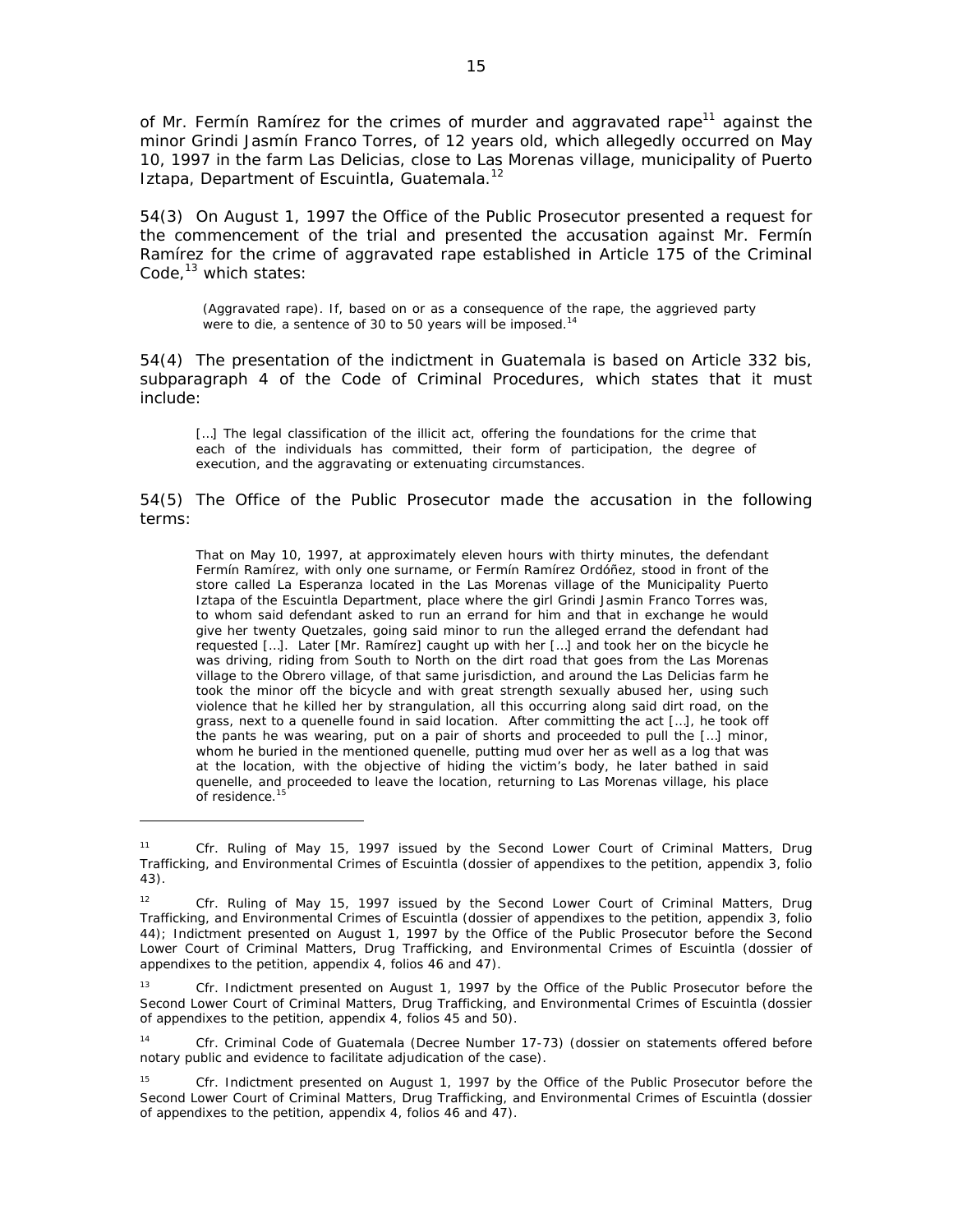of Mr. Fermín Ramírez for the crimes of murder and aggravated rape<sup>11</sup> against the minor Grindi Jasmín Franco Torres, of 12 years old, which allegedly occurred on May 10, 1997 in the farm Las Delicias, close to Las Morenas village, municipality of Puerto Iztapa, Department of Escuintla, Guatemala.<sup>12</sup>

54(3) On August 1, 1997 the Office of the Public Prosecutor presented a request for the commencement of the trial and presented the accusation against Mr. Fermín Ramírez for the crime of aggravated rape established in Article 175 of the Criminal Code, $^{13}$  which states:

(Aggravated rape). If, based on or as a consequence of the rape, the aggrieved party were to die, a sentence of 30 to 50 years will be imposed.<sup>14</sup>

54(4) The presentation of the indictment in Guatemala is based on Article 332 bis, subparagraph 4 of the Code of Criminal Procedures, which states that it must include:

[...] The legal classification of the illicit act, offering the foundations for the crime that each of the individuals has committed, their form of participation, the degree of execution, and the aggravating or extenuating circumstances.

54(5) The Office of the Public Prosecutor made the accusation in the following terms:

That on May 10, 1997, at approximately eleven hours with thirty minutes, the defendant Fermín Ramírez, with only one surname, or Fermín Ramírez Ordóñez, stood in front of the store called La Esperanza located in the Las Morenas village of the Municipality Puerto Iztapa of the Escuintla Department, place where the girl Grindi Jasmin Franco Torres was, to whom said defendant asked to run an errand for him and that in exchange he would give her twenty Quetzales, going said minor to run the alleged errand the defendant had requested […]. Later [Mr. Ramírez] caught up with her […] and took her on the bicycle he was driving, riding from South to North on the dirt road that goes from the Las Morenas village to the Obrero village, of that same jurisdiction, and around the Las Delicias farm he took the minor off the bicycle and with great strength sexually abused her, using such violence that he killed her by strangulation, all this occurring along said dirt road, on the grass, next to a quenelle found in said location. After committing the act […], he took off the pants he was wearing, put on a pair of shorts and proceeded to pull the […] minor, whom he buried in the mentioned quenelle, putting mud over her as well as a log that was at the location, with the objective of hiding the victim's body, he later bathed in said quenelle, and proceeded to leave the location, returning to Las Morenas village, his place of residence. $1$ 

<sup>11</sup> *Cfr.* Ruling of May 15, 1997 issued by the Second Lower Court of Criminal Matters, Drug Trafficking, and Environmental Crimes of Escuintla (dossier of appendixes to the petition, appendix 3, folio 43).

<sup>12</sup> *Cfr.* Ruling of May 15, 1997 issued by the Second Lower Court of Criminal Matters, Drug Trafficking, and Environmental Crimes of Escuintla (dossier of appendixes to the petition, appendix 3, folio 44); Indictment presented on August 1, 1997 by the Office of the Public Prosecutor before the Second Lower Court of Criminal Matters, Drug Trafficking, and Environmental Crimes of Escuintla (dossier of appendixes to the petition, appendix 4, folios 46 and 47).

<sup>13</sup> *Cfr.* Indictment presented on August 1, 1997 by the Office of the Public Prosecutor before the Second Lower Court of Criminal Matters, Drug Trafficking, and Environmental Crimes of Escuintla (dossier of appendixes to the petition, appendix 4, folios 45 and 50).

<sup>14</sup> *Cfr.* Criminal Code of Guatemala (Decree Number 17-73) (dossier on statements offered before notary public and evidence to facilitate adjudication of the case).

<sup>15</sup> *Cfr.* Indictment presented on August 1, 1997 by the Office of the Public Prosecutor before the Second Lower Court of Criminal Matters, Drug Trafficking, and Environmental Crimes of Escuintla (dossier of appendixes to the petition, appendix 4, folios 46 and 47).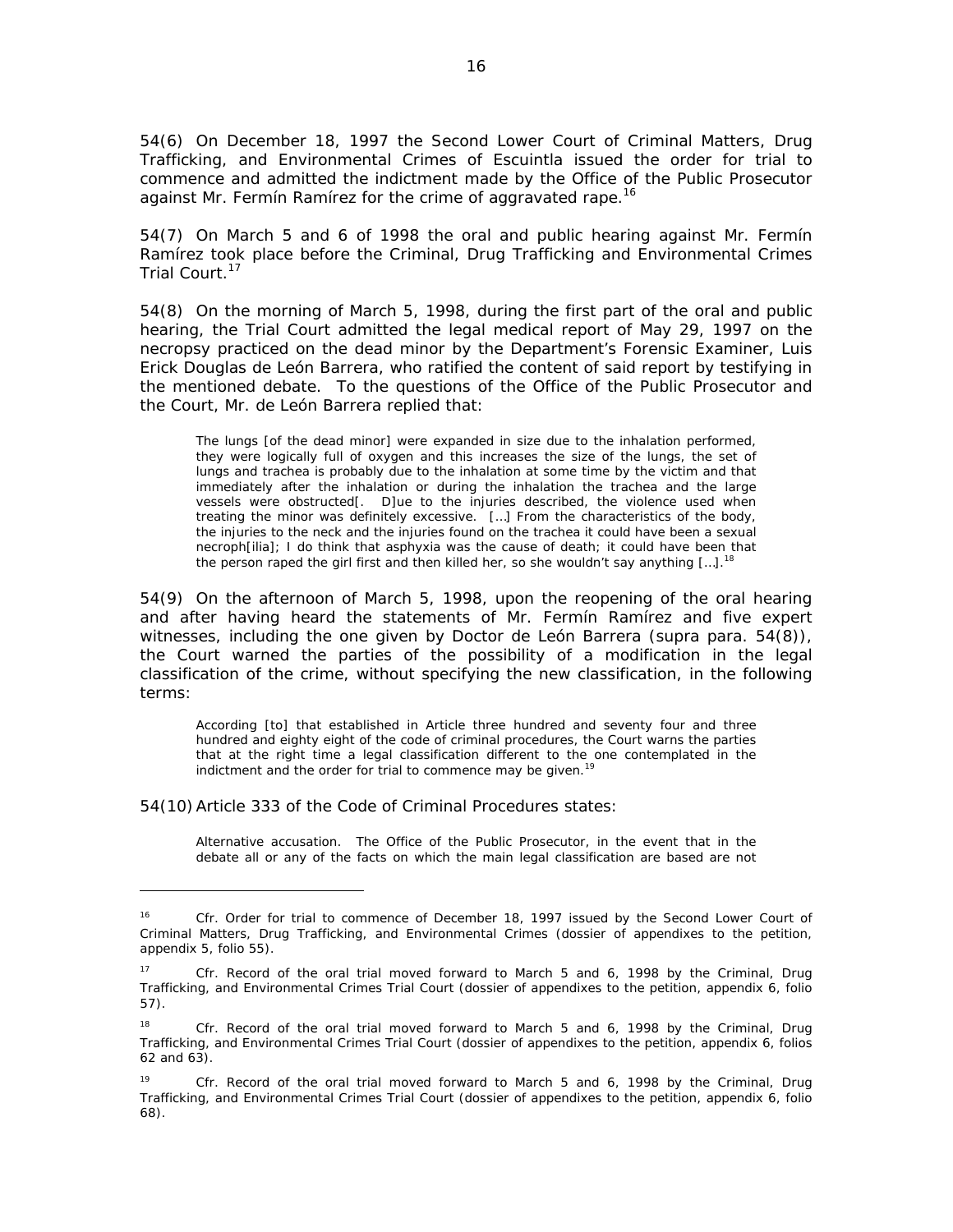54(6) On December 18, 1997 the Second Lower Court of Criminal Matters, Drug Trafficking, and Environmental Crimes of Escuintla issued the order for trial to commence and admitted the indictment made by the Office of the Public Prosecutor against Mr. Fermín Ramírez for the crime of aggravated rape.<sup>16</sup>

54(7) On March 5 and 6 of 1998 the oral and public hearing against Mr. Fermín Ramírez took place before the Criminal, Drug Trafficking and Environmental Crimes Trial Court.<sup>17</sup>

54(8) On the morning of March 5, 1998, during the first part of the oral and public hearing, the Trial Court admitted the legal medical report of May 29, 1997 on the necropsy practiced on the dead minor by the Department's Forensic Examiner, Luis Erick Douglas de León Barrera, who ratified the content of said report by testifying in the mentioned debate. To the questions of the Office of the Public Prosecutor and the Court, Mr. de León Barrera replied that:

The lungs [of the dead minor] were expanded in size due to the inhalation performed, they were logically full of oxygen and this increases the size of the lungs, the set of lungs and trachea is probably due to the inhalation at some time by the victim and that immediately after the inhalation or during the inhalation the trachea and the large vessels were obstructed[. D]ue to the injuries described, the violence used when treating the minor was definitely excessive. […] From the characteristics of the body, the injuries to the neck and the injuries found on the trachea it could have been a sexual necroph[ilia]; I do think that asphyxia was the cause of death; it could have been that the person raped the girl first and then killed her, so she wouldn't say anything  $[\dots]$ <sup>18</sup>

54(9) On the afternoon of March 5, 1998, upon the reopening of the oral hearing and after having heard the statements of Mr. Fermín Ramírez and five expert witnesses, including the one given by Doctor de León Barrera (*supra* para. 54(8)), the Court warned the parties of the possibility of a modification in the legal classification of the crime, without specifying the new classification, in the following terms:

According [to] that established in Article three hundred and seventy four and three hundred and eighty eight of the code of criminal procedures, the Court warns the parties that at the right time a legal classification different to the one contemplated in the indictment and the order for trial to commence may be given.<sup>19</sup>

54(10) Article 333 of the Code of Criminal Procedures states:

 $\overline{a}$ 

Alternative accusation. The Office of the Public Prosecutor, in the event that in the debate all or any of the facts on which the main legal classification are based are not

<sup>&</sup>lt;sup>16</sup> *Cfr.* Order for trial to commence of December 18, 1997 issued by the Second Lower Court of Criminal Matters, Drug Trafficking, and Environmental Crimes (dossier of appendixes to the petition, appendix 5, folio 55).

<sup>17</sup> *Cfr.* Record of the oral trial moved forward to March 5 and 6, 1998 by the Criminal, Drug Trafficking, and Environmental Crimes Trial Court (dossier of appendixes to the petition, appendix 6, folio 57).

<sup>&</sup>lt;sup>18</sup> *Cfr.* Record of the oral trial moved forward to March 5 and 6, 1998 by the Criminal, Drug Trafficking, and Environmental Crimes Trial Court (dossier of appendixes to the petition, appendix 6, folios 62 and 63).

<sup>19</sup> *Cfr.* Record of the oral trial moved forward to March 5 and 6, 1998 by the Criminal, Drug Trafficking, and Environmental Crimes Trial Court (dossier of appendixes to the petition, appendix 6, folio 68).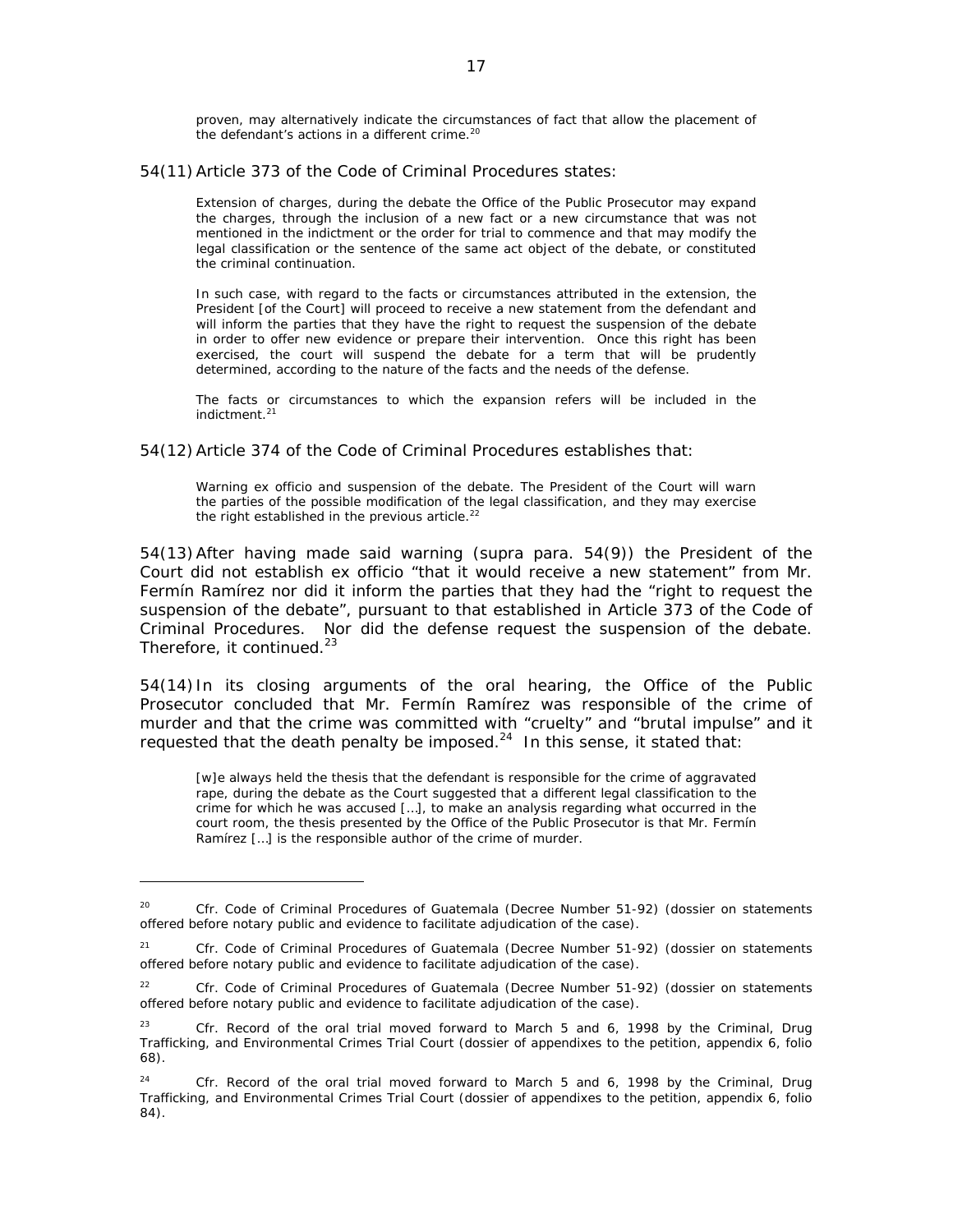proven, may alternatively indicate the circumstances of fact that allow the placement of the defendant's actions in a different crime.<sup>20</sup>

54(11) Article 373 of the Code of Criminal Procedures states:

Extension of charges, during the debate the Office of the Public Prosecutor may expand the charges, through the inclusion of a new fact or a new circumstance that was not mentioned in the indictment or the order for trial to commence and that may modify the legal classification or the sentence of the same act object of the debate, or constituted the criminal continuation.

In such case, with regard to the facts or circumstances attributed in the extension, the President [of the Court] will proceed to receive a new statement from the defendant and will inform the parties that they have the right to request the suspension of the debate in order to offer new evidence or prepare their intervention. Once this right has been exercised, the court will suspend the debate for a term that will be prudently determined, according to the nature of the facts and the needs of the defense.

The facts or circumstances to which the expansion refers will be included in the indictment.<sup>21</sup>

54(12) Article 374 of the Code of Criminal Procedures establishes that:

Warning ex officio and suspension of the debate. The President of the Court will warn the parties of the possible modification of the legal classification, and they may exercise the right established in the previous article.<sup>22</sup>

54(13) After having made said warning (*supra* para. 54(9)) the President of the Court did not establish ex officio "that it would receive a new statement" from Mr. Fermín Ramírez nor did it inform the parties that they had the "right to request the suspension of the debate", pursuant to that established in Article 373 of the Code of Criminal Procedures. Nor did the defense request the suspension of the debate. Therefore, it continued.<sup>23</sup>

54(14) In its closing arguments of the oral hearing, the Office of the Public Prosecutor concluded that Mr. Fermín Ramírez was responsible of the crime of murder and that the crime was committed with "cruelty" and "brutal impulse" and it requested that the death penalty be imposed.<sup>24</sup> In this sense, it stated that:

[w]e always held the thesis that the defendant is responsible for the crime of aggravated rape, during the debate as the Court suggested that a different legal classification to the crime for which he was accused […], to make an analysis regarding what occurred in the court room, the thesis presented by the Office of the Public Prosecutor is that Mr. Fermín Ramírez […] is the responsible author of the crime of murder.

<sup>20</sup> *Cfr.* Code of Criminal Procedures of Guatemala (Decree Number 51-92) (dossier on statements offered before notary public and evidence to facilitate adjudication of the case).

<sup>21</sup> *Cfr.* Code of Criminal Procedures of Guatemala (Decree Number 51-92) (dossier on statements offered before notary public and evidence to facilitate adjudication of the case).

<sup>22</sup> *Cfr.* Code of Criminal Procedures of Guatemala (Decree Number 51-92) (dossier on statements offered before notary public and evidence to facilitate adjudication of the case).

<sup>23</sup> *Cfr.* Record of the oral trial moved forward to March 5 and 6, 1998 by the Criminal, Drug Trafficking, and Environmental Crimes Trial Court (dossier of appendixes to the petition, appendix 6, folio 68).

<sup>24</sup> *Cfr.* Record of the oral trial moved forward to March 5 and 6, 1998 by the Criminal, Drug Trafficking, and Environmental Crimes Trial Court (dossier of appendixes to the petition, appendix 6, folio 84).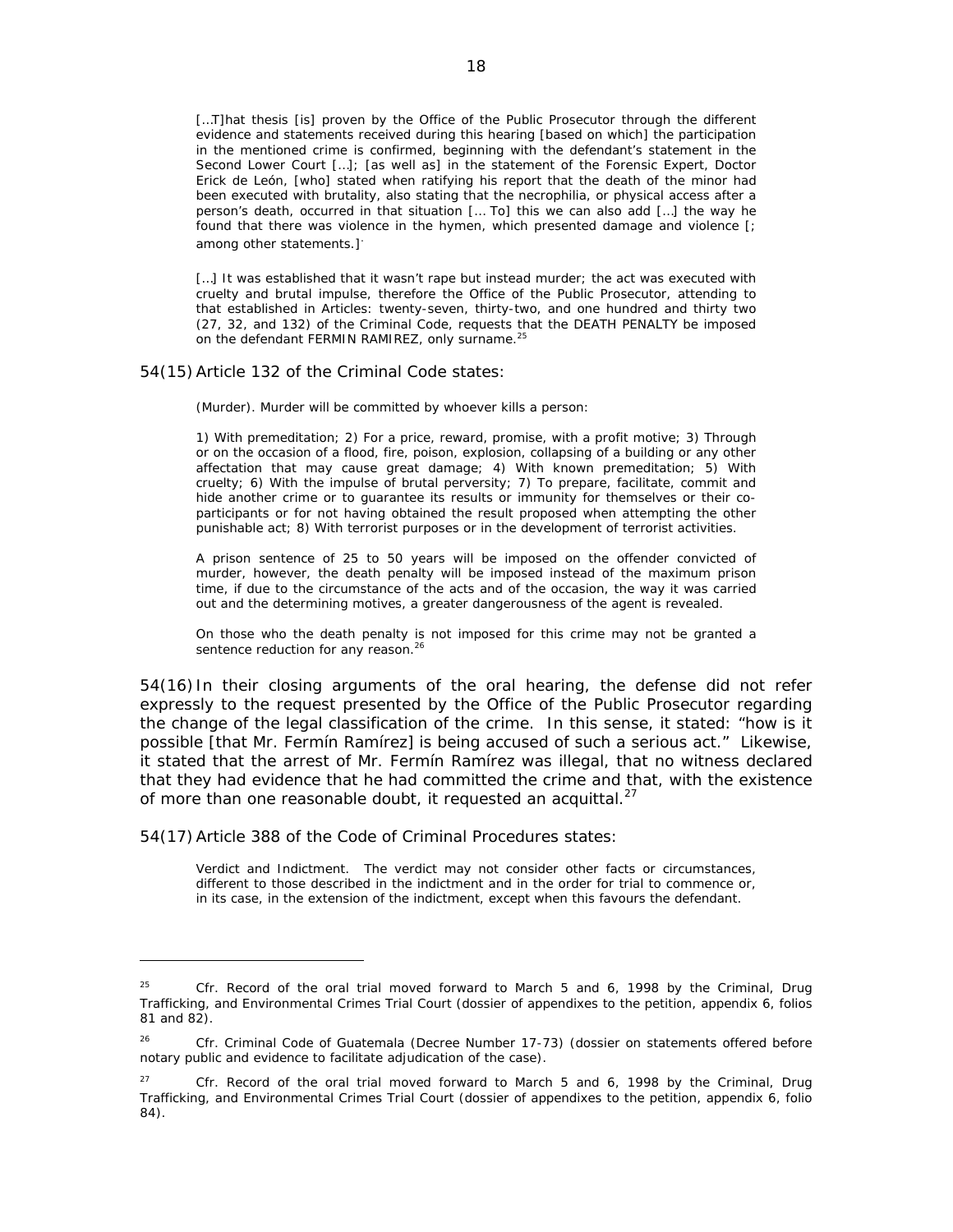[...T]hat thesis [is] proven by the Office of the Public Prosecutor through the different evidence and statements received during this hearing [based on which] the participation in the mentioned crime is confirmed, beginning with the defendant's statement in the Second Lower Court […]; [as well as] in the statement of the Forensic Expert, Doctor Erick de León, [who] stated when ratifying his report that the death of the minor had been executed with brutality, also stating that the necrophilia, or physical access after a person's death, occurred in that situation [… To] this we can also add […] the way he found that there was violence in the hymen, which presented damage and violence [; among other statements.]

[...] It was established that it wasn't rape but instead murder; the act was executed with cruelty and brutal impulse, therefore the Office of the Public Prosecutor, attending to that established in Articles: twenty-seven, thirty-two, and one hundred and thirty two (27, 32, and 132) of the Criminal Code, requests that the DEATH PENALTY be imposed on the defendant FERMIN RAMIREZ, only surname.<sup>25</sup>

#### 54(15) Article 132 of the Criminal Code states:

(Murder). Murder will be committed by whoever kills a person:

1) With premeditation; 2) For a price, reward, promise, with a profit motive; 3) Through or on the occasion of a flood, fire, poison, explosion, collapsing of a building or any other affectation that may cause great damage; 4) With known premeditation; 5) With cruelty; 6) With the impulse of brutal perversity; 7) To prepare, facilitate, commit and hide another crime or to guarantee its results or immunity for themselves or their coparticipants or for not having obtained the result proposed when attempting the other punishable act; 8) With terrorist purposes or in the development of terrorist activities.

A prison sentence of 25 to 50 years will be imposed on the offender convicted of murder, however, the death penalty will be imposed instead of the maximum prison time, if due to the circumstance of the acts and of the occasion, the way it was carried out and the determining motives, a greater dangerousness of the agent is revealed.

On those who the death penalty is not imposed for this crime may not be granted a sentence reduction for any reason.<sup>26</sup>

54(16) In their closing arguments of the oral hearing, the defense did not refer expressly to the request presented by the Office of the Public Prosecutor regarding the change of the legal classification of the crime. In this sense, it stated: "how is it possible [that Mr. Fermín Ramírez] is being accused of such a serious act." Likewise, it stated that the arrest of Mr. Fermín Ramírez was illegal, that no witness declared that they had evidence that he had committed the crime and that, with the existence of more than one reasonable doubt, it requested an acquittal.<sup>27</sup>

54(17) Article 388 of the Code of Criminal Procedures states:

 $\overline{a}$ 

Verdict and Indictment. The verdict may not consider other facts or circumstances, different to those described in the indictment and in the order for trial to commence or, in its case, in the extension of the indictment, except when this favours the defendant.

<sup>25</sup> *Cfr.* Record of the oral trial moved forward to March 5 and 6, 1998 by the Criminal, Drug Trafficking, and Environmental Crimes Trial Court (dossier of appendixes to the petition, appendix 6, folios 81 and 82).

<sup>26</sup> *Cfr.* Criminal Code of Guatemala (Decree Number 17-73) (dossier on statements offered before notary public and evidence to facilitate adjudication of the case).

<sup>27</sup> *Cfr.* Record of the oral trial moved forward to March 5 and 6, 1998 by the Criminal, Drug Trafficking, and Environmental Crimes Trial Court (dossier of appendixes to the petition, appendix 6, folio 84).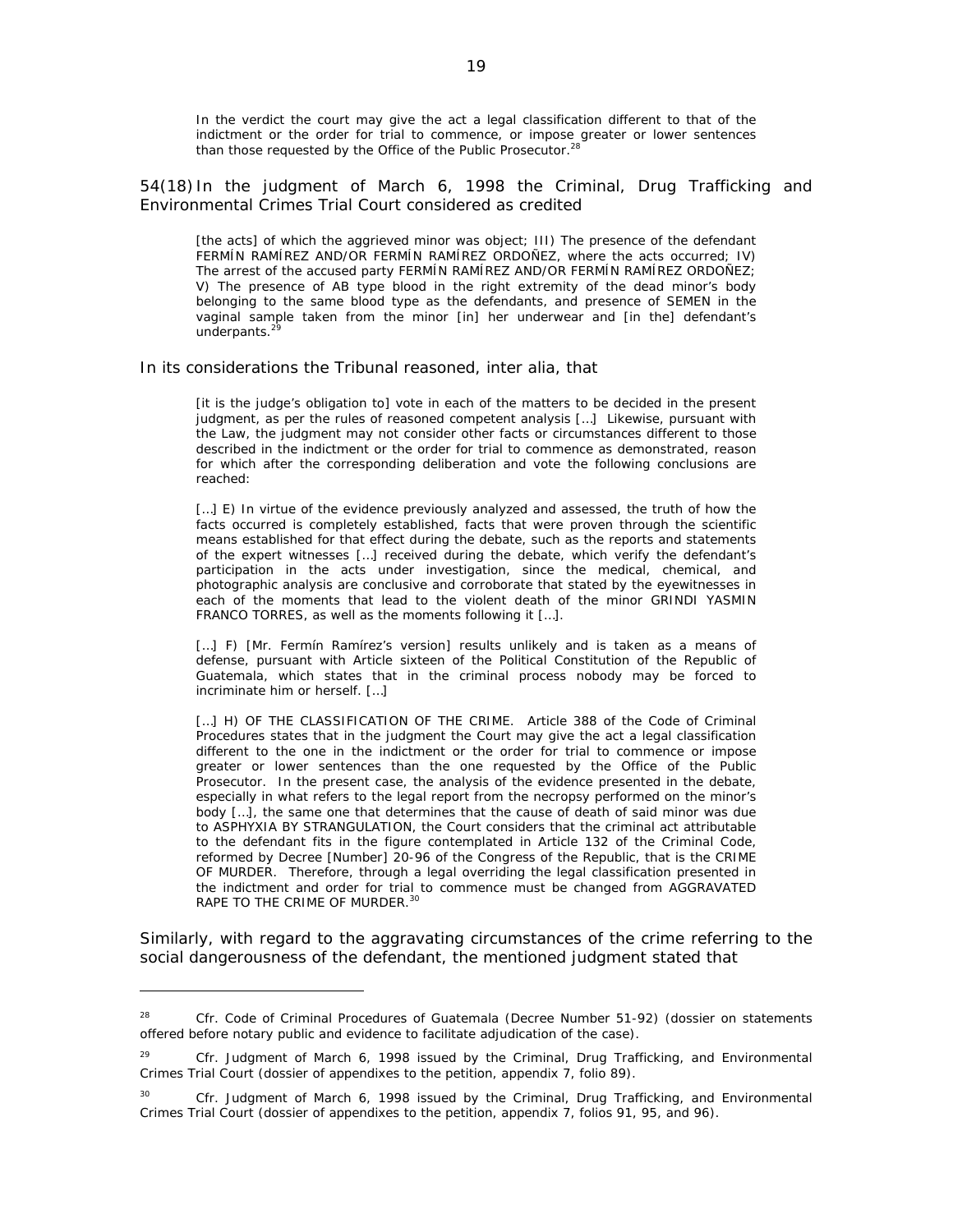In the verdict the court may give the act a legal classification different to that of the indictment or the order for trial to commence, or impose greater or lower sentences than those requested by the Office of the Public Prosecutor. $2$ 

54(18) In the judgment of March 6, 1998 the Criminal, Drug Trafficking and Environmental Crimes Trial Court considered as credited

[the acts] of which the aggrieved minor was object; III) The presence of the defendant FERMÍN RAMÍREZ AND/OR FERMÍN RAMÍREZ ORDOÑEZ, where the acts occurred; IV) The arrest of the accused party FERMÍN RAMÍREZ AND/OR FERMÍN RAMÍREZ ORDOÑEZ; V) The presence of AB type blood in the right extremity of the dead minor's body belonging to the same blood type as the defendants, and presence of SEMEN in the vaginal sample taken from the minor [in] her underwear and [in the] defendant's underpants.<sup>29</sup>

In its considerations the Tribunal reasoned, *inter alia*, that

[it is the judge's obligation to] vote in each of the matters to be decided in the present judgment, as per the rules of reasoned competent analysis […] Likewise, pursuant with the Law, the judgment may not consider other facts or circumstances different to those described in the indictment or the order for trial to commence as demonstrated, reason for which after the corresponding deliberation and vote the following conclusions are reached:

[...] E) In virtue of the evidence previously analyzed and assessed, the truth of how the facts occurred is completely established, facts that were proven through the scientific means established for that effect during the debate, such as the reports and statements of the expert witnesses […] received during the debate, which verify the defendant's participation in the acts under investigation, since the medical, chemical, and photographic analysis are conclusive and corroborate that stated by the eyewitnesses in each of the moments that lead to the violent death of the minor GRINDI YASMIN FRANCO TORRES, as well as the moments following it […].

[...] F) [Mr. Fermín Ramírez's version] results unlikely and is taken as a means of defense, pursuant with Article sixteen of the Political Constitution of the Republic of Guatemala, which states that in the criminal process nobody may be forced to incriminate him or herself. […]

[...] H) OF THE CLASSIFICATION OF THE CRIME. Article 388 of the Code of Criminal Procedures states that in the judgment the Court may give the act a legal classification different to the one in the indictment or the order for trial to commence or impose greater or lower sentences than the one requested by the Office of the Public Prosecutor. In the present case, the analysis of the evidence presented in the debate, especially in what refers to the legal report from the necropsy performed on the minor's body […], the same one that determines that the cause of death of said minor was due to ASPHYXIA BY STRANGULATION, the Court considers that the criminal act attributable to the defendant fits in the figure contemplated in Article 132 of the Criminal Code, reformed by Decree [Number] 20-96 of the Congress of the Republic, that is the CRIME OF MURDER. Therefore, through a legal overriding the legal classification presented in the indictment and order for trial to commence must be changed from AGGRAVATED RAPE TO THE CRIME OF MURDER.<sup>30</sup>

Similarly, with regard to the aggravating circumstances of the crime referring to the social dangerousness of the defendant, the mentioned judgment stated that

<sup>28</sup> *Cfr.* Code of Criminal Procedures of Guatemala (Decree Number 51-92) (dossier on statements offered before notary public and evidence to facilitate adjudication of the case).

<sup>29</sup> *Cfr.* Judgment of March 6, 1998 issued by the Criminal, Drug Trafficking, and Environmental Crimes Trial Court (dossier of appendixes to the petition, appendix 7, folio 89).

<sup>30</sup> *Cfr.* Judgment of March 6, 1998 issued by the Criminal, Drug Trafficking, and Environmental Crimes Trial Court (dossier of appendixes to the petition, appendix 7, folios 91, 95, and 96).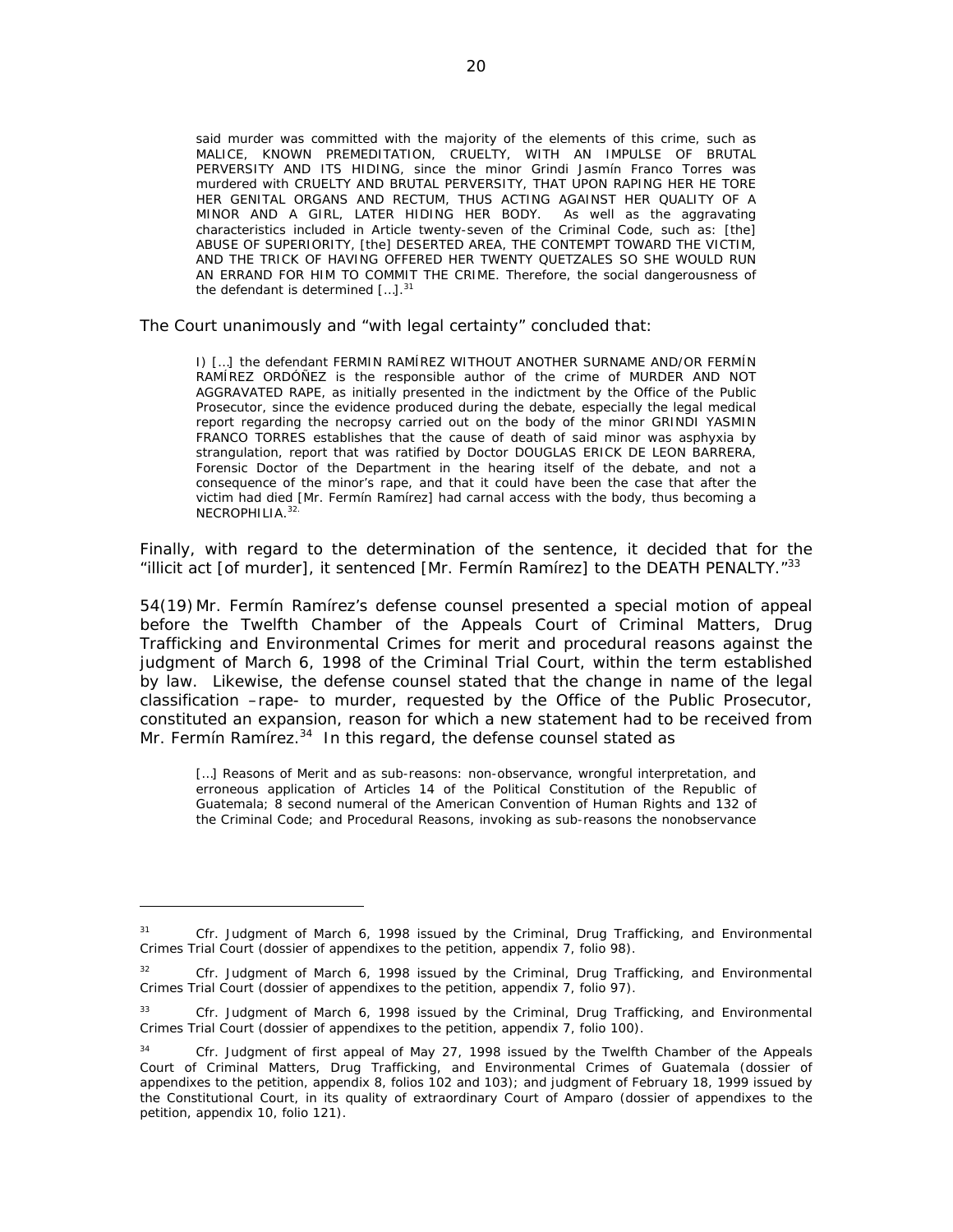said murder was committed with the majority of the elements of this crime, such as MALICE, KNOWN PREMEDITATION, CRUELTY, WITH AN IMPULSE OF BRUTAL PERVERSITY AND ITS HIDING, since the minor Grindi Jasmín Franco Torres was murdered with CRUELTY AND BRUTAL PERVERSITY, THAT UPON RAPING HER HE TORE HER GENITAL ORGANS AND RECTUM, THUS ACTING AGAINST HER QUALITY OF A MINOR AND A GIRL, LATER HIDING HER BODY. As well as the aggravating characteristics included in Article twenty-seven of the Criminal Code, such as: [the] ABUSE OF SUPERIORITY, [the] DESERTED AREA, THE CONTEMPT TOWARD THE VICTIM, AND THE TRICK OF HAVING OFFERED HER TWENTY QUETZALES SO SHE WOULD RUN AN ERRAND FOR HIM TO COMMIT THE CRIME. Therefore, the social dangerousness of the defendant is determined  $[...]$ .<sup>31</sup>

The Court unanimously and "with legal certainty" concluded that:

I) […] the defendant FERMIN RAMÍREZ WITHOUT ANOTHER SURNAME AND/OR FERMÍN RAMÍREZ ORDÓÑEZ is the responsible author of the crime of MURDER AND NOT AGGRAVATED RAPE, as initially presented in the indictment by the Office of the Public Prosecutor, since the evidence produced during the debate, especially the legal medical report regarding the necropsy carried out on the body of the minor GRINDI YASMIN FRANCO TORRES establishes that the cause of death of said minor was asphyxia by strangulation, report that was ratified by Doctor DOUGLAS ERICK DE LEON BARRERA, Forensic Doctor of the Department in the hearing itself of the debate, and not a consequence of the minor's rape, and that it could have been the case that after the victim had died [Mr. Fermín Ramírez] had carnal access with the body, thus becoming a NECROPHILIA.<sup>32</sup>

Finally, with regard to the determination of the sentence, it decided that for the "illicit act [of murder], it sentenced [Mr. Fermín Ramírez] to the DEATH PENALTY." $33$ 

54(19) Mr. Fermín Ramírez's defense counsel presented a special motion of appeal before the Twelfth Chamber of the Appeals Court of Criminal Matters, Drug Trafficking and Environmental Crimes for merit and procedural reasons against the judgment of March 6, 1998 of the Criminal Trial Court, within the term established by law. Likewise, the defense counsel stated that the change in name of the legal classification –rape- to murder, requested by the Office of the Public Prosecutor, constituted an expansion, reason for which a new statement had to be received from Mr. Fermín Ramírez. $34$  In this regard, the defense counsel stated as

[...] Reasons of Merit and as sub-reasons: non-observance, wrongful interpretation, and erroneous application of Articles 14 of the Political Constitution of the Republic of Guatemala; 8 second numeral of the American Convention of Human Rights and 132 of the Criminal Code; and Procedural Reasons, invoking as sub-reasons the nonobservance

<sup>31</sup> *Cfr.* Judgment of March 6, 1998 issued by the Criminal, Drug Trafficking, and Environmental Crimes Trial Court (dossier of appendixes to the petition, appendix 7, folio 98).

<sup>32</sup> *Cfr.* Judgment of March 6, 1998 issued by the Criminal, Drug Trafficking, and Environmental Crimes Trial Court (dossier of appendixes to the petition, appendix 7, folio 97).

<sup>33</sup> *Cfr.* Judgment of March 6, 1998 issued by the Criminal, Drug Trafficking, and Environmental Crimes Trial Court (dossier of appendixes to the petition, appendix 7, folio 100).

<sup>&</sup>lt;sup>34</sup> *Cfr.* Judgment of first appeal of May 27, 1998 issued by the Twelfth Chamber of the Appeals Court of Criminal Matters, Drug Trafficking, and Environmental Crimes of Guatemala (dossier of appendixes to the petition, appendix 8, folios 102 and 103); and judgment of February 18, 1999 issued by the Constitutional Court, in its quality of extraordinary Court of Amparo (dossier of appendixes to the petition, appendix 10, folio 121).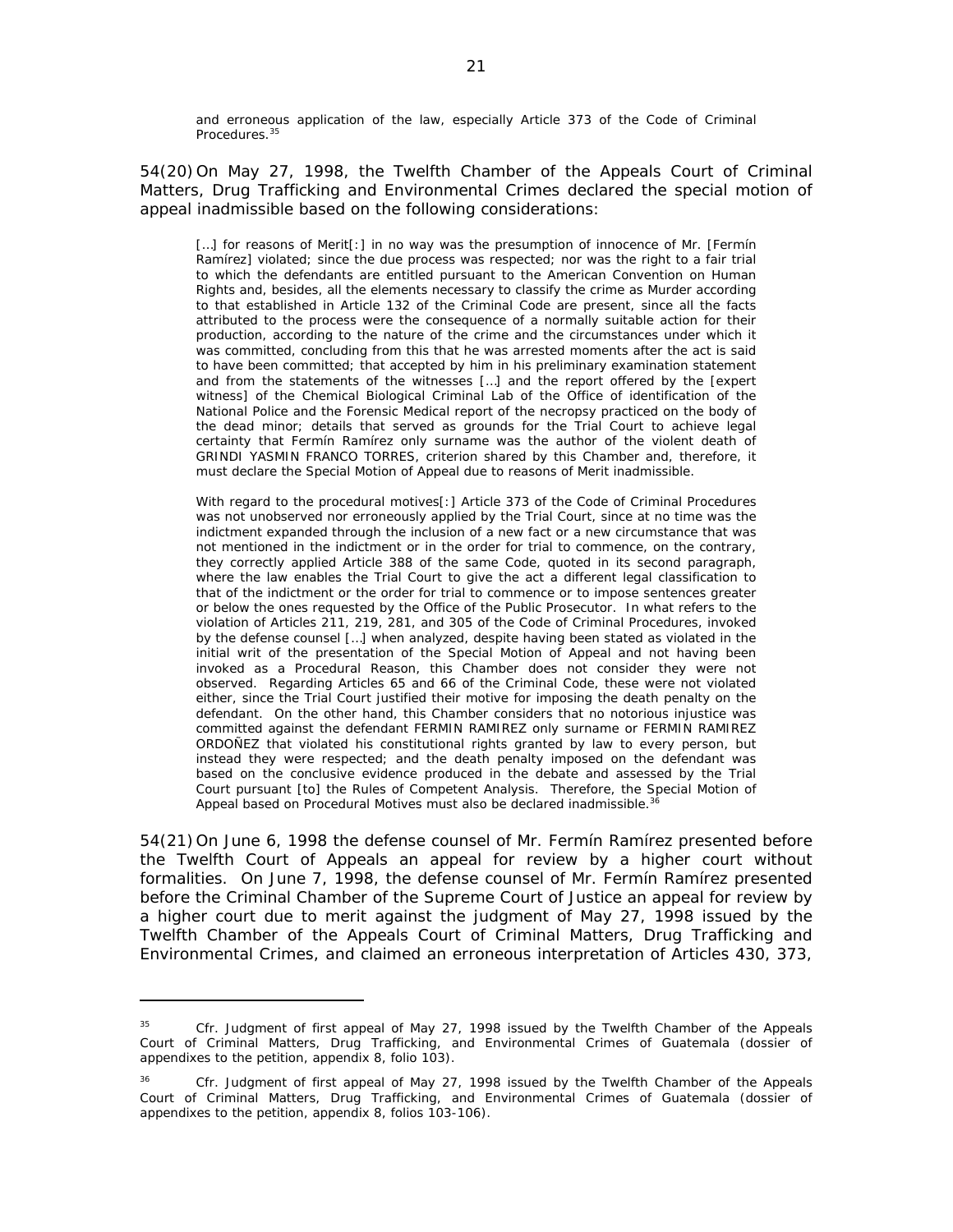and erroneous application of the law, especially Article 373 of the Code of Criminal Procedures.<sup>35</sup>

54(20) On May 27, 1998, the Twelfth Chamber of the Appeals Court of Criminal Matters, Drug Trafficking and Environmental Crimes declared the special motion of appeal inadmissible based on the following considerations:

[...] for reasons of Merit[:] in no way was the presumption of innocence of Mr. [Fermín Ramírez] violated; since the due process was respected; nor was the right to a fair trial to which the defendants are entitled pursuant to the American Convention on Human Rights and, besides, all the elements necessary to classify the crime as Murder according to that established in Article 132 of the Criminal Code are present, since all the facts attributed to the process were the consequence of a normally suitable action for their production, according to the nature of the crime and the circumstances under which it was committed, concluding from this that he was arrested moments after the act is said to have been committed; that accepted by him in his preliminary examination statement and from the statements of the witnesses […] and the report offered by the [expert witness] of the Chemical Biological Criminal Lab of the Office of identification of the National Police and the Forensic Medical report of the necropsy practiced on the body of the dead minor; details that served as grounds for the Trial Court to achieve legal certainty that Fermín Ramírez only surname was the author of the violent death of GRINDI YASMIN FRANCO TORRES, criterion shared by this Chamber and, therefore, it must declare the Special Motion of Appeal due to reasons of Merit inadmissible.

With regard to the procedural motives[:] Article 373 of the Code of Criminal Procedures was not unobserved nor erroneously applied by the Trial Court, since at no time was the indictment expanded through the inclusion of a new fact or a new circumstance that was not mentioned in the indictment or in the order for trial to commence, on the contrary, they correctly applied Article 388 of the same Code, quoted in its second paragraph, where the law enables the Trial Court to give the act a different legal classification to that of the indictment or the order for trial to commence or to impose sentences greater or below the ones requested by the Office of the Public Prosecutor. In what refers to the violation of Articles 211, 219, 281, and 305 of the Code of Criminal Procedures, invoked by the defense counsel […] when analyzed, despite having been stated as violated in the initial writ of the presentation of the Special Motion of Appeal and not having been invoked as a Procedural Reason, this Chamber does not consider they were not observed. Regarding Articles 65 and 66 of the Criminal Code, these were not violated either, since the Trial Court justified their motive for imposing the death penalty on the defendant. On the other hand, this Chamber considers that no notorious injustice was committed against the defendant FERMIN RAMIREZ only surname or FERMIN RAMIREZ ORDOÑEZ that violated his constitutional rights granted by law to every person, but instead they were respected; and the death penalty imposed on the defendant was based on the conclusive evidence produced in the debate and assessed by the Trial Court pursuant [to] the Rules of Competent Analysis. Therefore, the Special Motion of Appeal based on Procedural Motives must also be declared inadmissible.<sup>3</sup>

54(21) On June 6, 1998 the defense counsel of Mr. Fermín Ramírez presented before the Twelfth Court of Appeals an appeal for review by a higher court without formalities. On June 7, 1998, the defense counsel of Mr. Fermín Ramírez presented before the Criminal Chamber of the Supreme Court of Justice an appeal for review by a higher court due to merit against the judgment of May 27, 1998 issued by the Twelfth Chamber of the Appeals Court of Criminal Matters, Drug Trafficking and Environmental Crimes, and claimed an erroneous interpretation of Articles 430, 373,

<sup>35</sup> *Cfr.* Judgment of first appeal of May 27, 1998 issued by the Twelfth Chamber of the Appeals Court of Criminal Matters, Drug Trafficking, and Environmental Crimes of Guatemala (dossier of appendixes to the petition, appendix 8, folio 103).

<sup>36</sup> *Cfr.* Judgment of first appeal of May 27, 1998 issued by the Twelfth Chamber of the Appeals Court of Criminal Matters, Drug Trafficking, and Environmental Crimes of Guatemala (dossier of appendixes to the petition, appendix 8, folios 103-106).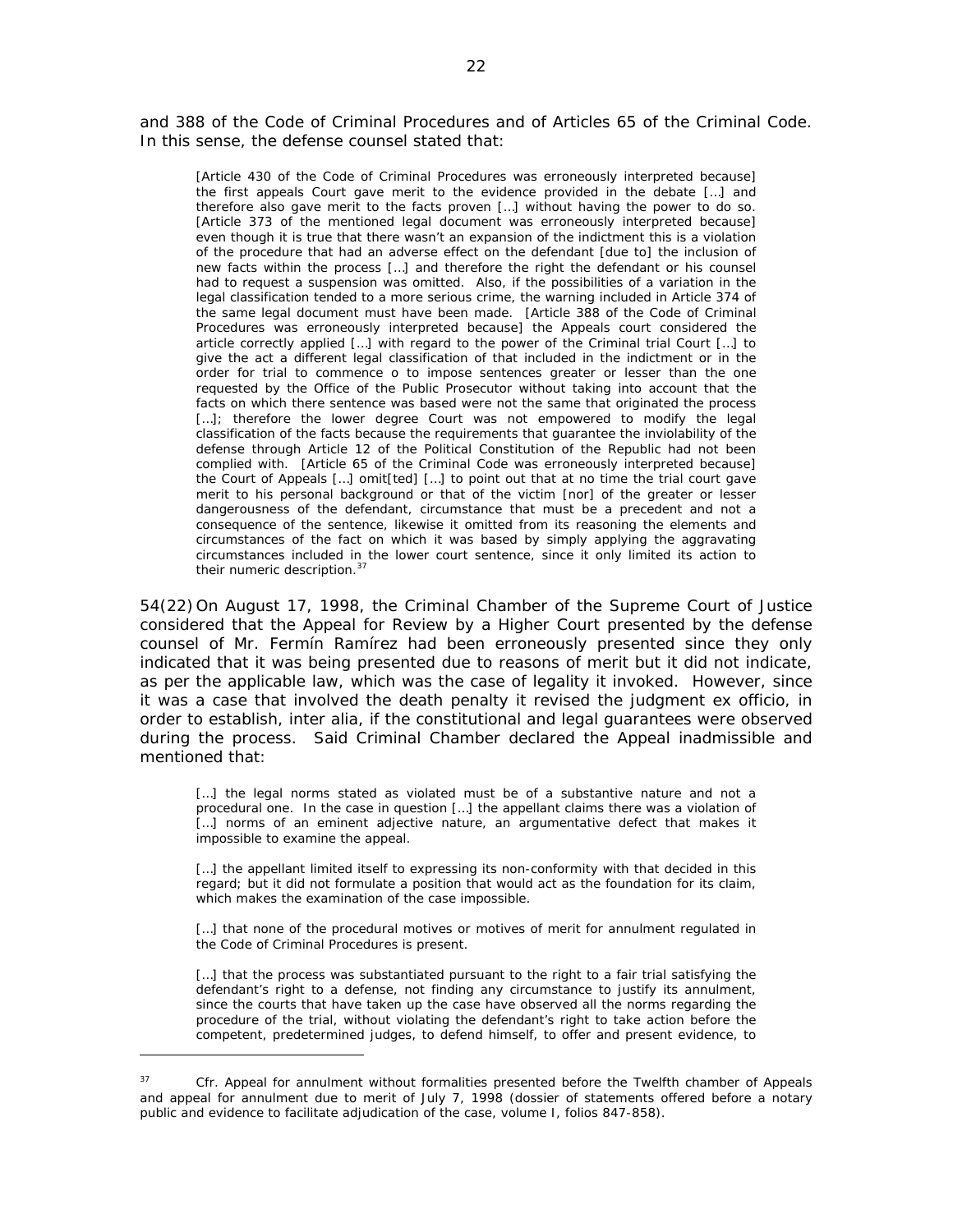and 388 of the Code of Criminal Procedures and of Articles 65 of the Criminal Code. In this sense, the defense counsel stated that:

[Article 430 of the Code of Criminal Procedures was erroneously interpreted because] the first appeals Court gave merit to the evidence provided in the debate […] and therefore also gave merit to the facts proven […] without having the power to do so. [Article 373 of the mentioned legal document was erroneously interpreted because] even though it is true that there wasn't an expansion of the indictment this is a violation of the procedure that had an adverse effect on the defendant [due to] the inclusion of new facts within the process […] and therefore the right the defendant or his counsel had to request a suspension was omitted. Also, if the possibilities of a variation in the legal classification tended to a more serious crime, the warning included in Article 374 of the same legal document must have been made. [Article 388 of the Code of Criminal Procedures was erroneously interpreted because] the Appeals court considered the article correctly applied […] with regard to the power of the Criminal trial Court […] to give the act a different legal classification of that included in the indictment or in the order for trial to commence o to impose sentences greater or lesser than the one requested by the Office of the Public Prosecutor without taking into account that the facts on which there sentence was based were not the same that originated the process [...]; therefore the lower degree Court was not empowered to modify the legal classification of the facts because the requirements that guarantee the inviolability of the defense through Article 12 of the Political Constitution of the Republic had not been complied with. [Article 65 of the Criminal Code was erroneously interpreted because] the Court of Appeals […] omit[ted] […] to point out that at no time the trial court gave merit to his personal background or that of the victim [nor] of the greater or lesser dangerousness of the defendant, circumstance that must be a precedent and not a consequence of the sentence, likewise it omitted from its reasoning the elements and circumstances of the fact on which it was based by simply applying the aggravating circumstances included in the lower court sentence, since it only limited its action to their numeric description.<sup>37</sup>

54(22) On August 17, 1998, the Criminal Chamber of the Supreme Court of Justice considered that the Appeal for Review by a Higher Court presented by the defense counsel of Mr. Fermín Ramírez had been erroneously presented since they only indicated that it was being presented due to reasons of merit but it did not indicate, as per the applicable law, which was the case of legality it invoked. However, since it was a case that involved the death penalty it revised the judgment ex officio, in order to establish, *inter alia*, if the constitutional and legal guarantees were observed during the process. Said Criminal Chamber declared the Appeal inadmissible and mentioned that:

[...] the legal norms stated as violated must be of a substantive nature and not a procedural one. In the case in question […] the appellant claims there was a violation of [...] norms of an eminent adjective nature, an argumentative defect that makes it impossible to examine the appeal.

[...] the appellant limited itself to expressing its non-conformity with that decided in this regard; but it did not formulate a position that would act as the foundation for its claim, which makes the examination of the case impossible.

[...] that none of the procedural motives or motives of merit for annulment regulated in the Code of Criminal Procedures is present.

[...] that the process was substantiated pursuant to the right to a fair trial satisfying the defendant's right to a defense, not finding any circumstance to justify its annulment, since the courts that have taken up the case have observed all the norms regarding the procedure of the trial, without violating the defendant's right to take action before the competent, predetermined judges, to defend himself, to offer and present evidence, to

<sup>&</sup>lt;sup>37</sup> *Cfr.* Appeal for annulment without formalities presented before the Twelfth chamber of Appeals and appeal for annulment due to merit of July 7, 1998 (dossier of statements offered before a notary public and evidence to facilitate adjudication of the case, volume I, folios 847-858).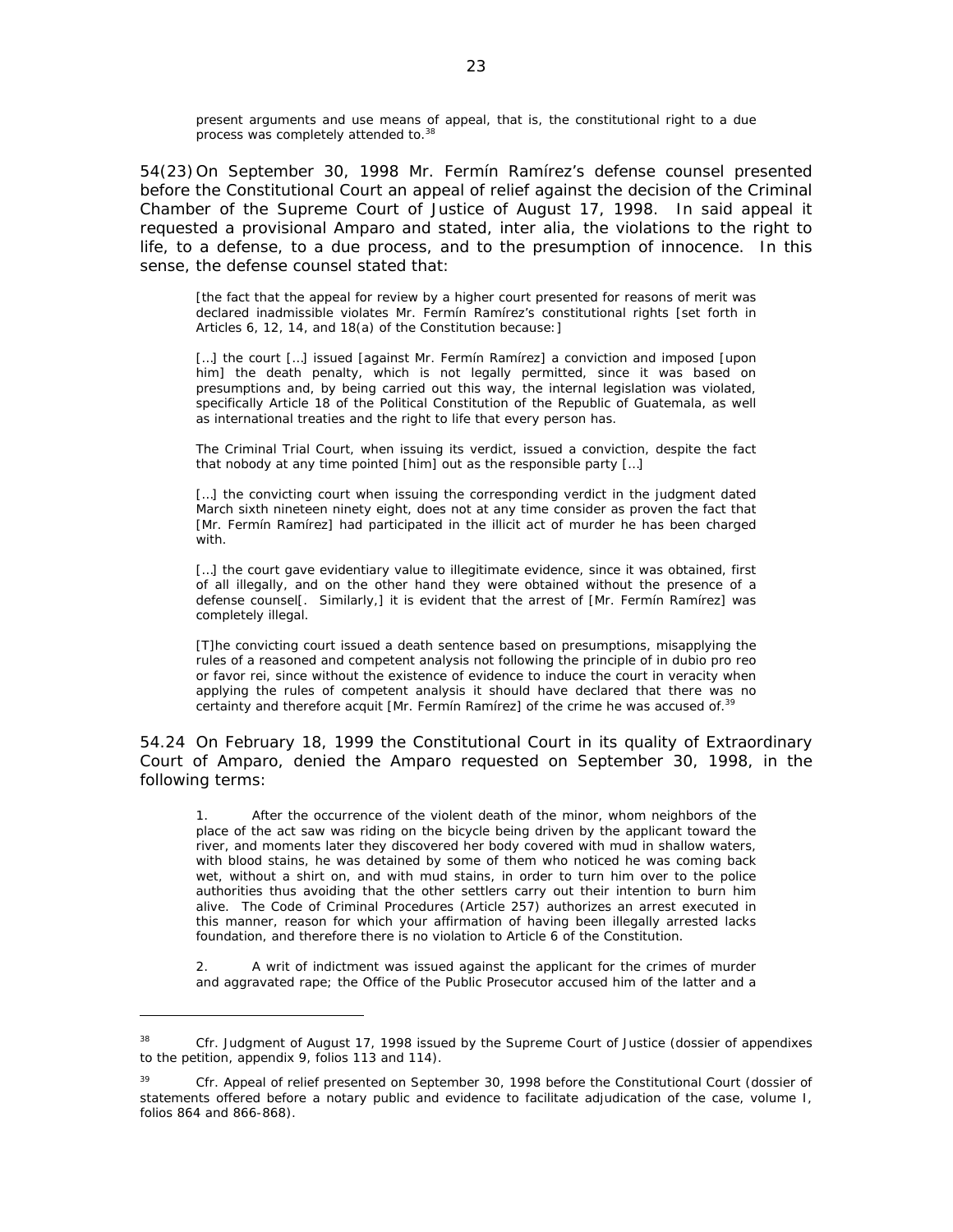present arguments and use means of appeal, that is, the constitutional right to a due process was completely attended to.<sup>38</sup>

54(23) On September 30, 1998 Mr. Fermín Ramírez's defense counsel presented before the Constitutional Court an appeal of relief against the decision of the Criminal Chamber of the Supreme Court of Justice of August 17, 1998. In said appeal it requested a provisional Amparo and stated, *inter alia,* the violations to the right to life, to a defense, to a due process, and to the presumption of innocence. In this sense, the defense counsel stated that:

[the fact that the appeal for review by a higher court presented for reasons of merit was declared inadmissible violates Mr. Fermín Ramírez's constitutional rights [set forth in Articles 6, 12, 14, and 18(a) of the Constitution because:]

[...] the court [...] issued [against Mr. Fermín Ramírez] a conviction and imposed [upon] him] the death penalty, which is not legally permitted, since it was based on presumptions and, by being carried out this way, the internal legislation was violated, specifically Article 18 of the Political Constitution of the Republic of Guatemala, as well as international treaties and the right to life that every person has.

The Criminal Trial Court, when issuing its verdict, issued a conviction, despite the fact that nobody at any time pointed [him] out as the responsible party […]

[...] the convicting court when issuing the corresponding verdict in the judgment dated March sixth nineteen ninety eight, does not at any time consider as proven the fact that [Mr. Fermín Ramírez] had participated in the illicit act of murder he has been charged with.

[...] the court gave evidentiary value to illegitimate evidence, since it was obtained, first of all illegally, and on the other hand they were obtained without the presence of a defense counsel[. Similarly,] it is evident that the arrest of [Mr. Fermín Ramírez] was completely illegal.

[T]he convicting court issued a death sentence based on presumptions, misapplying the rules of a reasoned and competent analysis not following the principle of in dubio pro reo or favor rei, since without the existence of evidence to induce the court in veracity when applying the rules of competent analysis it should have declared that there was no certainty and therefore acquit [Mr. Fermín Ramírez] of the crime he was accused of.<sup>3</sup>

54.24 On February 18, 1999 the Constitutional Court in its quality of Extraordinary Court of Amparo, denied the Amparo requested on September 30, 1998, in the following terms:

1. After the occurrence of the violent death of the minor, whom neighbors of the place of the act saw was riding on the bicycle being driven by the applicant toward the river, and moments later they discovered her body covered with mud in shallow waters, with blood stains, he was detained by some of them who noticed he was coming back wet, without a shirt on, and with mud stains, in order to turn him over to the police authorities thus avoiding that the other settlers carry out their intention to burn him alive. The Code of Criminal Procedures (Article 257) authorizes an arrest executed in this manner, reason for which your affirmation of having been illegally arrested lacks foundation, and therefore there is no violation to Article 6 of the Constitution.

A writ of indictment was issued against the applicant for the crimes of murder and aggravated rape; the Office of the Public Prosecutor accused him of the latter and a

<sup>38</sup> *Cfr.* Judgment of August 17, 1998 issued by the Supreme Court of Justice (dossier of appendixes to the petition, appendix 9, folios 113 and 114).

<sup>&</sup>lt;sup>39</sup> *Cfr.* Appeal of relief presented on September 30, 1998 before the Constitutional Court (dossier of statements offered before a notary public and evidence to facilitate adjudication of the case, volume I, folios 864 and 866-868).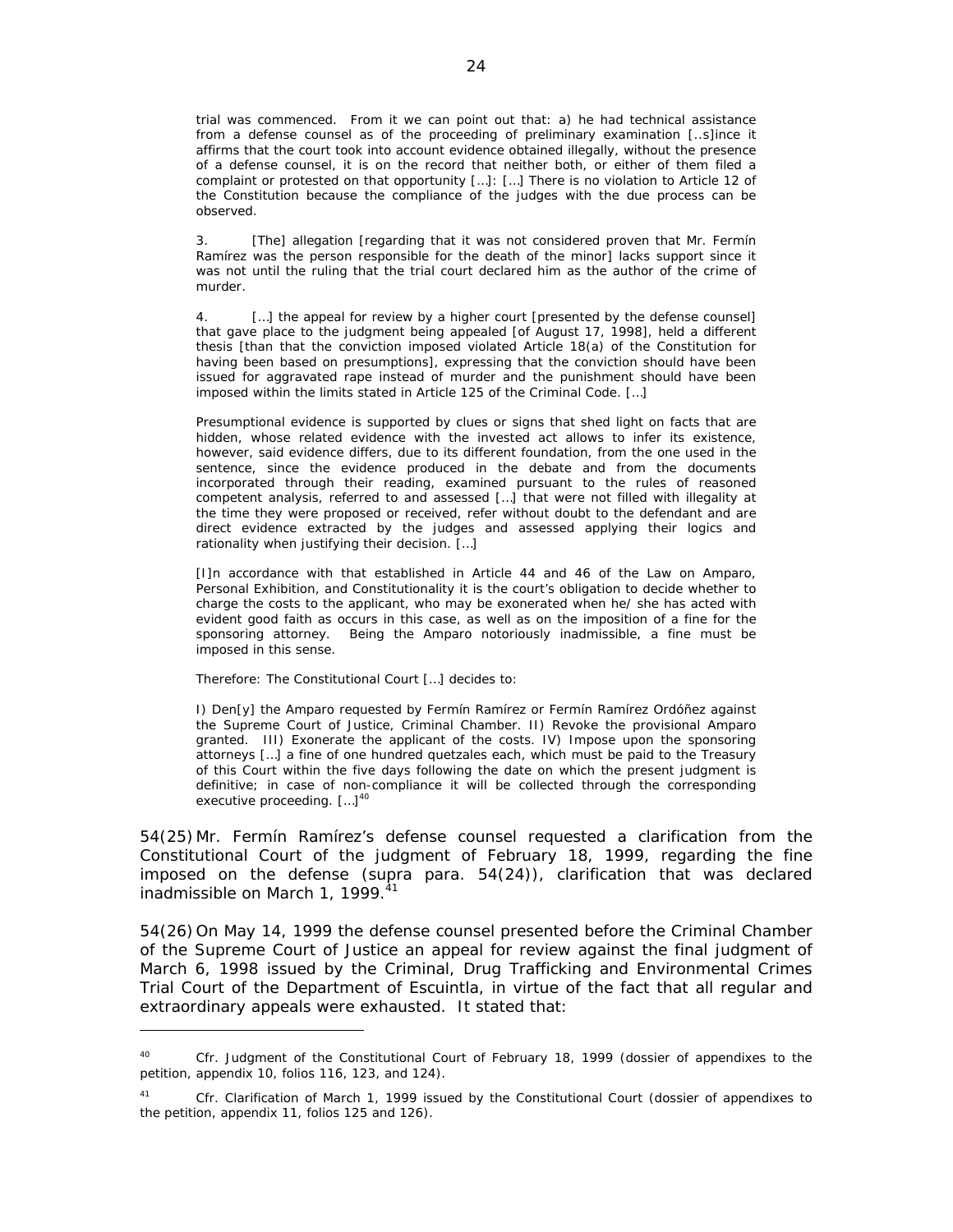trial was commenced. From it we can point out that: a) he had technical assistance from a defense counsel as of the proceeding of preliminary examination [..s]ince it affirms that the court took into account evidence obtained illegally, without the presence of a defense counsel, it is on the record that neither both, or either of them filed a complaint or protested on that opportunity […]: […] There is no violation to Article 12 of the Constitution because the compliance of the judges with the due process can be observed.

3. [The] allegation [regarding that it was not considered proven that Mr. Fermín Ramírez was the person responsible for the death of the minor] lacks support since it was not until the ruling that the trial court declared him as the author of the crime of murder.

4. […] the appeal for review by a higher court [presented by the defense counsel] that gave place to the judgment being appealed [of August 17, 1998], held a different thesis [than that the conviction imposed violated Article 18(a) of the Constitution for having been based on presumptions], expressing that the conviction should have been issued for aggravated rape instead of murder and the punishment should have been imposed within the limits stated in Article 125 of the Criminal Code. […]

Presumptional evidence is supported by clues or signs that shed light on facts that are hidden, whose related evidence with the invested act allows to infer its existence, however, said evidence differs, due to its different foundation, from the one used in the sentence, since the evidence produced in the debate and from the documents incorporated through their reading, examined pursuant to the rules of reasoned competent analysis, referred to and assessed […] that were not filled with illegality at the time they were proposed or received, refer without doubt to the defendant and are direct evidence extracted by the judges and assessed applying their logics and rationality when justifying their decision. […]

[I]n accordance with that established in Article 44 and 46 of the Law on Amparo, Personal Exhibition, and Constitutionality it is the court's obligation to decide whether to charge the costs to the applicant, who may be exonerated when he/ she has acted with evident good faith as occurs in this case, as well as on the imposition of a fine for the sponsoring attorney. Being the Amparo notoriously inadmissible, a fine must be imposed in this sense.

Therefore: The Constitutional Court […] decides to:

 $\overline{a}$ 

I) Den[y] the Amparo requested by Fermín Ramírez or Fermín Ramírez Ordóñez against the Supreme Court of Justice, Criminal Chamber. II) Revoke the provisional Amparo granted. III) Exonerate the applicant of the costs. IV) Impose upon the sponsoring attorneys […] a fine of one hundred quetzales each, which must be paid to the Treasury of this Court within the five days following the date on which the present judgment is definitive; in case of non-compliance it will be collected through the corresponding executive proceeding. [...]<sup>40</sup>

54(25) Mr. Fermín Ramírez's defense counsel requested a clarification from the Constitutional Court of the judgment of February 18, 1999, regarding the fine imposed on the defense (*supra* para. 54(24)), clarification that was declared inadmissible on March 1, 1999. $41$ 

54(26) On May 14, 1999 the defense counsel presented before the Criminal Chamber of the Supreme Court of Justice an appeal for review against the final judgment of March 6, 1998 issued by the Criminal, Drug Trafficking and Environmental Crimes Trial Court of the Department of Escuintla, in virtue of the fact that all regular and extraordinary appeals were exhausted. It stated that:

<sup>40</sup> *Cfr.* Judgment of the Constitutional Court of February 18, 1999 (dossier of appendixes to the petition, appendix 10, folios 116, 123, and 124).

<sup>41</sup> *Cfr.* Clarification of March 1, 1999 issued by the Constitutional Court (dossier of appendixes to the petition, appendix 11, folios 125 and 126).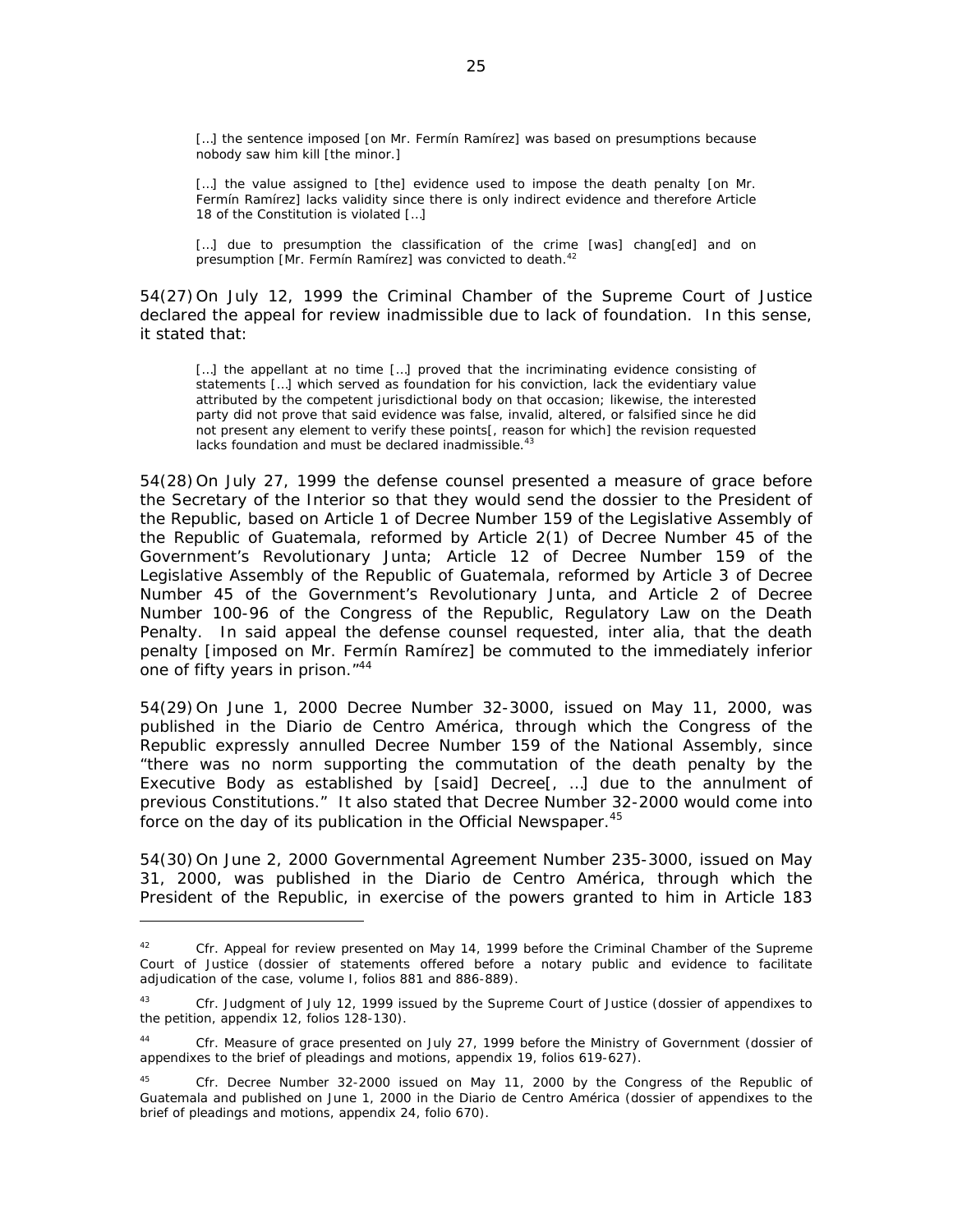[...] the sentence imposed [on Mr. Fermín Ramírez] was based on presumptions because nobody saw him kill [the minor.]

[...] the value assigned to [the] evidence used to impose the death penalty [on Mr. Fermín Ramírez] lacks validity since there is only indirect evidence and therefore Article 18 of the Constitution is violated […]

[...] due to presumption the classification of the crime [was] chang[ed] and on presumption [Mr. Fermín Ramírez] was convicted to death.<sup>42</sup>

54(27) On July 12, 1999 the Criminal Chamber of the Supreme Court of Justice declared the appeal for review inadmissible due to lack of foundation. In this sense, it stated that:

[...] the appellant at no time [...] proved that the incriminating evidence consisting of statements […] which served as foundation for his conviction, lack the evidentiary value attributed by the competent jurisdictional body on that occasion; likewise, the interested party did not prove that said evidence was false, invalid, altered, or falsified since he did not present any element to verify these points[, reason for which] the revision requested lacks foundation and must be declared inadmissible.<sup>43</sup>

54(28) On July 27, 1999 the defense counsel presented a measure of grace before the Secretary of the Interior so that they would send the dossier to the President of the Republic, based on Article 1 of Decree Number 159 of the Legislative Assembly of the Republic of Guatemala, reformed by Article 2(1) of Decree Number 45 of the Government's Revolutionary Junta; Article 12 of Decree Number 159 of the Legislative Assembly of the Republic of Guatemala, reformed by Article 3 of Decree Number 45 of the Government's Revolutionary Junta, and Article 2 of Decree Number 100-96 of the Congress of the Republic, Regulatory Law on the Death Penalty. In said appeal the defense counsel requested, *inter alia,* that the death penalty [imposed on Mr. Fermín Ramírez] be commuted to the immediately inferior one of fifty years in prison."44

54(29) On June 1, 2000 Decree Number 32-3000, issued on May 11, 2000, was published in the Diario de Centro América, through which the Congress of the Republic expressly annulled Decree Number 159 of the National Assembly, since "there was no norm supporting the commutation of the death penalty by the Executive Body as established by [said] Decree[, …] due to the annulment of previous Constitutions." It also stated that Decree Number 32-2000 would come into force on the day of its publication in the Official Newspaper.<sup>45</sup>

54(30) On June 2, 2000 Governmental Agreement Number 235-3000, issued on May 31, 2000, was published in the Diario de Centro América, through which the President of the Republic, in exercise of the powers granted to him in Article 183

<sup>42</sup> *Cfr.* Appeal for review presented on May 14, 1999 before the Criminal Chamber of the Supreme Court of Justice (dossier of statements offered before a notary public and evidence to facilitate adjudication of the case, volume I, folios 881 and 886-889).

<sup>43</sup> *Cfr.* Judgment of July 12, 1999 issued by the Supreme Court of Justice (dossier of appendixes to the petition, appendix 12, folios 128-130).

<sup>44</sup> *Cfr.* Measure of grace presented on July 27, 1999 before the Ministry of Government (dossier of appendixes to the brief of pleadings and motions, appendix 19, folios 619-627).

<sup>45</sup> *Cfr.* Decree Number 32-2000 issued on May 11, 2000 by the Congress of the Republic of Guatemala and published on June 1, 2000 in the Diario de Centro América (dossier of appendixes to the brief of pleadings and motions, appendix 24, folio 670).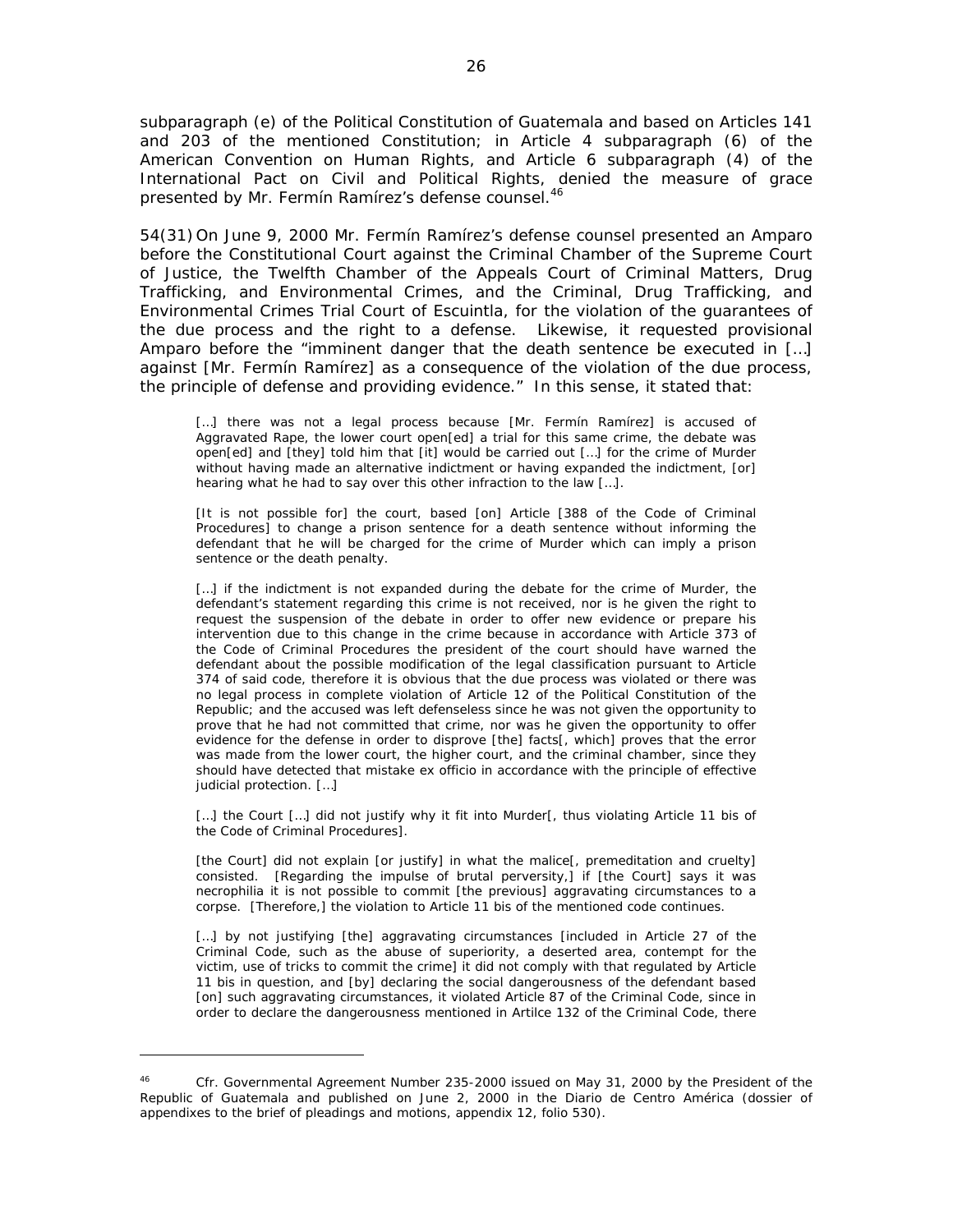subparagraph (e) of the Political Constitution of Guatemala and based on Articles 141 and 203 of the mentioned Constitution; in Article 4 subparagraph (6) of the American Convention on Human Rights, and Article 6 subparagraph (4) of the International Pact on Civil and Political Rights, denied the measure of grace presented by Mr. Fermín Ramírez's defense counsel.<sup>46</sup>

54(31) On June 9, 2000 Mr. Fermín Ramírez's defense counsel presented an Amparo before the Constitutional Court against the Criminal Chamber of the Supreme Court of Justice, the Twelfth Chamber of the Appeals Court of Criminal Matters, Drug Trafficking, and Environmental Crimes, and the Criminal, Drug Trafficking, and Environmental Crimes Trial Court of Escuintla, for the violation of the guarantees of the due process and the right to a defense. Likewise, it requested provisional Amparo before the "imminent danger that the death sentence be executed in […] against [Mr. Fermín Ramírez] as a consequence of the violation of the due process, the principle of defense and providing evidence." In this sense, it stated that:

[...] there was not a legal process because [Mr. Fermín Ramírez] is accused of Aggravated Rape, the lower court open[ed] a trial for this same crime, the debate was open[ed] and [they] told him that [it] would be carried out […] for the crime of Murder without having made an alternative indictment or having expanded the indictment, [or] hearing what he had to say over this other infraction to the law […].

[It is not possible for] the court, based [on] Article [388 of the Code of Criminal Procedures] to change a prison sentence for a death sentence without informing the defendant that he will be charged for the crime of Murder which can imply a prison sentence or the death penalty.

[...] if the indictment is not expanded during the debate for the crime of Murder, the defendant's statement regarding this crime is not received, nor is he given the right to request the suspension of the debate in order to offer new evidence or prepare his intervention due to this change in the crime because in accordance with Article 373 of the Code of Criminal Procedures the president of the court should have warned the defendant about the possible modification of the legal classification pursuant to Article 374 of said code, therefore it is obvious that the due process was violated or there was no legal process in complete violation of Article 12 of the Political Constitution of the Republic; and the accused was left defenseless since he was not given the opportunity to prove that he had not committed that crime, nor was he given the opportunity to offer evidence for the defense in order to disprove [the] facts[, which] proves that the error was made from the lower court, the higher court, and the criminal chamber, since they should have detected that mistake ex officio in accordance with the principle of effective judicial protection. […]

[...] the Court [...] did not justify why it fit into Murder[, thus violating Article 11 bis of the Code of Criminal Procedures].

[the Court] did not explain [or justify] in what the malice[, premeditation and cruelty] consisted. [Regarding the impulse of brutal perversity,] if [the Court] says it was necrophilia it is not possible to commit [the previous] aggravating circumstances to a corpse. [Therefore,] the violation to Article 11 bis of the mentioned code continues.

[...] by not justifying [the] aggravating circumstances [included in Article 27 of the Criminal Code, such as the abuse of superiority, a deserted area, contempt for the victim, use of tricks to commit the crime] it did not comply with that regulated by Article 11 bis in question, and [by] declaring the social dangerousness of the defendant based [on] such aggravating circumstances, it violated Article 87 of the Criminal Code, since in order to declare the dangerousness mentioned in Artilce 132 of the Criminal Code, there

<sup>46</sup> *Cfr.* Governmental Agreement Number 235-2000 issued on May 31, 2000 by the President of the Republic of Guatemala and published on June 2, 2000 in the Diario de Centro América (dossier of appendixes to the brief of pleadings and motions, appendix 12, folio 530).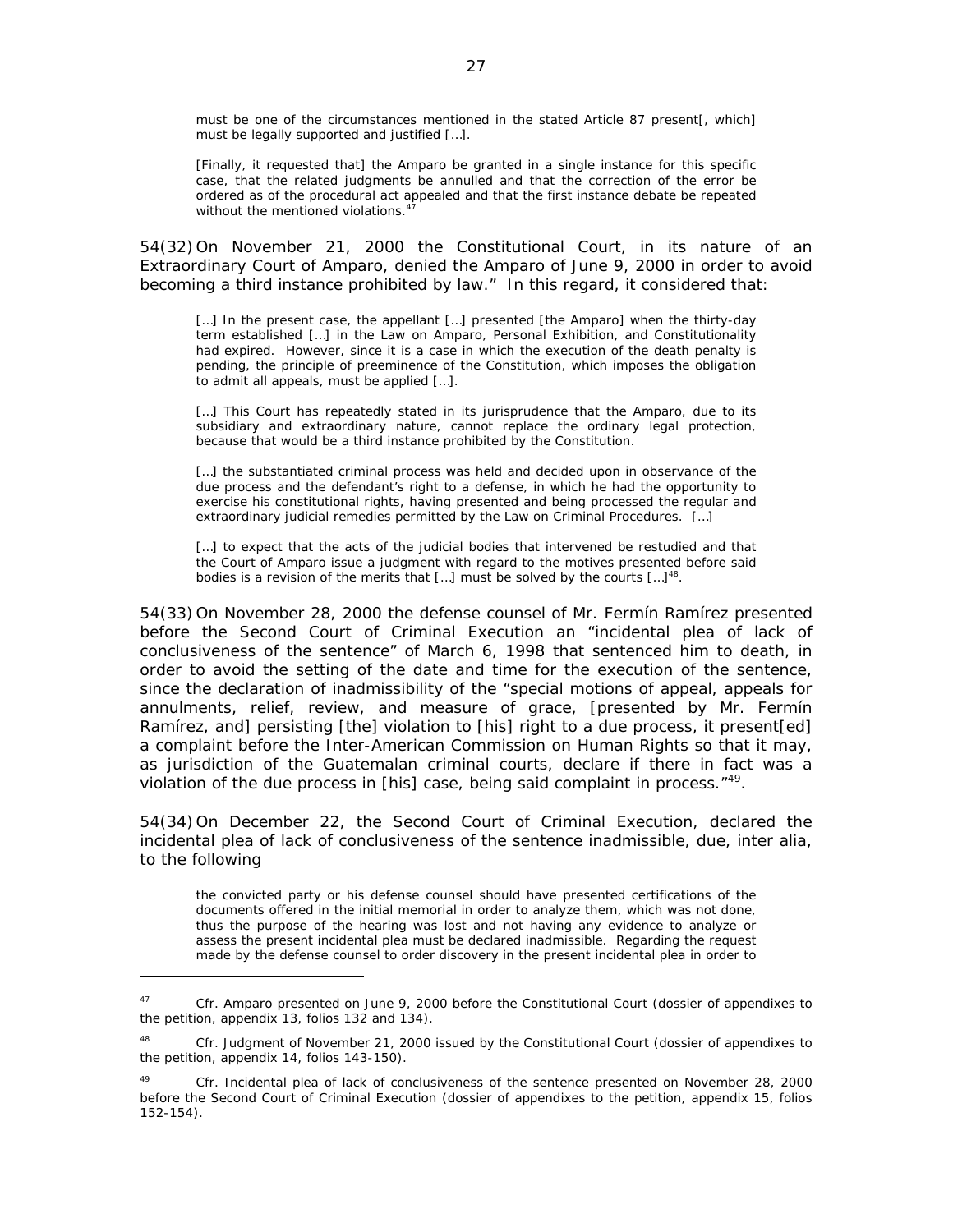must be one of the circumstances mentioned in the stated Article 87 present[, which] must be legally supported and justified […].

[Finally, it requested that] the Amparo be granted in a single instance for this specific case, that the related judgments be annulled and that the correction of the error be ordered as of the procedural act appealed and that the first instance debate be repeated without the mentioned violations.<sup>4</sup>

54(32) On November 21, 2000 the Constitutional Court, in its nature of an Extraordinary Court of Amparo, denied the Amparo of June 9, 2000 in order to avoid becoming a third instance prohibited by law." In this regard, it considered that:

[...] In the present case, the appellant [...] presented [the Amparo] when the thirty-day term established […] in the Law on Amparo, Personal Exhibition, and Constitutionality had expired. However, since it is a case in which the execution of the death penalty is pending, the principle of preeminence of the Constitution, which imposes the obligation to admit all appeals, must be applied […].

[...] This Court has repeatedly stated in its jurisprudence that the Amparo, due to its subsidiary and extraordinary nature, cannot replace the ordinary legal protection, because that would be a third instance prohibited by the Constitution.

[...] the substantiated criminal process was held and decided upon in observance of the due process and the defendant's right to a defense, in which he had the opportunity to exercise his constitutional rights, having presented and being processed the regular and extraordinary judicial remedies permitted by the Law on Criminal Procedures. […]

[...] to expect that the acts of the judicial bodies that intervened be restudied and that the Court of Amparo issue a judgment with regard to the motives presented before said bodies is a revision of the merits that [...] must be solved by the courts  $[...]^{48}$ .

54(33) On November 28, 2000 the defense counsel of Mr. Fermín Ramírez presented before the Second Court of Criminal Execution an "incidental plea of lack of conclusiveness of the sentence" of March 6, 1998 that sentenced him to death, in order to avoid the setting of the date and time for the execution of the sentence, since the declaration of inadmissibility of the "special motions of appeal, appeals for annulments, relief, review, and measure of grace, [presented by Mr. Fermín Ramírez, and] persisting [the] violation to [his] right to a due process, it present [ed] a complaint before the Inter-American Commission on Human Rights so that it may, as jurisdiction of the Guatemalan criminal courts, declare if there in fact was a violation of the due process in [his] case, being said complaint in process."<sup>49</sup>*.*

54(34) On December 22, the Second Court of Criminal Execution, declared the incidental plea of lack of conclusiveness of the sentence inadmissible, due, *inter alia,*  to the following

the convicted party or his defense counsel should have presented certifications of the documents offered in the initial memorial in order to analyze them, which was not done, thus the purpose of the hearing was lost and not having any evidence to analyze or assess the present incidental plea must be declared inadmissible. Regarding the request made by the defense counsel to order discovery in the present incidental plea in order to

<sup>47</sup> *Cfr.* Amparo presented on June 9, 2000 before the Constitutional Court (dossier of appendixes to the petition, appendix 13, folios 132 and 134).

<sup>48</sup> *Cfr.* Judgment of November 21, 2000 issued by the Constitutional Court (dossier of appendixes to the petition, appendix 14, folios 143-150).

<sup>49</sup> *Cfr.* Incidental plea of lack of conclusiveness of the sentence presented on November 28, 2000 before the Second Court of Criminal Execution (dossier of appendixes to the petition, appendix 15, folios 152-154).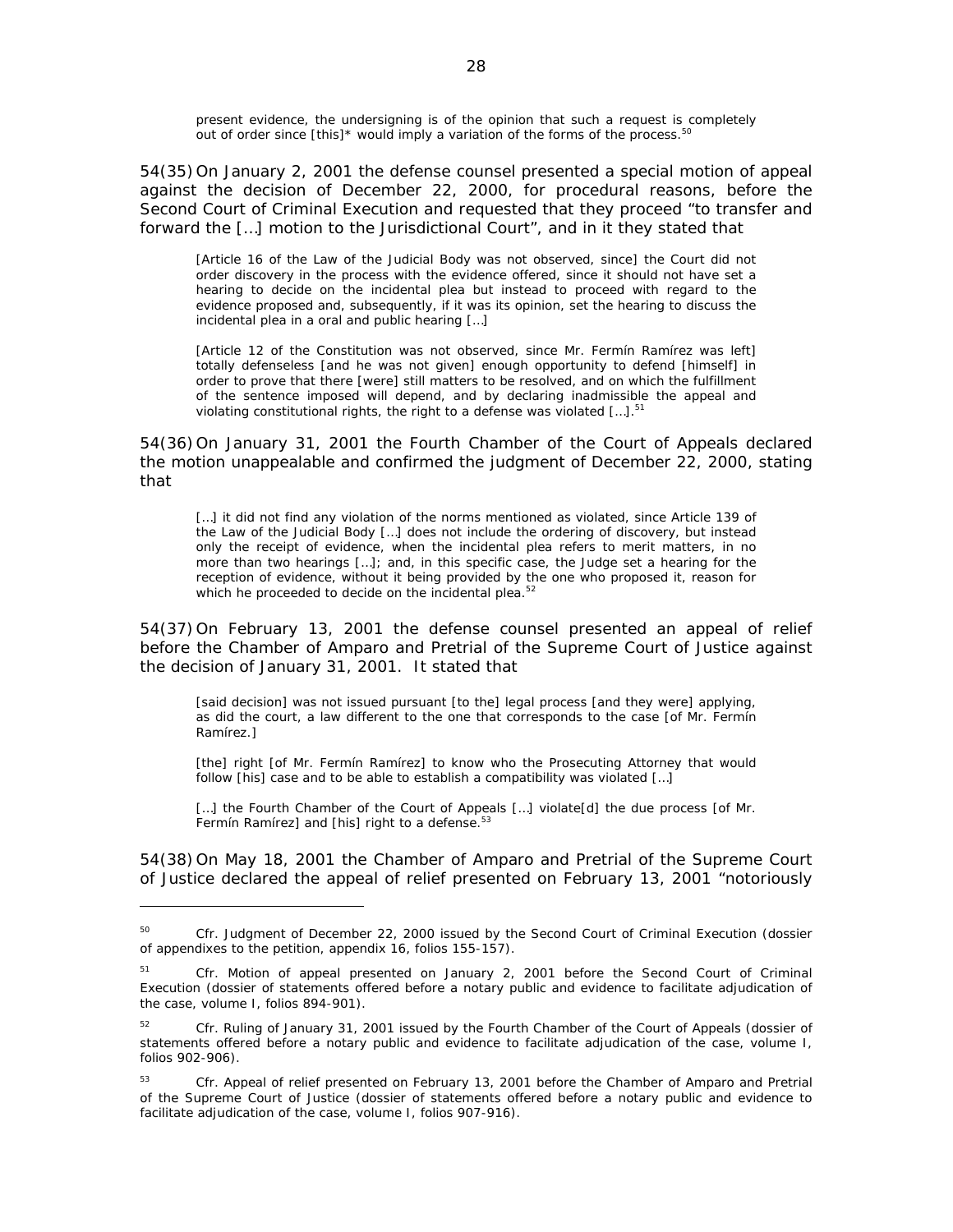present evidence, the undersigning is of the opinion that such a request is completely out of order since [this]\* would imply a variation of the forms of the process. $50$ 

54(35) On January 2, 2001 the defense counsel presented a special motion of appeal against the decision of December 22, 2000, for procedural reasons, before the Second Court of Criminal Execution and requested that they proceed "to transfer and forward the […] motion to the Jurisdictional Court", and in it they stated that

[Article 16 of the Law of the Judicial Body was not observed, since] the Court did not order discovery in the process with the evidence offered, since it should not have set a hearing to decide on the incidental plea but instead to proceed with regard to the evidence proposed and, subsequently, if it was its opinion, set the hearing to discuss the incidental plea in a oral and public hearing […]

[Article 12 of the Constitution was not observed, since Mr. Fermín Ramírez was left] totally defenseless [and he was not given] enough opportunity to defend [himself] in order to prove that there [were] still matters to be resolved, and on which the fulfillment of the sentence imposed will depend, and by declaring inadmissible the appeal and violating constitutional rights, the right to a defense was violated  $[...]$ .<sup>51</sup>

54(36) On January 31, 2001 the Fourth Chamber of the Court of Appeals declared the motion unappealable and confirmed the judgment of December 22, 2000, stating that

[...] it did not find any violation of the norms mentioned as violated, since Article 139 of the Law of the Judicial Body […] does not include the ordering of discovery, but instead only the receipt of evidence, when the incidental plea refers to merit matters, in no more than two hearings […]; and, in this specific case, the Judge set a hearing for the reception of evidence, without it being provided by the one who proposed it, reason for which he proceeded to decide on the incidental plea.<sup>52</sup>

54(37) On February 13, 2001 the defense counsel presented an appeal of relief before the Chamber of Amparo and Pretrial of the Supreme Court of Justice against the decision of January 31, 2001. It stated that

[said decision] was not issued pursuant [to the] legal process [and they were] applying, as did the court, a law different to the one that corresponds to the case [of Mr. Fermín Ramírez.]

[the] right [of Mr. Fermín Ramírez] to know who the Prosecuting Attorney that would follow [his] case and to be able to establish a compatibility was violated […]

[...] the Fourth Chamber of the Court of Appeals [...] violate[d] the due process [of Mr. Fermín Ramírez] and [his] right to a defense.<sup>53</sup>

54(38) On May 18, 2001 the Chamber of Amparo and Pretrial of the Supreme Court of Justice declared the appeal of relief presented on February 13, 2001 "notoriously

<sup>&</sup>lt;sup>50</sup> *Cfr.* Judgment of December 22, 2000 issued by the Second Court of Criminal Execution (dossier of appendixes to the petition, appendix 16, folios 155-157).

<sup>51</sup> *Cfr.* Motion of appeal presented on January 2, 2001 before the Second Court of Criminal Execution (dossier of statements offered before a notary public and evidence to facilitate adjudication of the case, volume I, folios 894-901).

<sup>52</sup> *Cfr.* Ruling of January 31, 2001 issued by the Fourth Chamber of the Court of Appeals (dossier of statements offered before a notary public and evidence to facilitate adjudication of the case, volume I, folios 902-906).

<sup>53</sup> *Cfr.* Appeal of relief presented on February 13, 2001 before the Chamber of Amparo and Pretrial of the Supreme Court of Justice (dossier of statements offered before a notary public and evidence to facilitate adjudication of the case, volume I, folios 907-916).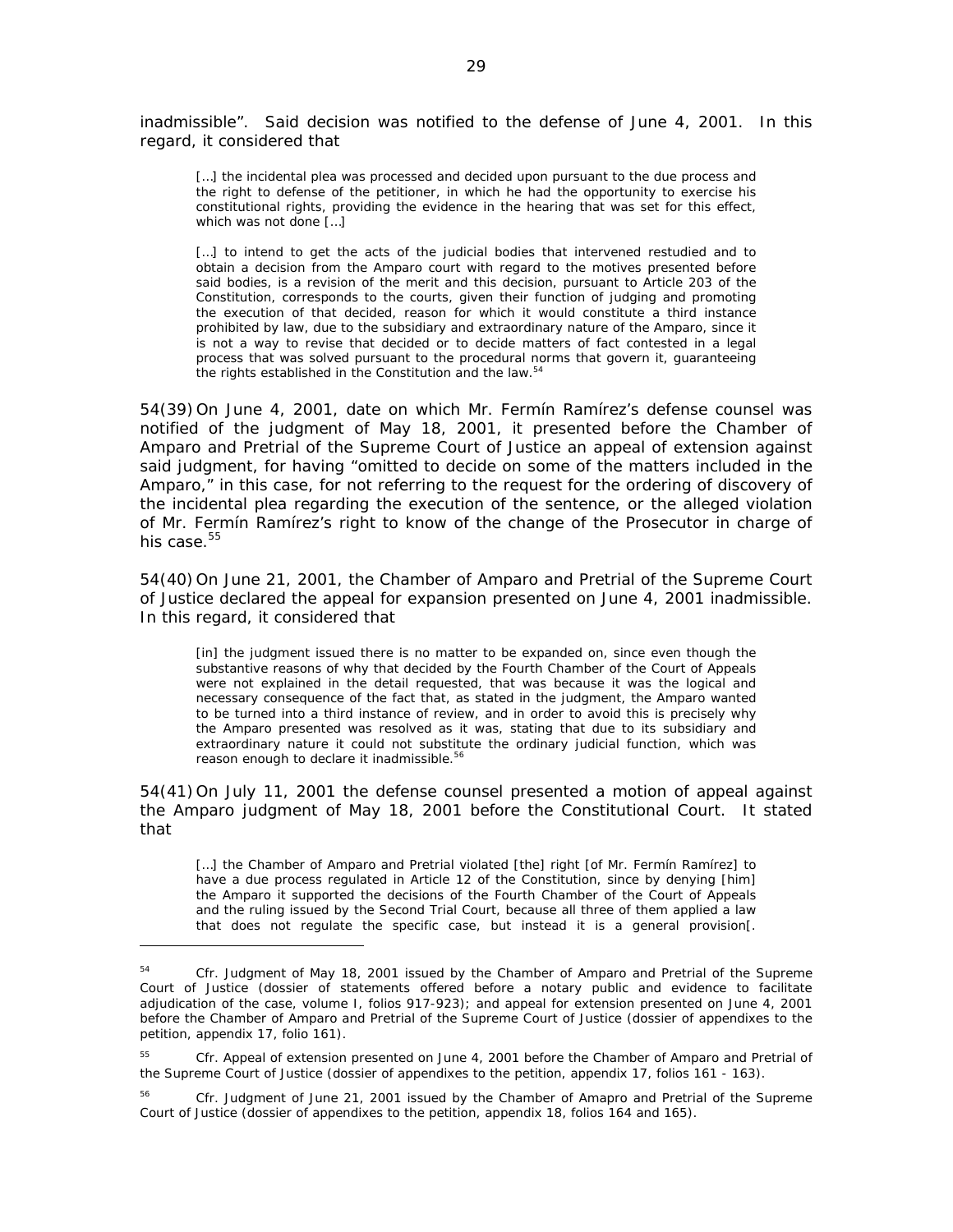inadmissible". Said decision was notified to the defense of June 4, 2001. In this regard, it considered that

[...] the incidental plea was processed and decided upon pursuant to the due process and the right to defense of the petitioner, in which he had the opportunity to exercise his constitutional rights, providing the evidence in the hearing that was set for this effect, which was not done […]

[...] to intend to get the acts of the judicial bodies that intervened restudied and to obtain a decision from the Amparo court with regard to the motives presented before said bodies, is a revision of the merit and this decision, pursuant to Article 203 of the Constitution, corresponds to the courts, given their function of judging and promoting the execution of that decided, reason for which it would constitute a third instance prohibited by law, due to the subsidiary and extraordinary nature of the Amparo, since it is not a way to revise that decided or to decide matters of fact contested in a legal process that was solved pursuant to the procedural norms that govern it, guaranteeing the rights established in the Constitution and the law.<sup>54</sup>

54(39) On June 4, 2001, date on which Mr. Fermín Ramírez's defense counsel was notified of the judgment of May 18, 2001, it presented before the Chamber of Amparo and Pretrial of the Supreme Court of Justice an appeal of extension against said judgment, for having "omitted to decide on some of the matters included in the Amparo," in this case, for not referring to the request for the ordering of discovery of the incidental plea regarding the execution of the sentence, or the alleged violation of Mr. Fermín Ramírez's right to know of the change of the Prosecutor in charge of his case.<sup>55</sup>

54(40) On June 21, 2001, the Chamber of Amparo and Pretrial of the Supreme Court of Justice declared the appeal for expansion presented on June 4, 2001 inadmissible. In this regard, it considered that

[in] the judgment issued there is no matter to be expanded on, since even though the substantive reasons of why that decided by the Fourth Chamber of the Court of Appeals were not explained in the detail requested, that was because it was the logical and necessary consequence of the fact that, as stated in the judgment, the Amparo wanted to be turned into a third instance of review, and in order to avoid this is precisely why the Amparo presented was resolved as it was, stating that due to its subsidiary and extraordinary nature it could not substitute the ordinary judicial function, which was reason enough to declare it inadmissible.<sup>56</sup>

54(41) On July 11, 2001 the defense counsel presented a motion of appeal against the Amparo judgment of May 18, 2001 before the Constitutional Court. It stated that

[...] the Chamber of Amparo and Pretrial violated [the] right [of Mr. Fermín Ramírez] to have a due process regulated in Article 12 of the Constitution, since by denying [him] the Amparo it supported the decisions of the Fourth Chamber of the Court of Appeals and the ruling issued by the Second Trial Court, because all three of them applied a law that does not regulate the specific case, but instead it is a general provision[.

<sup>&</sup>lt;sup>54</sup> *Cfr.* Judgment of May 18, 2001 issued by the Chamber of Amparo and Pretrial of the Supreme Court of Justice (dossier of statements offered before a notary public and evidence to facilitate adjudication of the case, volume I, folios 917-923); and appeal for extension presented on June 4, 2001 before the Chamber of Amparo and Pretrial of the Supreme Court of Justice (dossier of appendixes to the petition, appendix 17, folio 161).

<sup>55</sup> *Cfr.* Appeal of extension presented on June 4, 2001 before the Chamber of Amparo and Pretrial of the Supreme Court of Justice (dossier of appendixes to the petition, appendix 17, folios 161 - 163).

<sup>56</sup> *Cfr.* Judgment of June 21, 2001 issued by the Chamber of Amapro and Pretrial of the Supreme Court of Justice (dossier of appendixes to the petition, appendix 18, folios 164 and 165).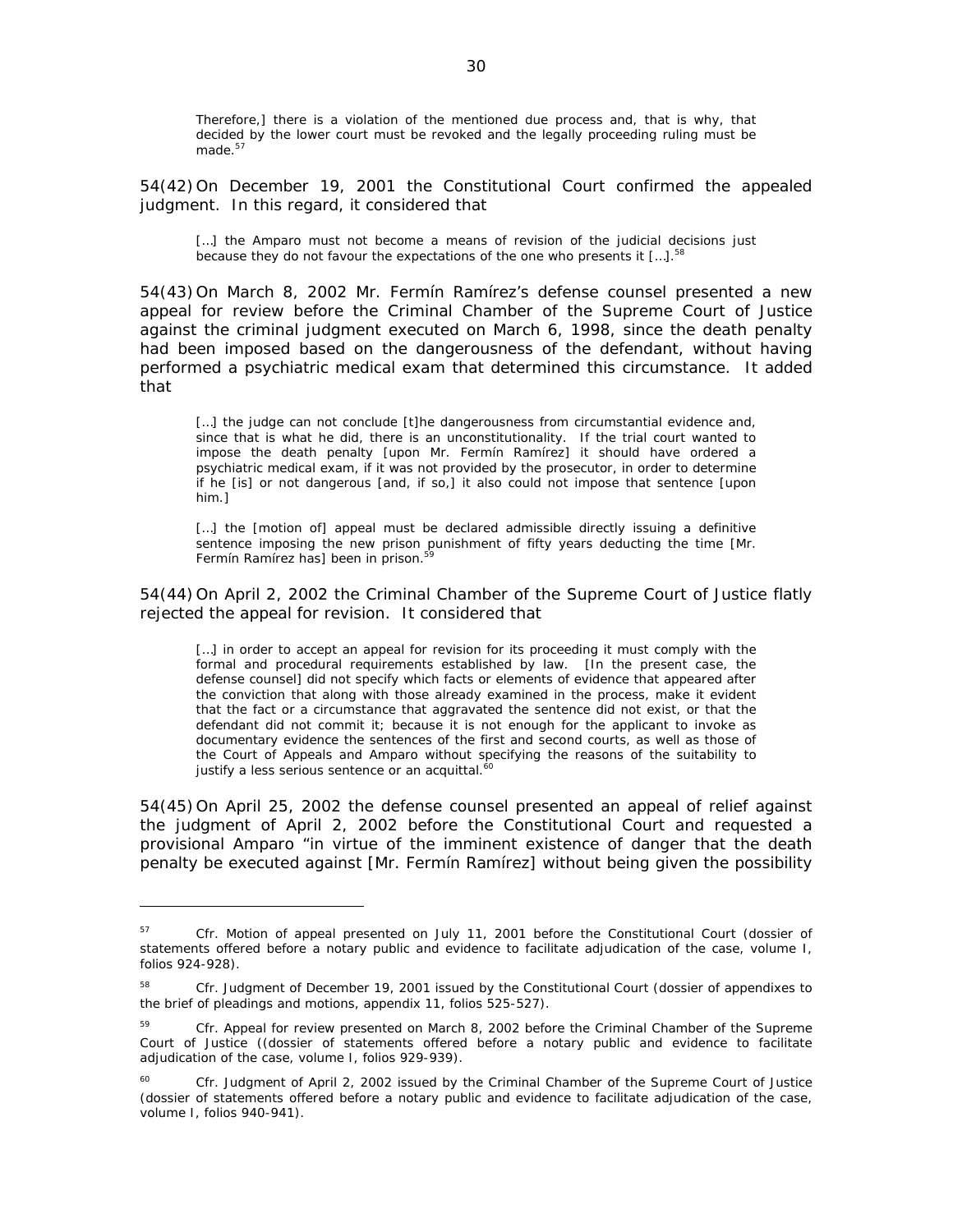Therefore,] there is a violation of the mentioned due process and, that is why, that decided by the lower court must be revoked and the legally proceeding ruling must be made. $57$ 

54(42) On December 19, 2001 the Constitutional Court confirmed the appealed judgment. In this regard, it considered that

[...] the Amparo must not become a means of revision of the judicial decisions just because they do not favour the expectations of the one who presents it  $[...]$ .<sup>58</sup>

54(43) On March 8, 2002 Mr. Fermín Ramírez's defense counsel presented a new appeal for review before the Criminal Chamber of the Supreme Court of Justice against the criminal judgment executed on March 6, 1998, since the death penalty had been imposed based on the dangerousness of the defendant, without having performed a psychiatric medical exam that determined this circumstance. It added that

[...] the judge can not conclude [t]he dangerousness from circumstantial evidence and, since that is what he did, there is an unconstitutionality. If the trial court wanted to impose the death penalty [upon Mr. Fermín Ramírez] it should have ordered a psychiatric medical exam, if it was not provided by the prosecutor, in order to determine if he [is] or not dangerous [and, if so,] it also could not impose that sentence [upon him.]

[...] the [motion of] appeal must be declared admissible directly issuing a definitive sentence imposing the new prison punishment of fifty years deducting the time [Mr. Fermín Ramírez has] been in prison.<sup>5</sup>

54(44) On April 2, 2002 the Criminal Chamber of the Supreme Court of Justice flatly rejected the appeal for revision. It considered that

[...] in order to accept an appeal for revision for its proceeding it must comply with the formal and procedural requirements established by law. [In the present case, the defense counsel] did not specify which facts or elements of evidence that appeared after the conviction that along with those already examined in the process, make it evident that the fact or a circumstance that aggravated the sentence did not exist, or that the defendant did not commit it; because it is not enough for the applicant to invoke as documentary evidence the sentences of the first and second courts, as well as those of the Court of Appeals and Amparo without specifying the reasons of the suitability to justify a less serious sentence or an acquittal.<sup>60</sup>

54(45) On April 25, 2002 the defense counsel presented an appeal of relief against the judgment of April 2, 2002 before the Constitutional Court and requested a provisional Amparo "in virtue of the imminent existence of danger that the death penalty be executed against [Mr. Fermín Ramírez] without being given the possibility

<sup>&</sup>lt;sup>57</sup> *Cfr.* Motion of appeal presented on July 11, 2001 before the Constitutional Court (dossier of statements offered before a notary public and evidence to facilitate adjudication of the case, volume I, folios 924-928).

<sup>58</sup> *Cfr.* Judgment of December 19, 2001 issued by the Constitutional Court (dossier of appendixes to the brief of pleadings and motions, appendix 11, folios 525-527).

<sup>59</sup> *Cfr.* Appeal for review presented on March 8, 2002 before the Criminal Chamber of the Supreme Court of Justice ((dossier of statements offered before a notary public and evidence to facilitate adjudication of the case, volume I, folios 929-939).

<sup>&</sup>lt;sup>60</sup> *Cfr.* Judgment of April 2, 2002 issued by the Criminal Chamber of the Supreme Court of Justice (dossier of statements offered before a notary public and evidence to facilitate adjudication of the case, volume I, folios 940-941).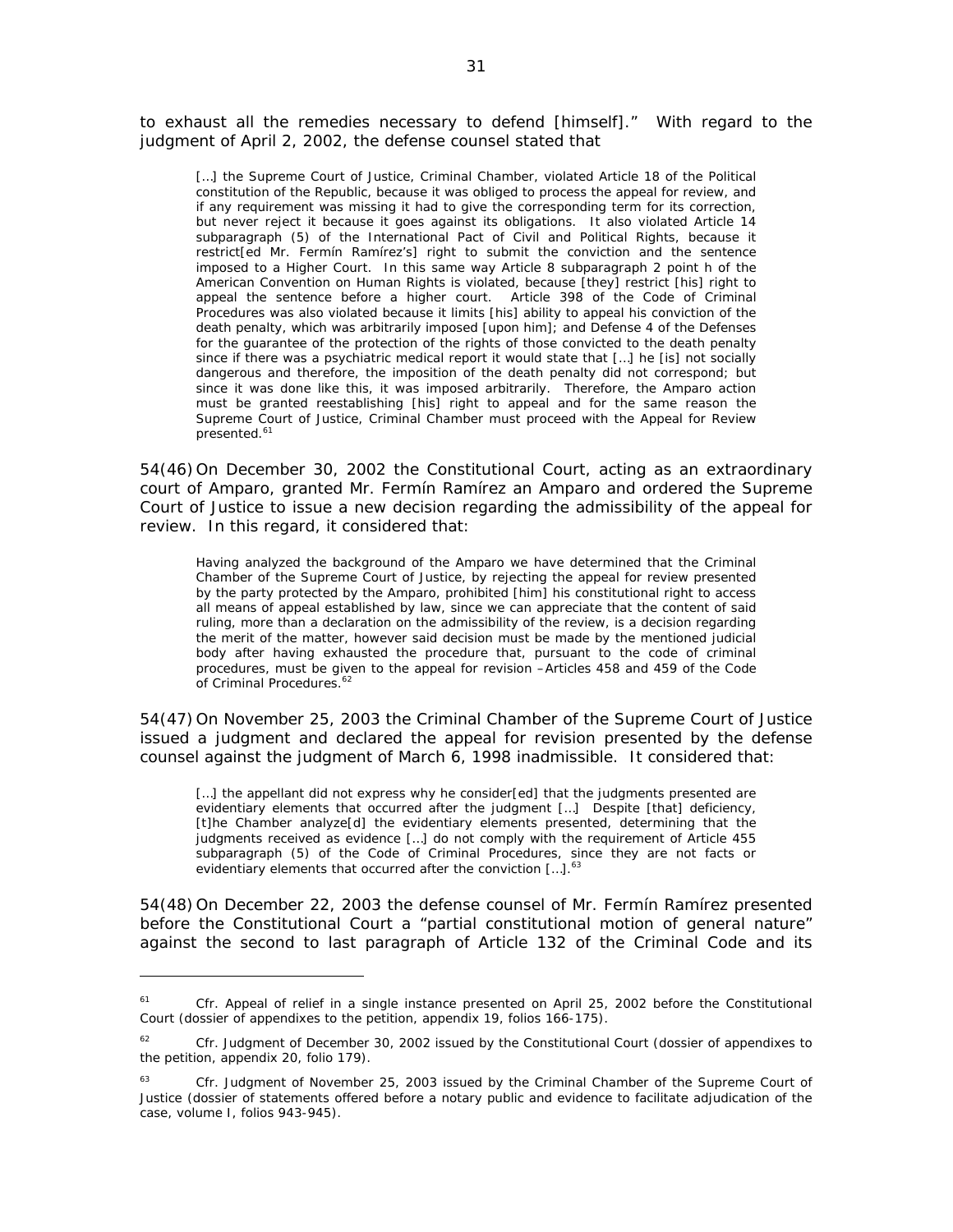to exhaust all the remedies necessary to defend [himself]." With regard to the judgment of April 2, 2002, the defense counsel stated that

[...] the Supreme Court of Justice, Criminal Chamber, violated Article 18 of the Political constitution of the Republic, because it was obliged to process the appeal for review, and if any requirement was missing it had to give the corresponding term for its correction, but never reject it because it goes against its obligations. It also violated Article 14 subparagraph (5) of the International Pact of Civil and Political Rights, because it restrict[ed Mr. Fermín Ramírez's] right to submit the conviction and the sentence imposed to a Higher Court. In this same way Article 8 subparagraph 2 point h of the American Convention on Human Rights is violated, because [they] restrict [his] right to appeal the sentence before a higher court. Article 398 of the Code of Criminal Procedures was also violated because it limits [his] ability to appeal his conviction of the death penalty, which was arbitrarily imposed [upon him]; and Defense 4 of the Defenses for the guarantee of the protection of the rights of those convicted to the death penalty since if there was a psychiatric medical report it would state that […] he [is] not socially dangerous and therefore, the imposition of the death penalty did not correspond; but since it was done like this, it was imposed arbitrarily. Therefore, the Amparo action must be granted reestablishing [his] right to appeal and for the same reason the Supreme Court of Justice, Criminal Chamber must proceed with the Appeal for Review presented.<sup>61</sup>

54(46) On December 30, 2002 the Constitutional Court, acting as an extraordinary court of Amparo, granted Mr. Fermín Ramírez an Amparo and ordered the Supreme Court of Justice to issue a new decision regarding the admissibility of the appeal for review. In this regard, it considered that:

Having analyzed the background of the Amparo we have determined that the Criminal Chamber of the Supreme Court of Justice, by rejecting the appeal for review presented by the party protected by the Amparo, prohibited [him] his constitutional right to access all means of appeal established by law, since we can appreciate that the content of said ruling, more than a declaration on the admissibility of the review, is a decision regarding the merit of the matter, however said decision must be made by the mentioned judicial body after having exhausted the procedure that, pursuant to the code of criminal procedures, must be given to the appeal for revision –Articles 458 and 459 of the Code of Criminal Procedures.<sup>62</sup>

54(47) On November 25, 2003 the Criminal Chamber of the Supreme Court of Justice issued a judgment and declared the appeal for revision presented by the defense counsel against the judgment of March 6, 1998 inadmissible. It considered that:

[...] the appellant did not express why he consider[ed] that the judgments presented are evidentiary elements that occurred after the judgment […] Despite [that] deficiency, [t]he Chamber analyze[d] the evidentiary elements presented, determining that the judgments received as evidence […] do not comply with the requirement of Article 455 subparagraph (5) of the Code of Criminal Procedures, since they are not facts or evidentiary elements that occurred after the conviction [...].<sup>63</sup>

54(48) On December 22, 2003 the defense counsel of Mr. Fermín Ramírez presented before the Constitutional Court a "partial constitutional motion of general nature" against the second to last paragraph of Article 132 of the Criminal Code and its

<sup>&</sup>lt;sup>61</sup> *Cfr.* Appeal of relief in a single instance presented on April 25, 2002 before the Constitutional Court (dossier of appendixes to the petition, appendix 19, folios 166-175).

<sup>&</sup>lt;sup>62</sup> *Cfr.* Judgment of December 30, 2002 issued by the Constitutional Court (dossier of appendixes to the petition, appendix 20, folio 179).

<sup>&</sup>lt;sup>63</sup> *Cfr.* Judgment of November 25, 2003 issued by the Criminal Chamber of the Supreme Court of Justice (dossier of statements offered before a notary public and evidence to facilitate adjudication of the case, volume I, folios 943-945).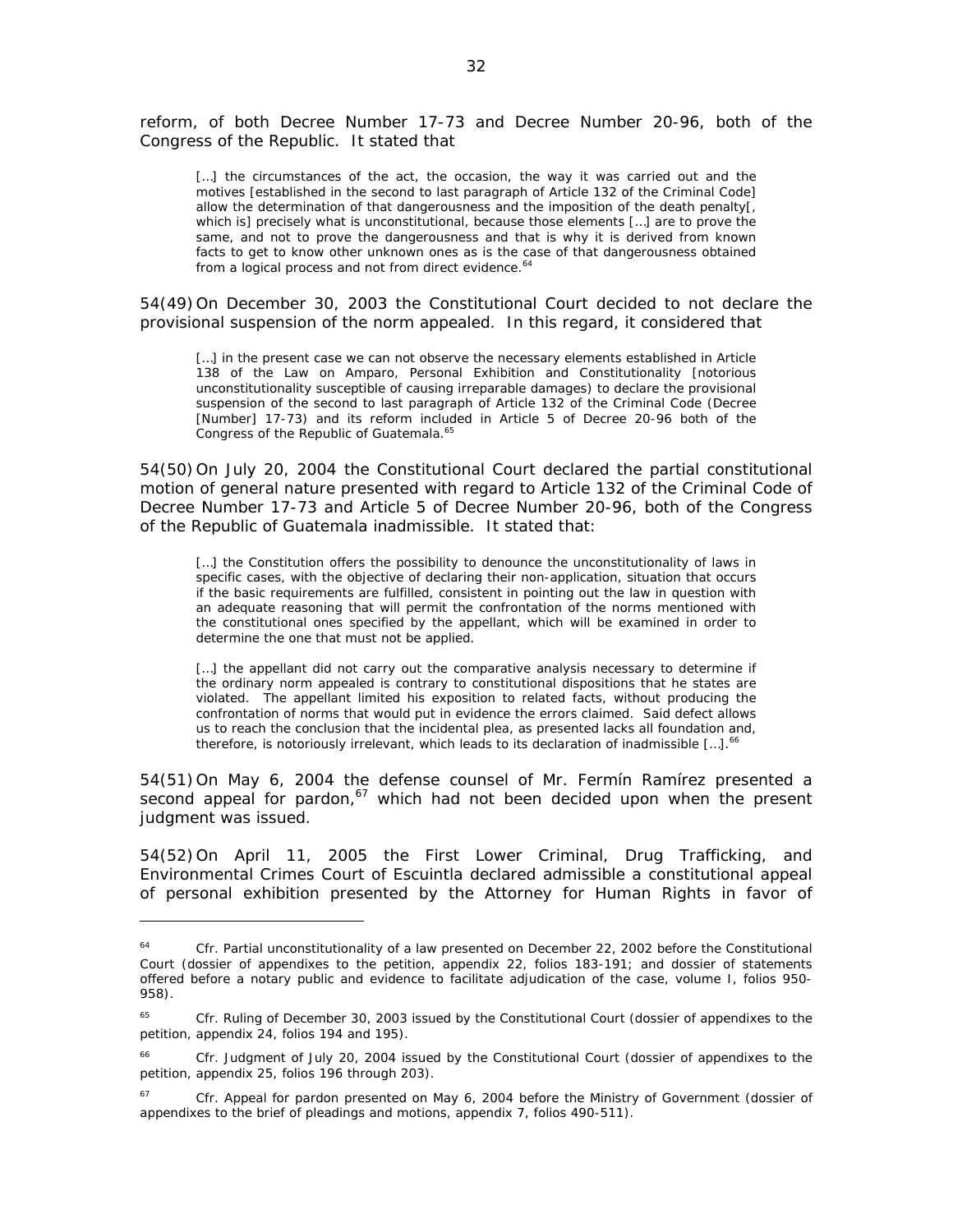reform, of both Decree Number 17-73 and Decree Number 20-96, both of the Congress of the Republic. It stated that

[...] the circumstances of the act, the occasion, the way it was carried out and the motives [established in the second to last paragraph of Article 132 of the Criminal Code] allow the determination of that dangerousness and the imposition of the death penalty[, which is] precisely what is unconstitutional, because those elements […] are to prove the same, and not to prove the dangerousness and that is why it is derived from known facts to get to know other unknown ones as is the case of that dangerousness obtained from a logical process and not from direct evidence.<sup>64</sup>

54(49) On December 30, 2003 the Constitutional Court decided to not declare the provisional suspension of the norm appealed. In this regard, it considered that

[...] in the present case we can not observe the necessary elements established in Article 138 of the Law on Amparo, Personal Exhibition and Constitutionality [notorious unconstitutionality susceptible of causing irreparable damages) to declare the provisional suspension of the second to last paragraph of Article 132 of the Criminal Code (Decree [Number] 17-73) and its reform included in Article 5 of Decree 20-96 both of the Congress of the Republic of Guatemala.<sup>65</sup>

54(50) On July 20, 2004 the Constitutional Court declared the partial constitutional motion of general nature presented with regard to Article 132 of the Criminal Code of Decree Number 17-73 and Article 5 of Decree Number 20-96, both of the Congress of the Republic of Guatemala inadmissible. It stated that:

[...] the Constitution offers the possibility to denounce the unconstitutionality of laws in specific cases, with the objective of declaring their non-application, situation that occurs if the basic requirements are fulfilled, consistent in pointing out the law in question with an adequate reasoning that will permit the confrontation of the norms mentioned with the constitutional ones specified by the appellant, which will be examined in order to determine the one that must not be applied.

[...] the appellant did not carry out the comparative analysis necessary to determine if the ordinary norm appealed is contrary to constitutional dispositions that he states are violated. The appellant limited his exposition to related facts, without producing the confrontation of norms that would put in evidence the errors claimed. Said defect allows us to reach the conclusion that the incidental plea, as presented lacks all foundation and, therefore, is notoriously irrelevant, which leads to its declaration of inadmissible  $[...]$ .<sup>66</sup>

54(51) On May 6, 2004 the defense counsel of Mr. Fermín Ramírez presented a  $\frac{1}{2}$  second appeal for pardon, $\frac{67}{2}$  which had not been decided upon when the present judgment was issued.

54(52) On April 11, 2005 the First Lower Criminal, Drug Trafficking, and Environmental Crimes Court of Escuintla declared admissible a constitutional appeal of personal exhibition presented by the Attorney for Human Rights in favor of

Cfr. Partial unconstitutionality of a law presented on December 22, 2002 before the Constitutional Court (dossier of appendixes to the petition, appendix 22, folios 183-191; and dossier of statements offered before a notary public and evidence to facilitate adjudication of the case, volume I, folios 950- 958).

<sup>65</sup> *Cfr.* Ruling of December 30, 2003 issued by the Constitutional Court (dossier of appendixes to the petition, appendix 24, folios 194 and 195).

<sup>&</sup>lt;sup>66</sup> *Cfr.* Judgment of July 20, 2004 issued by the Constitutional Court (dossier of appendixes to the petition, appendix 25, folios 196 through 203).

<sup>&</sup>lt;sup>67</sup> *Cfr.* Appeal for pardon presented on May 6, 2004 before the Ministry of Government (dossier of appendixes to the brief of pleadings and motions, appendix 7, folios 490-511).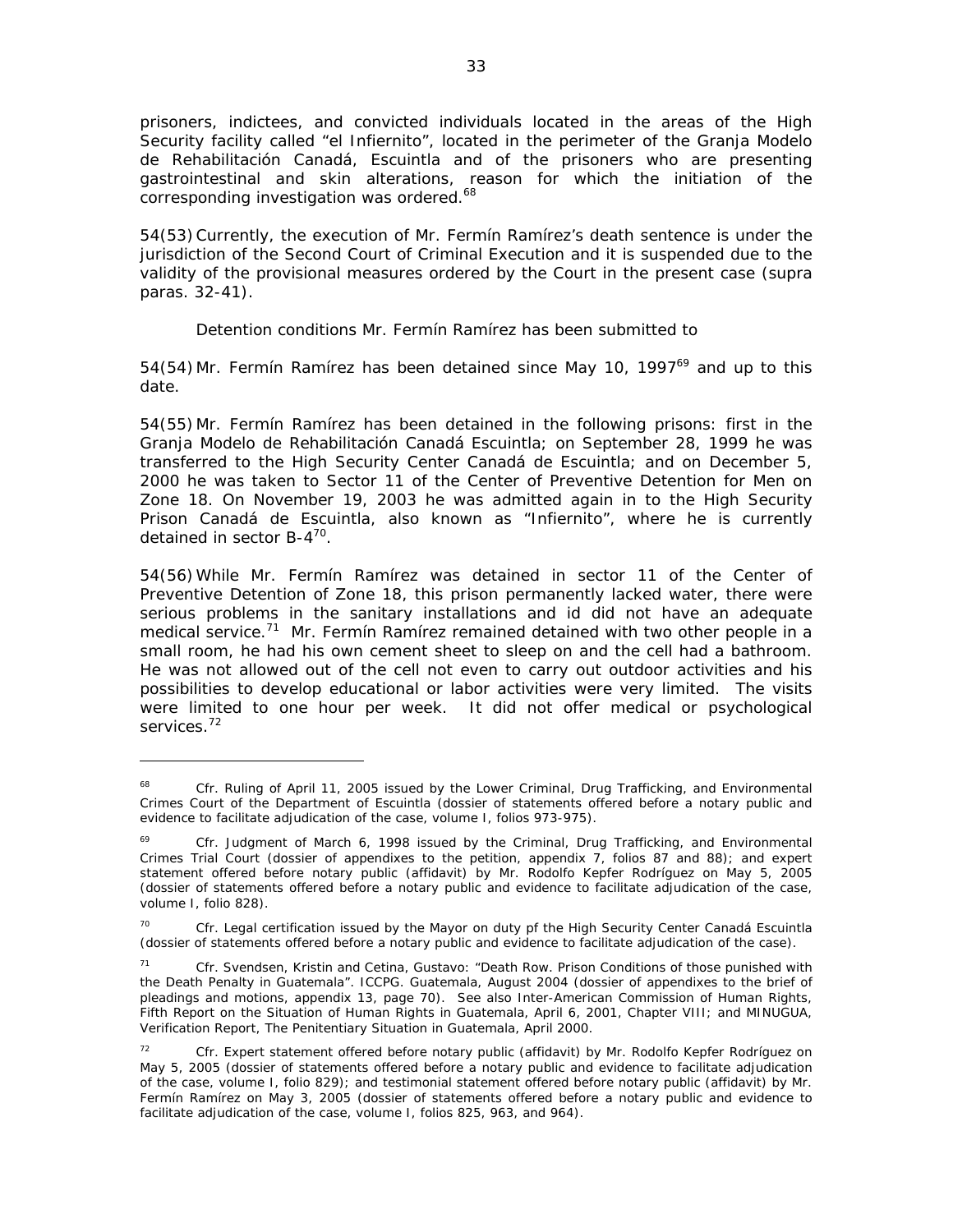prisoners, indictees, and convicted individuals located in the areas of the High Security facility called "el Infiernito", located in the perimeter of the Granja Modelo de Rehabilitación Canadá, Escuintla and of the prisoners who are presenting gastrointestinal and skin alterations, reason for which the initiation of the corresponding investigation was ordered.<sup>68</sup>

54(53) Currently, the execution of Mr. Fermín Ramírez's death sentence is under the jurisdiction of the Second Court of Criminal Execution and it is suspended due to the validity of the provisional measures ordered by the Court in the present case (*supra* paras. 32-41).

# *Detention conditions Mr. Fermín Ramírez has been submitted to*

54(54) Mr. Fermín Ramírez has been detained since May 10, 1997 $^{69}$  and up to this date.

54(55) Mr. Fermín Ramírez has been detained in the following prisons: first in the Granja Modelo de Rehabilitación Canadá Escuintla; on September 28, 1999 he was transferred to the High Security Center Canadá de Escuintla; and on December 5, 2000 he was taken to Sector 11 of the Center of Preventive Detention for Men on Zone 18. On November 19, 2003 he was admitted again in to the High Security Prison Canadá de Escuintla, also known as "Infiernito", where he is currently detained in sector B-4<sup>70</sup>.

54(56) While Mr. Fermín Ramírez was detained in sector 11 of the Center of Preventive Detention of Zone 18, this prison permanently lacked water, there were serious problems in the sanitary installations and id did not have an adequate medical service.<sup>71</sup> Mr. Fermín Ramírez remained detained with two other people in a small room, he had his own cement sheet to sleep on and the cell had a bathroom. He was not allowed out of the cell not even to carry out outdoor activities and his possibilities to develop educational or labor activities were very limited. The visits were limited to one hour per week. It did not offer medical or psychological services.<sup>72</sup>

Cfr. Ruling of April 11, 2005 issued by the Lower Criminal, Drug Trafficking, and Environmental Crimes Court of the Department of Escuintla (dossier of statements offered before a notary public and evidence to facilitate adjudication of the case, volume I, folios 973-975).

<sup>&</sup>lt;sup>69</sup> *Cfr.* Judgment of March 6, 1998 issued by the Criminal, Drug Trafficking, and Environmental Crimes Trial Court (dossier of appendixes to the petition, appendix 7, folios 87 and 88); and expert statement offered before notary public (affidavit) by Mr. Rodolfo Kepfer Rodríguez on May 5, 2005 (dossier of statements offered before a notary public and evidence to facilitate adjudication of the case, volume I, folio 828).

<sup>70</sup> *Cfr.* Legal certification issued by the Mayor on duty pf the High Security Center Canadá Escuintla (dossier of statements offered before a notary public and evidence to facilitate adjudication of the case).

<sup>71</sup> *Cfr.* Svendsen, Kristin and Cetina, Gustavo: "Death Row. Prison Conditions of those punished with the Death Penalty in Guatemala". ICCPG. Guatemala, August 2004 (dossier of appendixes to the brief of pleadings and motions, appendix 13, page 70). See also Inter-American Commission of Human Rights, *Fifth Report on the Situation of Human Rights in Guatemala*, April 6, 2001, Chapter VIII; and MINUGUA, Verification Report, *The Penitentiary Situation in Guatemala*, April 2000.

<sup>72</sup> *Cfr.* Expert statement offered before notary public (affidavit) by Mr. Rodolfo Kepfer Rodríguez on May 5, 2005 (dossier of statements offered before a notary public and evidence to facilitate adjudication of the case, volume I, folio 829); and testimonial statement offered before notary public (affidavit) by Mr. Fermín Ramírez on May 3, 2005 (dossier of statements offered before a notary public and evidence to facilitate adjudication of the case, volume I, folios 825, 963, and 964).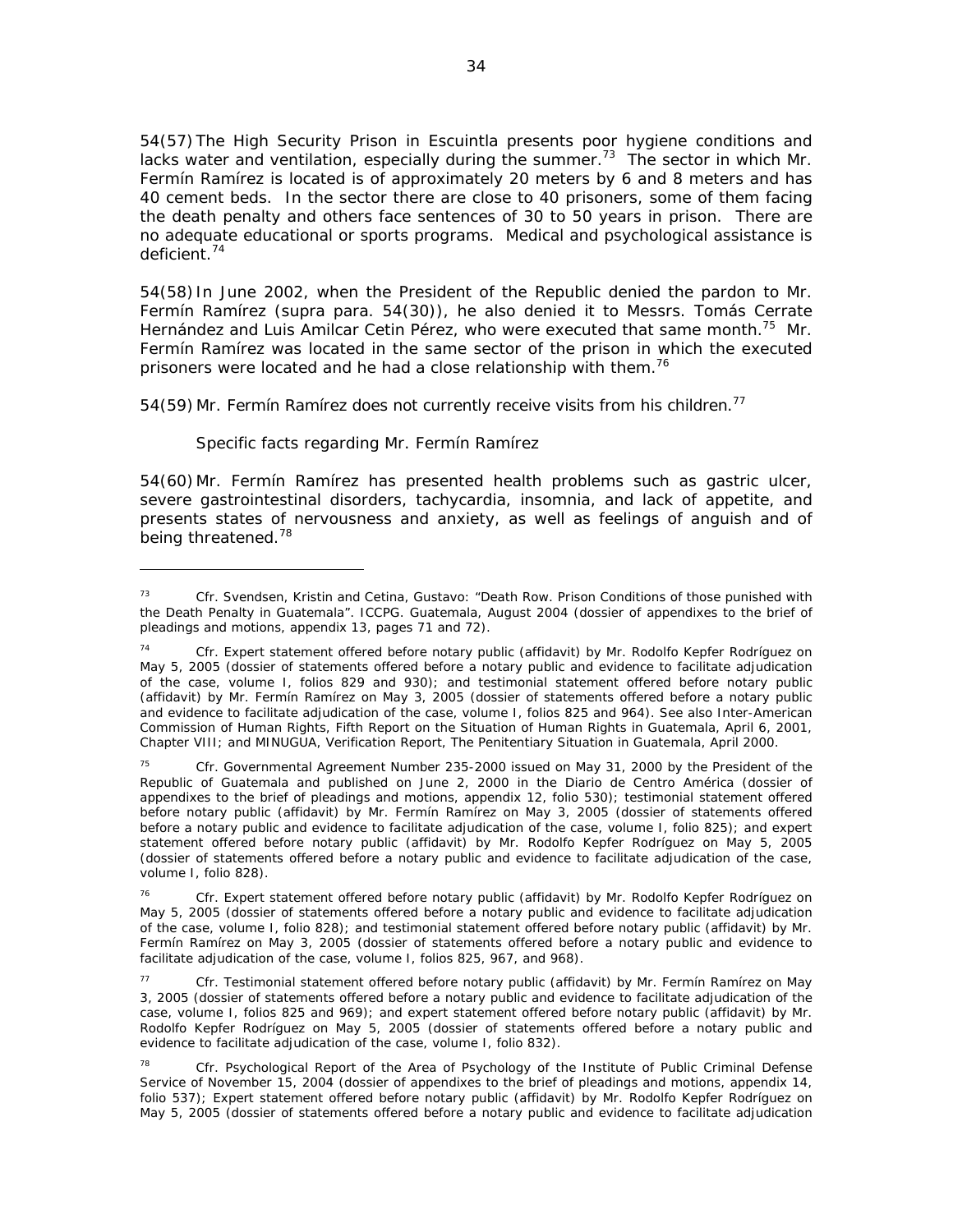54(57) The High Security Prison in Escuintla presents poor hygiene conditions and lacks water and ventilation, especially during the summer.<sup>73</sup> The sector in which Mr. Fermín Ramírez is located is of approximately 20 meters by 6 and 8 meters and has 40 cement beds. In the sector there are close to 40 prisoners, some of them facing the death penalty and others face sentences of 30 to 50 years in prison. There are no adequate educational or sports programs. Medical and psychological assistance is deficient.74

54(58) In June 2002, when the President of the Republic denied the pardon to Mr. Fermín Ramírez (supra para. 54(30)), he also denied it to Messrs. Tomás Cerrate Hernández and Luis Amilcar Cetin Pérez, who were executed that same month.<sup>75</sup> Mr. Fermín Ramírez was located in the same sector of the prison in which the executed prisoners were located and he had a close relationship with them.<sup>76</sup>

54(59) Mr. Fermín Ramírez does not currently receive visits from his children.<sup>77</sup>

### *Specific facts regarding Mr. Fermín Ramírez*

 $\overline{a}$ 

54(60) Mr. Fermín Ramírez has presented health problems such as gastric ulcer, severe gastrointestinal disorders, tachycardia, insomnia, and lack of appetite, and presents states of nervousness and anxiety, as well as feelings of anguish and of being threatened.<sup>78</sup>

<sup>73</sup> *Cfr.* Svendsen, Kristin and Cetina, Gustavo: "Death Row. Prison Conditions of those punished with the Death Penalty in Guatemala". ICCPG. Guatemala, August 2004 (dossier of appendixes to the brief of pleadings and motions, appendix 13, pages 71 and 72).

<sup>74</sup> *Cfr.* Expert statement offered before notary public (affidavit) by Mr. Rodolfo Kepfer Rodríguez on May 5, 2005 (dossier of statements offered before a notary public and evidence to facilitate adjudication of the case, volume I, folios 829 and 930); and testimonial statement offered before notary public (affidavit) by Mr. Fermín Ramírez on May 3, 2005 (dossier of statements offered before a notary public and evidence to facilitate adjudication of the case, volume I, folios 825 and 964). See also Inter-American Commission of Human Rights, *Fifth Report on the Situation of Human Rights in Guatemala*, April 6, 2001, Chapter VIII; and MINUGUA, Verification Report, *The Penitentiary Situation in Guatemala*, April 2000.

<sup>75</sup> *Cfr.* Governmental Agreement Number 235-2000 issued on May 31, 2000 by the President of the Republic of Guatemala and published on June 2, 2000 in the Diario de Centro América (dossier of appendixes to the brief of pleadings and motions, appendix 12, folio 530); testimonial statement offered before notary public (affidavit) by Mr. Fermín Ramírez on May 3, 2005 (dossier of statements offered before a notary public and evidence to facilitate adjudication of the case, volume I, folio 825); and expert statement offered before notary public (affidavit) by Mr. Rodolfo Kepfer Rodríguez on May 5, 2005 (dossier of statements offered before a notary public and evidence to facilitate adjudication of the case, volume I, folio 828).

<sup>76</sup> *Cfr.* Expert statement offered before notary public (affidavit) by Mr. Rodolfo Kepfer Rodríguez on May 5, 2005 (dossier of statements offered before a notary public and evidence to facilitate adjudication of the case, volume I, folio 828); and testimonial statement offered before notary public (affidavit) by Mr. Fermín Ramírez on May 3, 2005 (dossier of statements offered before a notary public and evidence to facilitate adjudication of the case, volume I, folios 825, 967, and 968).

<sup>77</sup> *Cfr.* Testimonial statement offered before notary public (affidavit) by Mr. Fermín Ramírez on May 3, 2005 (dossier of statements offered before a notary public and evidence to facilitate adjudication of the case, volume I, folios 825 and 969); and expert statement offered before notary public (affidavit) by Mr. Rodolfo Kepfer Rodríguez on May 5, 2005 (dossier of statements offered before a notary public and evidence to facilitate adjudication of the case, volume I, folio 832).

<sup>78</sup> *Cfr.* Psychological Report of the Area of Psychology of the Institute of Public Criminal Defense Service of November 15, 2004 (dossier of appendixes to the brief of pleadings and motions, appendix 14, folio 537); Expert statement offered before notary public (affidavit) by Mr. Rodolfo Kepfer Rodríguez on May 5, 2005 (dossier of statements offered before a notary public and evidence to facilitate adjudication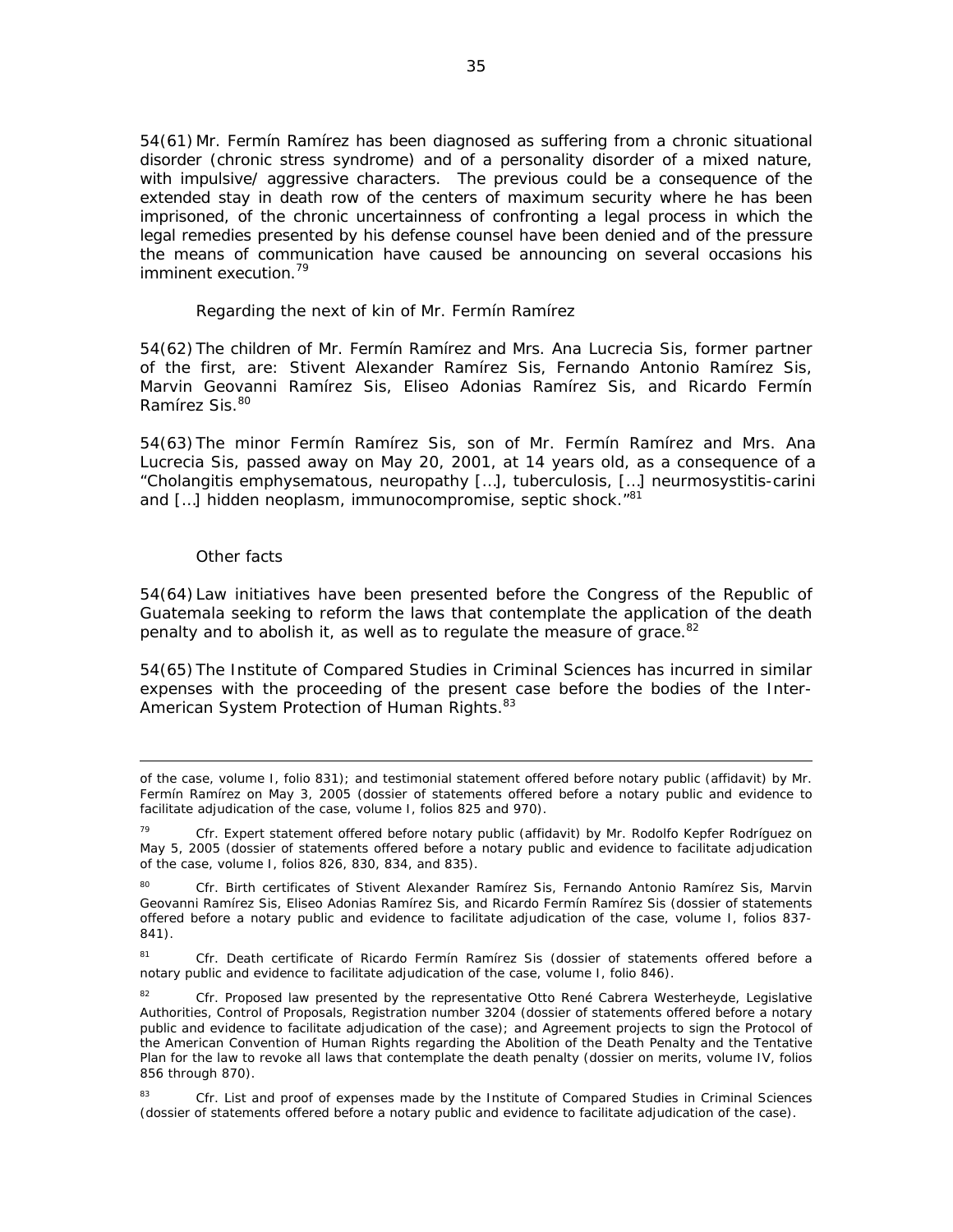54(61) Mr. Fermín Ramírez has been diagnosed as suffering from a chronic situational disorder (chronic stress syndrome) and of a personality disorder of a mixed nature, with impulsive/ aggressive characters. The previous could be a consequence of the extended stay in death row of the centers of maximum security where he has been imprisoned, of the chronic uncertainness of confronting a legal process in which the legal remedies presented by his defense counsel have been denied and of the pressure the means of communication have caused be announcing on several occasions his imminent execution.<sup>79</sup>

### *Regarding the next of kin of Mr. Fermín Ramírez*

54(62) The children of Mr. Fermín Ramírez and Mrs. Ana Lucrecia Sis, former partner of the first, are: Stivent Alexander Ramírez Sis, Fernando Antonio Ramírez Sis, Marvin Geovanni Ramírez Sis, Eliseo Adonias Ramírez Sis, and Ricardo Fermín Ramírez Sis.<sup>80</sup>

54(63) The minor Fermín Ramírez Sis, son of Mr. Fermín Ramírez and Mrs. Ana Lucrecia Sis, passed away on May 20, 2001, at 14 years old, as a consequence of a "Cholangitis emphysematous, neuropathy […], tuberculosis, […] neurmosystitis-carini and [...] hidden neoplasm, immunocompromise, septic shock."<sup>81</sup>

### *Other facts*

 $\overline{a}$ 

54(64) Law initiatives have been presented before the Congress of the Republic of Guatemala seeking to reform the laws that contemplate the application of the death penalty and to abolish it, as well as to regulate the measure of grace.<sup>82</sup>

54(65) The Institute of Compared Studies in Criminal Sciences has incurred in similar expenses with the proceeding of the present case before the bodies of the Inter-American System Protection of Human Rights.<sup>83</sup>

of the case, volume I, folio 831); and testimonial statement offered before notary public (affidavit) by Mr. Fermín Ramírez on May 3, 2005 (dossier of statements offered before a notary public and evidence to facilitate adjudication of the case, volume I, folios 825 and 970).

<sup>79</sup> *Cfr.* Expert statement offered before notary public (affidavit) by Mr. Rodolfo Kepfer Rodríguez on May 5, 2005 (dossier of statements offered before a notary public and evidence to facilitate adjudication of the case, volume I, folios 826, 830, 834, and 835).

<sup>80</sup> *Cfr.* Birth certificates of Stivent Alexander Ramírez Sis, Fernando Antonio Ramírez Sis, Marvin Geovanni Ramírez Sis, Eliseo Adonias Ramírez Sis, and Ricardo Fermín Ramírez Sis (dossier of statements offered before a notary public and evidence to facilitate adjudication of the case, volume I, folios 837- 841).

<sup>81</sup> *Cfr.* Death certificate of Ricardo Fermín Ramírez Sis (dossier of statements offered before a notary public and evidence to facilitate adjudication of the case, volume I, folio 846).

<sup>82</sup> *Cfr.* Proposed law presented by the representative Otto René Cabrera Westerheyde, Legislative Authorities, Control of Proposals, Registration number 3204 (dossier of statements offered before a notary public and evidence to facilitate adjudication of the case); and Agreement projects to sign the Protocol of the American Convention of Human Rights regarding the Abolition of the Death Penalty and the Tentative Plan for the law to revoke all laws that contemplate the death penalty (dossier on merits, volume IV, folios 856 through 870).

<sup>83</sup> *Cfr.* List and proof of expenses made by the Institute of Compared Studies in Criminal Sciences (dossier of statements offered before a notary public and evidence to facilitate adjudication of the case).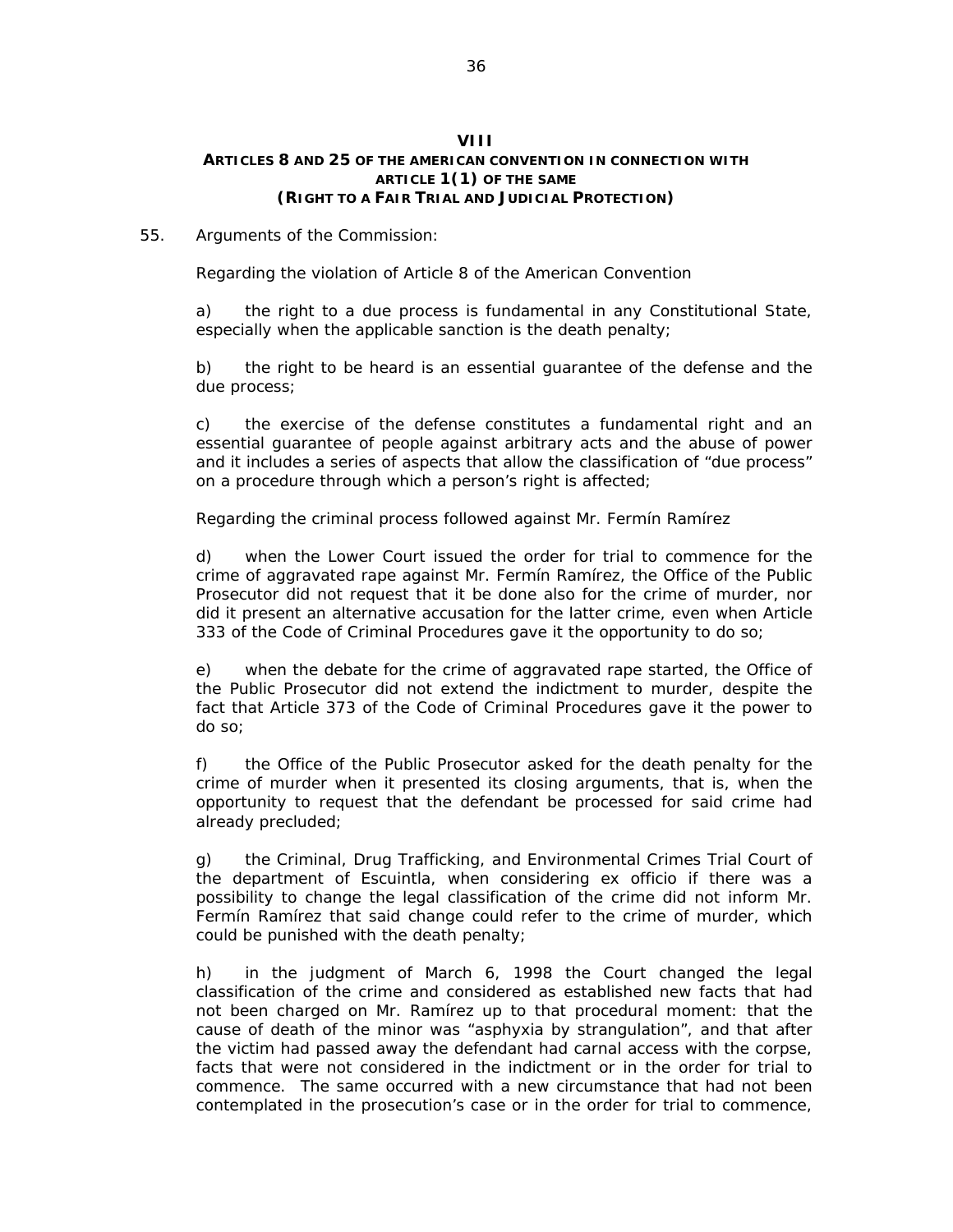### **VIII ARTICLES 8 AND 25 OF THE AMERICAN CONVENTION IN CONNECTION WITH ARTICLE 1(1) OF THE SAME (RIGHT TO A FAIR TRIAL AND JUDICIAL PROTECTION)**

### 55*. Arguments of the Commission:*

### *Regarding the violation of Article 8 of the American Convention*

a) the right to a due process is fundamental in any Constitutional State, especially when the applicable sanction is the death penalty;

b) the right to be heard is an essential guarantee of the defense and the due process;

c) the exercise of the defense constitutes a fundamental right and an essential guarantee of people against arbitrary acts and the abuse of power and it includes a series of aspects that allow the classification of "due process" on a procedure through which a person's right is affected;

### *Regarding the criminal process followed against Mr. Fermín Ramírez*

d) when the Lower Court issued the order for trial to commence for the crime of aggravated rape against Mr. Fermín Ramírez, the Office of the Public Prosecutor did not request that it be done also for the crime of murder, nor did it present an alternative accusation for the latter crime, even when Article 333 of the Code of Criminal Procedures gave it the opportunity to do so;

e) when the debate for the crime of aggravated rape started, the Office of the Public Prosecutor did not extend the indictment to murder, despite the fact that Article 373 of the Code of Criminal Procedures gave it the power to do so;

f) the Office of the Public Prosecutor asked for the death penalty for the crime of murder when it presented its closing arguments, that is, when the opportunity to request that the defendant be processed for said crime had already precluded;

g) the Criminal, Drug Trafficking, and Environmental Crimes Trial Court of the department of Escuintla, when considering ex officio if there was a possibility to change the legal classification of the crime did not inform Mr. Fermín Ramírez that said change could refer to the crime of murder, which could be punished with the death penalty;

h) in the judgment of March 6, 1998 the Court changed the legal classification of the crime and considered as established new facts that had not been charged on Mr. Ramírez up to that procedural moment: that the cause of death of the minor was "asphyxia by strangulation", and that after the victim had passed away the defendant had carnal access with the corpse, facts that were not considered in the indictment or in the order for trial to commence. The same occurred with a new circumstance that had not been contemplated in the prosecution's case or in the order for trial to commence,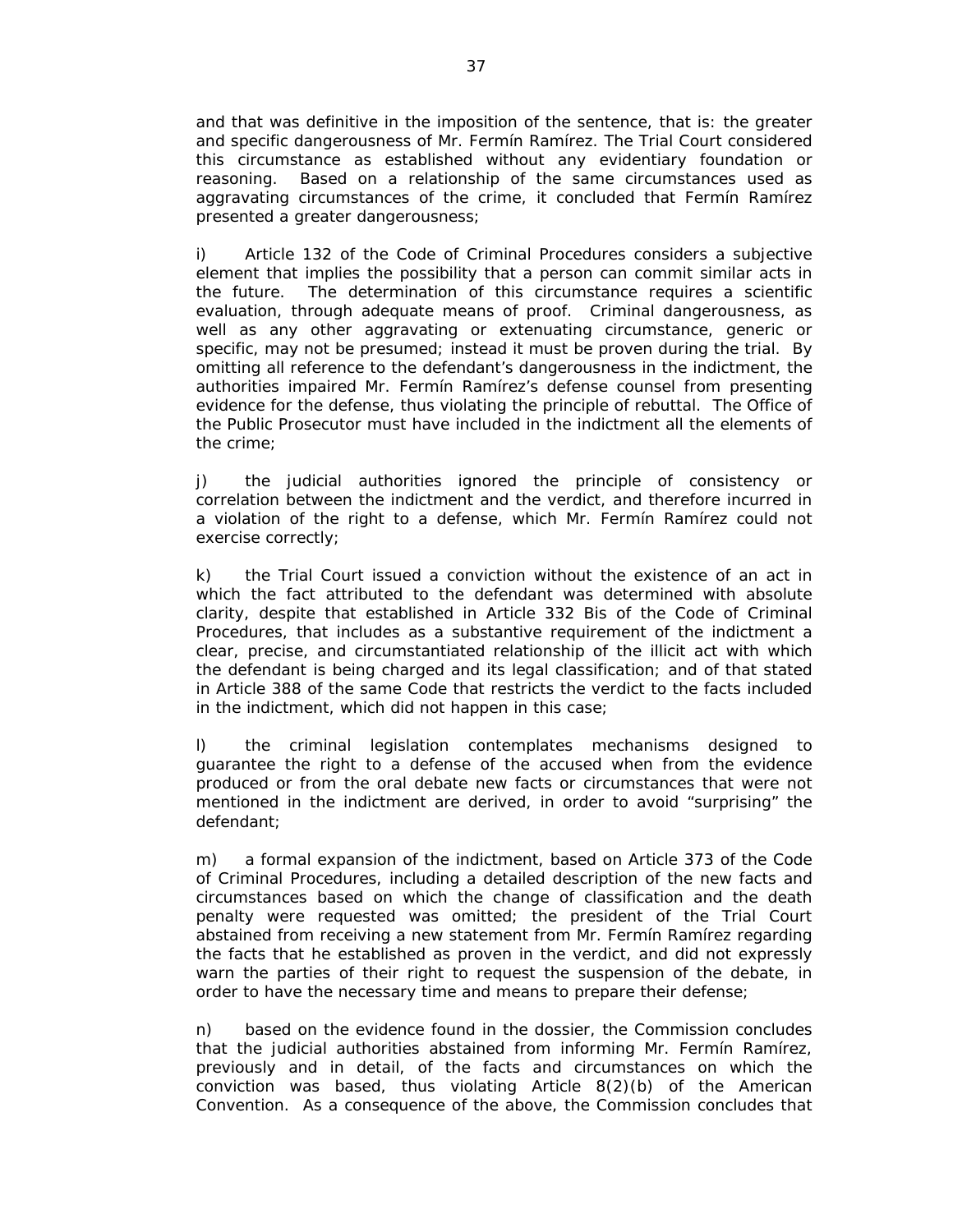and that was definitive in the imposition of the sentence, that is: the greater and specific dangerousness of Mr. Fermín Ramírez. The Trial Court considered this circumstance as established without any evidentiary foundation or reasoning. Based on a relationship of the same circumstances used as aggravating circumstances of the crime, it concluded that Fermín Ramírez presented a greater dangerousness;

i) Article 132 of the Code of Criminal Procedures considers a subjective element that implies the possibility that a person can commit similar acts in the future. The determination of this circumstance requires a scientific evaluation, through adequate means of proof. Criminal dangerousness, as well as any other aggravating or extenuating circumstance, generic or specific, may not be presumed; instead it must be proven during the trial. By omitting all reference to the defendant's dangerousness in the indictment, the authorities impaired Mr. Fermín Ramírez's defense counsel from presenting evidence for the defense, thus violating the principle of rebuttal. The Office of the Public Prosecutor must have included in the indictment all the elements of the crime;

j) the judicial authorities ignored the principle of consistency or correlation between the indictment and the verdict, and therefore incurred in a violation of the right to a defense, which Mr. Fermín Ramírez could not exercise correctly;

k) the Trial Court issued a conviction without the existence of an act in which the fact attributed to the defendant was determined with absolute clarity, despite that established in Article 332 Bis of the Code of Criminal Procedures, that includes as a substantive requirement of the indictment a clear, precise, and circumstantiated relationship of the illicit act with which the defendant is being charged and its legal classification; and of that stated in Article 388 of the same Code that restricts the verdict to the facts included in the indictment, which did not happen in this case;

l) the criminal legislation contemplates mechanisms designed to guarantee the right to a defense of the accused when from the evidence produced or from the oral debate new facts or circumstances that were not mentioned in the indictment are derived, in order to avoid "surprising" the defendant;

m) a formal expansion of the indictment, based on Article 373 of the Code of Criminal Procedures, including a detailed description of the new facts and circumstances based on which the change of classification and the death penalty were requested was omitted; the president of the Trial Court abstained from receiving a new statement from Mr. Fermín Ramírez regarding the facts that he established as proven in the verdict, and did not expressly warn the parties of their right to request the suspension of the debate, in order to have the necessary time and means to prepare their defense;

n) based on the evidence found in the dossier, the Commission concludes that the judicial authorities abstained from informing Mr. Fermín Ramírez, previously and in detail, of the facts and circumstances on which the conviction was based, thus violating Article 8(2)(b) of the American Convention. As a consequence of the above, the Commission concludes that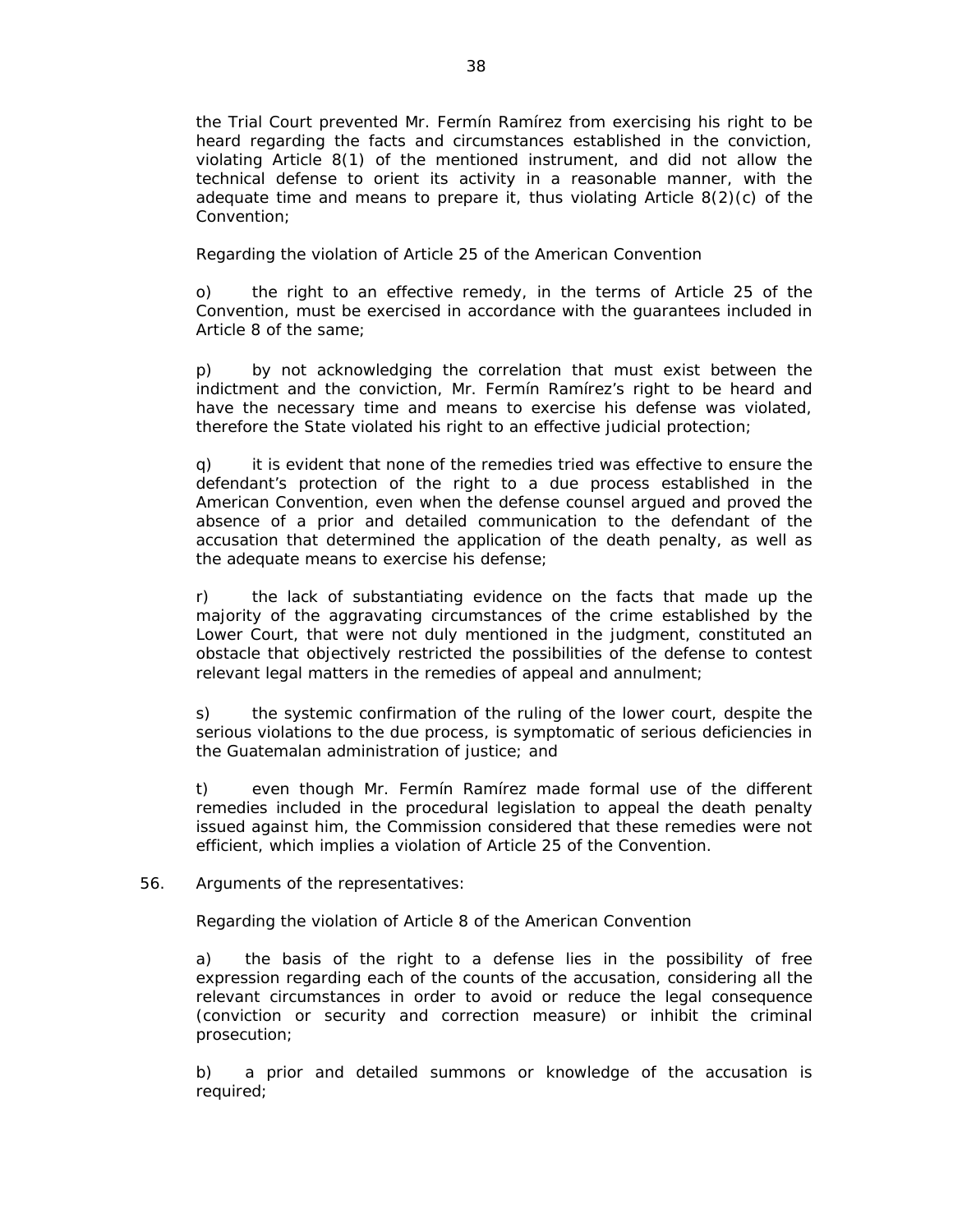the Trial Court prevented Mr. Fermín Ramírez from exercising his right to be heard regarding the facts and circumstances established in the conviction, violating Article 8(1) of the mentioned instrument, and did not allow the technical defense to orient its activity in a reasonable manner, with the adequate time and means to prepare it, thus violating Article 8(2)(c) of the Convention;

### *Regarding the violation of Article 25 of the American Convention*

o) the right to an effective remedy, in the terms of Article 25 of the Convention, must be exercised in accordance with the guarantees included in Article 8 of the same;

p) by not acknowledging the correlation that must exist between the indictment and the conviction, Mr. Fermín Ramírez's right to be heard and have the necessary time and means to exercise his defense was violated, therefore the State violated his right to an effective judicial protection;

q) it is evident that none of the remedies tried was effective to ensure the defendant's protection of the right to a due process established in the American Convention, even when the defense counsel argued and proved the absence of a prior and detailed communication to the defendant of the accusation that determined the application of the death penalty, as well as the adequate means to exercise his defense;

r) the lack of substantiating evidence on the facts that made up the majority of the aggravating circumstances of the crime established by the Lower Court, that were not duly mentioned in the judgment, constituted an obstacle that objectively restricted the possibilities of the defense to contest relevant legal matters in the remedies of appeal and annulment;

s) the systemic confirmation of the ruling of the lower court, despite the serious violations to the due process, is symptomatic of serious deficiencies in the Guatemalan administration of justice; and

t) even though Mr. Fermín Ramírez made formal use of the different remedies included in the procedural legislation to appeal the death penalty issued against him, the Commission considered that these remedies were not efficient, which implies a violation of Article 25 of the Convention.

### 56*. Arguments of the representatives:*

### *Regarding the violation of Article 8 of the American Convention*

a) the basis of the right to a defense lies in the possibility of free expression regarding each of the counts of the accusation, considering all the relevant circumstances in order to avoid or reduce the legal consequence (conviction or security and correction measure) or inhibit the criminal prosecution;

b) a prior and detailed summons or knowledge of the accusation is required;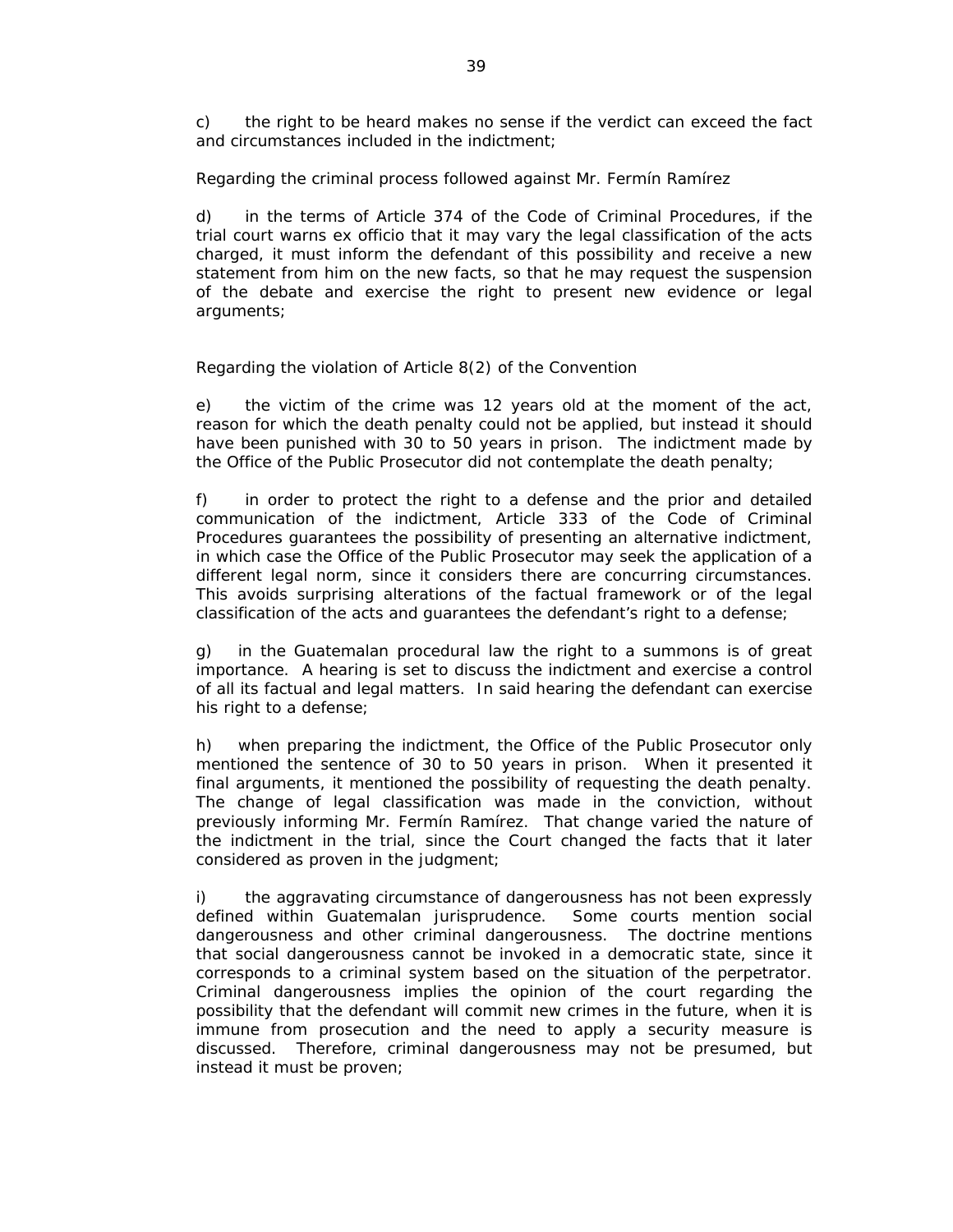c) the right to be heard makes no sense if the verdict can exceed the fact and circumstances included in the indictment;

### *Regarding the criminal process followed against Mr. Fermín Ramírez*

d) in the terms of Article 374 of the Code of Criminal Procedures, if the trial court warns ex officio that it may vary the legal classification of the acts charged, it must inform the defendant of this possibility and receive a new statement from him on the new facts, so that he may request the suspension of the debate and exercise the right to present new evidence or legal arguments;

# *Regarding the violation of Article 8(2) of the Convention*

e) the victim of the crime was 12 years old at the moment of the act, reason for which the death penalty could not be applied, but instead it should have been punished with 30 to 50 years in prison. The indictment made by the Office of the Public Prosecutor did not contemplate the death penalty;

f) in order to protect the right to a defense and the prior and detailed communication of the indictment, Article 333 of the Code of Criminal Procedures guarantees the possibility of presenting an alternative indictment, in which case the Office of the Public Prosecutor may seek the application of a different legal norm, since it considers there are concurring circumstances. This avoids surprising alterations of the factual framework or of the legal classification of the acts and guarantees the defendant's right to a defense;

g) in the Guatemalan procedural law the right to a summons is of great importance. A hearing is set to discuss the indictment and exercise a control of all its factual and legal matters. In said hearing the defendant can exercise his right to a defense;

h) when preparing the indictment, the Office of the Public Prosecutor only mentioned the sentence of 30 to 50 years in prison. When it presented it final arguments, it mentioned the possibility of requesting the death penalty. The change of legal classification was made in the conviction, without previously informing Mr. Fermín Ramírez. That change varied the nature of the indictment in the trial, since the Court changed the facts that it later considered as proven in the judgment;

i) the aggravating circumstance of dangerousness has not been expressly defined within Guatemalan jurisprudence. Some courts mention social dangerousness and other criminal dangerousness. The doctrine mentions that social dangerousness cannot be invoked in a democratic state, since it corresponds to a criminal system based on the situation of the perpetrator. Criminal dangerousness implies the opinion of the court regarding the possibility that the defendant will commit new crimes in the future, when it is immune from prosecution and the need to apply a security measure is discussed. Therefore, criminal dangerousness may not be presumed, but instead it must be proven;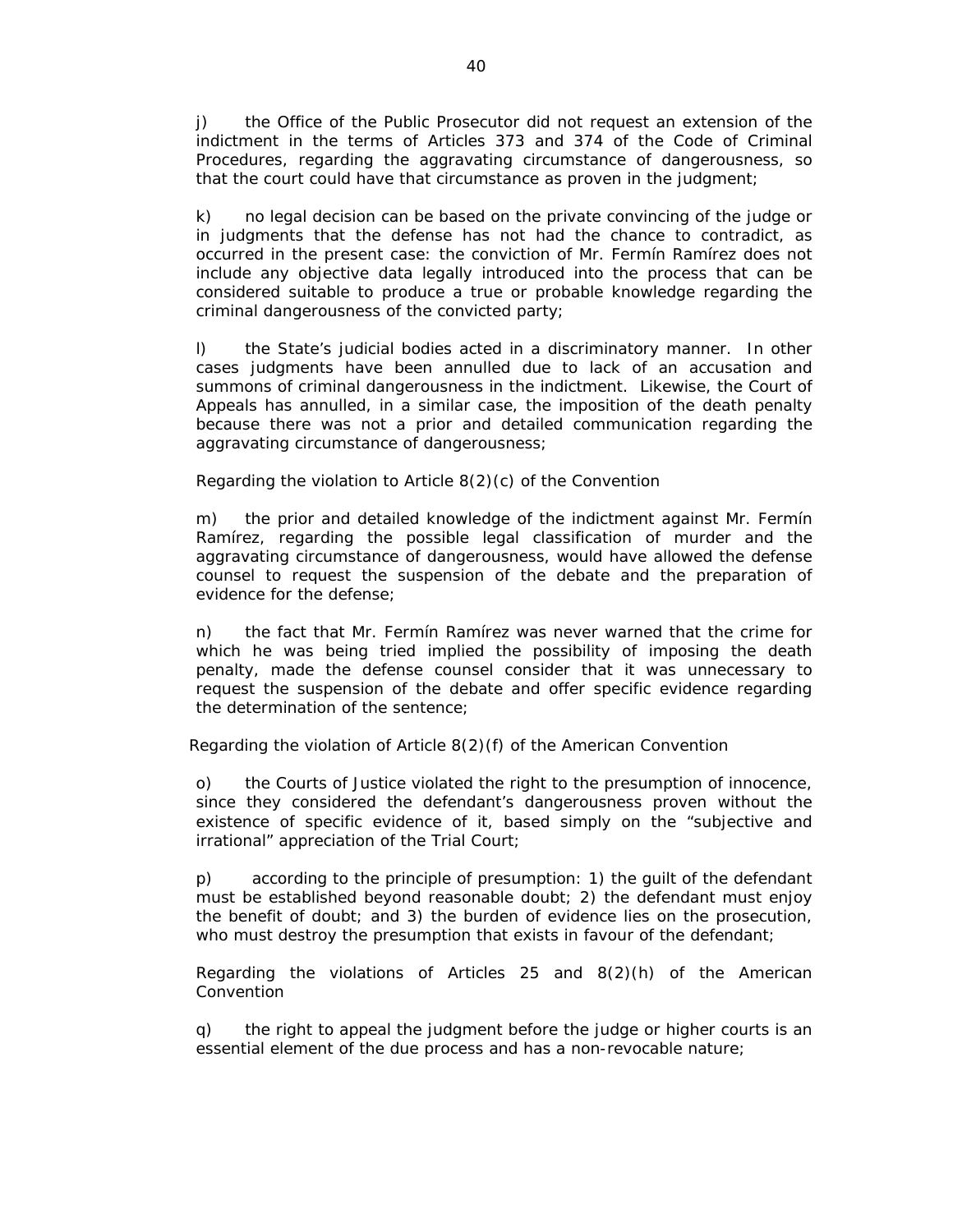j) the Office of the Public Prosecutor did not request an extension of the indictment in the terms of Articles 373 and 374 of the Code of Criminal Procedures, regarding the aggravating circumstance of dangerousness, so that the court could have that circumstance as proven in the judgment;

k) no legal decision can be based on the private convincing of the judge or in judgments that the defense has not had the chance to contradict, as occurred in the present case: the conviction of Mr. Fermín Ramírez does not include any objective data legally introduced into the process that can be considered suitable to produce a true or probable knowledge regarding the criminal dangerousness of the convicted party;

l) the State's judicial bodies acted in a discriminatory manner. In other cases judgments have been annulled due to lack of an accusation and summons of criminal dangerousness in the indictment. Likewise, the Court of Appeals has annulled, in a similar case, the imposition of the death penalty because there was not a prior and detailed communication regarding the aggravating circumstance of dangerousness;

### *Regarding the violation to Article 8(2)(c) of the Convention*

m) the prior and detailed knowledge of the indictment against Mr. Fermín Ramírez, regarding the possible legal classification of murder and the aggravating circumstance of dangerousness, would have allowed the defense counsel to request the suspension of the debate and the preparation of evidence for the defense;

n) the fact that Mr. Fermín Ramírez was never warned that the crime for which he was being tried implied the possibility of imposing the death penalty, made the defense counsel consider that it was unnecessary to request the suspension of the debate and offer specific evidence regarding the determination of the sentence;

### *Regarding the violation of Article 8(2)(f) of the American Convention*

o) the Courts of Justice violated the right to the presumption of innocence, since they considered the defendant's dangerousness proven without the existence of specific evidence of it, based simply on the "subjective and irrational" appreciation of the Trial Court;

p) according to the principle of presumption: 1) the guilt of the defendant must be established beyond reasonable doubt; 2) the defendant must enjoy the benefit of doubt; and 3) the burden of evidence lies on the prosecution, who must destroy the presumption that exists in favour of the defendant;

### *Regarding the violations of Articles 25 and 8(2)(h) of the American Convention*

q) the right to appeal the judgment before the judge or higher courts is an essential element of the due process and has a non-revocable nature;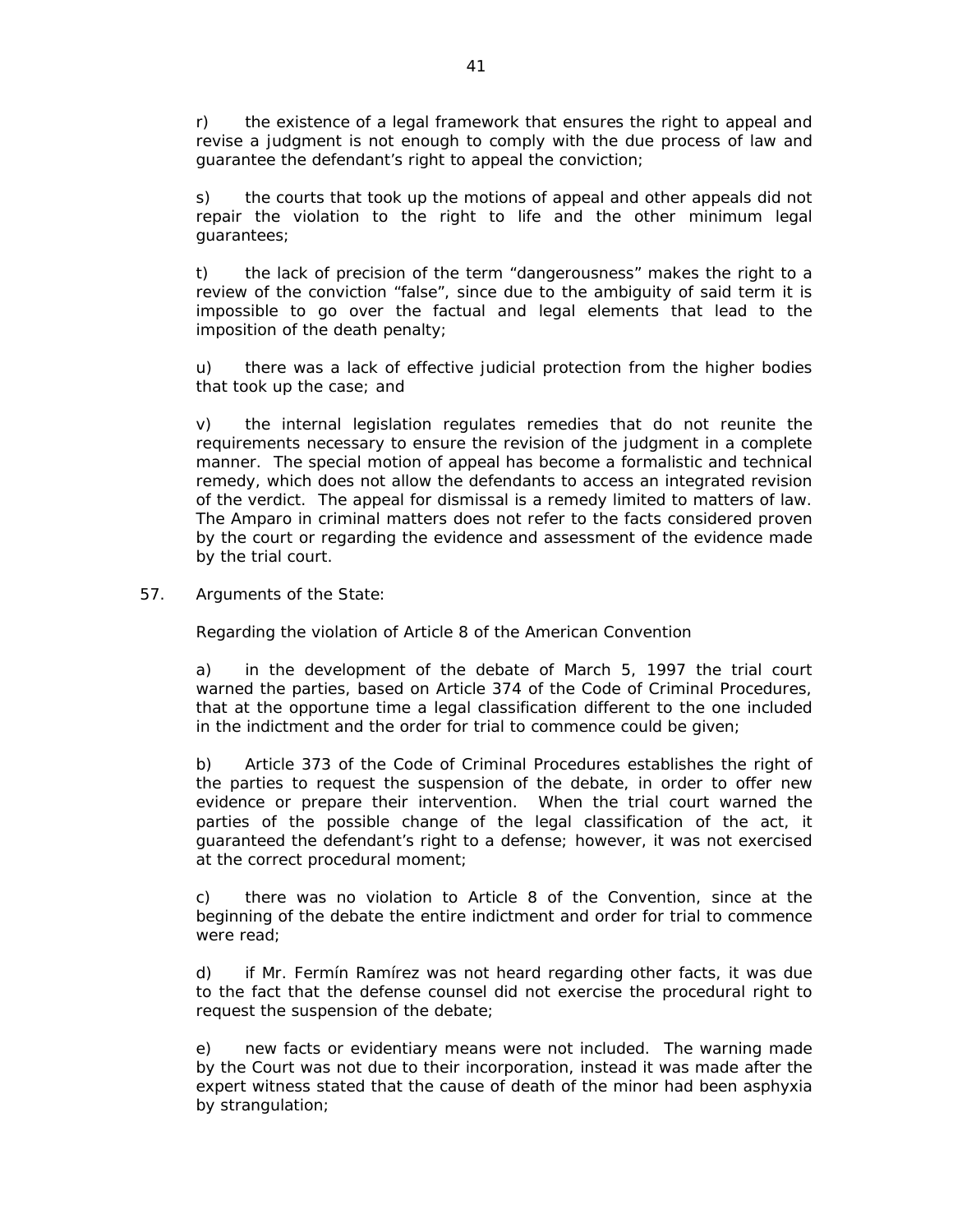r) the existence of a legal framework that ensures the right to appeal and revise a judgment is not enough to comply with the due process of law and guarantee the defendant's right to appeal the conviction;

s) the courts that took up the motions of appeal and other appeals did not repair the violation to the right to life and the other minimum legal guarantees;

t) the lack of precision of the term "dangerousness" makes the right to a review of the conviction "false", since due to the ambiguity of said term it is impossible to go over the factual and legal elements that lead to the imposition of the death penalty;

u) there was a lack of effective judicial protection from the higher bodies that took up the case; and

v) the internal legislation regulates remedies that do not reunite the requirements necessary to ensure the revision of the judgment in a complete manner. The special motion of appeal has become a formalistic and technical remedy, which does not allow the defendants to access an integrated revision of the verdict. The appeal for dismissal is a remedy limited to matters of law. The Amparo in criminal matters does not refer to the facts considered proven by the court or regarding the evidence and assessment of the evidence made by the trial court.

57*. Arguments of the State:* 

*Regarding the violation of Article 8 of the American Convention* 

a) in the development of the debate of March 5, 1997 the trial court warned the parties, based on Article 374 of the Code of Criminal Procedures, that at the opportune time a legal classification different to the one included in the indictment and the order for trial to commence could be given;

b) Article 373 of the Code of Criminal Procedures establishes the right of the parties to request the suspension of the debate, in order to offer new evidence or prepare their intervention. When the trial court warned the parties of the possible change of the legal classification of the act, it guaranteed the defendant's right to a defense; however, it was not exercised at the correct procedural moment;

c) there was no violation to Article 8 of the Convention, since at the beginning of the debate the entire indictment and order for trial to commence were read;

d) if Mr. Fermín Ramírez was not heard regarding other facts, it was due to the fact that the defense counsel did not exercise the procedural right to request the suspension of the debate;

e) new facts or evidentiary means were not included. The warning made by the Court was not due to their incorporation, instead it was made after the expert witness stated that the cause of death of the minor had been asphyxia by strangulation;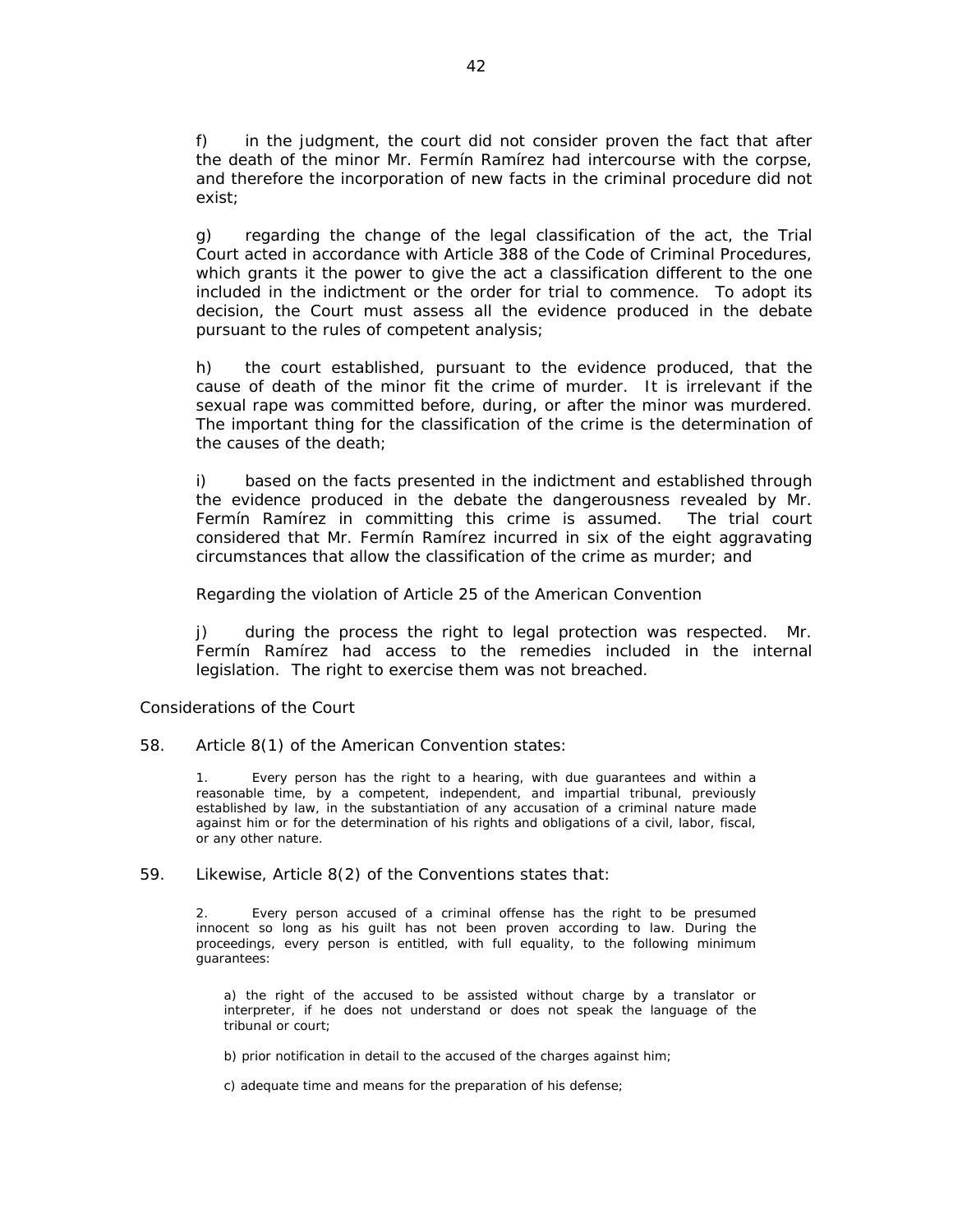f) in the judgment, the court did not consider proven the fact that after the death of the minor Mr. Fermín Ramírez had intercourse with the corpse, and therefore the incorporation of new facts in the criminal procedure did not exist;

g) regarding the change of the legal classification of the act, the Trial Court acted in accordance with Article 388 of the Code of Criminal Procedures, which grants it the power to give the act a classification different to the one included in the indictment or the order for trial to commence. To adopt its decision, the Court must assess all the evidence produced in the debate pursuant to the rules of competent analysis;

h) the court established, pursuant to the evidence produced, that the cause of death of the minor fit the crime of murder. It is irrelevant if the sexual rape was committed before, during, or after the minor was murdered. The important thing for the classification of the crime is the determination of the causes of the death;

i) based on the facts presented in the indictment and established through the evidence produced in the debate the dangerousness revealed by Mr. Fermín Ramírez in committing this crime is assumed. The trial court considered that Mr. Fermín Ramírez incurred in six of the eight aggravating circumstances that allow the classification of the crime as murder; and

### *Regarding the violation of Article 25 of the American Convention*

j) during the process the right to legal protection was respected. Mr. Fermín Ramírez had access to the remedies included in the internal legislation. The right to exercise them was not breached.

#### *Considerations of the Court*

58. Article 8(1) of the American Convention states:

Every person has the right to a hearing, with due guarantees and within a reasonable time, by a competent, independent, and impartial tribunal, previously established by law, in the substantiation of any accusation of a criminal nature made against him or for the determination of his rights and obligations of a civil, labor, fiscal, or any other nature.

#### 59. Likewise, Article 8(2) of the Conventions states that:

2. Every person accused of a criminal offense has the right to be presumed innocent so long as his guilt has not been proven according to law. During the proceedings, every person is entitled, with full equality, to the following minimum .<br>guarantees:

a) the right of the accused to be assisted without charge by a translator or interpreter, if he does not understand or does not speak the language of the tribunal or court;

b) prior notification in detail to the accused of the charges against him;

c) adequate time and means for the preparation of his defense;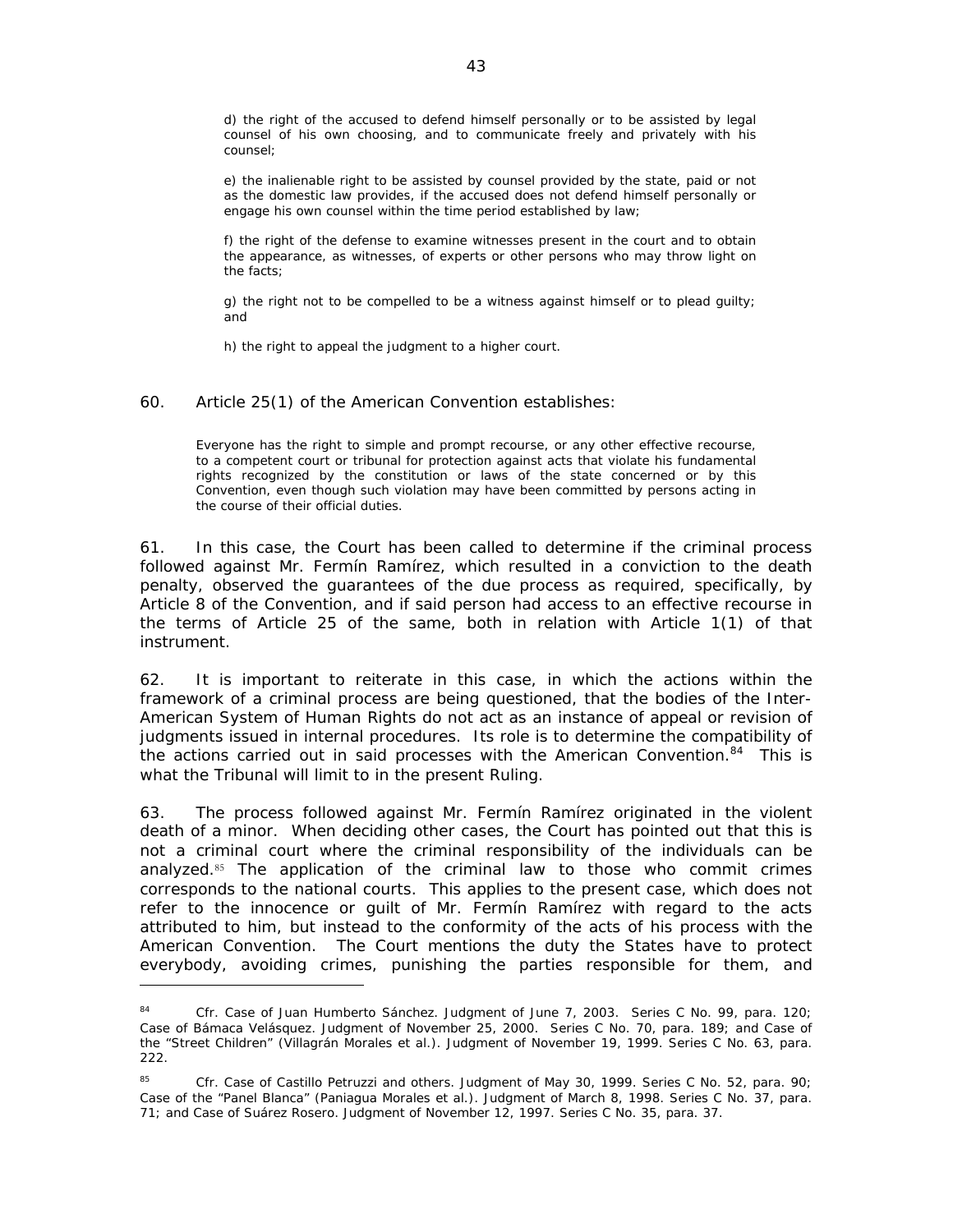d) the right of the accused to defend himself personally or to be assisted by legal counsel of his own choosing, and to communicate freely and privately with his counsel;

e) the inalienable right to be assisted by counsel provided by the state, paid or not as the domestic law provides, if the accused does not defend himself personally or engage his own counsel within the time period established by law;

f) the right of the defense to examine witnesses present in the court and to obtain the appearance, as witnesses, of experts or other persons who may throw light on the facts;

g) the right not to be compelled to be a witness against himself or to plead guilty; and

h) the right to appeal the judgment to a higher court.

60. Article 25(1) of the American Convention establishes:

Everyone has the right to simple and prompt recourse, or any other effective recourse, to a competent court or tribunal for protection against acts that violate his fundamental rights recognized by the constitution or laws of the state concerned or by this Convention, even though such violation may have been committed by persons acting in the course of their official duties.

61. In this case, the Court has been called to determine if the criminal process followed against Mr. Fermín Ramírez, which resulted in a conviction to the death penalty, observed the guarantees of the due process as required, specifically, by Article 8 of the Convention, and if said person had access to an effective recourse in the terms of Article 25 of the same, both in relation with Article 1(1) of that instrument.

62. It is important to reiterate in this case, in which the actions within the framework of a criminal process are being questioned, that the bodies of the Inter-American System of Human Rights do not act as an instance of appeal or revision of judgments issued in internal procedures. Its role is to determine the compatibility of the actions carried out in said processes with the American Convention. $84$  This is what the Tribunal will limit to in the present Ruling.

63. The process followed against Mr. Fermín Ramírez originated in the violent death of a minor. When deciding other cases, the Court has pointed out that this is not a criminal court where the criminal responsibility of the individuals can be analyzed.85 The application of the criminal law to those who commit crimes corresponds to the national courts. This applies to the present case, which does not refer to the innocence or guilt of Mr. Fermín Ramírez with regard to the acts attributed to him, but instead to the conformity of the acts of his process with the American Convention. The Court mentions the duty the States have to protect everybody, avoiding crimes, punishing the parties responsible for them, and

<sup>84</sup> *Cfr. Case of Juan Humberto Sánchez.* Judgment of June 7, 2003. Series C No. 99, para. 120; *Case of Bámaca Velásquez.* Judgment of November 25, 2000. Series C No. 70, para. 189; and *Case of the "Street Children" (Villagrán Morales et al.).* Judgment of November 19, 1999. Series C No. 63, para. 222.

<sup>85</sup> *Cfr. Case of Castillo Petruzzi and others.* Judgment of May 30, 1999. Series C No. 52, para. 90; *Case of the "Panel Blanca" (Paniagua Morales et al.).* Judgment of March 8, 1998. Series C No. 37, para. 71; and *Case of Suárez Rosero.* Judgment of November 12, 1997. Series C No. 35, para. 37.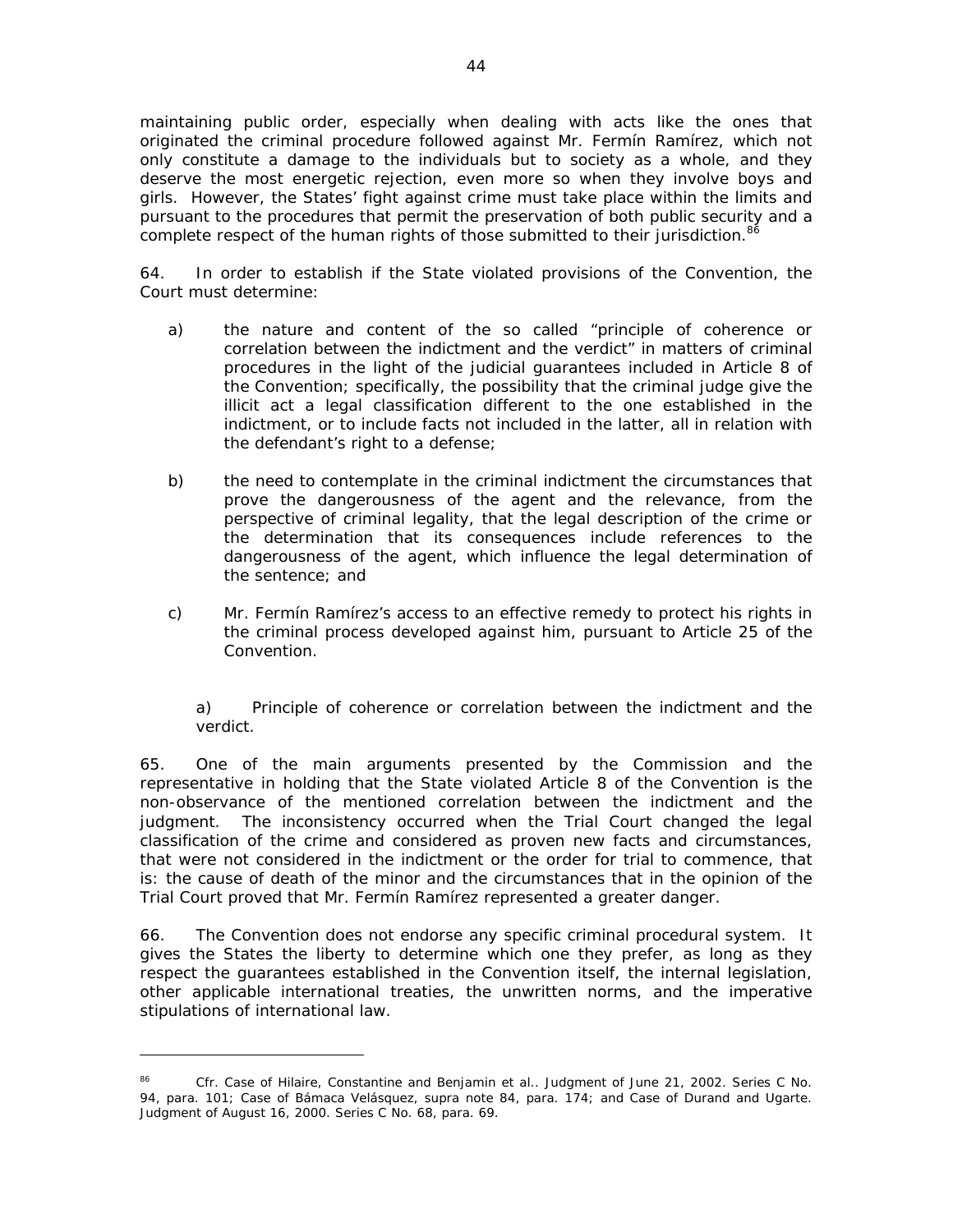maintaining public order, especially when dealing with acts like the ones that originated the criminal procedure followed against Mr. Fermín Ramírez, which not only constitute a damage to the individuals but to society as a whole, and they deserve the most energetic rejection, even more so when they involve boys and girls. However, the States' fight against crime must take place within the limits and pursuant to the procedures that permit the preservation of both public security and a complete respect of the human rights of those submitted to their jurisdiction.<sup>86</sup>

64. In order to establish if the State violated provisions of the Convention, the Court must determine:

- a) the nature and content of the so called "principle of coherence or correlation between the indictment and the verdict" in matters of criminal procedures in the light of the judicial guarantees included in Article 8 of the Convention; specifically, the possibility that the criminal judge give the illicit act a legal classification different to the one established in the indictment, or to include facts not included in the latter, all in relation with the defendant's right to a defense;
- b) the need to contemplate in the criminal indictment the circumstances that prove the dangerousness of the agent and the relevance, from the perspective of criminal legality, that the legal description of the crime or the determination that its consequences include references to the dangerousness of the agent, which influence the legal determination of the sentence; and
- c) Mr. Fermín Ramírez's access to an effective remedy to protect his rights in the criminal process developed against him, pursuant to Article 25 of the Convention.

### *a) Principle of coherence or correlation between the indictment and the verdict.*

65. One of the main arguments presented by the Commission and the representative in holding that the State violated Article 8 of the Convention is the non-observance of the mentioned correlation between the indictment and the judgment. The inconsistency occurred when the Trial Court changed the legal classification of the crime and considered as proven new facts and circumstances, that were not considered in the indictment or the order for trial to commence, that is: the cause of death of the minor and the circumstances that in the opinion of the Trial Court proved that Mr. Fermín Ramírez represented a greater danger.

66. The Convention does not endorse any specific criminal procedural system. It gives the States the liberty to determine which one they prefer, as long as they respect the guarantees established in the Convention itself, the internal legislation, other applicable international treaties, the unwritten norms, and the imperative stipulations of international law.

<sup>86</sup> *Cfr. Case of Hilaire, Constantine and Benjamin et al.*. Judgment of June 21, 2002. Series C No. 94, para. 101; *Case of Bámaca Velásquez*, *supra* note 84, para. 174; and *Case of Durand and Ugarte*. Judgment of August 16, 2000. Series C No. 68, para. 69.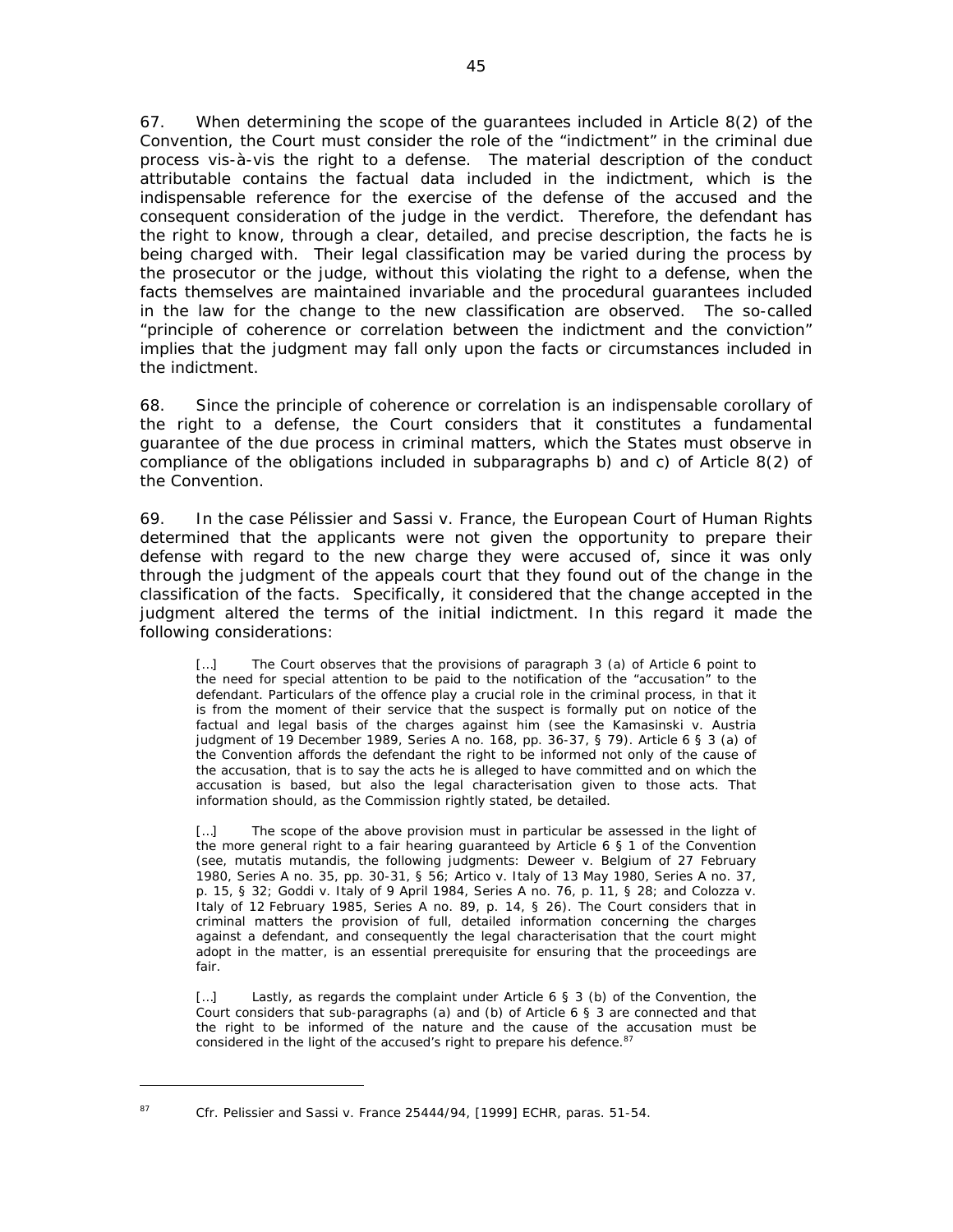67. When determining the scope of the guarantees included in Article 8(2) of the Convention, the Court must consider the role of the "indictment" in the criminal due process *vis-à-vis* the right to a defense. The material description of the conduct attributable contains the factual data included in the indictment, which is the indispensable reference for the exercise of the defense of the accused and the consequent consideration of the judge in the verdict. Therefore, the defendant has the right to know, through a clear, detailed, and precise description, the facts he is being charged with. Their legal classification may be varied during the process by the prosecutor or the judge, without this violating the right to a defense, when the facts themselves are maintained invariable and the procedural guarantees included in the law for the change to the new classification are observed. The so-called "principle of coherence or correlation between the indictment and the conviction" implies that the judgment may fall only upon the facts or circumstances included in the indictment.

68. Since the principle of coherence or correlation is an indispensable corollary of the right to a defense, the Court considers that it constitutes a fundamental guarantee of the due process in criminal matters, which the States must observe in compliance of the obligations included in subparagraphs b) and c) of Article 8(2) of the Convention.

69. In the case *Pélissier and Sassi v.* France, the European Court of Human Rights determined that the applicants were not given the opportunity to prepare their defense with regard to the new charge they were accused of, since it was only through the judgment of the appeals court that they found out of the change in the classification of the facts. Specifically, it considered that the change accepted in the judgment altered the terms of the initial indictment. In this regard it made the following considerations:

[...] The Court observes that the provisions of paragraph 3 (a) of Article 6 point to the need for special attention to be paid to the notification of the "accusation" to the defendant. Particulars of the offence play a crucial role in the criminal process, in that it is from the moment of their service that the suspect is formally put on notice of the factual and legal basis of the charges against him (see the Kamasinski v. Austria judgment of 19 December 1989, Series A no. 168, pp. 36-37, § 79). Article 6 § 3 (a) of the Convention affords the defendant the right to be informed not only of the cause of the accusation, that is to say the acts he is alleged to have committed and on which the accusation is based, but also the legal characterisation given to those acts. That information should, as the Commission rightly stated, be detailed.

[...] The scope of the above provision must in particular be assessed in the light of the more general right to a fair hearing guaranteed by Article  $6 \n\leq 1$  of the Convention (see, mutatis mutandis, the following judgments: Deweer v. Belgium of 27 February 1980, Series A no. 35, pp. 30-31, § 56; Artico v. Italy of 13 May 1980, Series A no. 37, p. 15, § 32; Goddi v. Italy of 9 April 1984, Series A no. 76, p. 11, § 28; and Colozza v. Italy of 12 February 1985, Series A no. 89, p. 14, § 26). The Court considers that in criminal matters the provision of full, detailed information concerning the charges against a defendant, and consequently the legal characterisation that the court might adopt in the matter, is an essential prerequisite for ensuring that the proceedings are fair.

[...] Lastly, as regards the complaint under Article 6 § 3 (b) of the Convention, the Court considers that sub-paragraphs (a) and (b) of Article 6 § 3 are connected and that the right to be informed of the nature and the cause of the accusation must be considered in the light of the accused's right to prepare his defence.<sup>8</sup>

<sup>87</sup> *Cfr. Pelissier and Sassi v. France 25444/94, [1999] ECHR, paras*. 51-54.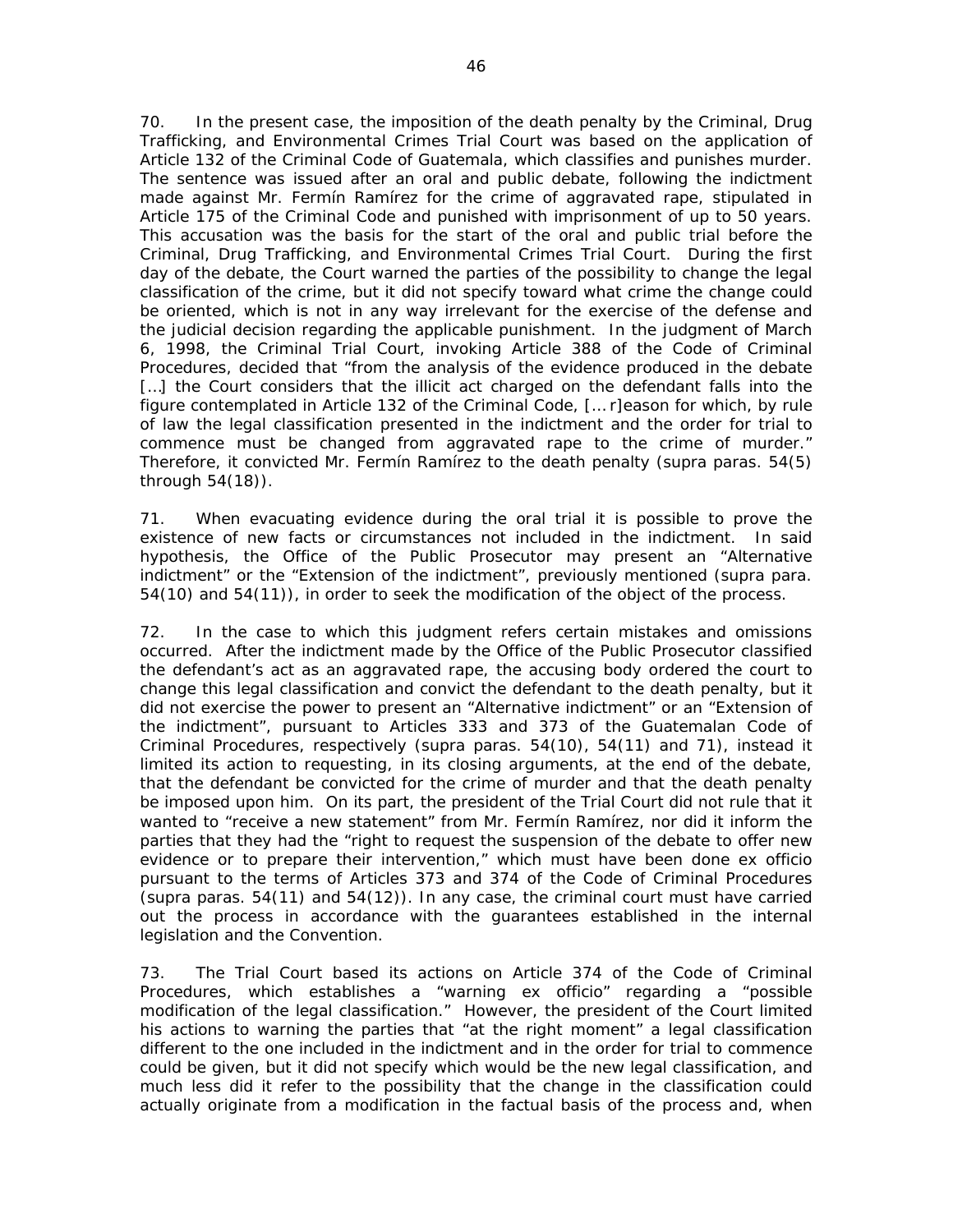70. In the present case, the imposition of the death penalty by the Criminal, Drug Trafficking, and Environmental Crimes Trial Court was based on the application of Article 132 of the Criminal Code of Guatemala, which classifies and punishes murder. The sentence was issued after an oral and public debate, following the indictment made against Mr. Fermín Ramírez for the crime of aggravated rape, stipulated in Article 175 of the Criminal Code and punished with imprisonment of up to 50 years. This accusation was the basis for the start of the oral and public trial before the Criminal, Drug Trafficking, and Environmental Crimes Trial Court. During the first day of the debate, the Court warned the parties of the possibility to change the legal classification of the crime, but it did not specify toward what crime the change could be oriented, which is not in any way irrelevant for the exercise of the defense and the judicial decision regarding the applicable punishment. In the judgment of March 6, 1998, the Criminal Trial Court, invoking Article 388 of the Code of Criminal Procedures, decided that "from the analysis of the evidence produced in the debate [...] the Court considers that the illicit act charged on the defendant falls into the figure contemplated in Article 132 of the Criminal Code, [… r]eason for which, by rule of law the legal classification presented in the indictment and the order for trial to commence must be changed from aggravated rape to the crime of murder." Therefore, it convicted Mr. Fermín Ramírez to the death penalty (*supra* paras. 54(5) through 54(18)).

71. When evacuating evidence during the oral trial it is possible to prove the existence of new facts or circumstances not included in the indictment. In said hypothesis, the Office of the Public Prosecutor may present an "Alternative indictment" or the "Extension of the indictment", previously mentioned (*supra* para. 54(10) and 54(11)), in order to seek the modification of the object of the process.

72. In the case to which this judgment refers certain mistakes and omissions occurred. After the indictment made by the Office of the Public Prosecutor classified the defendant's act as an aggravated rape, the accusing body ordered the court to change this legal classification and convict the defendant to the death penalty, but it did not exercise the power to present an "Alternative indictment" or an "Extension of the indictment", pursuant to Articles 333 and 373 of the Guatemalan Code of Criminal Procedures, respectively (*supra* paras. 54(10), 54(11) and 71), instead it limited its action to requesting, in its closing arguments, at the end of the debate, that the defendant be convicted for the crime of murder and that the death penalty be imposed upon him. On its part, the president of the Trial Court did not rule that it wanted to "receive a new statement" from Mr. Fermín Ramírez, nor did it inform the parties that they had the "right to request the suspension of the debate to offer new evidence or to prepare their intervention," which must have been done ex officio pursuant to the terms of Articles 373 and 374 of the Code of Criminal Procedures (*supra* paras. 54(11) and 54(12)). In any case, the criminal court must have carried out the process in accordance with the guarantees established in the internal legislation and the Convention.

73. The Trial Court based its actions on Article 374 of the Code of Criminal Procedures, which establishes a "warning ex officio" regarding a "possible modification of the legal classification." However, the president of the Court limited his actions to warning the parties that "at the right moment" a legal classification different to the one included in the indictment and in the order for trial to commence could be given, but it did not specify which would be the new legal classification, and much less did it refer to the possibility that the change in the classification could actually originate from a modification in the factual basis of the process and, when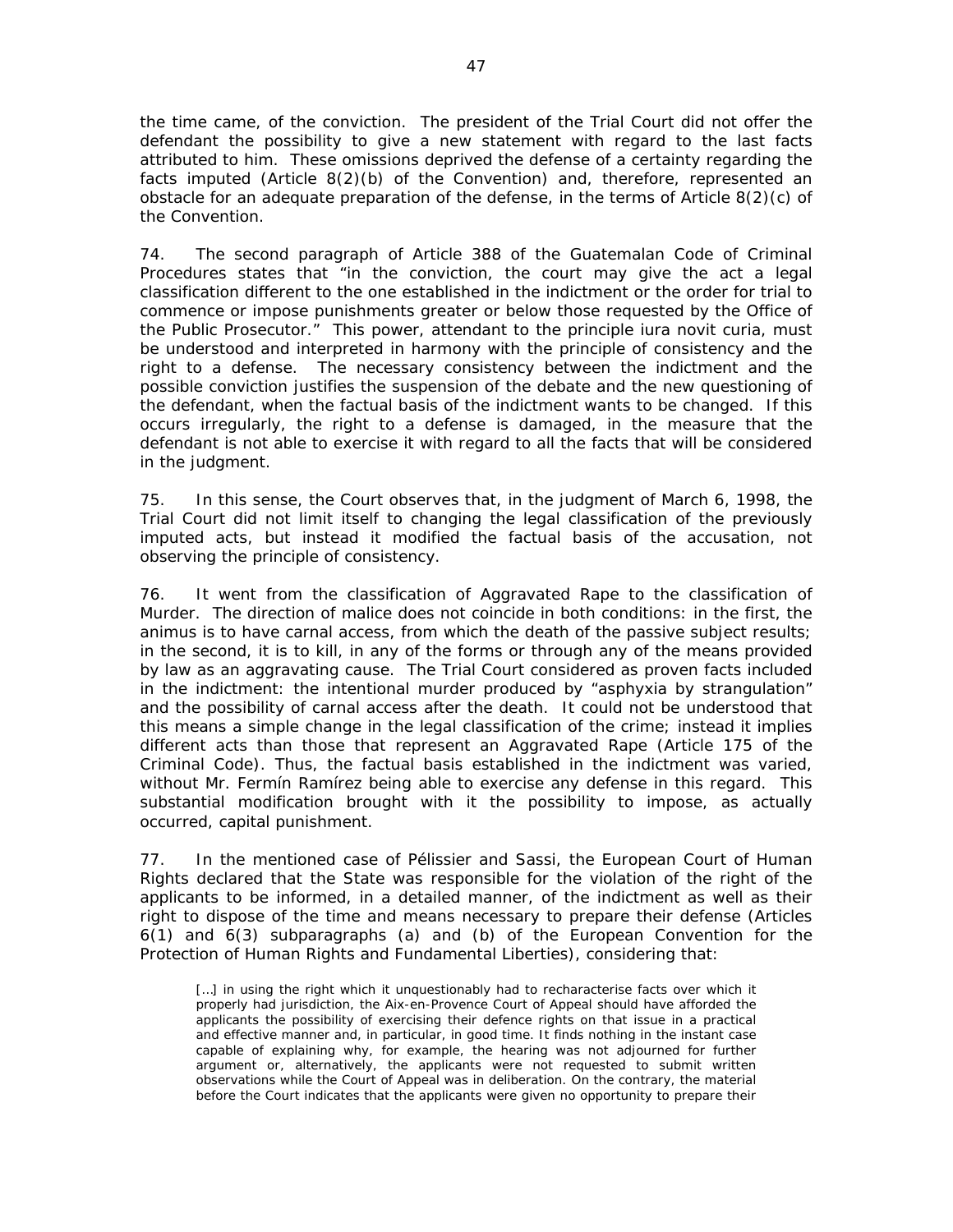the time came, of the conviction. The president of the Trial Court did not offer the defendant the possibility to give a new statement with regard to the last facts attributed to him. These omissions deprived the defense of a certainty regarding the facts imputed (Article 8(2)(b) of the Convention) and, therefore, represented an obstacle for an adequate preparation of the defense, in the terms of Article 8(2)(c) of the Convention.

74. The second paragraph of Article 388 of the Guatemalan Code of Criminal Procedures states that "in the conviction, the court may give the act a legal classification different to the one established in the indictment or the order for trial to commence or impose punishments greater or below those requested by the Office of the Public Prosecutor." This power, attendant to the principle *iura novit curia*, must be understood and interpreted in harmony with the principle of consistency and the right to a defense. The necessary consistency between the indictment and the possible conviction justifies the suspension of the debate and the new questioning of the defendant, when the factual basis of the indictment wants to be changed. If this occurs irregularly, the right to a defense is damaged, in the measure that the defendant is not able to exercise it with regard to all the facts that will be considered in the judgment.

75. In this sense, the Court observes that, in the judgment of March 6, 1998, the Trial Court did not limit itself to changing the legal classification of the previously imputed acts, but instead it modified the factual basis of the accusation, not observing the principle of consistency.

76. It went from the classification of Aggravated Rape to the classification of Murder. The direction of malice does not coincide in both conditions: in the first, the *animus* is to have carnal access, from which the death of the passive subject results; in the second, it is to kill, in any of the forms or through any of the means provided by law as an aggravating cause. The Trial Court considered as proven facts included in the indictment: the intentional murder produced by "asphyxia by strangulation" and the possibility of carnal access after the death. It could not be understood that this means a simple change in the legal classification of the crime; instead it implies different acts than those that represent an Aggravated Rape (Article 175 of the Criminal Code). Thus, the factual basis established in the indictment was varied, without Mr. Fermín Ramírez being able to exercise any defense in this regard. This substantial modification brought with it the possibility to impose, as actually occurred, capital punishment.

77. In the mentioned case of *Pélissier* and *Sassi*, the European Court of Human Rights declared that the State was responsible for the violation of the right of the applicants to be informed, in a detailed manner, of the indictment as well as their right to dispose of the time and means necessary to prepare their defense (Articles 6(1) and 6(3) subparagraphs (a) and (b) of the European Convention for the Protection of Human Rights and Fundamental Liberties), considering that:

[...] in using the right which it unquestionably had to recharacterise facts over which it properly had jurisdiction, the Aix-en-Provence Court of Appeal should have afforded the applicants the possibility of exercising their defence rights on that issue in a practical and effective manner and, in particular, in good time. It finds nothing in the instant case capable of explaining why, for example, the hearing was not adjourned for further argument or, alternatively, the applicants were not requested to submit written observations while the Court of Appeal was in deliberation. On the contrary, the material before the Court indicates that the applicants were given no opportunity to prepare their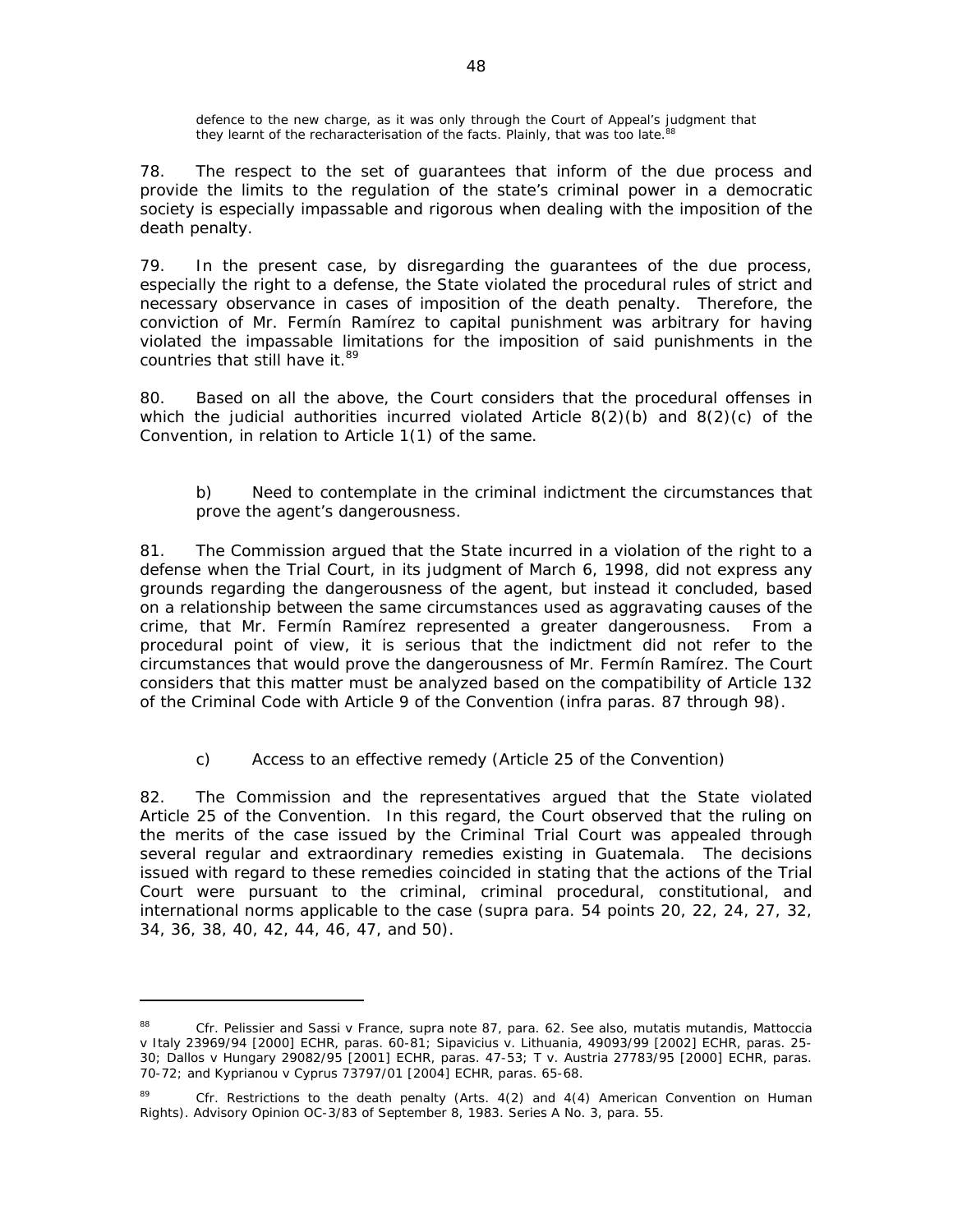defence to the new charge, as it was only through the Court of Appeal's judgment that they learnt of the recharacterisation of the facts. Plainly, that was too late.<sup>8</sup>

78. The respect to the set of guarantees that inform of the due process and provide the limits to the regulation of the state's criminal power in a democratic society is especially impassable and rigorous when dealing with the imposition of the death penalty.

79. In the present case, by disregarding the guarantees of the due process, especially the right to a defense, the State violated the procedural rules of strict and necessary observance in cases of imposition of the death penalty. Therefore, the conviction of Mr. Fermín Ramírez to capital punishment was arbitrary for having violated the impassable limitations for the imposition of said punishments in the countries that still have it.<sup>89</sup>

80. Based on all the above, the Court considers that the procedural offenses in which the judicial authorities incurred violated Article 8(2)(b) and 8(2)(c) of the Convention, in relation to Article 1(1) of the same.

## *b) Need to contemplate in the criminal indictment the circumstances that prove the agent's dangerousness.*

81. The Commission argued that the State incurred in a violation of the right to a defense when the Trial Court, in its judgment of March 6, 1998, did not express any grounds regarding the dangerousness of the agent, but instead it concluded, based on a relationship between the same circumstances used as aggravating causes of the crime, that Mr. Fermín Ramírez represented a greater dangerousness. From a procedural point of view, it is serious that the indictment did not refer to the circumstances that would prove the dangerousness of Mr. Fermín Ramírez. The Court considers that this matter must be analyzed based on the compatibility of Article 132 of the Criminal Code with Article 9 of the Convention (*infra* paras. 87 through 98).

# *c) Access to an effective remedy (Article 25 of the Convention)*

82. The Commission and the representatives argued that the State violated Article 25 of the Convention. In this regard, the Court observed that the ruling on the merits of the case issued by the Criminal Trial Court was appealed through several regular and extraordinary remedies existing in Guatemala. The decisions issued with regard to these remedies coincided in stating that the actions of the Trial Court were pursuant to the criminal, criminal procedural, constitutional, and international norms applicable to the case (*supra* para. 54 points 20, 22, 24, 27, 32, 34, 36, 38, 40, 42, 44, 46, 47, and 50).

<sup>88</sup> *Cfr. Pelissier and Sassi v France*, *supra* note 87, para. 62. See also, *mutatis mutandis, Mattoccia v Italy 23969/94 [2000] ECHR*, paras. 60-81; *Sipavicius v. Lithuania*, *49093/99 [2002] ECHR*, paras. 25- 30; *Dallos v Hungary 29082/95 [2001] ECHR*, paras. 47-53; *T v. Austria 27783/95 [2000] ECHR*, paras. 70-72; and *Kyprianou v Cyprus 73797/01 [2004] ECHR*, paras. 65-68.

<sup>89</sup> *Cfr. Restrictions to the death penalty* (Arts. 4(2) and 4(4) American Convention on Human Rights). Advisory Opinion OC-3/83 of September 8, 1983. Series A No. 3, para. 55.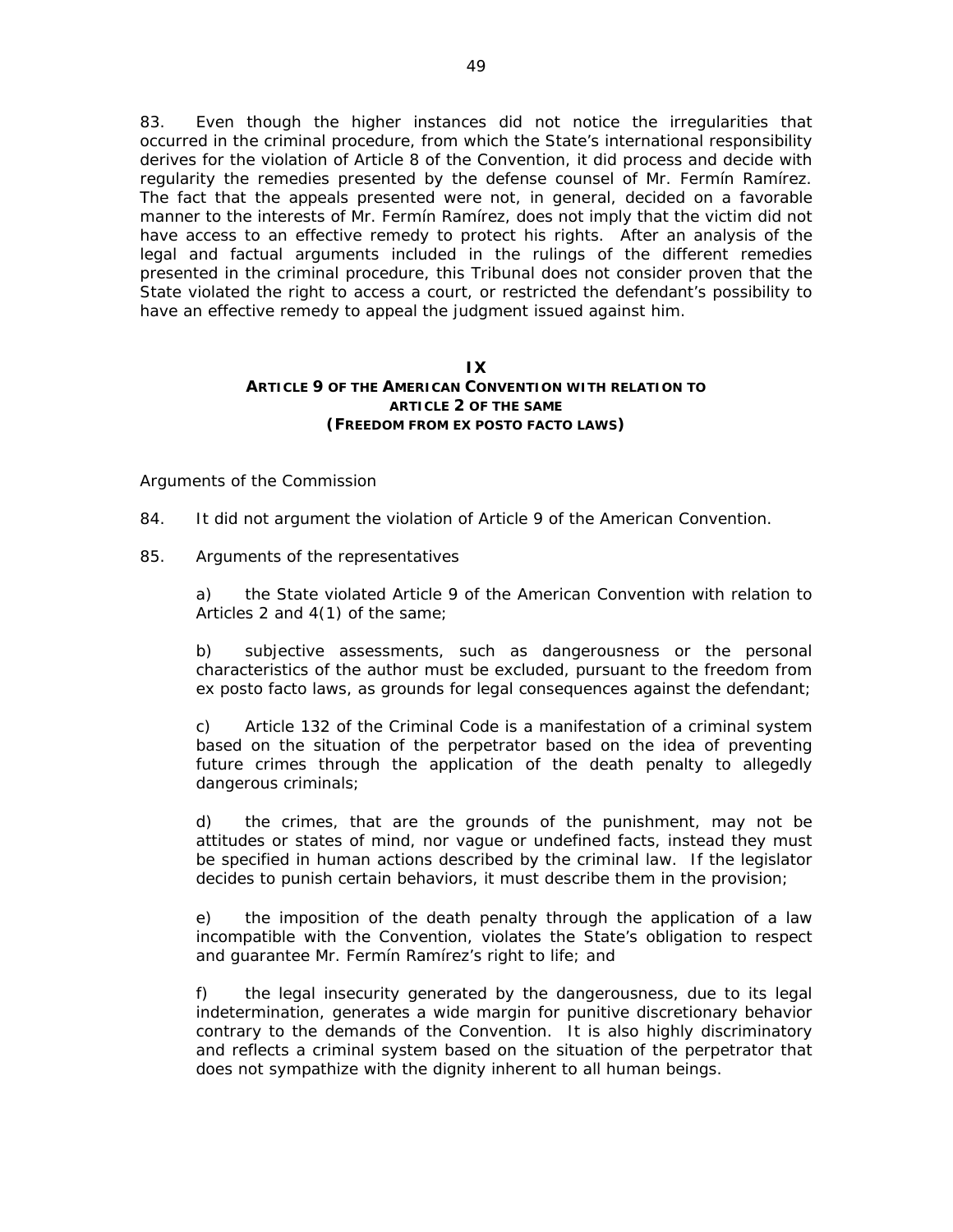83. Even though the higher instances did not notice the irregularities that occurred in the criminal procedure, from which the State's international responsibility derives for the violation of Article 8 of the Convention, it did process and decide with regularity the remedies presented by the defense counsel of Mr. Fermín Ramírez. The fact that the appeals presented were not, in general, decided on a favorable manner to the interests of Mr. Fermín Ramírez, does not imply that the victim did not have access to an effective remedy to protect his rights. After an analysis of the legal and factual arguments included in the rulings of the different remedies presented in the criminal procedure, this Tribunal does not consider proven that the State violated the right to access a court, or restricted the defendant's possibility to have an effective remedy to appeal the judgment issued against him.

### **IX ARTICLE 9 OF THE AMERICAN CONVENTION WITH RELATION TO ARTICLE 2 OF THE SAME (FREEDOM FROM EX POSTO FACTO LAWS)**

### *Arguments of the Commission*

- 84. It did not argument the violation of Article 9 of the American Convention.
- 85*. Arguments of the representatives*

a) the State violated Article 9 of the American Convention with relation to Articles 2 and 4(1) of the same;

b) subjective assessments, such as dangerousness or the personal characteristics of the author must be excluded, pursuant to the freedom from ex posto facto laws, as grounds for legal consequences against the defendant;

c) Article 132 of the Criminal Code is a manifestation of a criminal system based on the situation of the perpetrator based on the idea of preventing future crimes through the application of the death penalty to allegedly dangerous criminals;

d) the crimes, that are the grounds of the punishment, may not be attitudes or states of mind, nor vague or undefined facts, instead they must be specified in human actions described by the criminal law. If the legislator decides to punish certain behaviors, it must describe them in the provision;

e) the imposition of the death penalty through the application of a law incompatible with the Convention, violates the State's obligation to respect and guarantee Mr. Fermín Ramírez's right to life; and

f) the legal insecurity generated by the dangerousness, due to its legal indetermination, generates a wide margin for punitive discretionary behavior contrary to the demands of the Convention. It is also highly discriminatory and reflects a criminal system based on the situation of the perpetrator that does not sympathize with the dignity inherent to all human beings.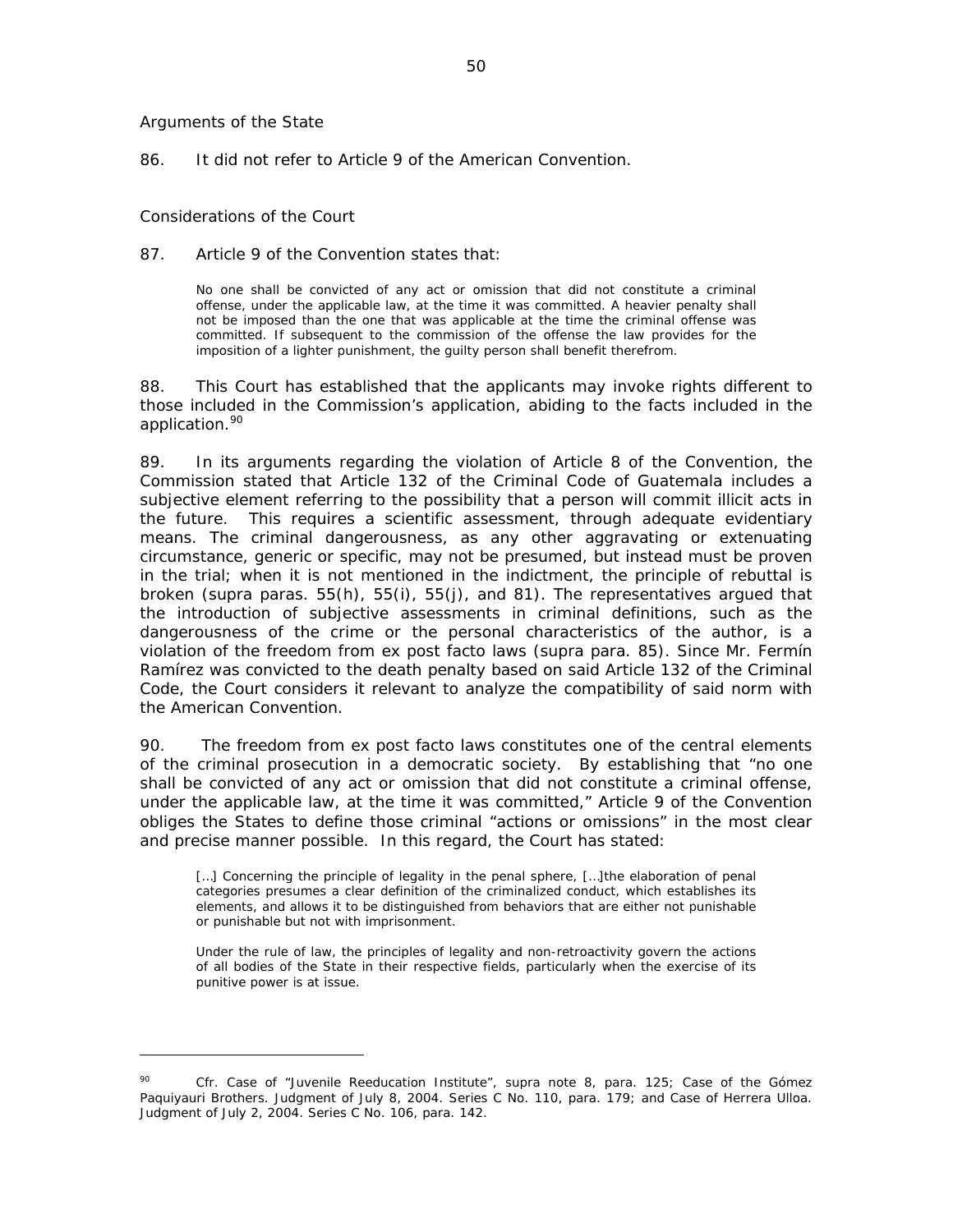#### *Arguments of the State*

86. It did not refer to Article 9 of the American Convention.

#### *Considerations of the Court*

 $\overline{a}$ 

#### 87. Article 9 of the Convention states that:

No one shall be convicted of any act or omission that did not constitute a criminal offense, under the applicable law, at the time it was committed. A heavier penalty shall not be imposed than the one that was applicable at the time the criminal offense was committed. If subsequent to the commission of the offense the law provides for the imposition of a lighter punishment, the guilty person shall benefit therefrom.

88. This Court has established that the applicants may invoke rights different to those included in the Commission's application, abiding to the facts included in the application.<sup>90</sup>

89. In its arguments regarding the violation of Article 8 of the Convention, the Commission stated that Article 132 of the Criminal Code of Guatemala includes a subjective element referring to the possibility that a person will commit illicit acts in the future. This requires a scientific assessment, through adequate evidentiary means. The criminal dangerousness, as any other aggravating or extenuating circumstance, generic or specific, may not be presumed, but instead must be proven in the trial; when it is not mentioned in the indictment, the principle of rebuttal is broken (*supra* paras. 55(h), 55(i), 55(j), and 81). The representatives argued that the introduction of subjective assessments in criminal definitions, such as the dangerousness of the crime or the personal characteristics of the author, is a violation of the freedom from ex post facto laws (*supra* para. 85). Since Mr. Fermín Ramírez was convicted to the death penalty based on said Article 132 of the Criminal Code, the Court considers it relevant to analyze the compatibility of said norm with the American Convention.

90. The freedom from ex post facto laws constitutes one of the central elements of the criminal prosecution in a democratic society. By establishing that "no one shall be convicted of any act or omission that did not constitute a criminal offense, under the applicable law, at the time it was committed," Article 9 of the Convention obliges the States to define those criminal "actions or omissions" in the most clear and precise manner possible. In this regard, the Court has stated:

[...] Concerning the principle of legality in the penal sphere, [...] the elaboration of penal categories presumes a clear definition of the criminalized conduct, which establishes its elements, and allows it to be distinguished from behaviors that are either not punishable or punishable but not with imprisonment.

Under the rule of law, the principles of legality and non-retroactivity govern the actions of all bodies of the State in their respective fields, particularly when the exercise of its punitive power is at issue.

<sup>90</sup> *Cfr. Case of "Juvenile Reeducation Institute", supra* note 8, para. 125; *Case of the Gómez Paquiyauri Brothers.* Judgment of July 8, 2004. Series C No. 110, para. 179; and *Case of Herrera Ulloa.*  Judgment of July 2, 2004. Series C No. 106, para. 142.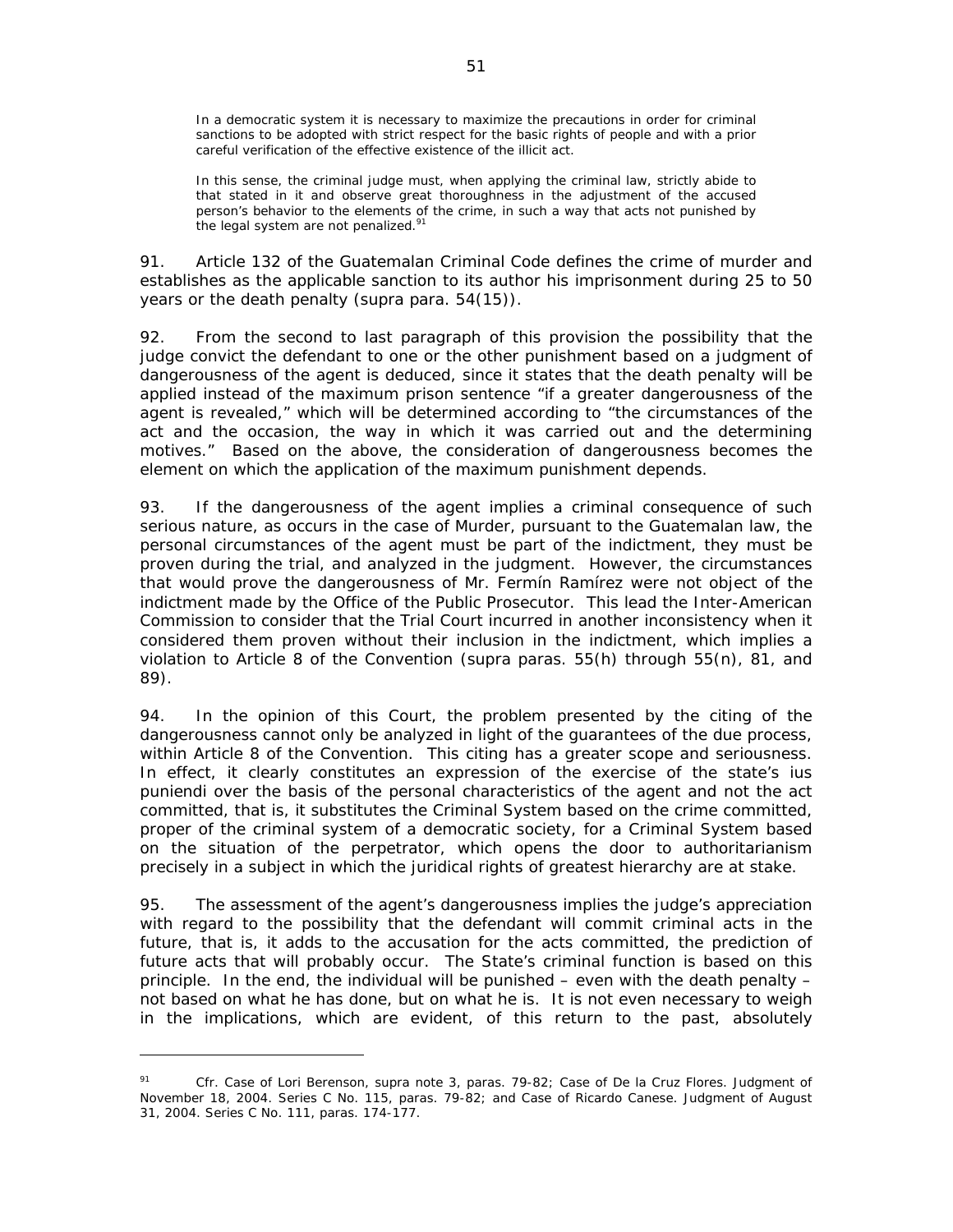In a democratic system it is necessary to maximize the precautions in order for criminal sanctions to be adopted with strict respect for the basic rights of people and with a prior careful verification of the effective existence of the illicit act.

In this sense, the criminal judge must, when applying the criminal law, strictly abide to that stated in it and observe great thoroughness in the adjustment of the accused person's behavior to the elements of the crime, in such a way that acts not punished by the legal system are not penalized. $91$ 

91. Article 132 of the Guatemalan Criminal Code defines the crime of murder and establishes as the applicable sanction to its author his imprisonment during 25 to 50 years or the death penalty (*supra* para. 54(15)).

92. From the second to last paragraph of this provision the possibility that the judge convict the defendant to one or the other punishment based on a judgment of dangerousness of the agent is deduced, since it states that the death penalty will be applied instead of the maximum prison sentence "if a greater dangerousness of the agent is revealed," which will be determined according to "the circumstances of the act and the occasion, the way in which it was carried out and the determining motives." Based on the above, the consideration of dangerousness becomes the element on which the application of the maximum punishment depends.

93. If the dangerousness of the agent implies a criminal consequence of such serious nature, as occurs in the case of Murder, pursuant to the Guatemalan law, the personal circumstances of the agent must be part of the indictment, they must be proven during the trial, and analyzed in the judgment. However, the circumstances that would prove the dangerousness of Mr. Fermín Ramírez were not object of the indictment made by the Office of the Public Prosecutor. This lead the Inter-American Commission to consider that the Trial Court incurred in another inconsistency when it considered them proven without their inclusion in the indictment, which implies a violation to Article 8 of the Convention (*supra* paras. 55(h) through 55(n), 81, and 89).

94. In the opinion of this Court, the problem presented by the citing of the dangerousness cannot only be analyzed in light of the guarantees of the due process, within Article 8 of the Convention. This citing has a greater scope and seriousness. In effect, it clearly constitutes an expression of the exercise of the state's *ius puniendi* over the basis of the personal characteristics of the agent and not the act committed, that is, it substitutes the Criminal System based on the crime committed, proper of the criminal system of a democratic society, for a Criminal System based on the situation of the perpetrator, which opens the door to authoritarianism precisely in a subject in which the juridical rights of greatest hierarchy are at stake.

95. The assessment of the agent's dangerousness implies the judge's appreciation with regard to the possibility that the defendant will commit criminal acts in the future, that is, it adds to the accusation for the acts committed, the prediction of future acts that will probably occur. The State's criminal function is based on this principle. In the end, the individual will be punished – even with the death penalty – not based on what he has done, but on what he is. It is not even necessary to weigh in the implications, which are evident, of this return to the past, absolutely

<sup>91</sup> *Cfr. Case of Lori Berenson, supra* note 3*,* paras. 79-82; *Case of De la Cruz Flores*. Judgment of November 18, 2004. Series C No. 115, paras. 79-82; and *Case of Ricardo Canese*. Judgment of August 31, 2004. Series C No. 111, paras. 174-177.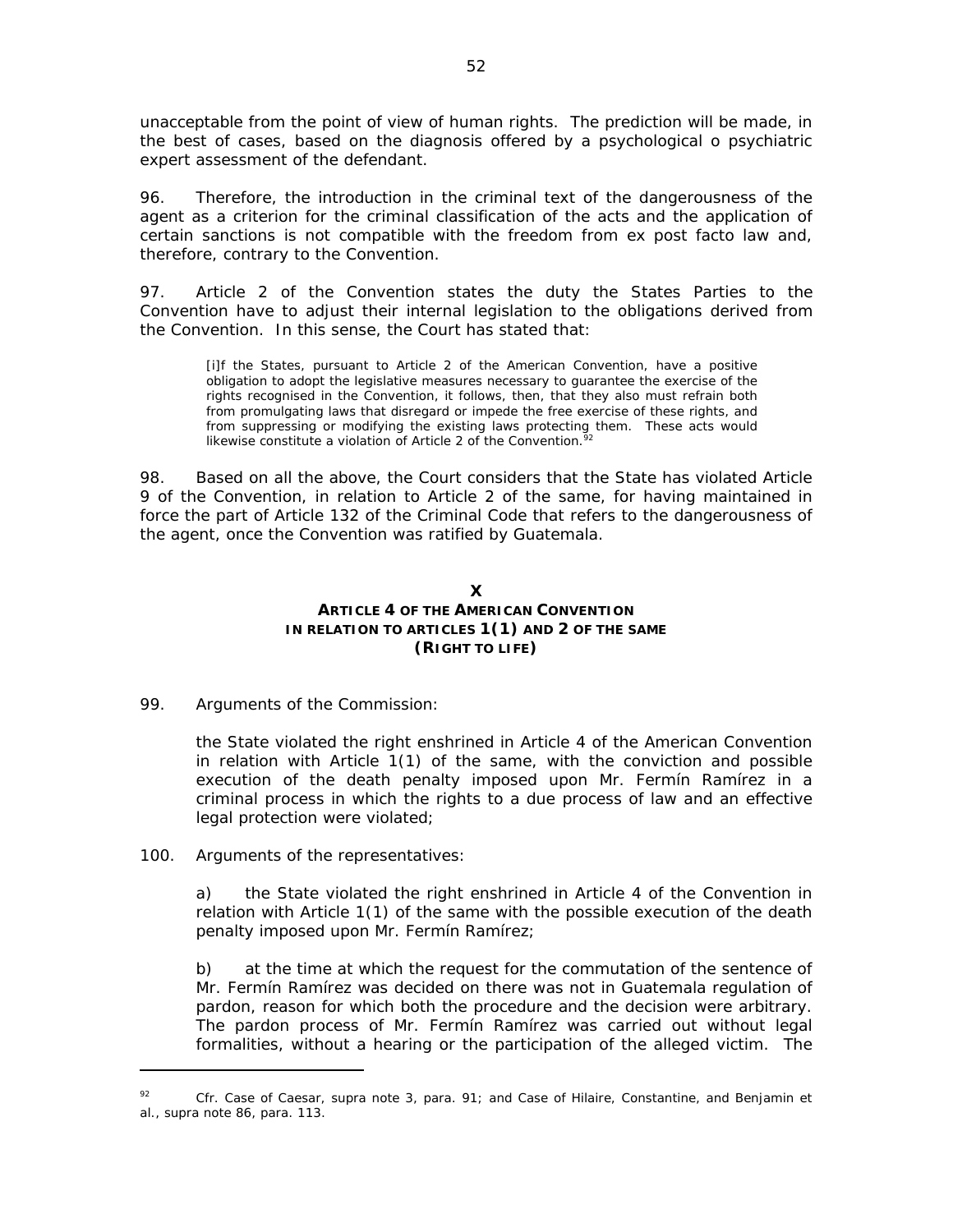unacceptable from the point of view of human rights. The prediction will be made, in the best of cases, based on the diagnosis offered by a psychological o psychiatric expert assessment of the defendant.

96. Therefore, the introduction in the criminal text of the dangerousness of the agent as a criterion for the criminal classification of the acts and the application of certain sanctions is not compatible with the freedom from ex post facto law and, therefore, contrary to the Convention.

97. Article 2 of the Convention states the duty the States Parties to the Convention have to adjust their internal legislation to the obligations derived from the Convention. In this sense, the Court has stated that:

[i]f the States, pursuant to Article 2 of the American Convention, have a positive obligation to adopt the legislative measures necessary to guarantee the exercise of the rights recognised in the Convention, it follows, then, that they also must refrain both from promulgating laws that disregard or impede the free exercise of these rights, and from suppressing or modifying the existing laws protecting them. These acts would likewise constitute a violation of Article 2 of the Convention.  $\frac{5}{2}$ 

98. Based on all the above, the Court considers that the State has violated Article 9 of the Convention, in relation to Article 2 of the same, for having maintained in force the part of Article 132 of the Criminal Code that refers to the dangerousness of the agent, once the Convention was ratified by Guatemala.

## **X ARTICLE 4 OF THE AMERICAN CONVENTION IN RELATION TO ARTICLES 1(1) AND 2 OF THE SAME (RIGHT TO LIFE)**

### 99*. Arguments of the Commission:*

the State violated the right enshrined in Article 4 of the American Convention in relation with Article 1(1) of the same, with the conviction and possible execution of the death penalty imposed upon Mr. Fermín Ramírez in a criminal process in which the rights to a due process of law and an effective legal protection were violated;

### 100. *Arguments of the representatives:*

 $\overline{a}$ 

a) the State violated the right enshrined in Article 4 of the Convention in relation with Article 1(1) of the same with the possible execution of the death penalty imposed upon Mr. Fermín Ramírez;

b) at the time at which the request for the commutation of the sentence of Mr. Fermín Ramírez was decided on there was not in Guatemala regulation of pardon, reason for which both the procedure and the decision were arbitrary. The pardon process of Mr. Fermín Ramírez was carried out without legal formalities, without a hearing or the participation of the alleged victim. The

<sup>92</sup> *Cfr. Case of Caesar, supra* note 3, para. 91; and *Case of Hilaire, Constantine, and Benjamin et al., supra* note 86, para. 113.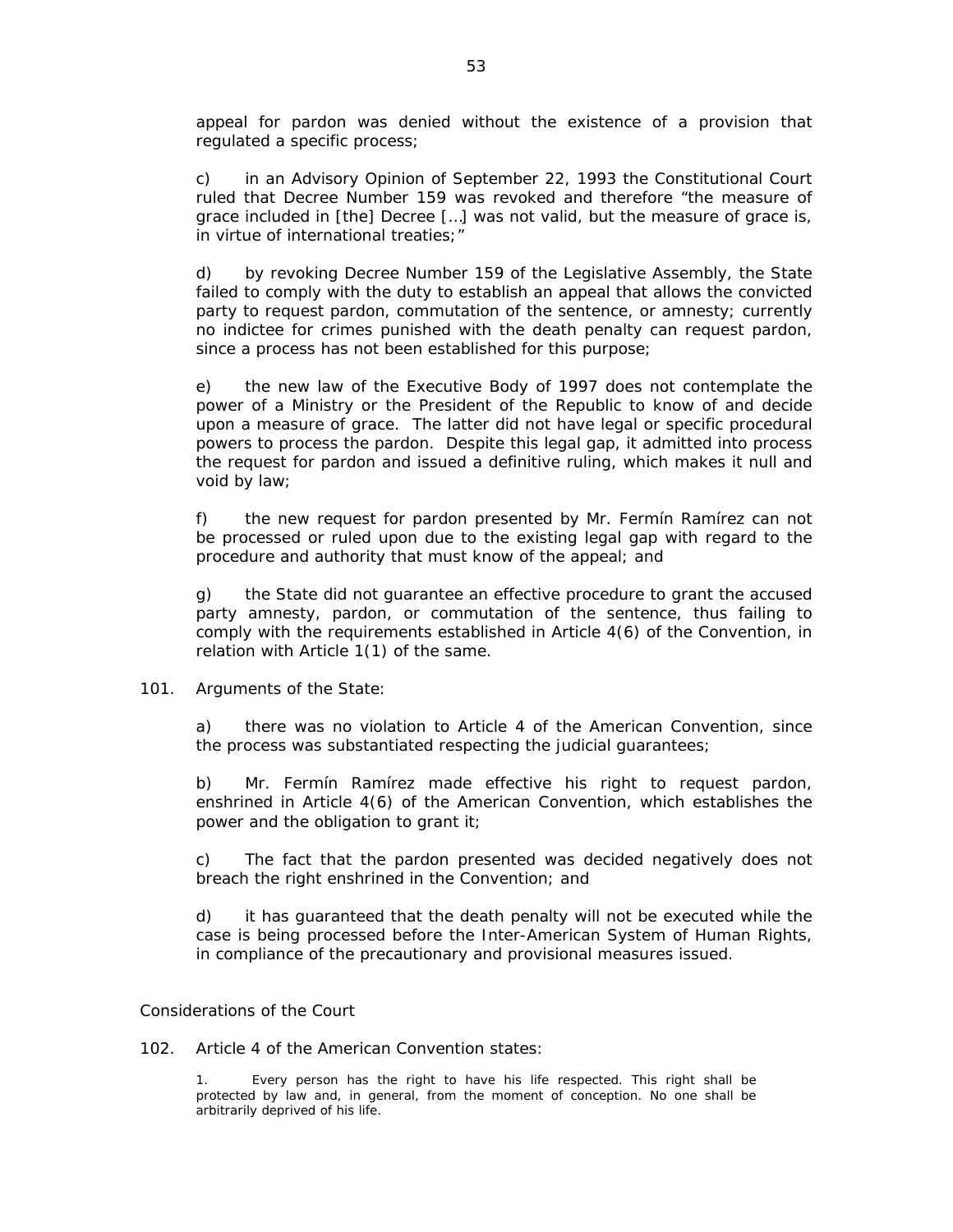appeal for pardon was denied without the existence of a provision that regulated a specific process;

c) in an Advisory Opinion of September 22, 1993 the Constitutional Court ruled that Decree Number 159 was revoked and therefore "the measure of grace included in [the] Decree […] was not valid, but the measure of grace is, in virtue of international treaties;"

d) by revoking Decree Number 159 of the Legislative Assembly, the State failed to comply with the duty to establish an appeal that allows the convicted party to request pardon, commutation of the sentence, or amnesty; currently no indictee for crimes punished with the death penalty can request pardon, since a process has not been established for this purpose;

e) the new law of the Executive Body of 1997 does not contemplate the power of a Ministry or the President of the Republic to know of and decide upon a measure of grace. The latter did not have legal or specific procedural powers to process the pardon. Despite this legal gap, it admitted into process the request for pardon and issued a definitive ruling, which makes it null and void by law;

f) the new request for pardon presented by Mr. Fermín Ramírez can not be processed or ruled upon due to the existing legal gap with regard to the procedure and authority that must know of the appeal; and

g) the State did not guarantee an effective procedure to grant the accused party amnesty, pardon, or commutation of the sentence, thus failing to comply with the requirements established in Article 4(6) of the Convention, in relation with Article 1(1) of the same.

### 101. *Arguments of the State:*

a) there was no violation to Article 4 of the American Convention, since the process was substantiated respecting the judicial guarantees;

b) Mr. Fermín Ramírez made effective his right to request pardon, enshrined in Article 4(6) of the American Convention, which establishes the power and the obligation to grant it;

c) The fact that the pardon presented was decided negatively does not breach the right enshrined in the Convention; and

d) it has guaranteed that the death penalty will not be executed while the case is being processed before the Inter-American System of Human Rights, in compliance of the precautionary and provisional measures issued.

#### *Considerations of the Court*

102. Article 4 of the American Convention states:

1. Every person has the right to have his life respected. This right shall be protected by law and, in general, from the moment of conception. No one shall be arbitrarily deprived of his life.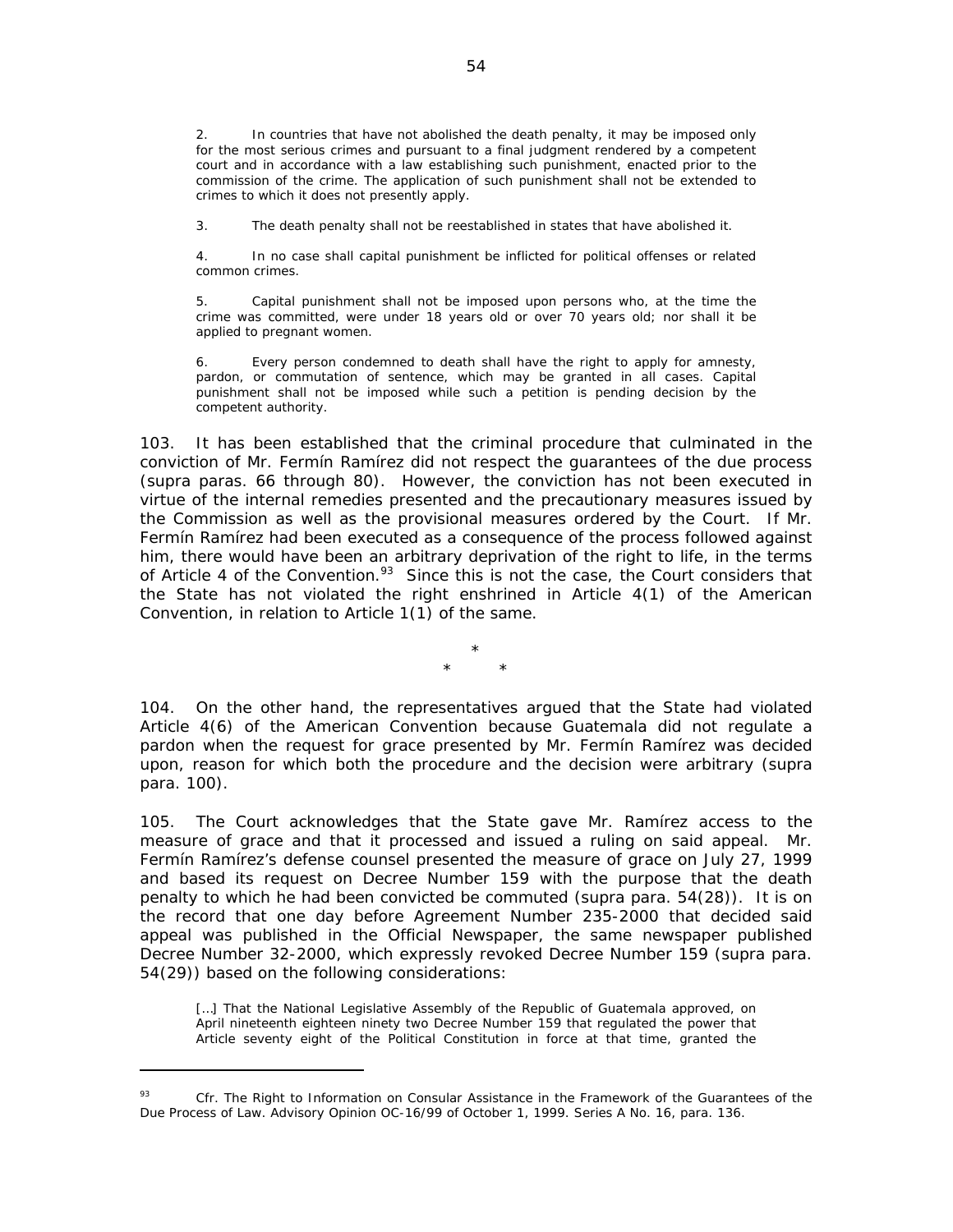2. In countries that have not abolished the death penalty, it may be imposed only for the most serious crimes and pursuant to a final judgment rendered by a competent court and in accordance with a law establishing such punishment, enacted prior to the commission of the crime. The application of such punishment shall not be extended to crimes to which it does not presently apply.

3. The death penalty shall not be reestablished in states that have abolished it.

4. In no case shall capital punishment be inflicted for political offenses or related common crimes.

5. Capital punishment shall not be imposed upon persons who, at the time the crime was committed, were under 18 years old or over 70 years old; nor shall it be applied to pregnant women.

6. Every person condemned to death shall have the right to apply for amnesty, pardon, or commutation of sentence, which may be granted in all cases. Capital punishment shall not be imposed while such a petition is pending decision by the competent authority.

103. It has been established that the criminal procedure that culminated in the conviction of Mr. Fermín Ramírez did not respect the guarantees of the due process (*supra* paras. 66 through 80). However, the conviction has not been executed in virtue of the internal remedies presented and the precautionary measures issued by the Commission as well as the provisional measures ordered by the Court. If Mr. Fermín Ramírez had been executed as a consequence of the process followed against him, there would have been an arbitrary deprivation of the right to life, in the terms of Article 4 of the Convention.*<sup>93</sup>* Since this is not the case, the Court considers that the State has not violated the right enshrined in Article 4(1) of the American Convention, in relation to Article 1(1) of the same.

> \* \* \*

104. On the other hand, the representatives argued that the State had violated Article 4(6) of the American Convention because Guatemala did not regulate a pardon when the request for grace presented by Mr. Fermín Ramírez was decided upon, reason for which both the procedure and the decision were arbitrary (*supra*  para. 100).

105. The Court acknowledges that the State gave Mr. Ramírez access to the measure of grace and that it processed and issued a ruling on said appeal. Mr. Fermín Ramírez's defense counsel presented the measure of grace on July 27, 1999 and based its request on Decree Number 159 with the purpose that the death penalty to which he had been convicted be commuted (*supra* para. 54(28)). It is on the record that one day before Agreement Number 235-2000 that decided said appeal was published in the Official Newspaper, the same newspaper published Decree Number 32-2000, which expressly revoked Decree Number 159 (*supra* para. 54(29)) based on the following considerations:

[...] That the National Legislative Assembly of the Republic of Guatemala approved, on April nineteenth eighteen ninety two Decree Number 159 that regulated the power that Article seventy eight of the Political Constitution in force at that time, granted the

<sup>93</sup> *Cfr. The Right to Information on Consular Assistance in the Framework of the Guarantees of the Due Process of Law.* Advisory Opinion OC-16/99 of October 1, 1999. Series A No. 16, para. 136.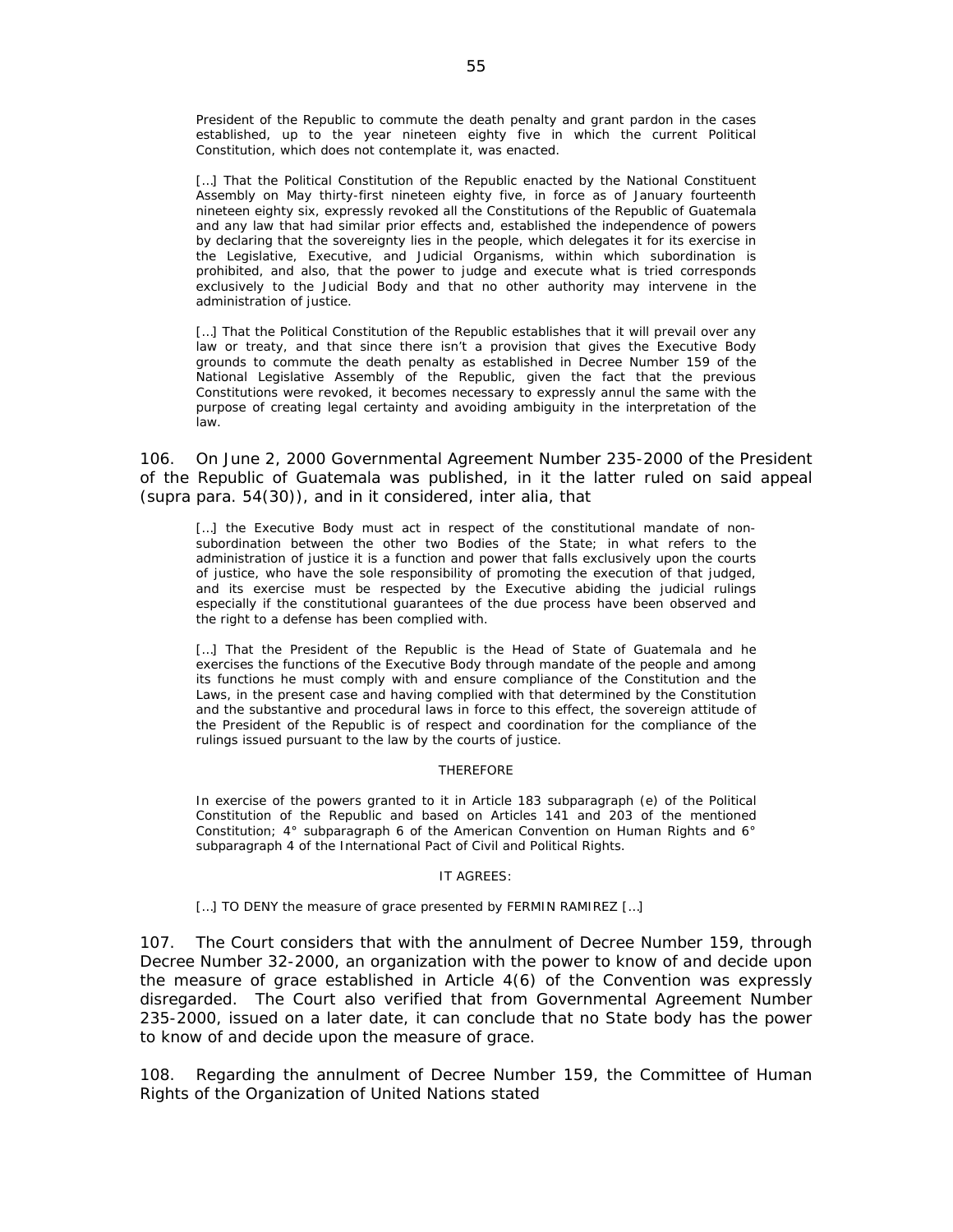President of the Republic to commute the death penalty and grant pardon in the cases established, up to the year nineteen eighty five in which the current Political Constitution, which does not contemplate it, was enacted.

[...] That the Political Constitution of the Republic enacted by the National Constituent Assembly on May thirty-first nineteen eighty five, in force as of January fourteenth nineteen eighty six, expressly revoked all the Constitutions of the Republic of Guatemala and any law that had similar prior effects and, established the independence of powers by declaring that the sovereignty lies in the people, which delegates it for its exercise in the Legislative, Executive, and Judicial Organisms, within which subordination is prohibited, and also, that the power to judge and execute what is tried corresponds exclusively to the Judicial Body and that no other authority may intervene in the administration of justice.

[...] That the Political Constitution of the Republic establishes that it will prevail over any law or treaty, and that since there isn't a provision that gives the Executive Body grounds to commute the death penalty as established in Decree Number 159 of the National Legislative Assembly of the Republic, given the fact that the previous Constitutions were revoked, it becomes necessary to expressly annul the same with the purpose of creating legal certainty and avoiding ambiguity in the interpretation of the law.

106. On June 2, 2000 Governmental Agreement Number 235-2000 of the President of the Republic of Guatemala was published, in it the latter ruled on said appeal (*supra* para. 54(30)), and in it considered, *inter alia*, that

[...] the Executive Body must act in respect of the constitutional mandate of nonsubordination between the other two Bodies of the State; in what refers to the administration of justice it is a function and power that falls exclusively upon the courts of justice, who have the sole responsibility of promoting the execution of that judged, and its exercise must be respected by the Executive abiding the judicial rulings especially if the constitutional guarantees of the due process have been observed and the right to a defense has been complied with.

[...] That the President of the Republic is the Head of State of Guatemala and he exercises the functions of the Executive Body through mandate of the people and among its functions he must comply with and ensure compliance of the Constitution and the Laws, in the present case and having complied with that determined by the Constitution and the substantive and procedural laws in force to this effect, the sovereign attitude of the President of the Republic is of respect and coordination for the compliance of the rulings issued pursuant to the law by the courts of justice.

#### THEREFORE

In exercise of the powers granted to it in Article 183 subparagraph (e) of the Political Constitution of the Republic and based on Articles 141 and 203 of the mentioned Constitution; 4° subparagraph 6 of the American Convention on Human Rights and 6° subparagraph 4 of the International Pact of Civil and Political Rights.

#### IT AGREES:

[...] TO DENY the measure of grace presented by FERMIN RAMIREZ [...]

107. The Court considers that with the annulment of Decree Number 159, through Decree Number 32-2000, an organization with the power to know of and decide upon the measure of grace established in Article 4(6) of the Convention was expressly disregarded. The Court also verified that from Governmental Agreement Number 235-2000, issued on a later date, it can conclude that no State body has the power to know of and decide upon the measure of grace.

108. Regarding the annulment of Decree Number 159, the Committee of Human Rights of the Organization of United Nations stated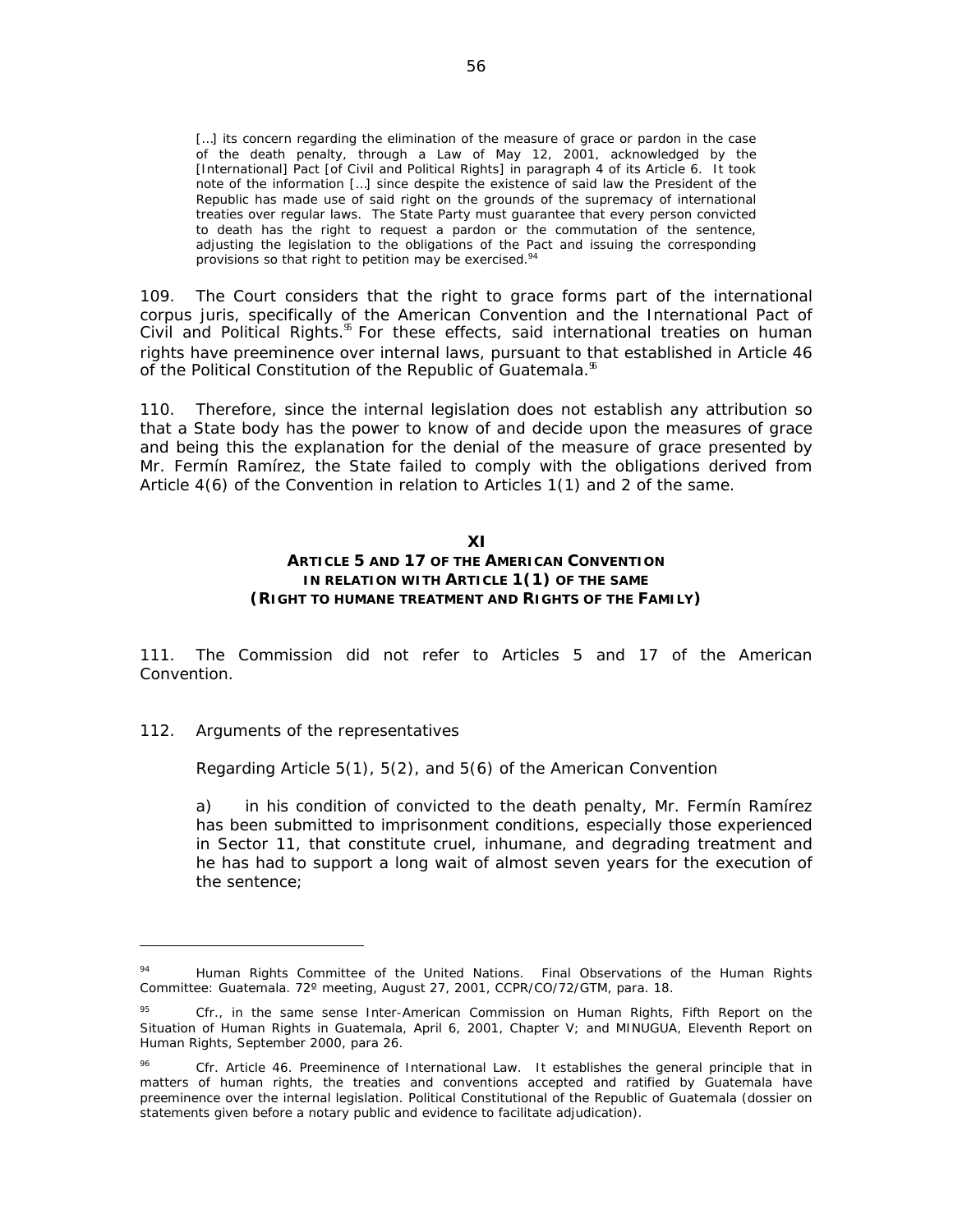[...] its concern regarding the elimination of the measure of grace or pardon in the case of the death penalty, through a Law of May 12, 2001, acknowledged by the [International] Pact [of Civil and Political Rights] in paragraph 4 of its Article 6. It took note of the information […] since despite the existence of said law the President of the Republic has made use of said right on the grounds of the supremacy of international treaties over regular laws. The State Party must guarantee that every person convicted to death has the right to request a pardon or the commutation of the sentence, adjusting the legislation to the obligations of the Pact and issuing the corresponding provisions so that right to petition may be exercised.<sup>94</sup>

109. The Court considers that the right to grace forms part of the international *corpus juris*, specifically of the American Convention and the International Pact of Civil and Political Rights.<sup>9</sup> For these effects, said international treaties on human rights have preeminence over internal laws, pursuant to that established in Article 46 of the Political Constitution of the Republic of Guatemala.<sup>86</sup>

110. Therefore, since the internal legislation does not establish any attribution so that a State body has the power to know of and decide upon the measures of grace and being this the explanation for the denial of the measure of grace presented by Mr. Fermín Ramírez, the State failed to comply with the obligations derived from Article 4(6) of the Convention in relation to Articles 1(1) and 2 of the same.

#### **XI**

### **ARTICLE 5 AND 17 OF THE AMERICAN CONVENTION IN RELATION WITH ARTICLE 1(1) OF THE SAME (RIGHT TO HUMANE TREATMENT AND RIGHTS OF THE FAMILY)**

111. The Commission did not refer to Articles 5 and 17 of the American Convention.

### 112. *Arguments of the representatives*

 $\overline{a}$ 

*Regarding Article 5(1), 5(2), and 5(6) of the American Convention* 

a) in his condition of convicted to the death penalty, Mr. Fermín Ramírez has been submitted to imprisonment conditions, especially those experienced in Sector 11, that constitute cruel, inhumane, and degrading treatment and he has had to support a long wait of almost seven years for the execution of the sentence;

<sup>94</sup> Human Rights Committee of the United Nations. Final Observations of the Human Rights Committee: Guatemala. 72º meeting, August 27, 2001, CCPR/CO/72/GTM, para. 18.

<sup>95</sup> *Cfr.*, in the same sense Inter-American Commission on Human Rights, *Fifth Report on the Situation of Human Rights in Guatemala*, April 6, 2001, Chapter V; and MINUGUA, *Eleventh Report on Human Rights,* September 2000, para 26.

Cfr. Article 46. Preeminence of International Law. It establishes the general principle that in matters of human rights, the treaties and conventions accepted and ratified by Guatemala have preeminence over the internal legislation. Political Constitutional of the Republic of Guatemala (dossier on statements given before a notary public and evidence to facilitate adjudication).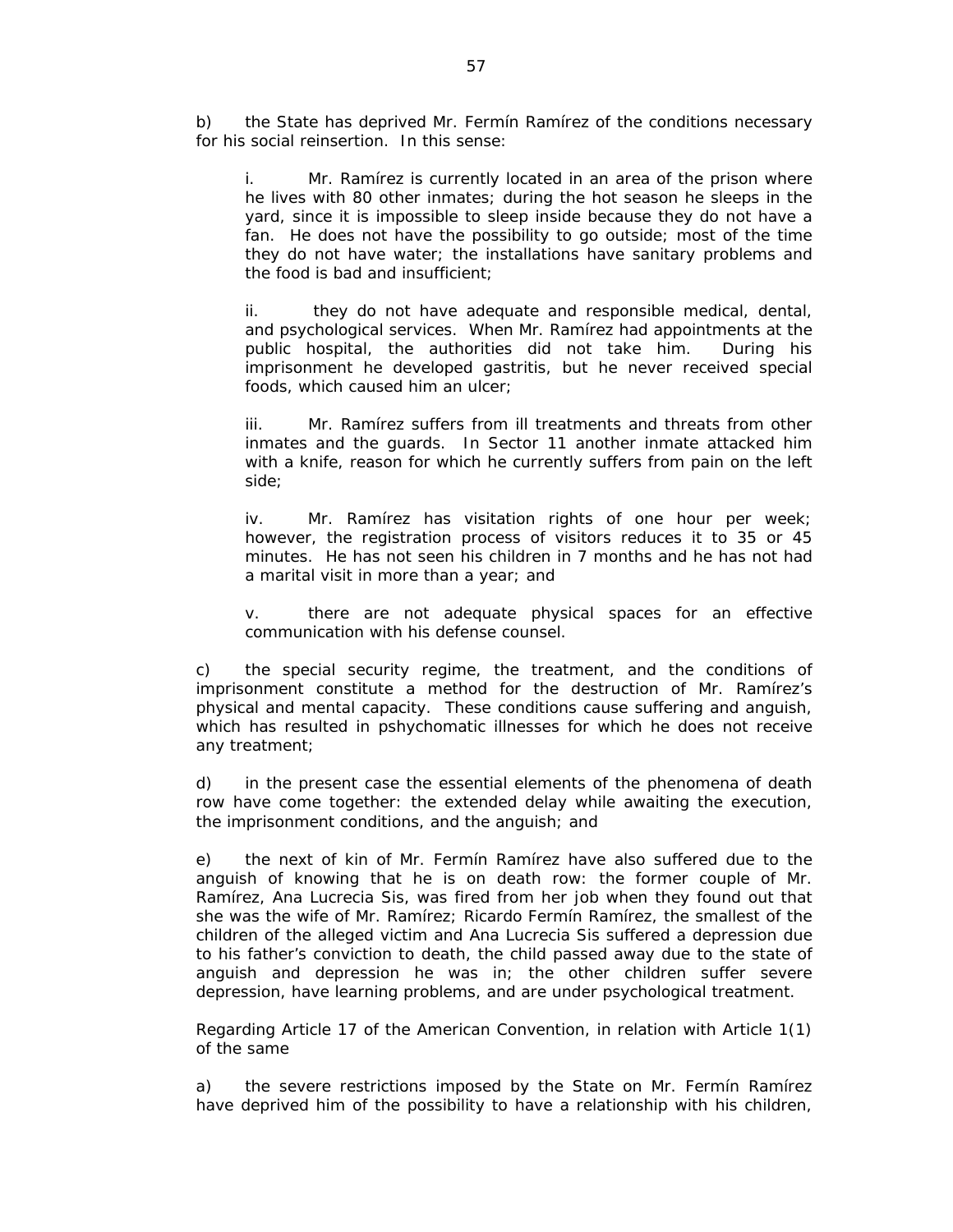b) the State has deprived Mr. Fermín Ramírez of the conditions necessary for his social reinsertion. In this sense:

i. Mr. Ramírez is currently located in an area of the prison where he lives with 80 other inmates; during the hot season he sleeps in the yard, since it is impossible to sleep inside because they do not have a fan. He does not have the possibility to go outside; most of the time they do not have water; the installations have sanitary problems and the food is bad and insufficient;

ii. they do not have adequate and responsible medical, dental, and psychological services. When Mr. Ramírez had appointments at the public hospital, the authorities did not take him. During his imprisonment he developed gastritis, but he never received special foods, which caused him an ulcer;

iii. Mr. Ramírez suffers from ill treatments and threats from other inmates and the guards. In Sector 11 another inmate attacked him with a knife, reason for which he currently suffers from pain on the left side;

iv. Mr. Ramírez has visitation rights of one hour per week; however, the registration process of visitors reduces it to 35 or 45 minutes. He has not seen his children in 7 months and he has not had a marital visit in more than a year; and

v. there are not adequate physical spaces for an effective communication with his defense counsel.

c) the special security regime, the treatment, and the conditions of imprisonment constitute a method for the destruction of Mr. Ramírez's physical and mental capacity. These conditions cause suffering and anguish, which has resulted in pshychomatic illnesses for which he does not receive any treatment;

d) in the present case the essential elements of the phenomena of death row have come together: the extended delay while awaiting the execution, the imprisonment conditions, and the anguish; and

e) the next of kin of Mr. Fermín Ramírez have also suffered due to the anguish of knowing that he is on death row: the former couple of Mr. Ramírez, Ana Lucrecia Sis, was fired from her job when they found out that she was the wife of Mr. Ramírez; Ricardo Fermín Ramírez, the smallest of the children of the alleged victim and Ana Lucrecia Sis suffered a depression due to his father's conviction to death, the child passed away due to the state of anguish and depression he was in; the other children suffer severe depression, have learning problems, and are under psychological treatment.

*Regarding Article 17 of the American Convention, in relation with Article 1(1) of the same* 

a) the severe restrictions imposed by the State on Mr. Fermín Ramírez have deprived him of the possibility to have a relationship with his children,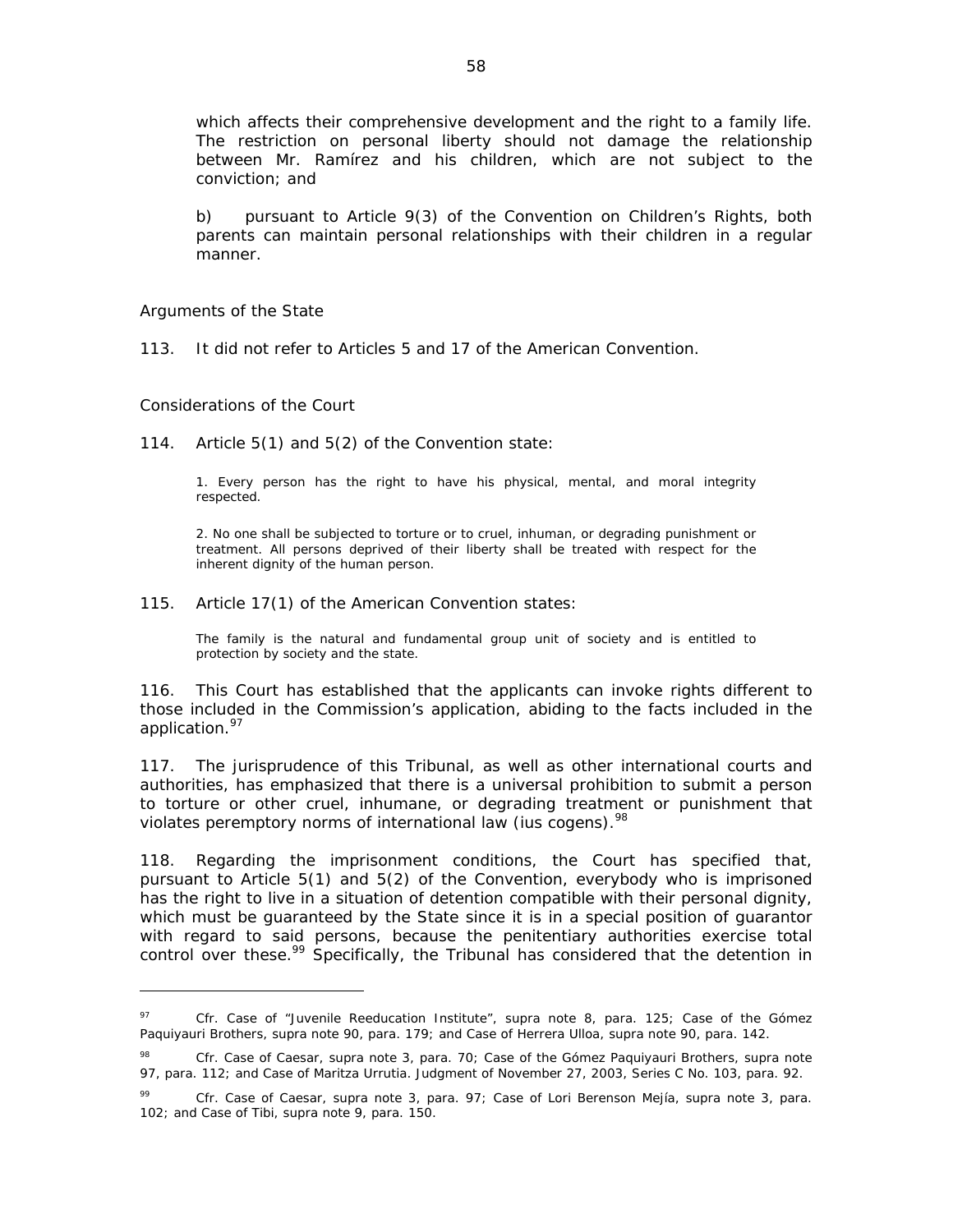which affects their comprehensive development and the right to a family life. The restriction on personal liberty should not damage the relationship between Mr. Ramírez and his children, which are not subject to the conviction; and

b) pursuant to Article 9(3) of the Convention on Children's Rights, both parents can maintain personal relationships with their children in a regular manner.

#### *Arguments of the State*

113. It did not refer to Articles 5 and 17 of the American Convention.

#### *Considerations of the Court*

 $\overline{a}$ 

114. Article 5(1) and 5(2) of the Convention state:

1. Every person has the right to have his physical, mental, and moral integrity respected.

2. No one shall be subjected to torture or to cruel, inhuman, or degrading punishment or treatment. All persons deprived of their liberty shall be treated with respect for the inherent dignity of the human person.

115. Article 17(1) of the American Convention states:

The family is the natural and fundamental group unit of society and is entitled to protection by society and the state.

116. This Court has established that the applicants can invoke rights different to those included in the Commission's application, abiding to the facts included in the application.<sup>97</sup>

117. The jurisprudence of this Tribunal, as well as other international courts and authorities, has emphasized that there is a universal prohibition to submit a person to torture or other cruel, inhumane, or degrading treatment or punishment that violates peremptory norms of international law *(ius cogens*).<sup>98</sup>

118. Regarding the imprisonment conditions, the Court has specified that, pursuant to Article 5(1) and 5(2) of the Convention, everybody who is imprisoned has the right to live in a situation of detention compatible with their personal dignity, which must be guaranteed by the State since it is in a special position of guarantor with regard to said persons, because the penitentiary authorities exercise total control over these.<sup>99</sup> Specifically, the Tribunal has considered that the detention in

<sup>97</sup> *Cfr. Case of "Juvenile Reeducation Institute", supra* note 8, para. 125; *Case of the Gómez Paquiyauri Brothers, supra* note 90, para. 179; and Case of *Herrera Ulloa, supra* note 90, para. 142.

<sup>98</sup> *Cfr. Case of Caesar, supra* note 3, para. 70*; Case of the Gómez Paquiyauri Brothers, supra* note 97, para. 112; and *Case of Maritza Urrutia.* Judgment of November 27, 2003, Series C No. 103, para. 92.

<sup>99</sup> *Cfr*. *Case of Caesar, supra* note 3, para. 97; *Case of Lori Berenson Mejía, supra* note 3, para. 102; and *Case of Tibi, supra* note 9, para. 150.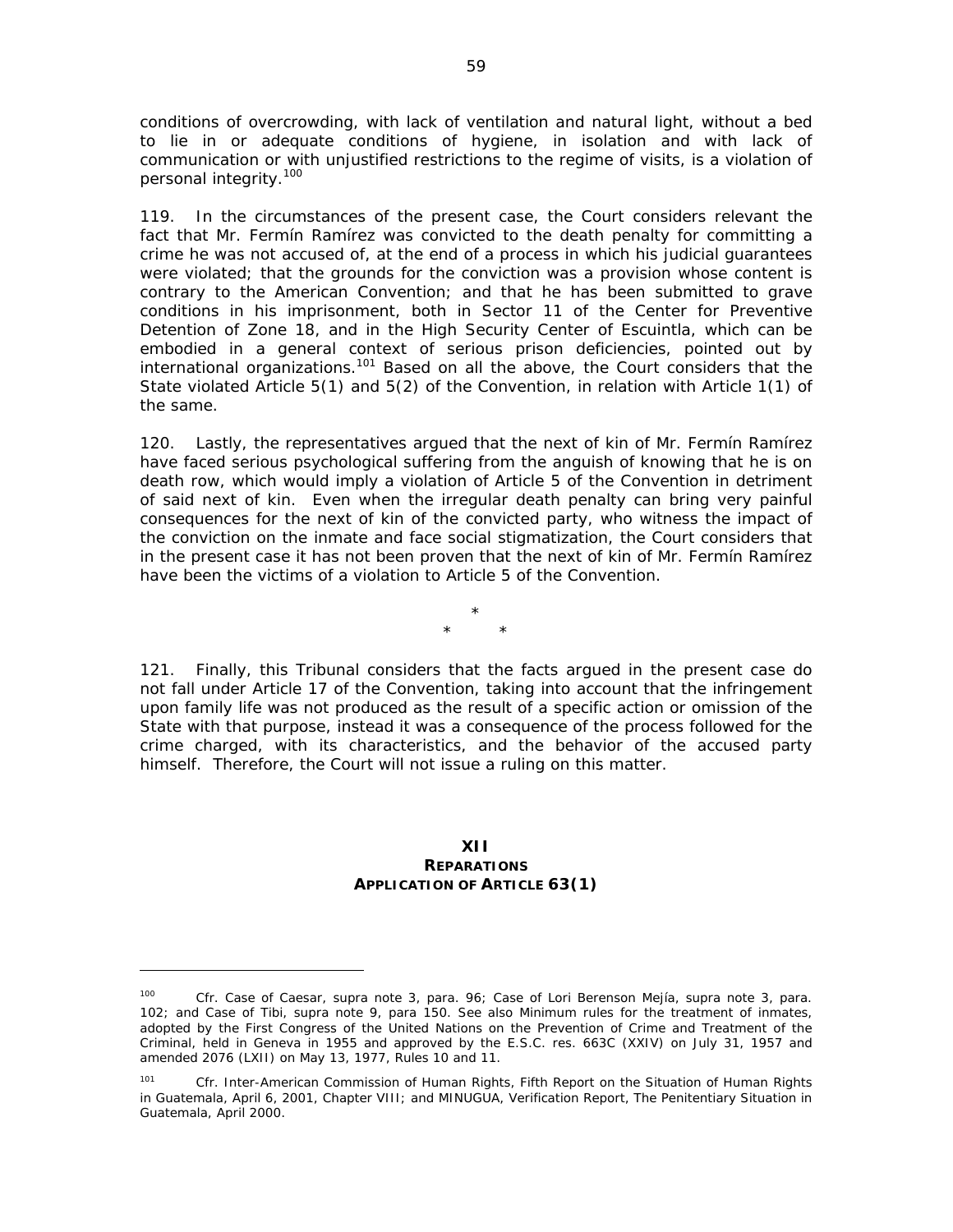conditions of overcrowding, with lack of ventilation and natural light, without a bed to lie in or adequate conditions of hygiene, in isolation and with lack of communication or with unjustified restrictions to the regime of visits, is a violation of personal integrity.<sup>100</sup>

119. In the circumstances of the present case, the Court considers relevant the fact that Mr. Fermín Ramírez was convicted to the death penalty for committing a crime he was not accused of, at the end of a process in which his judicial guarantees were violated; that the grounds for the conviction was a provision whose content is contrary to the American Convention; and that he has been submitted to grave conditions in his imprisonment, both in Sector 11 of the Center for Preventive Detention of Zone 18, and in the High Security Center of Escuintla, which can be embodied in a general context of serious prison deficiencies, pointed out by international organizations.<sup>101</sup> Based on all the above, the Court considers that the State violated Article 5(1) and 5(2) of the Convention, in relation with Article 1(1) of the same.

120. Lastly, the representatives argued that the next of kin of Mr. Fermín Ramírez have faced serious psychological suffering from the anguish of knowing that he is on death row, which would imply a violation of Article 5 of the Convention in detriment of said next of kin. Even when the irregular death penalty can bring very painful consequences for the next of kin of the convicted party, who witness the impact of the conviction on the inmate and face social stigmatization, the Court considers that in the present case it has not been proven that the next of kin of Mr. Fermín Ramírez have been the victims of a violation to Article 5 of the Convention.

> \* \* \*

121. Finally, this Tribunal considers that the facts argued in the present case do not fall under Article 17 of the Convention, taking into account that the infringement upon family life was not produced as the result of a specific action or omission of the State with that purpose, instead it was a consequence of the process followed for the crime charged, with its characteristics, and the behavior of the accused party himself. Therefore, the Court will not issue a ruling on this matter.

### **XII**

#### **REPARATIONS APPLICATION OF ARTICLE 63(1)**

<sup>100</sup> *Cfr. Case of Caesar, supra* note 3, para. 96; *Case of Lori Berenson Mejía, supra* note 3, para. 102; and *Case of Tibi, supra* note 9, para 150. See also Minimum rules for the treatment of inmates, adopted by the First Congress of the United Nations on the Prevention of Crime and Treatment of the Criminal, held in Geneva in 1955 and approved by the E.S.C. res. 663C (XXIV) on July 31, 1957 and amended 2076 (LXII) on May 13, 1977, Rules 10 and 11.

<sup>101</sup> *Cfr.* Inter-American Commission of Human Rights, *Fifth Report on the Situation of Human Rights in Guatemala*, April 6, 2001, Chapter VIII; and MINUGUA, Verification Report, *The Penitentiary Situation in Guatemala*, April 2000.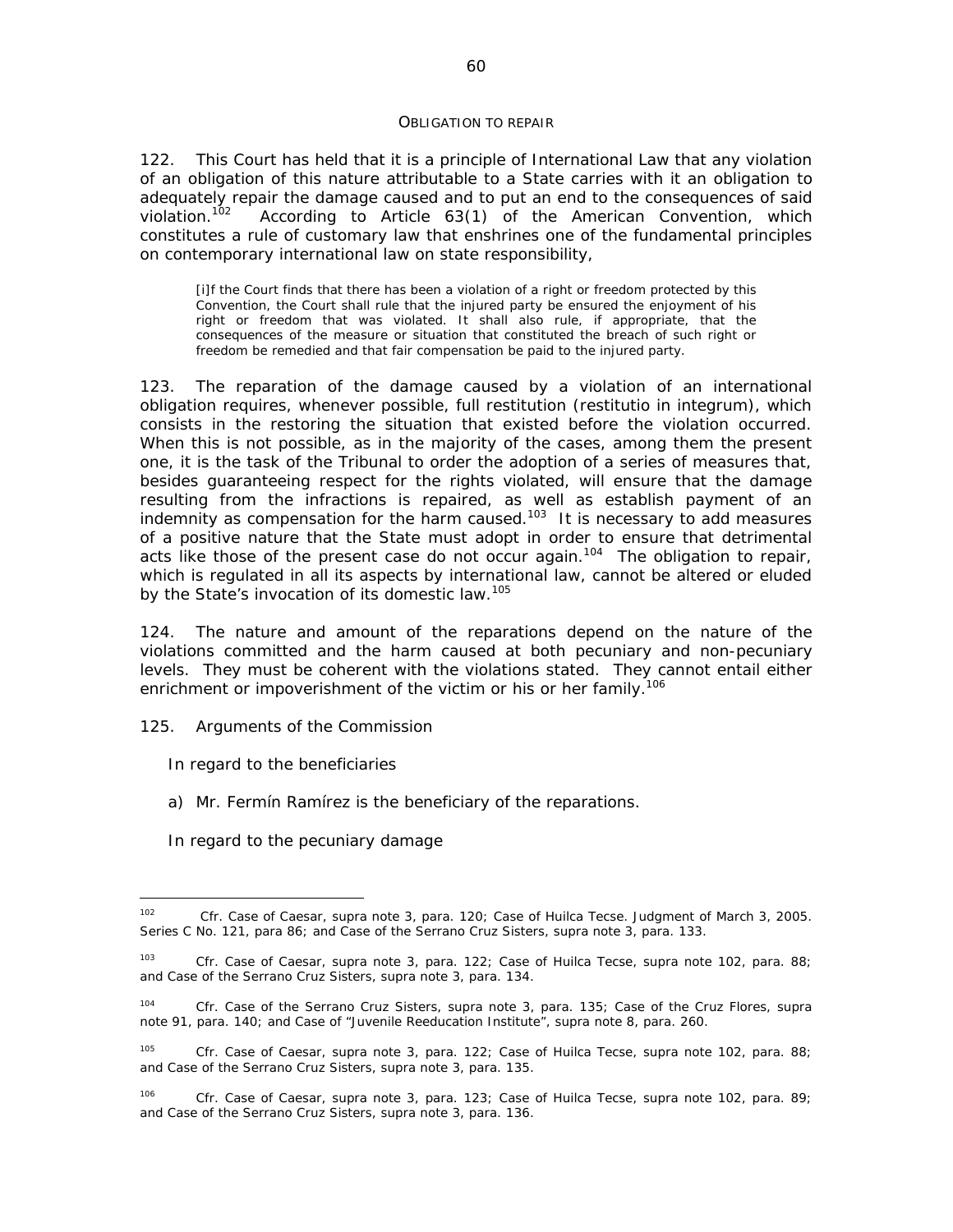#### *OBLIGATION TO REPAIR*

122. This Court has held that it is a principle of International Law that any violation of an obligation of this nature attributable to a State carries with it an obligation to adequately repair the damage caused and to put an end to the consequences of said violation.<sup>102</sup> According to Article 63(1) of the American Convention. which According to Article 63(1) of the American Convention, which constitutes a rule of customary law that enshrines one of the fundamental principles on contemporary international law on state responsibility,

[i]f the Court finds that there has been a violation of a right or freedom protected by this Convention, the Court shall rule that the injured party be ensured the enjoyment of his right or freedom that was violated. It shall also rule, if appropriate, that the consequences of the measure or situation that constituted the breach of such right or freedom be remedied and that fair compensation be paid to the injured party.

123. The reparation of the damage caused by a violation of an international obligation requires, whenever possible, full restitution (*restitutio in integrum),* which consists in the restoring the situation that existed before the violation occurred. When this is not possible, as in the majority of the cases, among them the present one, it is the task of the Tribunal to order the adoption of a series of measures that, besides guaranteeing respect for the rights violated, will ensure that the damage resulting from the infractions is repaired, as well as establish payment of an indemnity as compensation for the harm caused.*<sup>103</sup>* It is necessary to add measures of a positive nature that the State must adopt in order to ensure that detrimental acts like those of the present case do not occur again.*<sup>104</sup>* The obligation to repair, which is regulated in all its aspects by international law, cannot be altered or eluded by the State's invocation of its domestic law.*<sup>105</sup>*

124. The nature and amount of the reparations depend on the nature of the violations committed and the harm caused at both pecuniary and non-pecuniary levels. They must be coherent with the violations stated. They cannot entail either enrichment or impoverishment of the victim or his or her family.*<sup>106</sup>*

#### 125*. Arguments of the Commission*

#### *In regard to the beneficiaries*

- a) Mr. Fermín Ramírez is the beneficiary of the reparations.
- *In regard to the pecuniary damage*

 $102$ *<sup>102</sup> Cfr. Case of Caesar, supra* note 3, para. 120; *Case of Huilca Tecse.* Judgment of March 3, 2005. Series C No. 121, para 86; and *Case of the Serrano Cruz Sisters, supra* note 3, para. 133.

*<sup>103</sup> Cfr. Case of Caesar, supra* note 3, para. 122; *Case of Huilca Tecse, supra* note 102, para. 88; and *Case of the Serrano Cruz Sisters, supra* note 3, para. 134.

*<sup>104</sup> Cfr. Case of the Serrano Cruz Sisters, supra* note 3, para. 135; *Case of the Cruz Flores, supra*  note 91, para. 140; and *Case of "Juvenile Reeducation Institute"*, *supra* note 8, para. 260.

*<sup>105</sup> Cfr. Case of Caesar, supra* note 3, para. 122; *Case of Huilca Tecse, supra* note 102, para. 88; and *Case of the Serrano Cruz Sisters, supra* note 3, para. 135.

*<sup>106</sup> Cfr. Case of Caesar, supra* note 3, para. 123; *Case of Huilca Tecse, supra* note 102, para. 89; and *Case of the Serrano Cruz Sisters, supra* note 3, para. 136.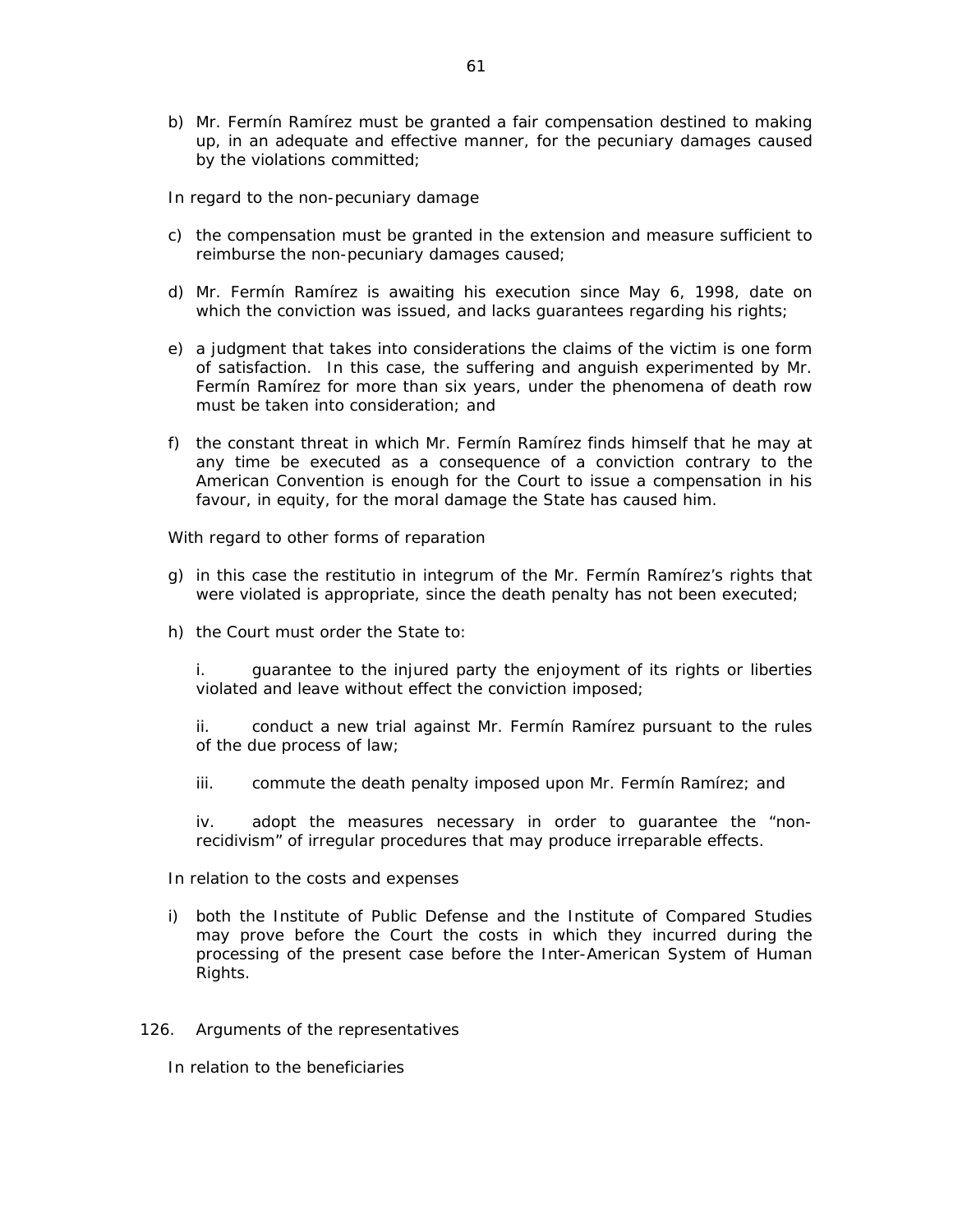b) Mr. Fermín Ramírez must be granted a fair compensation destined to making up, in an adequate and effective manner, for the pecuniary damages caused by the violations committed;

### *In regard to the non-pecuniary damage*

- c) the compensation must be granted in the extension and measure sufficient to reimburse the non-pecuniary damages caused;
- d) Mr. Fermín Ramírez is awaiting his execution since May 6, 1998, date on which the conviction was issued, and lacks guarantees regarding his rights;
- e) a judgment that takes into considerations the claims of the victim is one form of satisfaction. In this case, the suffering and anguish experimented by Mr. Fermín Ramírez for more than six years, under the phenomena of death row must be taken into consideration; and
- f) the constant threat in which Mr. Fermín Ramírez finds himself that he may at any time be executed as a consequence of a conviction contrary to the American Convention is enough for the Court to issue a compensation in his favour, in equity, for the moral damage the State has caused him.

### *With regard to other forms of reparation*

- g) in this case the *restitutio in integrum* of the Mr. Fermín Ramírez's rights that were violated is appropriate, since the death penalty has not been executed;
- h) the Court must order the State to:

i. guarantee to the injured party the enjoyment of its rights or liberties violated and leave without effect the conviction imposed;

ii. conduct a new trial against Mr. Fermín Ramírez pursuant to the rules of the due process of law;

iii. commute the death penalty imposed upon Mr. Fermín Ramírez; and

iv. adopt the measures necessary in order to guarantee the "nonrecidivism" of irregular procedures that may produce irreparable effects.

### *In relation to the costs and expenses*

i) both the Institute of Public Defense and the Institute of Compared Studies may prove before the Court the costs in which they incurred during the processing of the present case before the Inter-American System of Human Rights.

### 126*. Arguments of the representatives*

*In relation to the beneficiaries*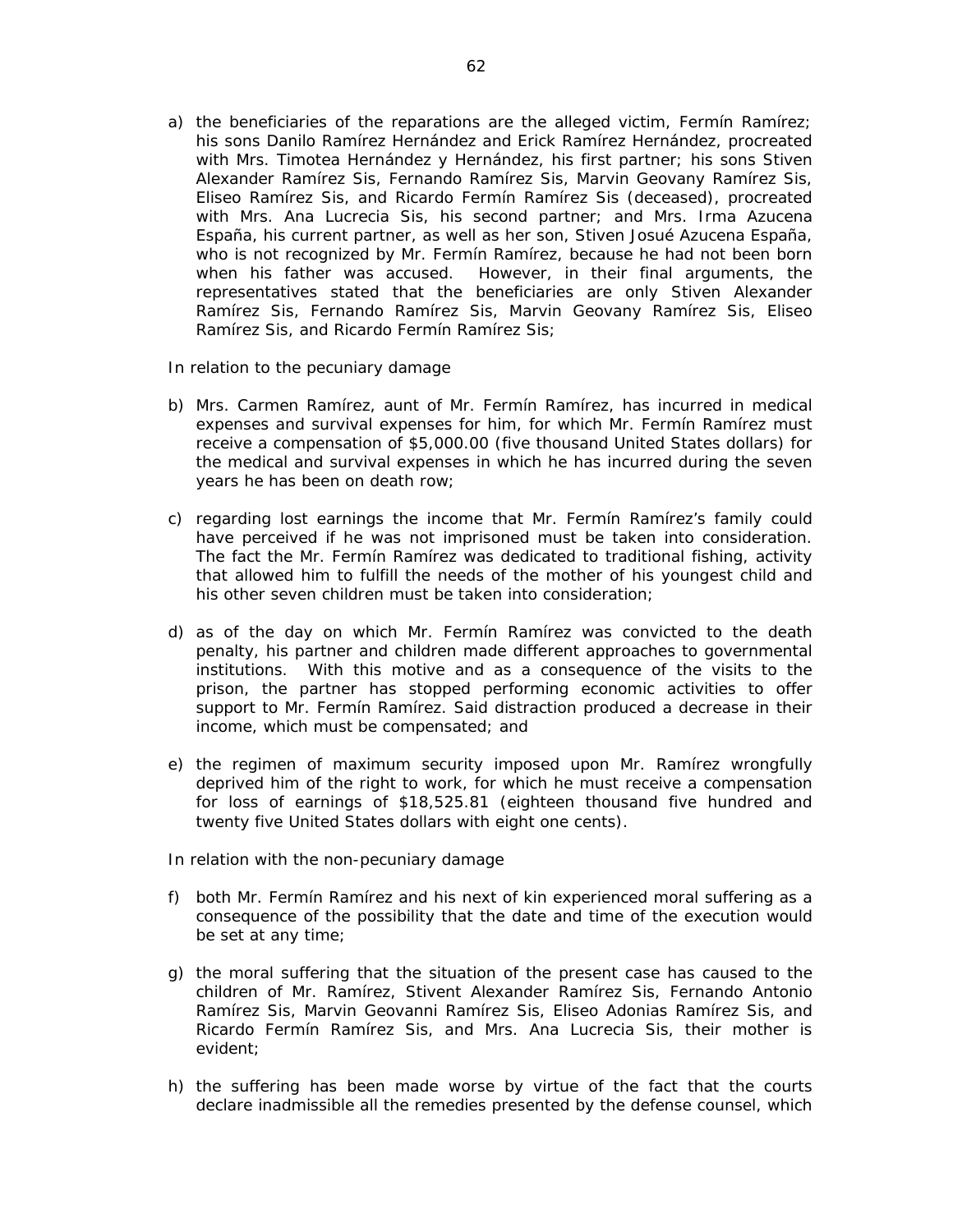- a) the beneficiaries of the reparations are the alleged victim, Fermín Ramírez; his sons Danilo Ramírez Hernández and Erick Ramírez Hernández, procreated with Mrs. Timotea Hernández y Hernández, his first partner; his sons Stiven Alexander Ramírez Sis, Fernando Ramírez Sis, Marvin Geovany Ramírez Sis, Eliseo Ramírez Sis, and Ricardo Fermín Ramírez Sis (deceased), procreated with Mrs. Ana Lucrecia Sis, his second partner; and Mrs. Irma Azucena España, his current partner, as well as her son, Stiven Josué Azucena España, who is not recognized by Mr. Fermín Ramírez, because he had not been born when his father was accused. However, in their final arguments, the representatives stated that the beneficiaries are only Stiven Alexander Ramírez Sis, Fernando Ramírez Sis, Marvin Geovany Ramírez Sis, Eliseo Ramírez Sis, and Ricardo Fermín Ramírez Sis;
- *In relation to the pecuniary damage*
- b) Mrs. Carmen Ramírez, aunt of Mr. Fermín Ramírez, has incurred in medical expenses and survival expenses for him, for which Mr. Fermín Ramírez must receive a compensation of \$5,000.00 (five thousand United States dollars) for the medical and survival expenses in which he has incurred during the seven years he has been on death row;
- c) regarding lost earnings the income that Mr. Fermín Ramírez's family could have perceived if he was not imprisoned must be taken into consideration. The fact the Mr. Fermín Ramírez was dedicated to traditional fishing, activity that allowed him to fulfill the needs of the mother of his youngest child and his other seven children must be taken into consideration;
- d) as of the day on which Mr. Fermín Ramírez was convicted to the death penalty, his partner and children made different approaches to governmental institutions. With this motive and as a consequence of the visits to the prison, the partner has stopped performing economic activities to offer support to Mr. Fermín Ramírez. Said distraction produced a decrease in their income, which must be compensated; and
- e) the regimen of maximum security imposed upon Mr. Ramírez wrongfully deprived him of the right to work, for which he must receive a compensation for loss of earnings of \$18,525.81 (eighteen thousand five hundred and twenty five United States dollars with eight one cents).
- *In relation with the non-pecuniary damage*
- f) both Mr. Fermín Ramírez and his next of kin experienced moral suffering as a consequence of the possibility that the date and time of the execution would be set at any time;
- g) the moral suffering that the situation of the present case has caused to the children of Mr. Ramírez, Stivent Alexander Ramírez Sis, Fernando Antonio Ramírez Sis, Marvin Geovanni Ramírez Sis, Eliseo Adonias Ramírez Sis, and Ricardo Fermín Ramírez Sis, and Mrs. Ana Lucrecia Sis, their mother is evident;
- h) the suffering has been made worse by virtue of the fact that the courts declare inadmissible all the remedies presented by the defense counsel, which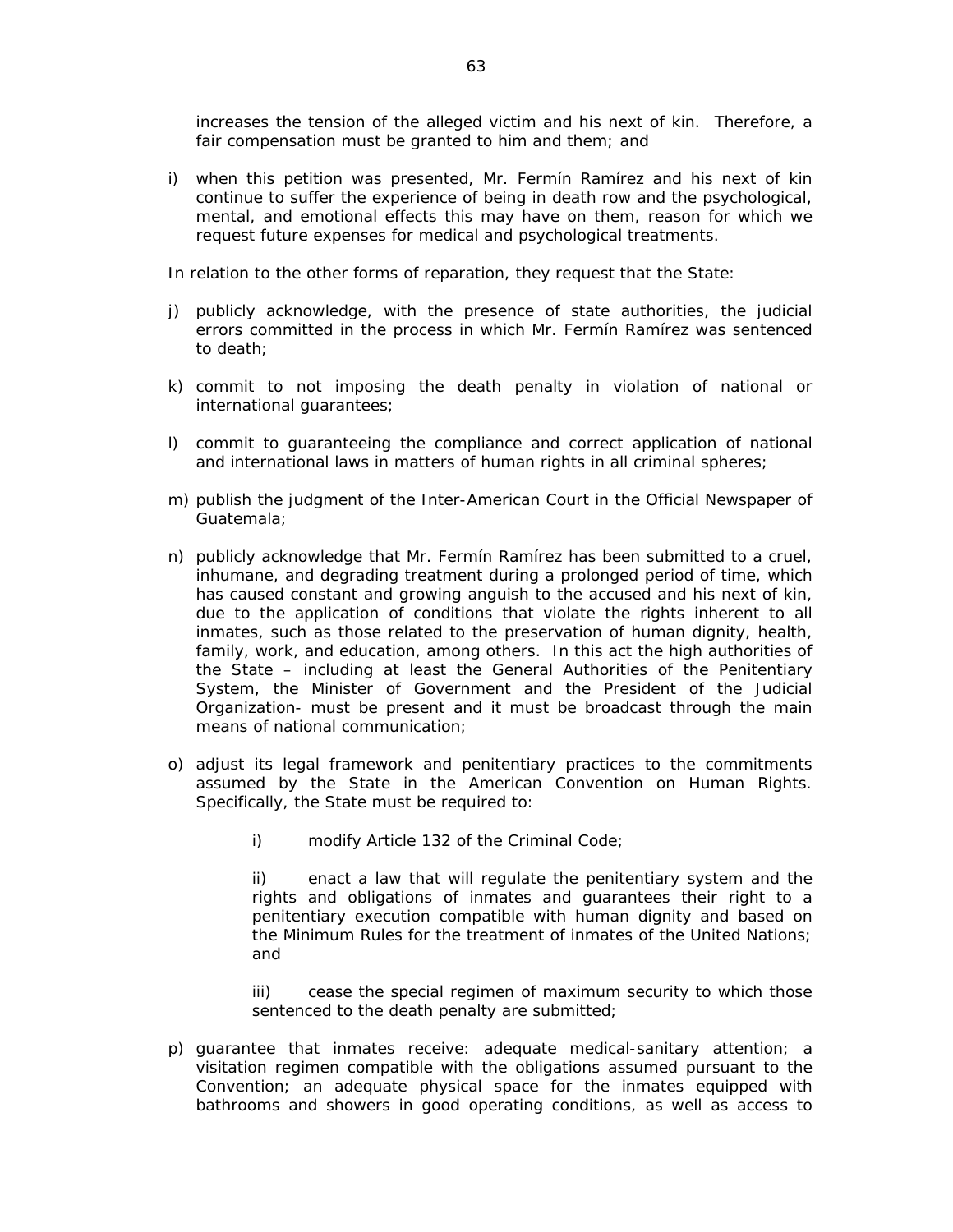increases the tension of the alleged victim and his next of kin. Therefore, a fair compensation must be granted to him and them; and

i) when this petition was presented, Mr. Fermín Ramírez and his next of kin continue to suffer the experience of being in death row and the psychological, mental, and emotional effects this may have on them, reason for which we request future expenses for medical and psychological treatments.

*In relation to the other forms of reparation, they request that the State:* 

- j) publicly acknowledge, with the presence of state authorities, the judicial errors committed in the process in which Mr. Fermín Ramírez was sentenced to death;
- k) commit to not imposing the death penalty in violation of national or international guarantees;
- l) commit to guaranteeing the compliance and correct application of national and international laws in matters of human rights in all criminal spheres;
- m) publish the judgment of the Inter-American Court in the Official Newspaper of Guatemala;
- n) publicly acknowledge that Mr. Fermín Ramírez has been submitted to a cruel, inhumane, and degrading treatment during a prolonged period of time, which has caused constant and growing anguish to the accused and his next of kin, due to the application of conditions that violate the rights inherent to all inmates, such as those related to the preservation of human dignity, health, family, work, and education, among others. In this act the high authorities of the State – including at least the General Authorities of the Penitentiary System, the Minister of Government and the President of the Judicial Organization- must be present and it must be broadcast through the main means of national communication;
- o) adjust its legal framework and penitentiary practices to the commitments assumed by the State in the American Convention on Human Rights. Specifically, the State must be required to:
	- i) modify Article 132 of the Criminal Code;

ii) enact a law that will regulate the penitentiary system and the rights and obligations of inmates and guarantees their right to a penitentiary execution compatible with human dignity and based on the Minimum Rules for the treatment of inmates of the United Nations; and

iii) cease the special regimen of maximum security to which those sentenced to the death penalty are submitted;

p) guarantee that inmates receive: adequate medical-sanitary attention; a visitation regimen compatible with the obligations assumed pursuant to the Convention; an adequate physical space for the inmates equipped with bathrooms and showers in good operating conditions, as well as access to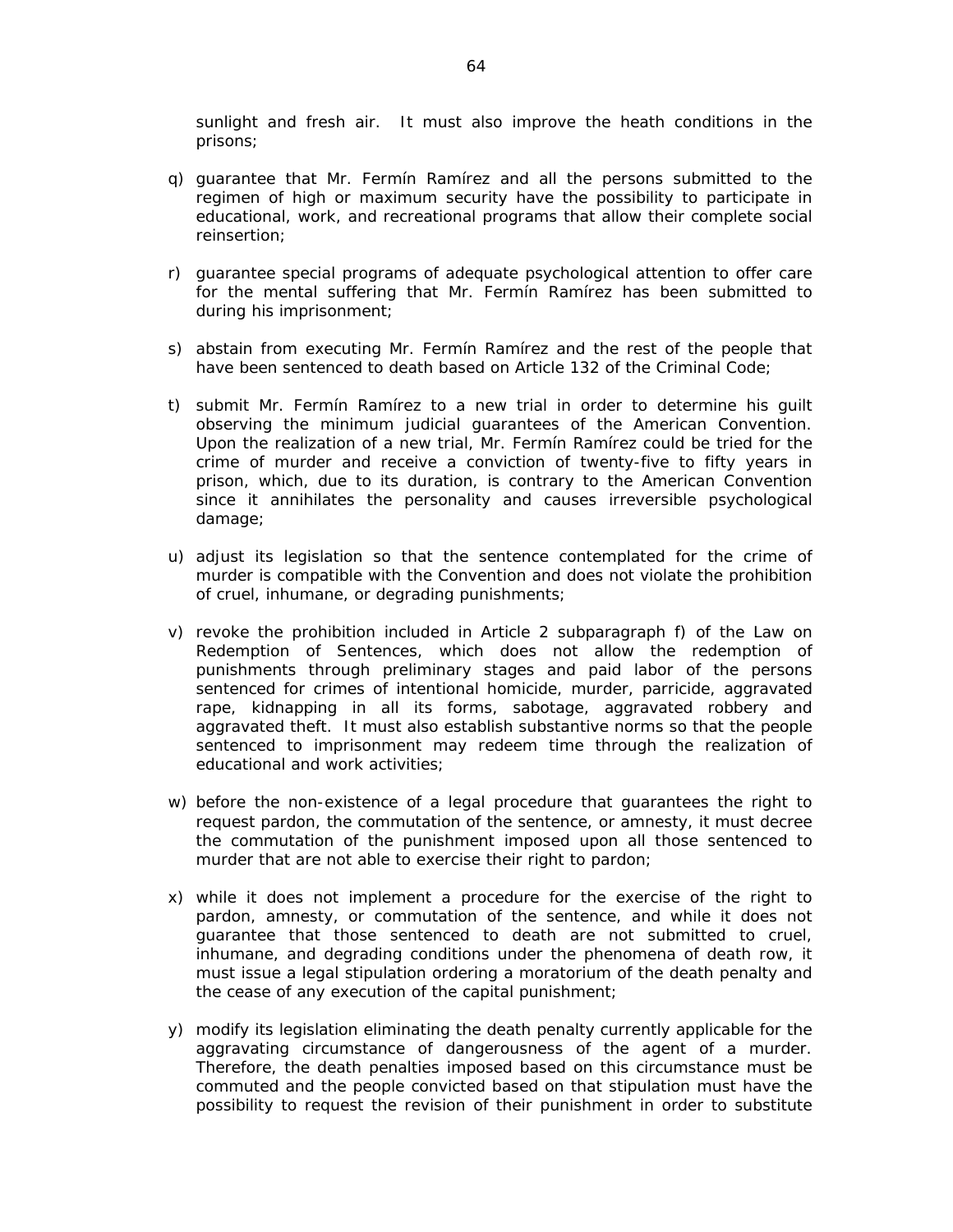sunlight and fresh air. It must also improve the heath conditions in the prisons;

- q) guarantee that Mr. Fermín Ramírez and all the persons submitted to the regimen of high or maximum security have the possibility to participate in educational, work, and recreational programs that allow their complete social reinsertion;
- r) guarantee special programs of adequate psychological attention to offer care for the mental suffering that Mr. Fermín Ramírez has been submitted to during his imprisonment;
- s) abstain from executing Mr. Fermín Ramírez and the rest of the people that have been sentenced to death based on Article 132 of the Criminal Code;
- t) submit Mr. Fermín Ramírez to a new trial in order to determine his guilt observing the minimum judicial guarantees of the American Convention. Upon the realization of a new trial, Mr. Fermín Ramírez could be tried for the crime of murder and receive a conviction of twenty-five to fifty years in prison, which, due to its duration, is contrary to the American Convention since it annihilates the personality and causes irreversible psychological damage;
- u) adjust its legislation so that the sentence contemplated for the crime of murder is compatible with the Convention and does not violate the prohibition of cruel, inhumane, or degrading punishments;
- v) revoke the prohibition included in Article 2 subparagraph f) of the Law on Redemption of Sentences, which does not allow the redemption of punishments through preliminary stages and paid labor of the persons sentenced for crimes of intentional homicide, murder, parricide, aggravated rape, kidnapping in all its forms, sabotage, aggravated robbery and aggravated theft. It must also establish substantive norms so that the people sentenced to imprisonment may redeem time through the realization of educational and work activities;
- w) before the non-existence of a legal procedure that guarantees the right to request pardon, the commutation of the sentence, or amnesty, it must decree the commutation of the punishment imposed upon all those sentenced to murder that are not able to exercise their right to pardon;
- x) while it does not implement a procedure for the exercise of the right to pardon, amnesty, or commutation of the sentence, and while it does not guarantee that those sentenced to death are not submitted to cruel, inhumane, and degrading conditions under the phenomena of death row, it must issue a legal stipulation ordering a moratorium of the death penalty and the cease of any execution of the capital punishment;
- y) modify its legislation eliminating the death penalty currently applicable for the aggravating circumstance of dangerousness of the agent of a murder. Therefore, the death penalties imposed based on this circumstance must be commuted and the people convicted based on that stipulation must have the possibility to request the revision of their punishment in order to substitute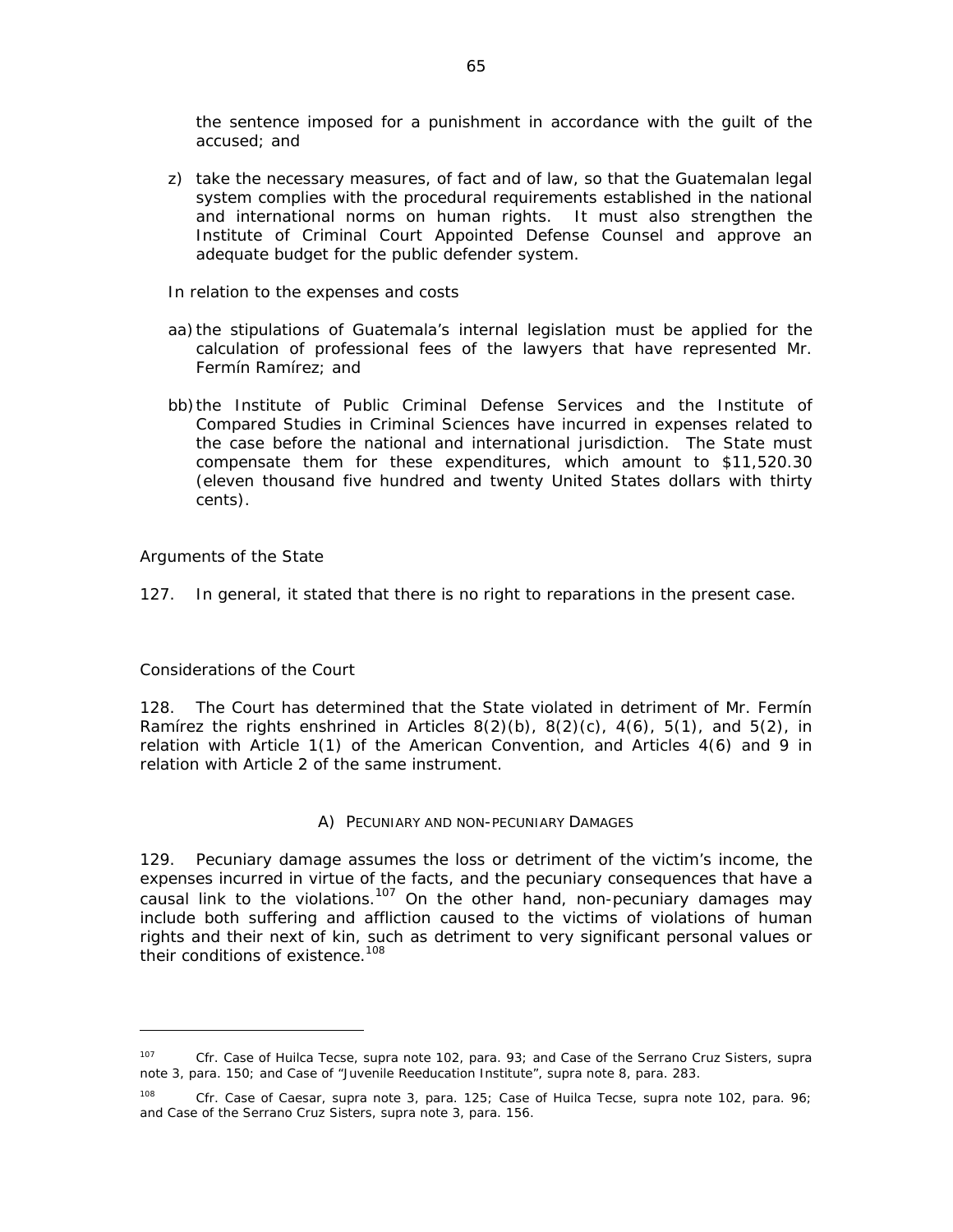the sentence imposed for a punishment in accordance with the guilt of the accused; and

- z) take the necessary measures, of fact and of law, so that the Guatemalan legal system complies with the procedural requirements established in the national and international norms on human rights. It must also strengthen the Institute of Criminal Court Appointed Defense Counsel and approve an adequate budget for the public defender system.
- *In relation to the expenses and costs*
- aa) the stipulations of Guatemala's internal legislation must be applied for the calculation of professional fees of the lawyers that have represented Mr. Fermín Ramírez; and
- bb)the Institute of Public Criminal Defense Services and the Institute of Compared Studies in Criminal Sciences have incurred in expenses related to the case before the national and international jurisdiction. The State must compensate them for these expenditures, which amount to \$11,520.30 (eleven thousand five hundred and twenty United States dollars with thirty cents).

### *Arguments of the State*

127. In general, it stated that there is no right to reparations in the present case.

### *Considerations of the Court*

 $\overline{a}$ 

128. The Court has determined that the State violated in detriment of Mr. Fermín Ramírez the rights enshrined in Articles  $8(2)(b)$ ,  $8(2)(c)$ ,  $4(6)$ ,  $5(1)$ , and  $5(2)$ , in relation with Article 1(1) of the American Convention, and Articles 4(6) and 9 in relation with Article 2 of the same instrument.

### *A) PECUNIARY AND NON-PECUNIARY DAMAGES*

129. Pecuniary damage assumes the loss or detriment of the victim's income, the expenses incurred in virtue of the facts, and the pecuniary consequences that have a causal link to the violations.107 On the other hand, non-pecuniary damages may include both suffering and affliction caused to the victims of violations of human rights and their next of kin, such as detriment to very significant personal values or their conditions of existence.<sup>108</sup>

<sup>107</sup> *Cfr. Case of Huilca Tecse, supra* note 102, para. 93; and *Case of the Serrano Cruz Sisters, supra* note 3, para. 150; and *Case of "Juvenile Reeducation Institute"*, *supra* note 8, para. 283.

<sup>108</sup> *Cfr. Case of Caesar, supra* note 3, para. 125; *Case of Huilca Tecse, supra* note 102, para. 96; and *Case of the Serrano Cruz Sisters, supra* note 3, para. 156.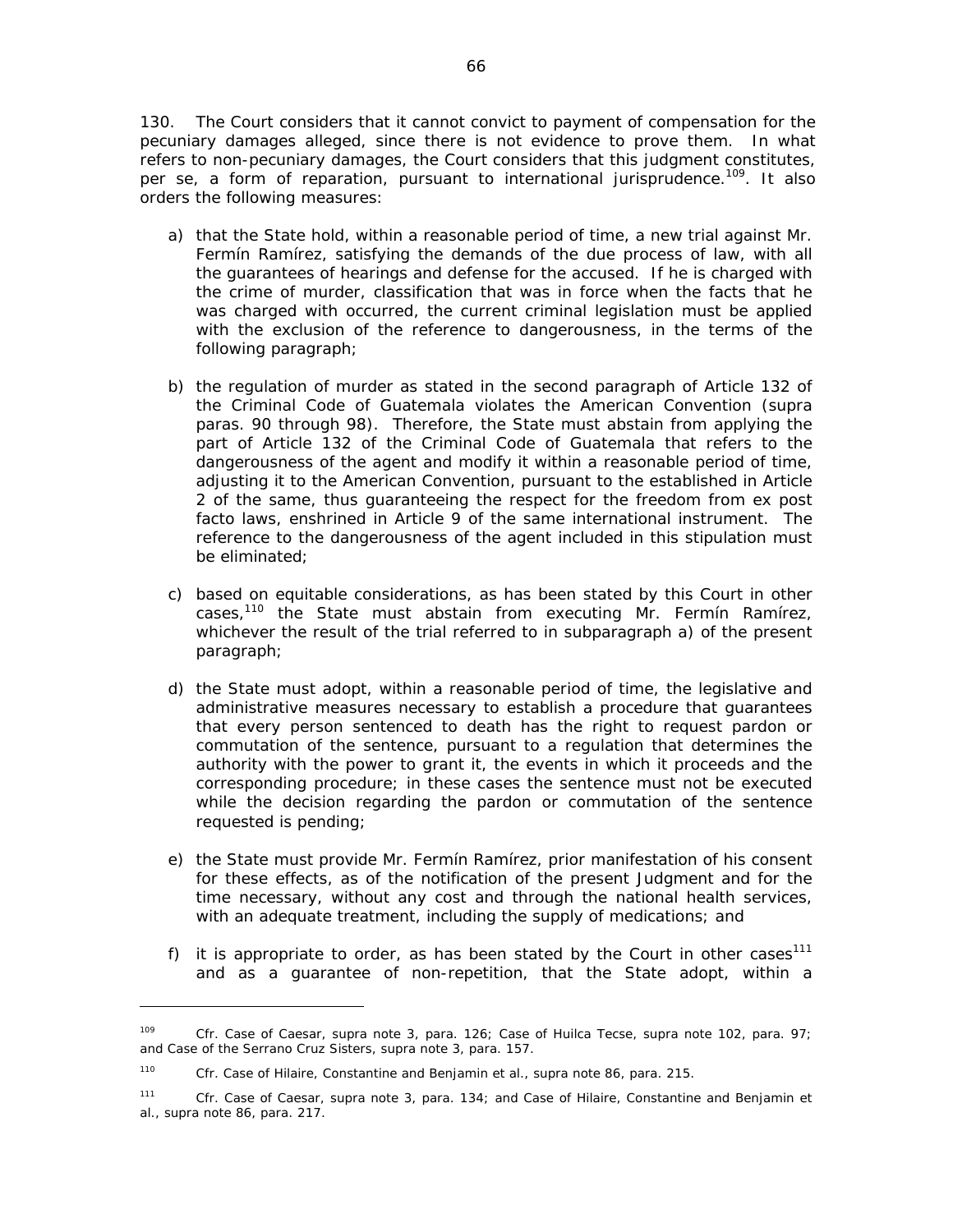130. The Court considers that it cannot convict to payment of compensation for the pecuniary damages alleged, since there is not evidence to prove them. In what refers to non-pecuniary damages, the Court considers that this judgment constitutes, per se, a form of reparation, pursuant to international jurisprudence.<sup>109</sup>. It also orders the following measures:

- a) that the State hold, within a reasonable period of time, a new trial against Mr. Fermín Ramírez, satisfying the demands of the due process of law, with all the guarantees of hearings and defense for the accused. If he is charged with the crime of murder, classification that was in force when the facts that he was charged with occurred, the current criminal legislation must be applied with the exclusion of the reference to dangerousness, in the terms of the following paragraph;
- b) the regulation of murder as stated in the second paragraph of Article 132 of the Criminal Code of Guatemala violates the American Convention (*supra*  paras. 90 through 98). Therefore, the State must abstain from applying the part of Article 132 of the Criminal Code of Guatemala that refers to the dangerousness of the agent and modify it within a reasonable period of time, adjusting it to the American Convention, pursuant to the established in Article 2 of the same, thus guaranteeing the respect for the freedom from ex post facto laws, enshrined in Article 9 of the same international instrument. The reference to the dangerousness of the agent included in this stipulation must be eliminated;
- c) based on equitable considerations, as has been stated by this Court in other cases,<sup>110</sup> the State must abstain from executing Mr. Fermín Ramírez, whichever the result of the trial referred to in subparagraph a) of the present paragraph;
- d) the State must adopt, within a reasonable period of time, the legislative and administrative measures necessary to establish a procedure that guarantees that every person sentenced to death has the right to request pardon or commutation of the sentence, pursuant to a regulation that determines the authority with the power to grant it, the events in which it proceeds and the corresponding procedure; in these cases the sentence must not be executed while the decision regarding the pardon or commutation of the sentence requested is pending;
- e) the State must provide Mr. Fermín Ramírez, prior manifestation of his consent for these effects, as of the notification of the present Judgment and for the time necessary, without any cost and through the national health services, with an adequate treatment, including the supply of medications; and
- f) it is appropriate to order, as has been stated by the Court in other cases<sup>111</sup> and as a guarantee of non-repetition, that the State adopt, within a

<sup>109</sup> *Cfr. Case of Caesar, supra* note 3, para. 126; *Case of Huilca Tecse, supra* note 102, para. 97; and *Case of the Serrano Cruz Sisters, supra* note 3, para. 157.

<sup>110</sup> *Cfr. Case of Hilaire, Constantine and Benjamin et al.*, *supra* note 86, para. 215.

<sup>111</sup> *Cfr. Case of Caesar, supra* note 3, para. 134; and *Case of Hilaire, Constantine and Benjamin et al.*, *supra* note 86, para. 217.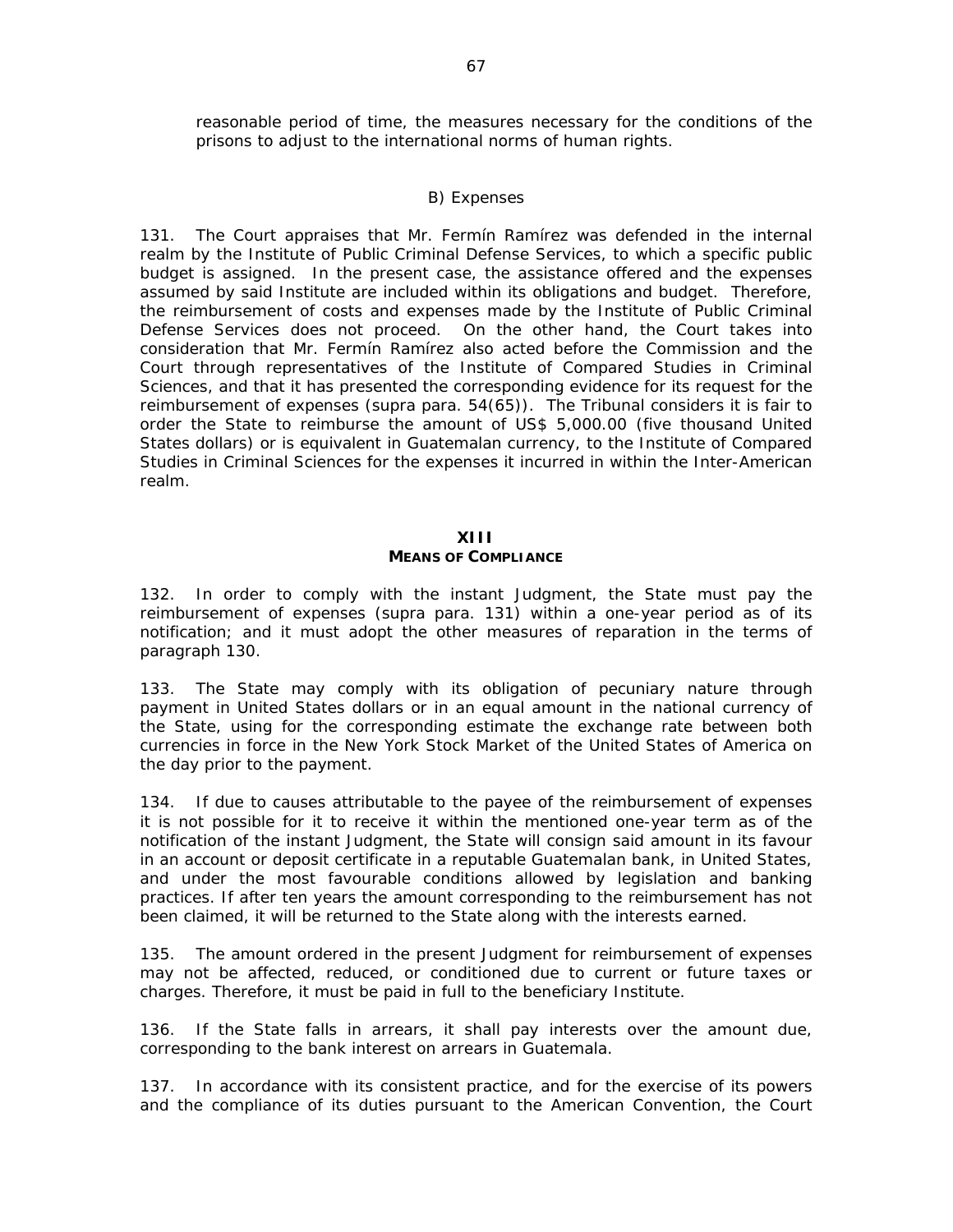reasonable period of time, the measures necessary for the conditions of the prisons to adjust to the international norms of human rights.

### *B) Expenses*

131. The Court appraises that Mr. Fermín Ramírez was defended in the internal realm by the Institute of Public Criminal Defense Services, to which a specific public budget is assigned. In the present case, the assistance offered and the expenses assumed by said Institute are included within its obligations and budget. Therefore, the reimbursement of costs and expenses made by the Institute of Public Criminal Defense Services does not proceed. On the other hand, the Court takes into consideration that Mr. Fermín Ramírez also acted before the Commission and the Court through representatives of the Institute of Compared Studies in Criminal Sciences, and that it has presented the corresponding evidence for its request for the reimbursement of expenses (*supra* para. 54(65)). The Tribunal considers it is fair to order the State to reimburse the amount of US\$ 5,000.00 (five thousand United States dollars) or is equivalent in Guatemalan currency, to the Institute of Compared Studies in Criminal Sciences for the expenses it incurred in within the Inter-American realm.

#### **XIII**

### **MEANS OF COMPLIANCE**

132. In order to comply with the instant Judgment, the State must pay the reimbursement of expenses (*supra* para. 131) within a one-year period as of its notification; and it must adopt the other measures of reparation in the terms of paragraph 130.

133. The State may comply with its obligation of pecuniary nature through payment in United States dollars or in an equal amount in the national currency of the State, using for the corresponding estimate the exchange rate between both currencies in force in the New York Stock Market of the United States of America on the day prior to the payment.

134. If due to causes attributable to the payee of the reimbursement of expenses it is not possible for it to receive it within the mentioned one-year term as of the notification of the instant Judgment, the State will consign said amount in its favour in an account or deposit certificate in a reputable Guatemalan bank, in United States, and under the most favourable conditions allowed by legislation and banking practices. If after ten years the amount corresponding to the reimbursement has not been claimed, it will be returned to the State along with the interests earned.

135. The amount ordered in the present Judgment for reimbursement of expenses may not be affected, reduced, or conditioned due to current or future taxes or charges. Therefore, it must be paid in full to the beneficiary Institute.

136. If the State falls in arrears, it shall pay interests over the amount due, corresponding to the bank interest on arrears in Guatemala.

137. In accordance with its consistent practice, and for the exercise of its powers and the compliance of its duties pursuant to the American Convention, the Court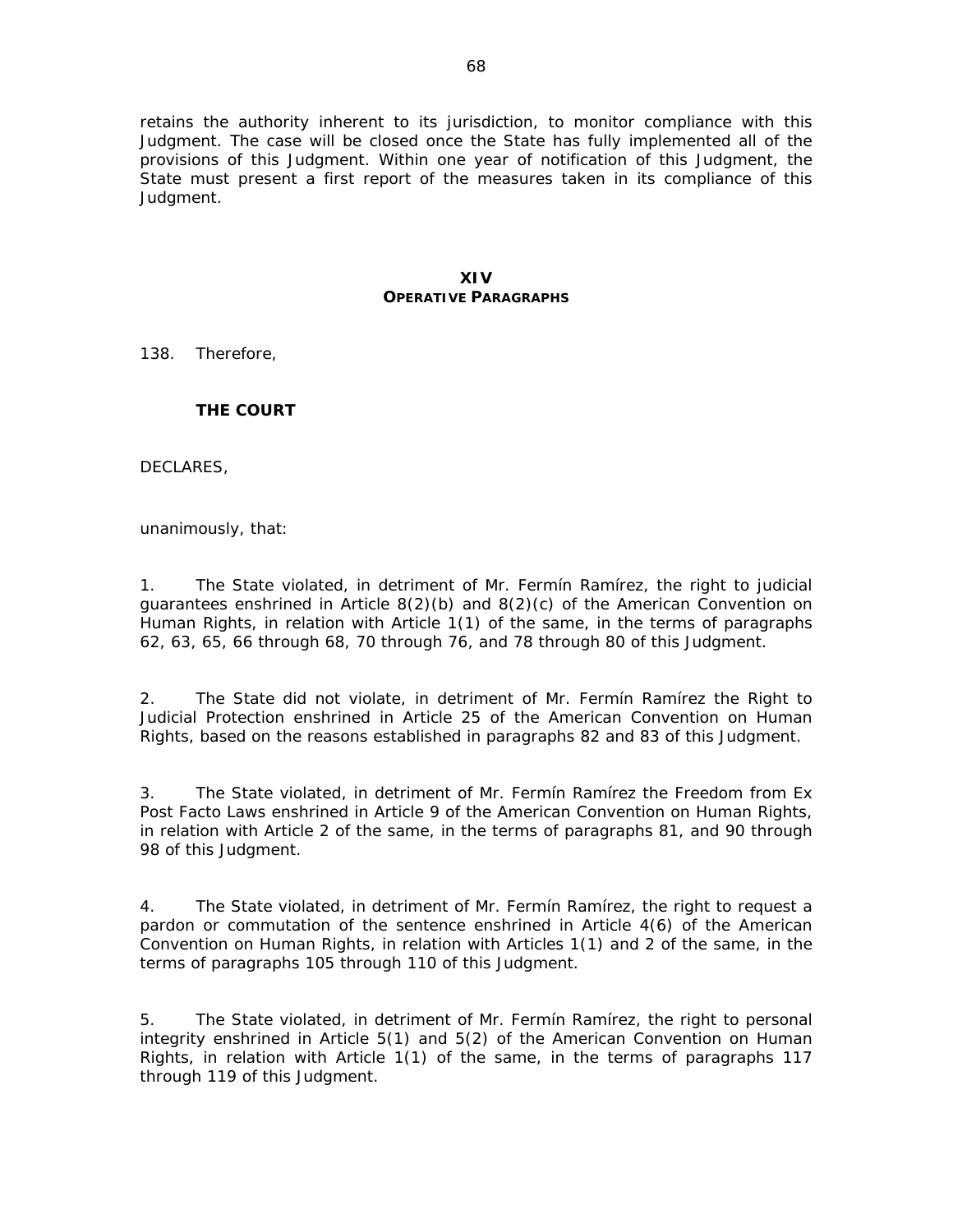retains the authority inherent to its jurisdiction, to monitor compliance with this Judgment. The case will be closed once the State has fully implemented all of the provisions of this Judgment. Within one year of notification of this Judgment, the State must present a first report of the measures taken in its compliance of this Judgment.

#### **XIV OPERATIVE PARAGRAPHS**

138. Therefore,

### **THE COURT**

DECLARES,

unanimously, that:

1. The State violated, in detriment of Mr. Fermín Ramírez, the right to judicial guarantees enshrined in Article 8(2)(b) and 8(2)(c) of the American Convention on Human Rights, in relation with Article 1(1) of the same, in the terms of paragraphs 62, 63, 65, 66 through 68, 70 through 76, and 78 through 80 of this Judgment.

2. The State did not violate, in detriment of Mr. Fermín Ramírez the Right to Judicial Protection enshrined in Article 25 of the American Convention on Human Rights, based on the reasons established in paragraphs 82 and 83 of this Judgment.

3. The State violated, in detriment of Mr. Fermín Ramírez the Freedom from Ex Post Facto Laws enshrined in Article 9 of the American Convention on Human Rights, in relation with Article 2 of the same, in the terms of paragraphs 81, and 90 through 98 of this Judgment.

4. The State violated, in detriment of Mr. Fermín Ramírez, the right to request a pardon or commutation of the sentence enshrined in Article 4(6) of the American Convention on Human Rights, in relation with Articles 1(1) and 2 of the same, in the terms of paragraphs 105 through 110 of this Judgment.

5. The State violated, in detriment of Mr. Fermín Ramírez, the right to personal integrity enshrined in Article 5(1) and 5(2) of the American Convention on Human Rights, in relation with Article 1(1) of the same, in the terms of paragraphs 117 through 119 of this Judgment.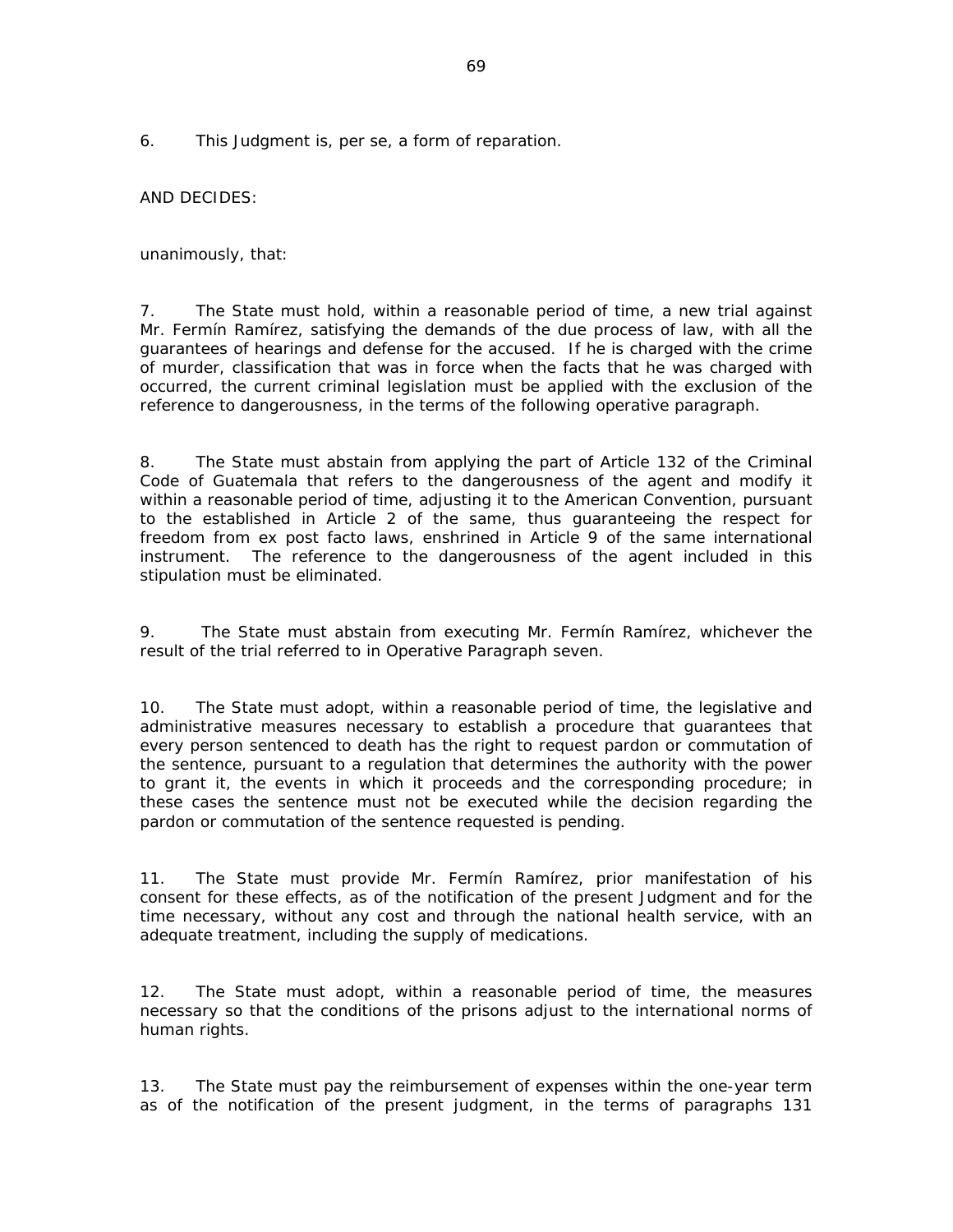6. This Judgment is, *per se,* a form of reparation.

AND DECIDES:

unanimously, that:

7. The State must hold, within a reasonable period of time, a new trial against Mr. Fermín Ramírez, satisfying the demands of the due process of law, with all the guarantees of hearings and defense for the accused. If he is charged with the crime of murder, classification that was in force when the facts that he was charged with occurred, the current criminal legislation must be applied with the exclusion of the reference to dangerousness, in the terms of the following operative paragraph.

8. The State must abstain from applying the part of Article 132 of the Criminal Code of Guatemala that refers to the dangerousness of the agent and modify it within a reasonable period of time, adjusting it to the American Convention, pursuant to the established in Article 2 of the same, thus guaranteeing the respect for freedom from ex post facto laws, enshrined in Article 9 of the same international instrument. The reference to the dangerousness of the agent included in this stipulation must be eliminated.

9. The State must abstain from executing Mr. Fermín Ramírez, whichever the result of the trial referred to in Operative Paragraph seven.

10. The State must adopt, within a reasonable period of time, the legislative and administrative measures necessary to establish a procedure that guarantees that every person sentenced to death has the right to request pardon or commutation of the sentence, pursuant to a regulation that determines the authority with the power to grant it, the events in which it proceeds and the corresponding procedure; in these cases the sentence must not be executed while the decision regarding the pardon or commutation of the sentence requested is pending.

11. The State must provide Mr. Fermín Ramírez, prior manifestation of his consent for these effects, as of the notification of the present Judgment and for the time necessary, without any cost and through the national health service, with an adequate treatment, including the supply of medications.

12. The State must adopt, within a reasonable period of time, the measures necessary so that the conditions of the prisons adjust to the international norms of human rights.

13. The State must pay the reimbursement of expenses within the one-year term as of the notification of the present judgment, in the terms of paragraphs 131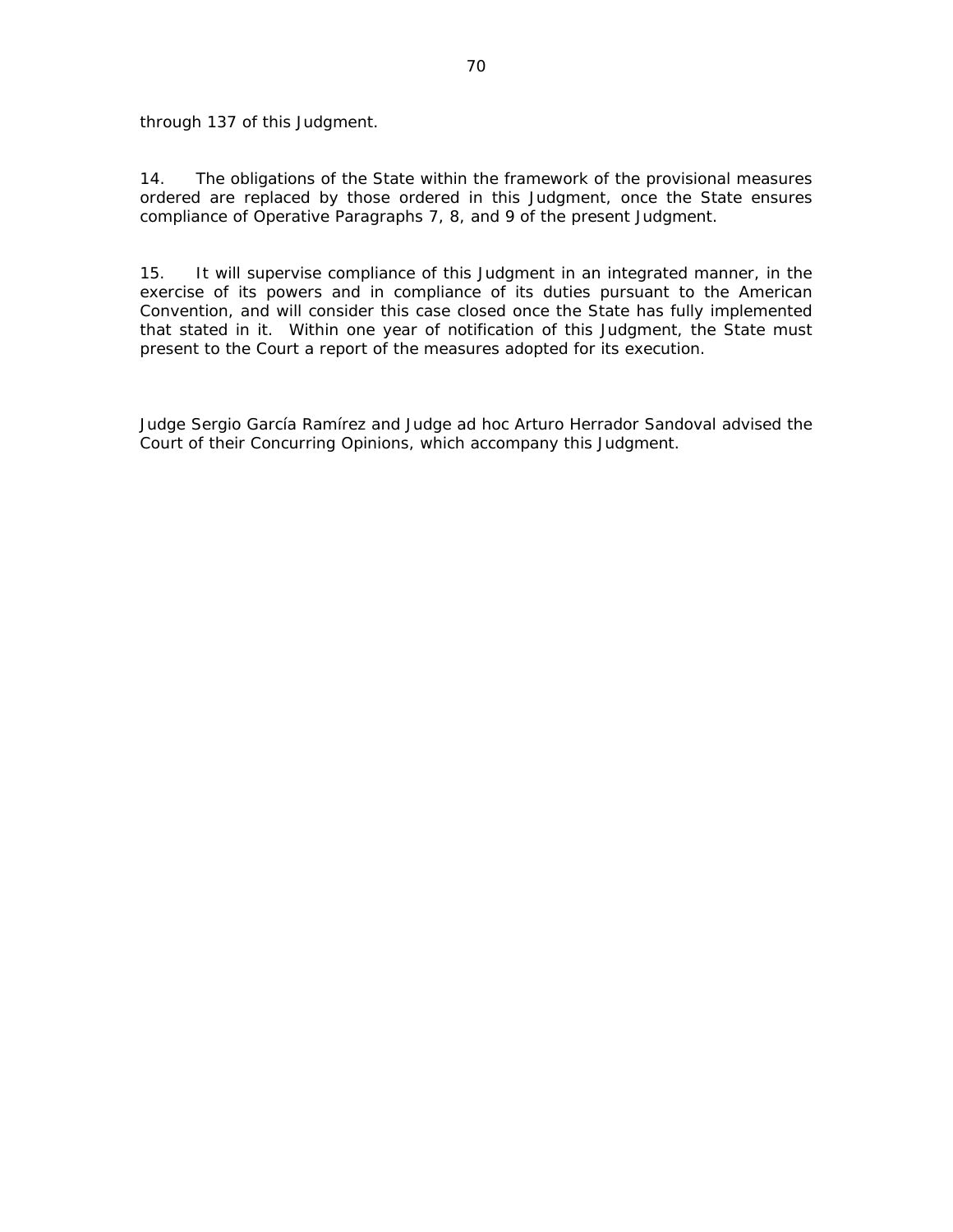through 137 of this Judgment.

14. The obligations of the State within the framework of the provisional measures ordered are replaced by those ordered in this Judgment, once the State ensures compliance of Operative Paragraphs 7, 8, and 9 of the present Judgment.

15. It will supervise compliance of this Judgment in an integrated manner, in the exercise of its powers and in compliance of its duties pursuant to the American Convention, and will consider this case closed once the State has fully implemented that stated in it. Within one year of notification of this Judgment, the State must present to the Court a report of the measures adopted for its execution.

Judge Sergio García Ramírez and Judge *ad hoc* Arturo Herrador Sandoval advised the Court of their Concurring Opinions, which accompany this Judgment.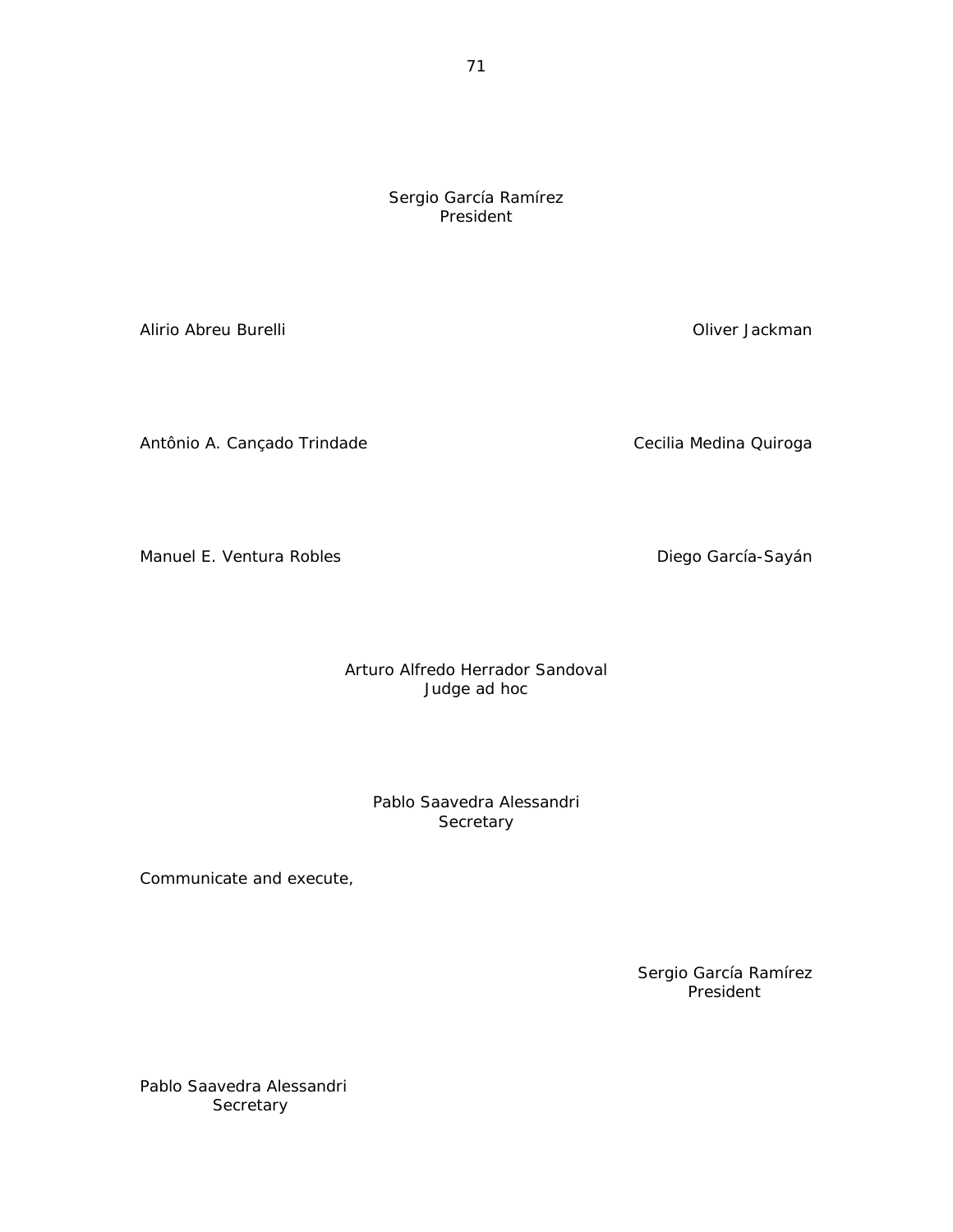Sergio García Ramírez President

Alirio Abreu Burelli Oliver Jackman

Antônio A. Cançado Trindade **Cecilia Medina Quiroga** 

Manuel E. Ventura Robles **Diego García-Sayán** 

Arturo Alfredo Herrador Sandoval Judge *ad hoc* 

Pablo Saavedra Alessandri **Secretary** 

Communicate and execute,

 Sergio García Ramírez President

Pablo Saavedra Alessandri **Secretary**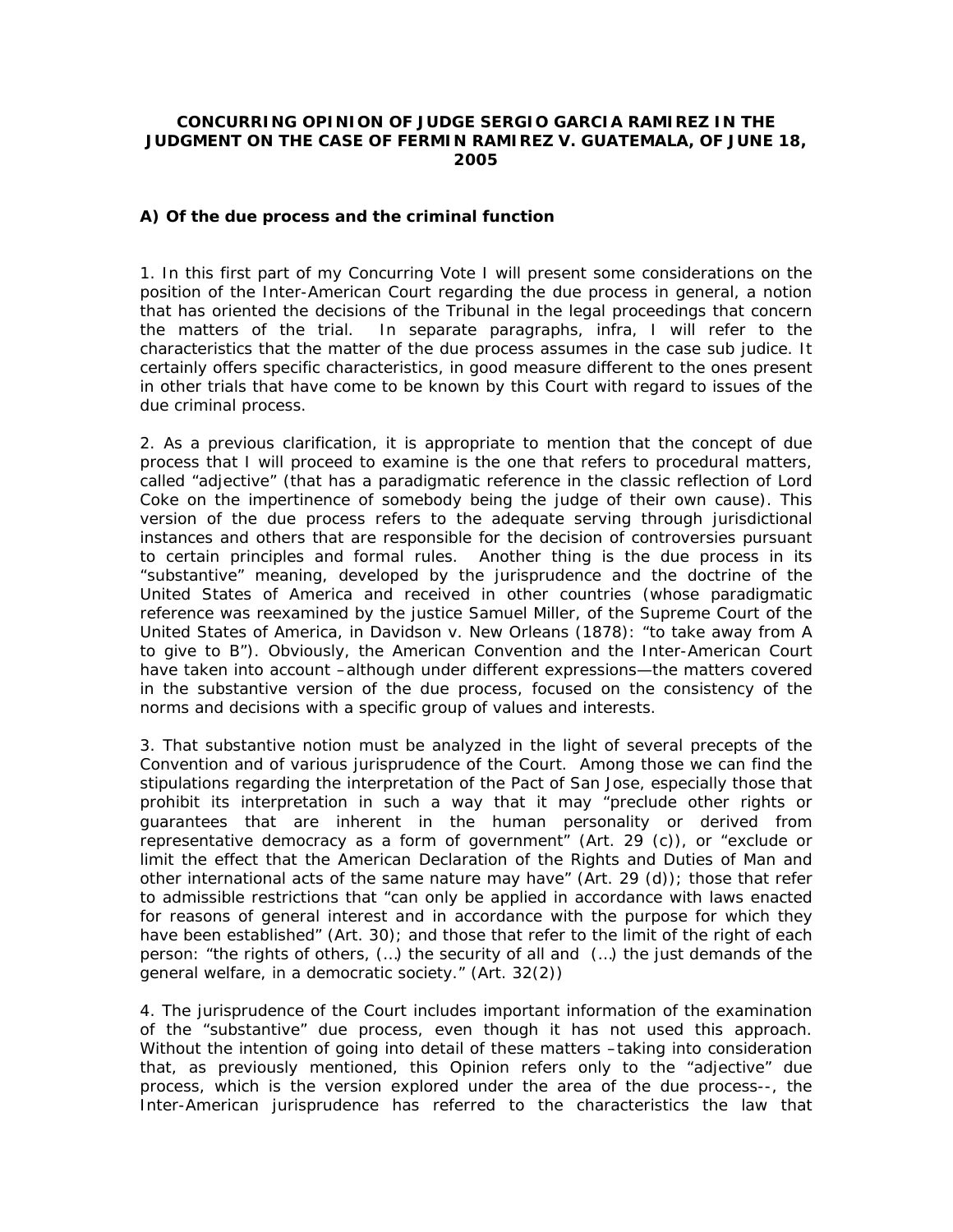### **CONCURRING OPINION OF JUDGE SERGIO GARCIA RAMIREZ IN THE JUDGMENT ON THE** *CASE OF FERMIN RAMIREZ V. GUATEMALA***, OF JUNE 18, 2005**

#### **A)** *Of the due process and the criminal function*

1. In this first part of my *Concurring Vote* I will present some considerations on the position of the Inter-American Court regarding the due process in general, a notion that has oriented the decisions of the Tribunal in the legal proceedings that concern the matters of the trial. In separate paragraphs, *infra,* I will refer to the characteristics that the matter of the due process assumes in the case *sub judice*. It certainly offers specific characteristics, in good measure different to the ones present in other trials that have come to be known by this Court with regard to issues of the due criminal process.

2. As a previous clarification, it is appropriate to mention that the concept of due process that I will proceed to examine is the one that refers to procedural matters, called "adjective" (that has a paradigmatic reference in the classic reflection of Lord Coke on the impertinence of somebody being the judge of their own cause). This version of the due process refers to the adequate serving through jurisdictional instances and others that are responsible for the decision of controversies pursuant to certain principles and formal rules. Another thing is the due process in its "substantive" meaning, developed by the jurisprudence and the doctrine of the United States of America and received in other countries (whose paradigmatic reference was reexamined by the *justice* Samuel Miller, of the Supreme Court of the United States of America, in *Davidson v. New Orleans* (1878): "to take away from A to give to B"). Obviously, the American Convention and the Inter-American Court have taken into account –although under different expressions—the matters covered in the substantive version of the *due process*, focused on the consistency of the norms and decisions with a specific group of values and interests.

3. That substantive notion must be analyzed in the light of several precepts of the Convention and of various jurisprudence of the Court. Among those we can find the stipulations regarding the interpretation of the Pact of San Jose, especially those that prohibit its interpretation in such a way that it may "preclude other rights or guarantees that are inherent in the human personality or derived from representative democracy as a form of government" (Art. 29 (c)), or "exclude or limit the effect that the American Declaration of the Rights and Duties of Man and other international acts of the same nature may have" (Art. 29 (d)); those that refer to admissible restrictions that "can only be applied in accordance with laws enacted for reasons of general interest and in accordance with the purpose for which they have been established" (Art. 30); and those that refer to the limit of the right of each person: "the rights of others, (…) the security of all and (…) the just demands of the general welfare, in a democratic society." (Art. 32(2))

4. The jurisprudence of the Court includes important information of the examination of the "substantive" due process, even though it has not used this approach. Without the intention of going into detail of these matters -taking into consideration that, as previously mentioned, this *Opinion* refers only to the "adjective" due process, which is the version explored under the area of the due process--, the Inter-American jurisprudence has referred to the characteristics the law that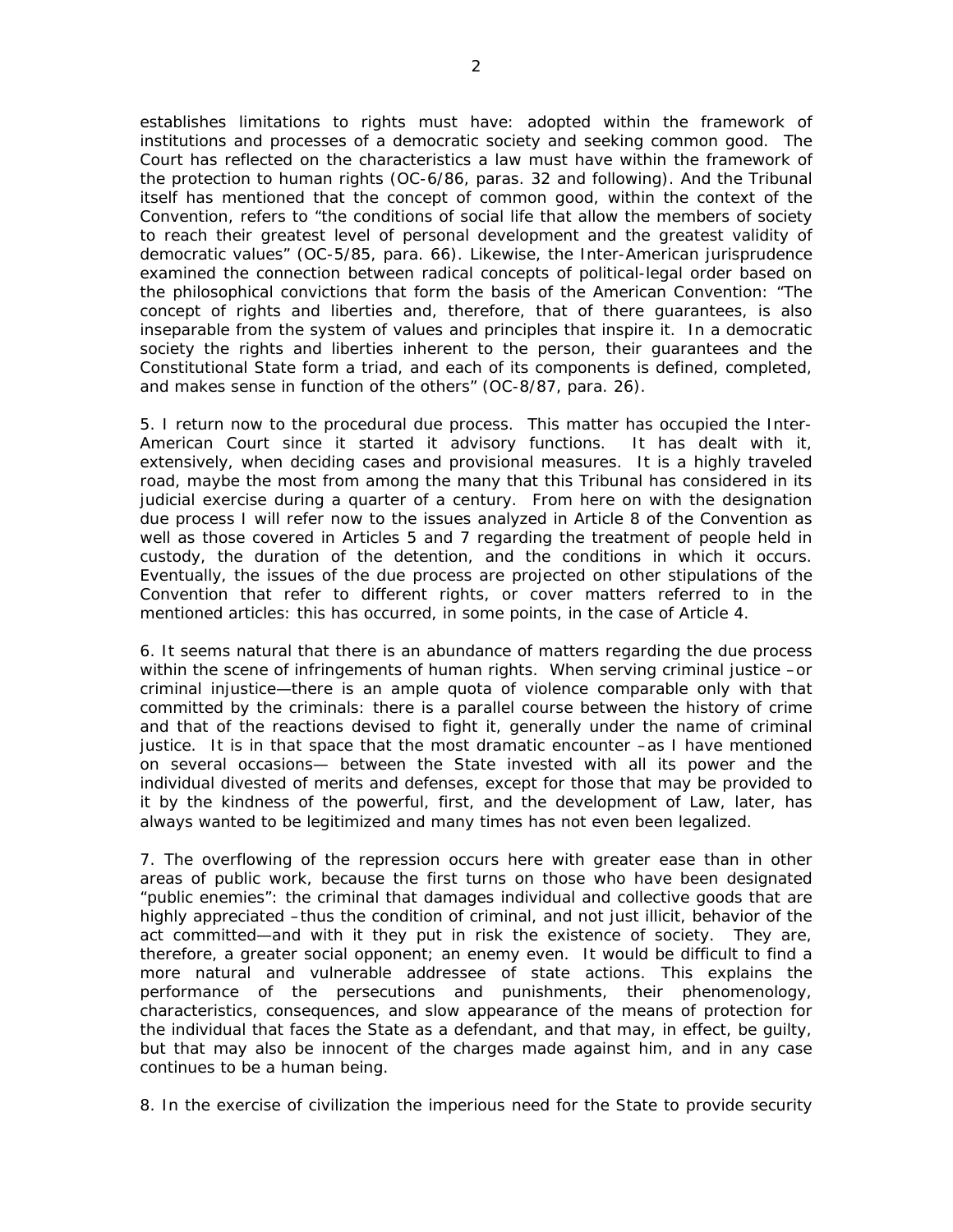establishes limitations to rights must have: adopted within the framework of institutions and processes of a democratic society and seeking common good. The Court has reflected on the characteristics a law must have within the framework of the protection to human rights (*OC-6/86*, paras. 32 and following). And the Tribunal itself has mentioned that the concept of common good, within the context of the Convention, refers to "the conditions of social life that allow the members of society to reach their greatest level of personal development and the greatest validity of democratic values" (*OC-5/85*, para. 66). Likewise, the Inter-American jurisprudence examined the connection between radical concepts of political-legal order based on the philosophical convictions that form the basis of the American Convention: "The concept of rights and liberties and, therefore, that of there guarantees, is also inseparable from the system of values and principles that inspire it. In a democratic society the rights and liberties inherent to the person, their guarantees and the Constitutional State form a triad, and each of its components is defined, completed, and makes sense in function of the others" (*OC-8/87*, para. 26).

5. I return now to the procedural due process. This matter has occupied the Inter-American Court since it started it advisory functions. It has dealt with it, extensively, when deciding cases and provisional measures. It is a highly traveled road, maybe the most from among the many that this Tribunal has considered in its judicial exercise during a quarter of a century. From here on with the designation due process I will refer now to the issues analyzed in Article 8 of the Convention as well as those covered in Articles 5 and 7 regarding the treatment of people held in custody, the duration of the detention, and the conditions in which it occurs. Eventually, the issues of the due process are projected on other stipulations of the Convention that refer to different rights, or cover matters referred to in the mentioned articles: this has occurred, in some points, in the case of Article 4.

6. It seems natural that there is an abundance of matters regarding the due process within the scene of infringements of human rights. When serving criminal justice –or criminal injustice—there is an ample quota of violence comparable only with that committed by the criminals: there is a parallel course between the history of crime and that of the reactions devised to fight it, generally under the name of criminal justice. It is in that space that the most dramatic encounter –as I have mentioned on several occasions— between the State invested with all its power and the individual divested of merits and defenses, except for those that may be provided to it by the kindness of the powerful, first, and the development of Law, later, has always wanted to be legitimized and many times has not even been legalized.

7. The overflowing of the repression occurs here with greater ease than in other areas of public work, because the first turns on those who have been designated "public enemies": the criminal that damages individual and collective goods that are highly appreciated –thus the condition of criminal, and not just illicit, behavior of the act committed—and with it they put in risk the existence of society. They are, therefore, a greater social opponent; an enemy even. It would be difficult to find a more natural and vulnerable addressee of state actions. This explains the performance of the persecutions and punishments, their phenomenology, characteristics, consequences, and slow appearance of the means of protection for the individual that faces the State as a defendant, and that may, in effect, be guilty, but that may also be innocent of the charges made against him, and in any case continues to be a human being.

8. In the exercise of civilization the imperious need for the State to provide security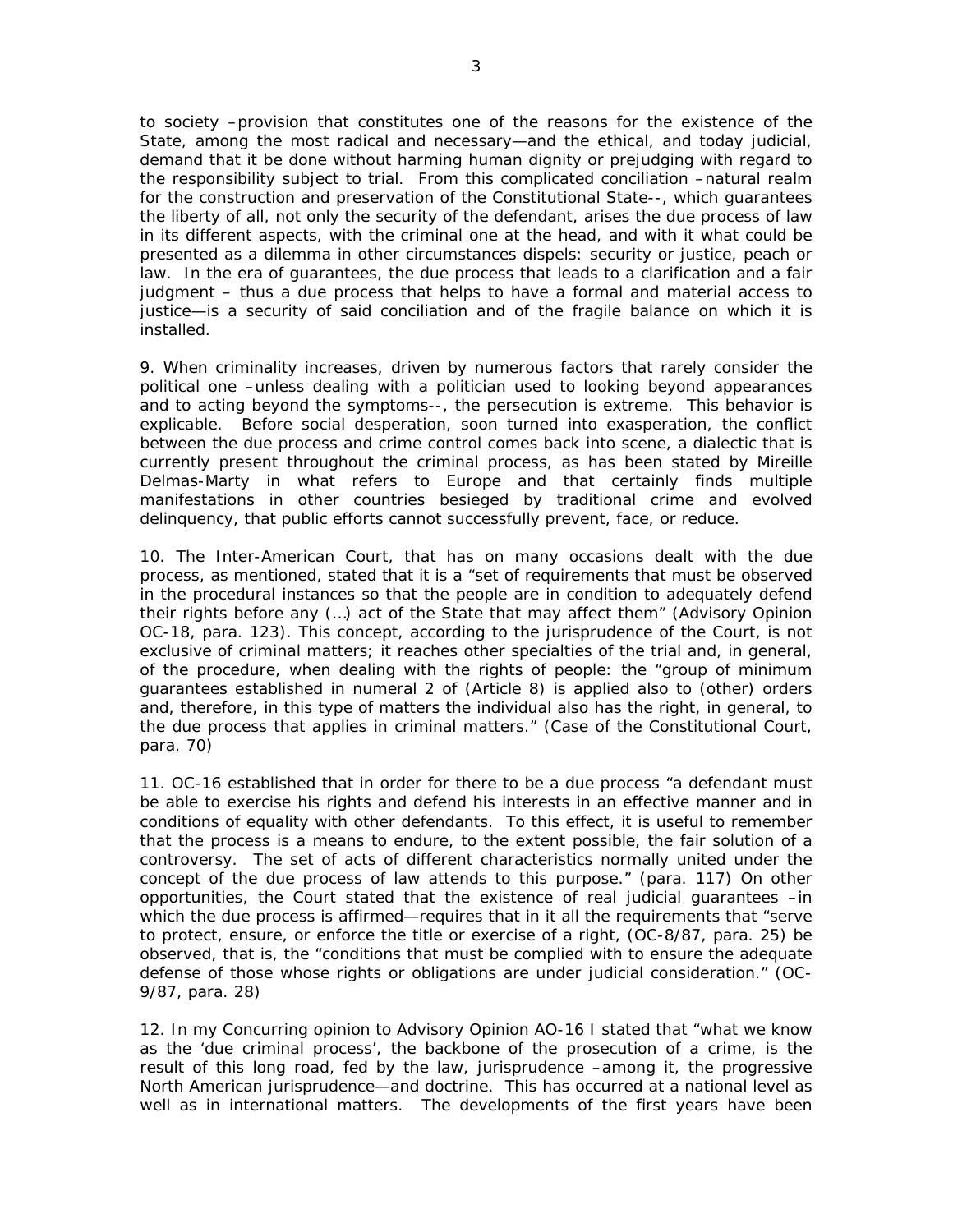to society –provision that constitutes one of the reasons for the existence of the State, among the most radical and necessary—and the ethical, and today judicial, demand that it be done without harming human dignity or prejudging with regard to the responsibility subject to trial. From this complicated conciliation –natural realm for the construction and preservation of the Constitutional State--, which guarantees the liberty of all, not only the security of the defendant, arises the due process of law in its different aspects, with the criminal one at the head, and with it what could be presented as a dilemma in other circumstances dispels: security or justice, peach or law. In the era of guarantees, the due process that leads to a clarification and a fair judgment – thus a due process that helps to have a formal and material access to justice—is a security of said conciliation and of the fragile balance on which it is installed.

9. When criminality increases, driven by numerous factors that rarely consider the political one –unless dealing with a politician used to looking beyond appearances and to acting beyond the symptoms--, the persecution is extreme. This behavior is explicable. Before social desperation, soon turned into exasperation, the conflict between the due process and crime control comes back into scene, a dialectic that is currently present throughout the criminal process, as has been stated by Mireille Delmas-Marty in what refers to Europe and that certainly finds multiple manifestations in other countries besieged by traditional crime and evolved delinquency, that public efforts cannot successfully prevent, face, or reduce.

10. The Inter-American Court, that has on many occasions dealt with the due process, as mentioned, stated that it is a "set of requirements that must be observed in the procedural instances so that the people are in condition to adequately defend their rights before any (…) act of the State that may affect them" (*Advisory Opinion OC-18*, para. 123). This concept, according to the jurisprudence of the Court, is not exclusive of criminal matters; it reaches other specialties of the trial and, in general, of the procedure, when dealing with the rights of people: the "group of minimum guarantees established in numeral 2 of (Article 8) is applied also to (other) orders and, therefore, in this type of matters the individual also has the right, in general, to the due process that applies in criminal matters." (*Case of the Constitutional Court,*  para. 70)

11. OC-16 established that in order for there to be a due process "a defendant must be able to exercise his rights and defend his interests in an effective manner and in conditions of equality with other defendants. To this effect, it is useful to remember that the process is a means to endure, to the extent possible, the fair solution of a controversy. The set of acts of different characteristics normally united under the concept of the due process of law attends to this purpose." (para. 117) On other opportunities, the Court stated that the existence of real judicial guarantees –in which the due process is affirmed—requires that in it all the requirements that "serve to protect, ensure, or enforce the title or exercise of a right, (*OC-8/87*, para. 25) be observed, that is, the "conditions that must be complied with to ensure the adequate defense of those whose rights or obligations are under judicial consideration." (OC-9/87, para. 28)

12. In my *Concurring opinion* to *Advisory Opinion AO-16* I stated that "what we know as the 'due criminal process', the backbone of the prosecution of a crime, is the result of this long road, fed by the law, jurisprudence –among it, the progressive North American jurisprudence—and doctrine. This has occurred at a national level as well as in international matters. The developments of the first years have been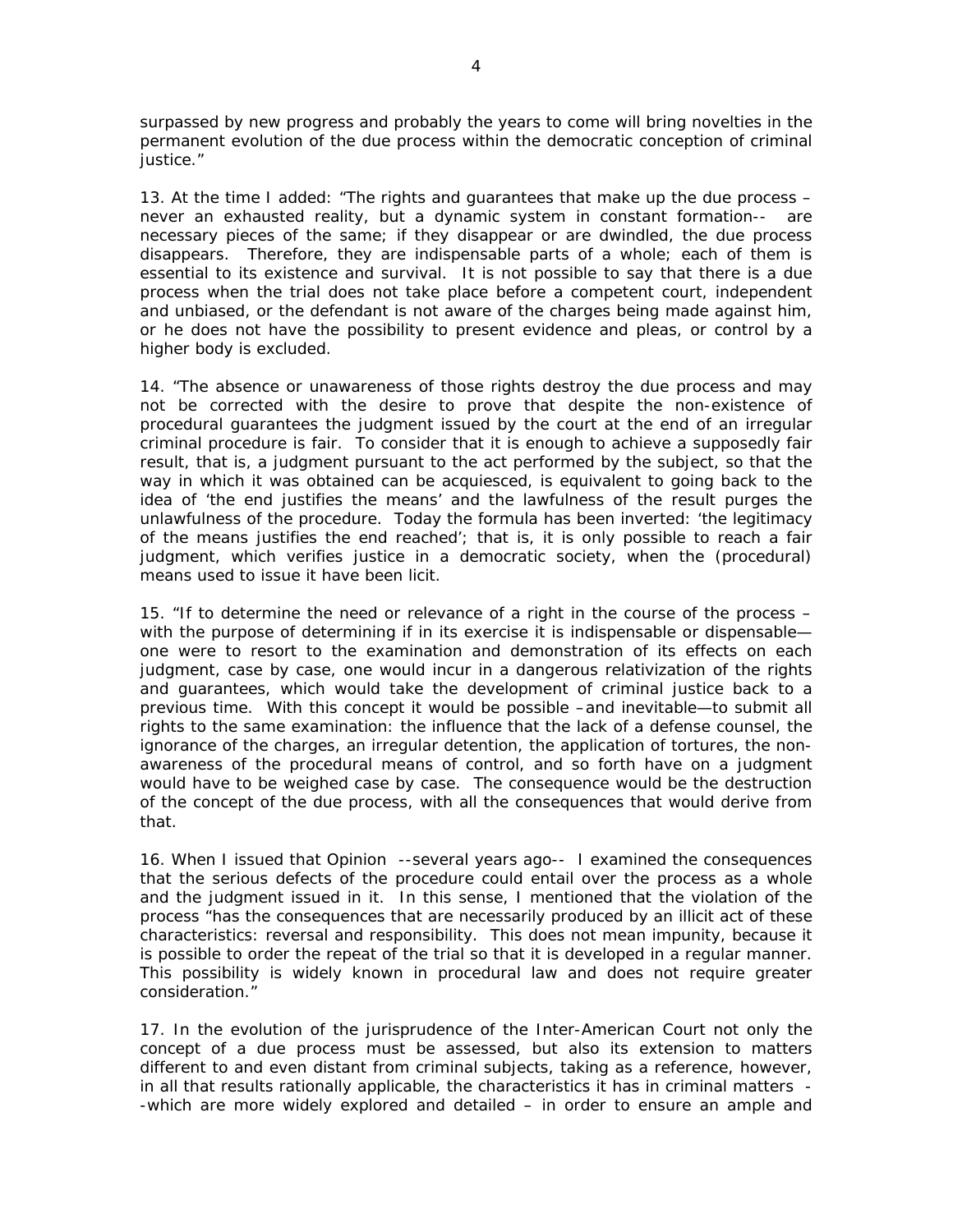surpassed by new progress and probably the years to come will bring novelties in the permanent evolution of the due process within the democratic conception of criminal justice."

13. At the time I added: "The rights and guarantees that make up the due process – never an exhausted reality, but a dynamic system in constant formation-- are necessary pieces of the same; if they disappear or are dwindled, the due process disappears. Therefore, they are indispensable parts of a whole; each of them is essential to its existence and survival. It is not possible to say that there is a due process when the trial does not take place before a competent court, independent and unbiased, or the defendant is not aware of the charges being made against him, or he does not have the possibility to present evidence and pleas, or control by a higher body is excluded.

14. "The absence or unawareness of those rights destroy the due process and may not be corrected with the desire to prove that despite the non-existence of procedural guarantees the judgment issued by the court at the end of an irregular criminal procedure is fair. To consider that it is enough to achieve a supposedly fair result, that is, a judgment pursuant to the act performed by the subject, so that the way in which it was obtained can be acquiesced, is equivalent to going back to the idea of 'the end justifies the means' and the lawfulness of the result purges the unlawfulness of the procedure. Today the formula has been inverted: 'the legitimacy of the means justifies the end reached'; that is, it is only possible to reach a fair judgment, which verifies justice in a democratic society, when the (procedural) means used to issue it have been licit.

15. "If to determine the need or relevance of a right in the course of the process – with the purpose of determining if in its exercise it is indispensable or dispensable one were to resort to the examination and demonstration of its effects on each judgment, case by case, one would incur in a dangerous relativization of the rights and guarantees, which would take the development of criminal justice back to a previous time. With this concept it would be possible –and inevitable—to submit all rights to the same examination: the influence that the lack of a defense counsel, the ignorance of the charges, an irregular detention, the application of tortures, the nonawareness of the procedural means of control, and so forth have on a judgment would have to be weighed case by case. The consequence would be the destruction of the concept of the due process, with all the consequences that would derive from that.

16. When I issued that *Opinion* --several years ago-- I examined the consequences that the serious defects of the procedure could entail over the process as a whole and the judgment issued in it. In this sense, I mentioned that the violation of the process "has the consequences that are necessarily produced by an illicit act of these characteristics: reversal and responsibility. This does not mean impunity, because it is possible to order the repeat of the trial so that it is developed in a regular manner. This possibility is widely known in procedural law and does not require greater consideration."

17. In the evolution of the jurisprudence of the Inter-American Court not only the concept of a due process must be assessed, but also its extension to matters different to and even distant from criminal subjects, taking as a reference, however, in all that results rationally applicable, the characteristics it has in criminal matters - -which are more widely explored and detailed – in order to ensure an ample and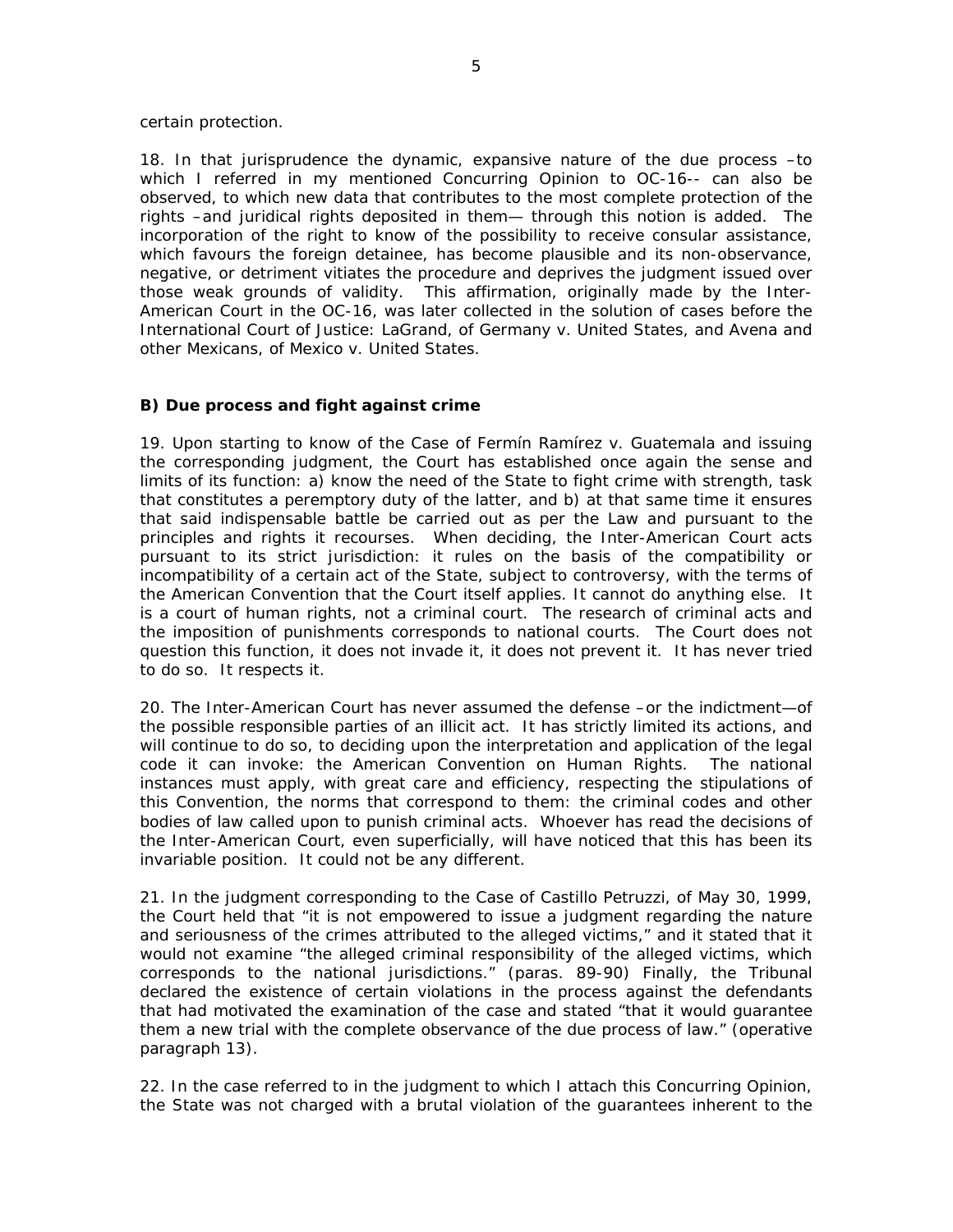certain protection.

18. In that jurisprudence the dynamic, expansive nature of the due process –to which I referred in my mentioned *Concurring Opinion* to *OC-16--* can also be observed, to which new data that contributes to the most complete protection of the rights –and juridical rights deposited in them— through this notion is added. The incorporation of the right to know of the possibility to receive consular assistance, which favours the foreign detainee, has become plausible and its non-observance, negative, or detriment vitiates the procedure and deprives the judgment issued over those weak grounds of validity. This affirmation, originally made by the Inter-American Court in the *OC-16,* was later collected in the solution of cases before the International Court of Justice: *LaGrand*, of *Germany v. United States*, and *Avena and other Mexicans*, of *Mexico v. United States*.

# **B)** *Due process and fight against crime*

19. Upon starting to know of the *Case of Fermín Ramírez v. Guatemala* and issuing the corresponding judgment, the Court has established once again the sense and limits of its function: a) know the need of the State to fight crime with strength, task that constitutes a peremptory duty of the latter, and b) at that same time it ensures that said indispensable battle be carried out as per the Law and pursuant to the principles and rights it recourses. When deciding, the Inter-American Court acts pursuant to its strict jurisdiction: it rules on the basis of the compatibility or incompatibility of a certain act of the State, subject to controversy, with the terms of the American Convention that the Court itself applies. It cannot do anything else. It is a court of human rights, not a criminal court. The research of criminal acts and the imposition of punishments corresponds to national courts. The Court does not question this function, it does not invade it, it does not prevent it. It has never tried to do so. It respects it.

20. The Inter-American Court has never assumed the defense –or the indictment—of the possible responsible parties of an illicit act. It has strictly limited its actions, and will continue to do so, to deciding upon the interpretation and application of the legal code it can invoke: the American Convention on Human Rights. The national instances must apply, with great care and efficiency, respecting the stipulations of this Convention, the norms that correspond to them: the criminal codes and other bodies of law called upon to punish criminal acts. Whoever has read the decisions of the Inter-American Court, even superficially, will have noticed that this has been its invariable position. It could not be any different.

21. In the judgment corresponding to the *Case of Castillo Petruzzi*, of May 30, 1999, the Court held that "it is not empowered to issue a judgment regarding the nature and seriousness of the crimes attributed to the alleged victims," and it stated that it would not examine "the alleged criminal responsibility of the alleged victims, which corresponds to the national jurisdictions." (paras. 89-90) Finally, the Tribunal declared the existence of certain violations in the process against the defendants that had motivated the examination of the case and stated "that it would guarantee them a new trial with the complete observance of the due process of law." (operative paragraph 13).

22. In the case referred to in the judgment to which I attach this *Concurring Opinion,*  the State was not charged with a brutal violation of the guarantees inherent to the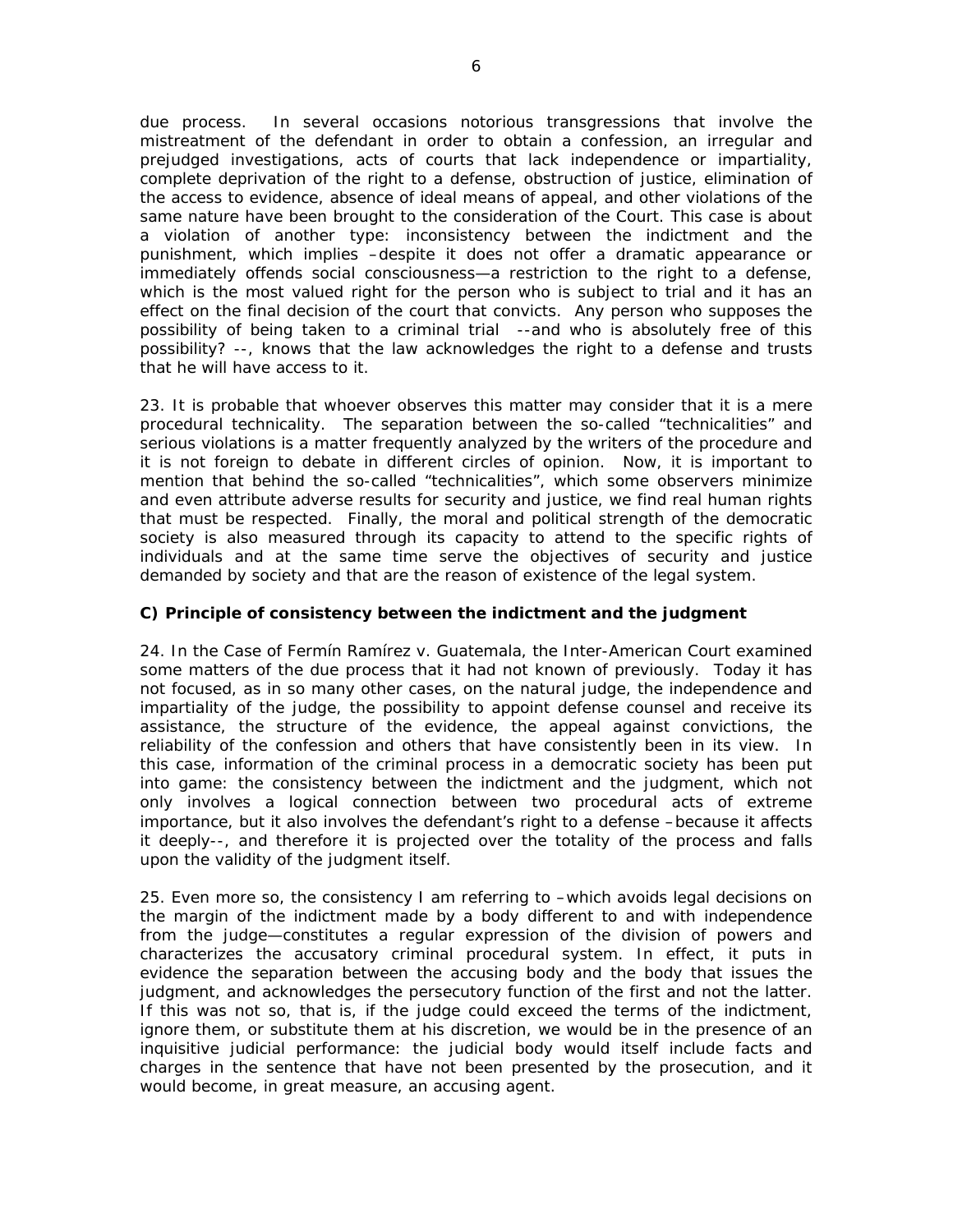due process. In several occasions notorious transgressions that involve the mistreatment of the defendant in order to obtain a confession, an irregular and prejudged investigations, acts of courts that lack independence or impartiality, complete deprivation of the right to a defense, obstruction of justice, elimination of the access to evidence, absence of ideal means of appeal, and other violations of the same nature have been brought to the consideration of the Court. This case is about a violation of another type: inconsistency between the indictment and the punishment, which implies –despite it does not offer a dramatic appearance or immediately offends social consciousness—a restriction to the right to a defense, which is the most valued right for the person who is subject to trial and it has an effect on the final decision of the court that convicts. Any person who supposes the possibility of being taken to a criminal trial --and who is absolutely free of this possibility? --, knows that the law acknowledges the right to a defense and trusts that he will have access to it.

23. It is probable that whoever observes this matter may consider that it is a mere procedural technicality. The separation between the so-called "technicalities" and serious violations is a matter frequently analyzed by the writers of the procedure and it is not foreign to debate in different circles of opinion. Now, it is important to mention that behind the so-called "technicalities", which some observers minimize and even attribute adverse results for security and justice, we find real human rights that must be respected. Finally, the moral and political strength of the democratic society is also measured through its capacity to attend to the specific rights of individuals and at the same time serve the objectives of security and justice demanded by society and that are the reason of existence of the legal system.

# **C)** *Principle of consistency between the indictment and the judgment*

24. In the *Case of Fermín Ramírez v. Guatemala*, the Inter-American Court examined some matters of the due process that it had not known of previously. Today it has not focused, as in so many other cases, on the natural judge, the independence and impartiality of the judge, the possibility to appoint defense counsel and receive its assistance, the structure of the evidence, the appeal against convictions, the reliability of the confession and others that have consistently been in its view. In this case, information of the criminal process in a democratic society has been put into game: the consistency between the indictment and the judgment, which not only involves a logical connection between two procedural acts of extreme importance, but it also involves the defendant's right to a defense –because it affects it deeply--, and therefore it is projected over the totality of the process and falls upon the validity of the judgment itself.

25. Even more so, the consistency I am referring to –which avoids legal decisions on the margin of the indictment made by a body different to and with independence from the judge—constitutes a regular expression of the division of powers and characterizes the accusatory criminal procedural system. In effect, it puts in evidence the separation between the accusing body and the body that issues the judgment, and acknowledges the persecutory function of the first and not the latter. If this was not so, that is, if the judge could exceed the terms of the indictment, ignore them, or substitute them at his discretion, we would be in the presence of an inquisitive judicial performance: the judicial body would itself include facts and charges in the sentence that have not been presented by the prosecution, and it would become, in great measure, an accusing agent.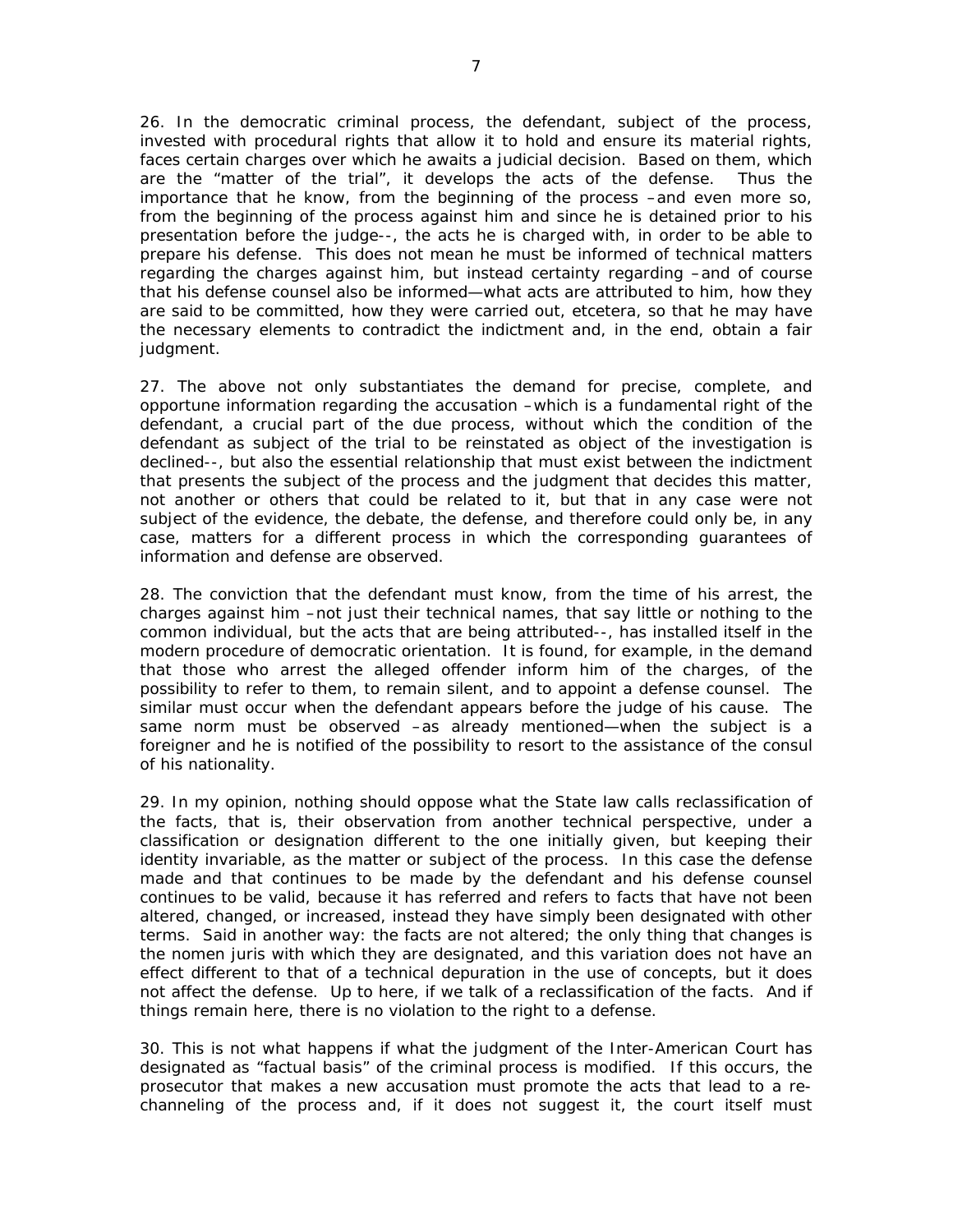26. In the democratic criminal process, the defendant, subject of the process, invested with procedural rights that allow it to hold and ensure its material rights, faces certain charges over which he awaits a judicial decision. Based on them, which are the "matter of the trial", it develops the acts of the defense. Thus the importance that he know, from the beginning of the process –and even more so, from the beginning of the process against him and since he is detained prior to his presentation before the judge--, the acts he is charged with, in order to be able to prepare his defense. This does not mean he must be informed of technical matters regarding the charges against him, but instead certainty regarding –and of course that his defense counsel also be informed—what acts are attributed to him, how they are said to be committed, how they were carried out, etcetera, so that he may have the necessary elements to contradict the indictment and, in the end, obtain a fair judgment.

27. The above not only substantiates the demand for precise, complete, and opportune information regarding the accusation –which is a fundamental right of the defendant, a crucial part of the due process, without which the condition of the defendant as subject of the trial to be reinstated as object of the investigation is declined--, but also the essential relationship that must exist between the indictment that presents the subject of the process and the judgment that decides this matter, not another or others that could be related to it, but that in any case were not subject of the evidence, the debate, the defense, and therefore could only be, in any case, matters for a different process in which the corresponding guarantees of information and defense are observed.

28. The conviction that the defendant must know, from the time of his arrest, the charges against him –not just their technical names, that say little or nothing to the common individual, but the acts that are being attributed--, has installed itself in the modern procedure of democratic orientation. It is found, for example, in the demand that those who arrest the alleged offender inform him of the charges, of the possibility to refer to them, to remain silent, and to appoint a defense counsel. The similar must occur when the defendant appears before the judge of his cause. The same norm must be observed –as already mentioned—when the subject is a foreigner and he is notified of the possibility to resort to the assistance of the consul of his nationality.

29. In my opinion, nothing should oppose what the State law calls reclassification of the facts, that is, their observation from another technical perspective, under a classification or designation different to the one initially given, but keeping their identity invariable, as the matter or subject of the process. In this case the defense made and that continues to be made by the defendant and his defense counsel continues to be valid, because it has referred and refers to facts that have not been altered, changed, or increased, instead they have simply been designated with other terms. Said in another way: the facts are not altered; the only thing that changes is the *nomen juris* with which they are designated, and this variation does not have an effect different to that of a technical depuration in the use of concepts, but it does not affect the defense. Up to here, if we talk of a reclassification of the facts. And if things remain here, there is no violation to the right to a defense.

30. This is not what happens if what the judgment of the Inter-American Court has designated as "factual basis" of the criminal process is modified. If this occurs, the prosecutor that makes a new accusation must promote the acts that lead to a rechanneling of the process and, if it does not suggest it, the court itself must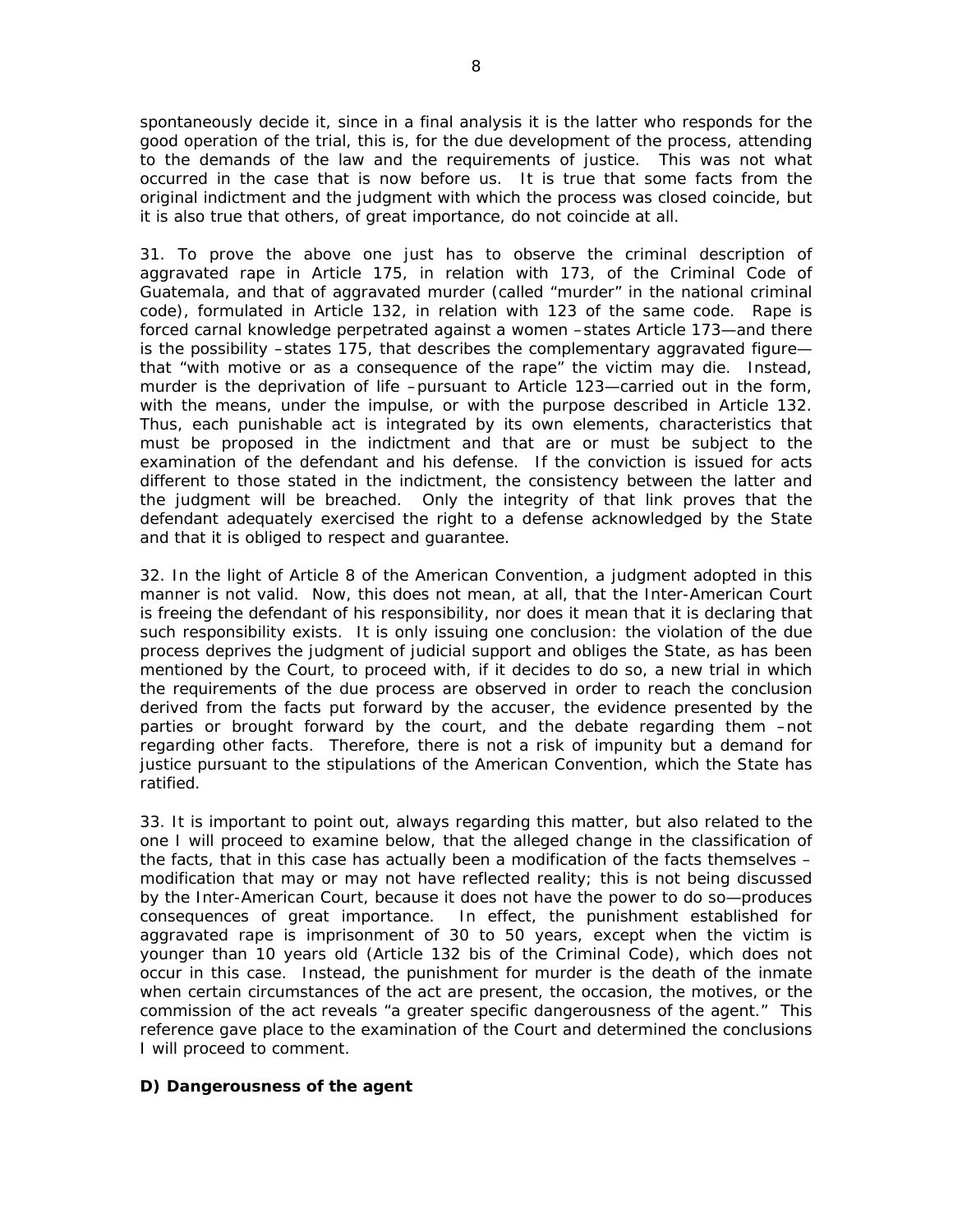spontaneously decide it, since in a final analysis it is the latter who responds for the good operation of the trial, this is, for the due development of the process, attending to the demands of the law and the requirements of justice. This was not what occurred in the case that is now before us. It is true that some facts from the original indictment and the judgment with which the process was closed coincide, but it is also true that others, of great importance, do not coincide at all.

31. To prove the above one just has to observe the criminal description of aggravated rape in Article 175, in relation with 173, of the Criminal Code of Guatemala, and that of aggravated murder (called "murder" in the national criminal code), formulated in Article 132, in relation with 123 of the same code. Rape is forced carnal knowledge perpetrated against a women –states Article 173—and there is the possibility –states 175, that describes the complementary aggravated figure that "with motive or as a consequence of the rape" the victim may die. Instead, murder is the deprivation of life –pursuant to Article 123—carried out in the form, with the means, under the impulse, or with the purpose described in Article 132. Thus, each punishable act is integrated by its own elements, characteristics that must be proposed in the indictment and that are or must be subject to the examination of the defendant and his defense. If the conviction is issued for acts different to those stated in the indictment, the consistency between the latter and the judgment will be breached. Only the integrity of that link proves that the defendant adequately exercised the right to a defense acknowledged by the State and that it is obliged to respect and guarantee.

32. In the light of Article 8 of the American Convention, a judgment adopted in this manner is not valid. Now, this does not mean, at all, that the Inter-American Court is freeing the defendant of his responsibility, nor does it mean that it is declaring that such responsibility exists. It is only issuing one conclusion: the violation of the due process deprives the judgment of judicial support and obliges the State, as has been mentioned by the Court, to proceed with, if it decides to do so, a new trial in which the requirements of the due process are observed in order to reach the conclusion derived from the facts put forward by the accuser, the evidence presented by the parties or brought forward by the court, and the debate regarding them –not regarding other facts. Therefore, there is not a risk of impunity but a demand for justice pursuant to the stipulations of the American Convention, which the State has ratified.

33. It is important to point out, always regarding this matter, but also related to the one I will proceed to examine below, that the alleged change in the classification of the facts, that in this case has actually been a modification of the facts themselves – modification that may or may not have reflected reality; this is not being discussed by the Inter-American Court, because it does not have the power to do so—produces consequences of great importance. In effect, the punishment established for aggravated rape is imprisonment of 30 to 50 years, except when the victim is younger than 10 years old (Article 132 bis of the Criminal Code), which does not occur in this case. Instead, the punishment for murder is the death of the inmate when certain circumstances of the act are present, the occasion, the motives, or the commission of the act reveals "a greater specific dangerousness of the agent." This reference gave place to the examination of the Court and determined the conclusions I will proceed to comment.

# **D)** *Dangerousness of the agent*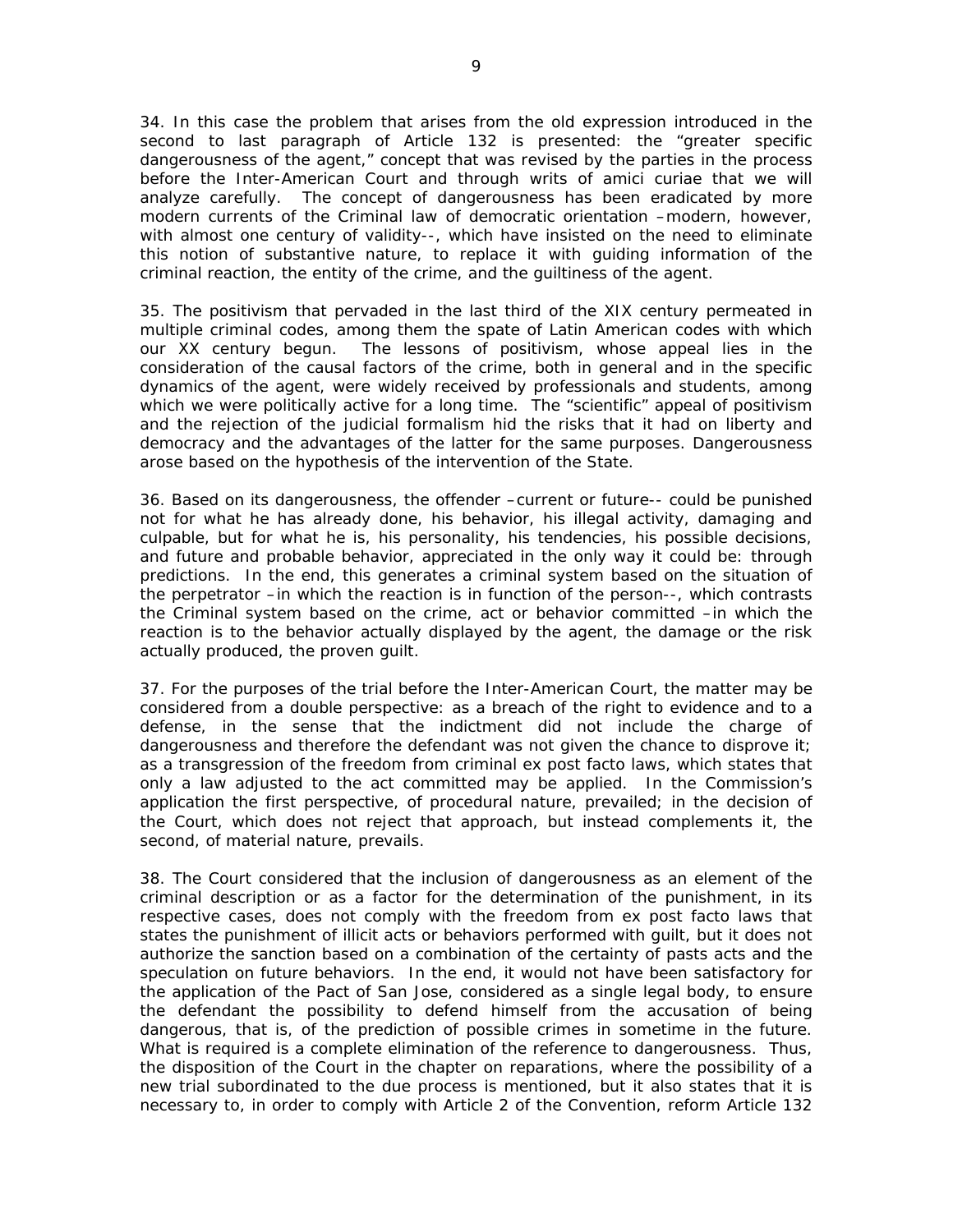34. In this case the problem that arises from the old expression introduced in the second to last paragraph of Article 132 is presented: the "greater specific dangerousness of the agent," concept that was revised by the parties in the process before the Inter-American Court and through writs of *amici curiae* that we will analyze carefully. The concept of dangerousness has been eradicated by more modern currents of the Criminal law of democratic orientation –modern, however, with almost one century of validity--, which have insisted on the need to eliminate this notion of substantive nature, to replace it with guiding information of the criminal reaction, the entity of the crime, and the guiltiness of the agent.

35. The positivism that pervaded in the last third of the XIX century permeated in multiple criminal codes, among them the spate of Latin American codes with which our XX century begun. The lessons of positivism, whose appeal lies in the consideration of the causal factors of the crime, both in general and in the specific dynamics of the agent, were widely received by professionals and students, among which we were politically active for a long time. The "scientific" appeal of positivism and the rejection of the judicial formalism hid the risks that it had on liberty and democracy and the advantages of the latter for the same purposes. Dangerousness arose based on the hypothesis of the intervention of the State.

36. Based on its dangerousness, the offender –current or future-- could be punished not for what he has already done, his behavior, his illegal activity, damaging and culpable, but for what he is, his personality, his tendencies, his possible decisions, and future and probable behavior, appreciated in the only way it could be: through predictions. In the end, this generates a criminal system based on the situation of the perpetrator –in which the reaction is in function of the person--, which contrasts the Criminal system based on the crime, act or behavior committed –in which the reaction is to the behavior actually displayed by the agent, the damage or the risk actually produced, the proven guilt.

37. For the purposes of the trial before the Inter-American Court, the matter may be considered from a double perspective: as a breach of the right to evidence and to a defense, in the sense that the indictment did not include the charge of dangerousness and therefore the defendant was not given the chance to disprove it; as a transgression of the freedom from criminal ex post facto laws, which states that only a law adjusted to the act committed may be applied. In the Commission's application the first perspective, of procedural nature, prevailed; in the decision of the Court, which does not reject that approach, but instead complements it, the second, of material nature, prevails.

38. The Court considered that the inclusion of dangerousness as an element of the criminal description or as a factor for the determination of the punishment, in its respective cases, does not comply with the freedom from ex post facto laws that states the punishment of illicit acts or behaviors performed with guilt, but it does not authorize the sanction based on a combination of the certainty of pasts acts and the speculation on future behaviors. In the end, it would not have been satisfactory for the application of the Pact of San Jose, considered as a single legal body, to ensure the defendant the possibility to defend himself from the accusation of being dangerous, that is, of the prediction of possible crimes in sometime in the future. What is required is a complete elimination of the reference to dangerousness. Thus, the disposition of the Court in the chapter on reparations, where the possibility of a new trial subordinated to the due process is mentioned, but it also states that it is necessary to, in order to comply with Article 2 of the Convention, reform Article 132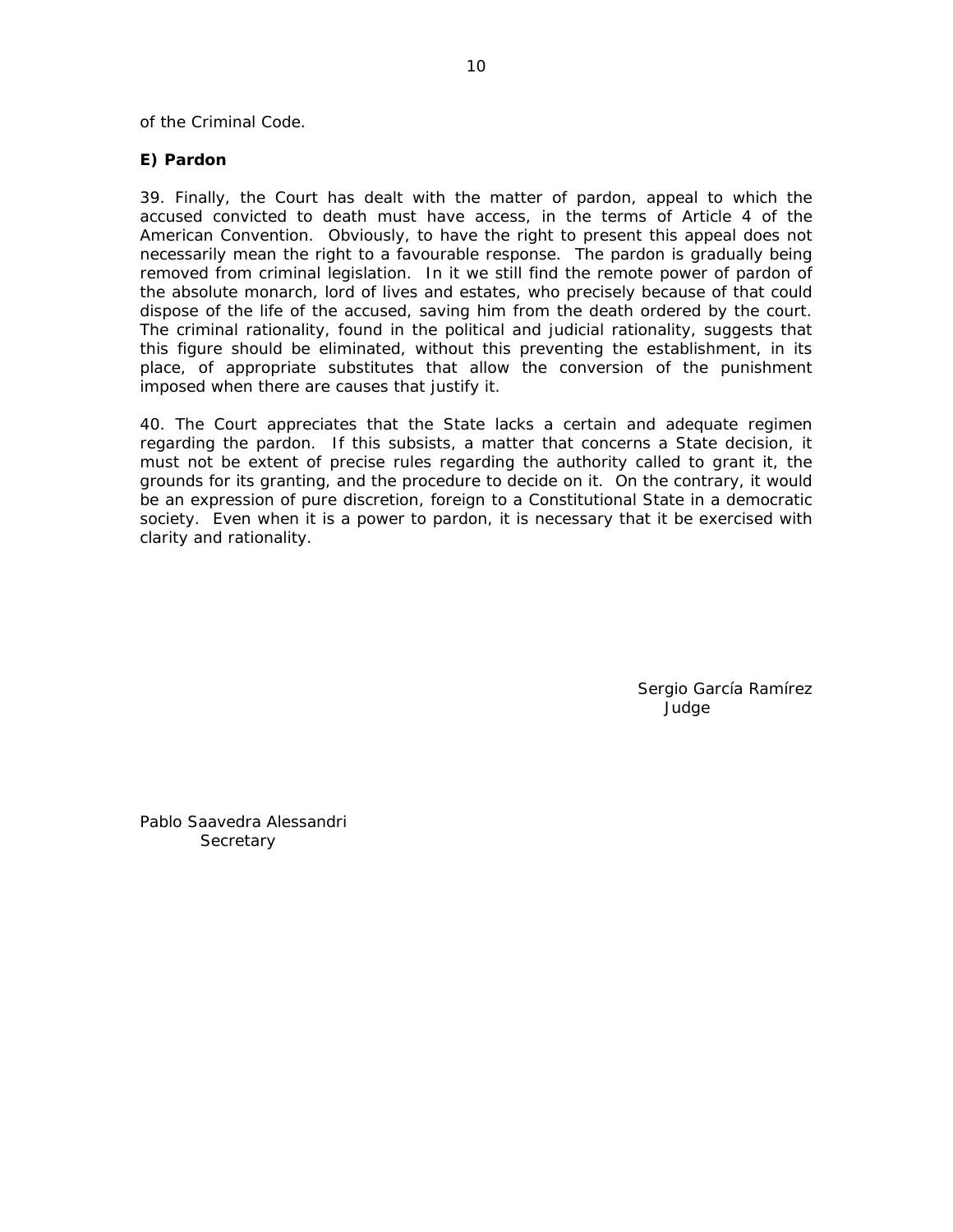of the Criminal Code.

### **E)** *Pardon*

39. Finally, the Court has dealt with the matter of pardon, appeal to which the accused convicted to death must have access, in the terms of Article 4 of the American Convention. Obviously, to have the right to present this appeal does not necessarily mean the right to a favourable response. The pardon is gradually being removed from criminal legislation. In it we still find the remote power of pardon of the absolute monarch, lord of lives and estates, who precisely because of that could dispose of the life of the accused, saving him from the death ordered by the court. The criminal rationality, found in the political and judicial rationality, suggests that this figure should be eliminated, without this preventing the establishment, in its place, of appropriate substitutes that allow the conversion of the punishment imposed when there are causes that justify it.

40. The Court appreciates that the State lacks a certain and adequate regimen regarding the pardon. If this subsists, a matter that concerns a State decision, it must not be extent of precise rules regarding the authority called to grant it, the grounds for its granting, and the procedure to decide on it. On the contrary, it would be an expression of pure discretion, foreign to a Constitutional State in a democratic society. Even when it is a power to pardon, it is necessary that it be exercised with clarity and rationality.

> Sergio García Ramírez Judge

Pablo Saavedra Alessandri **Secretary**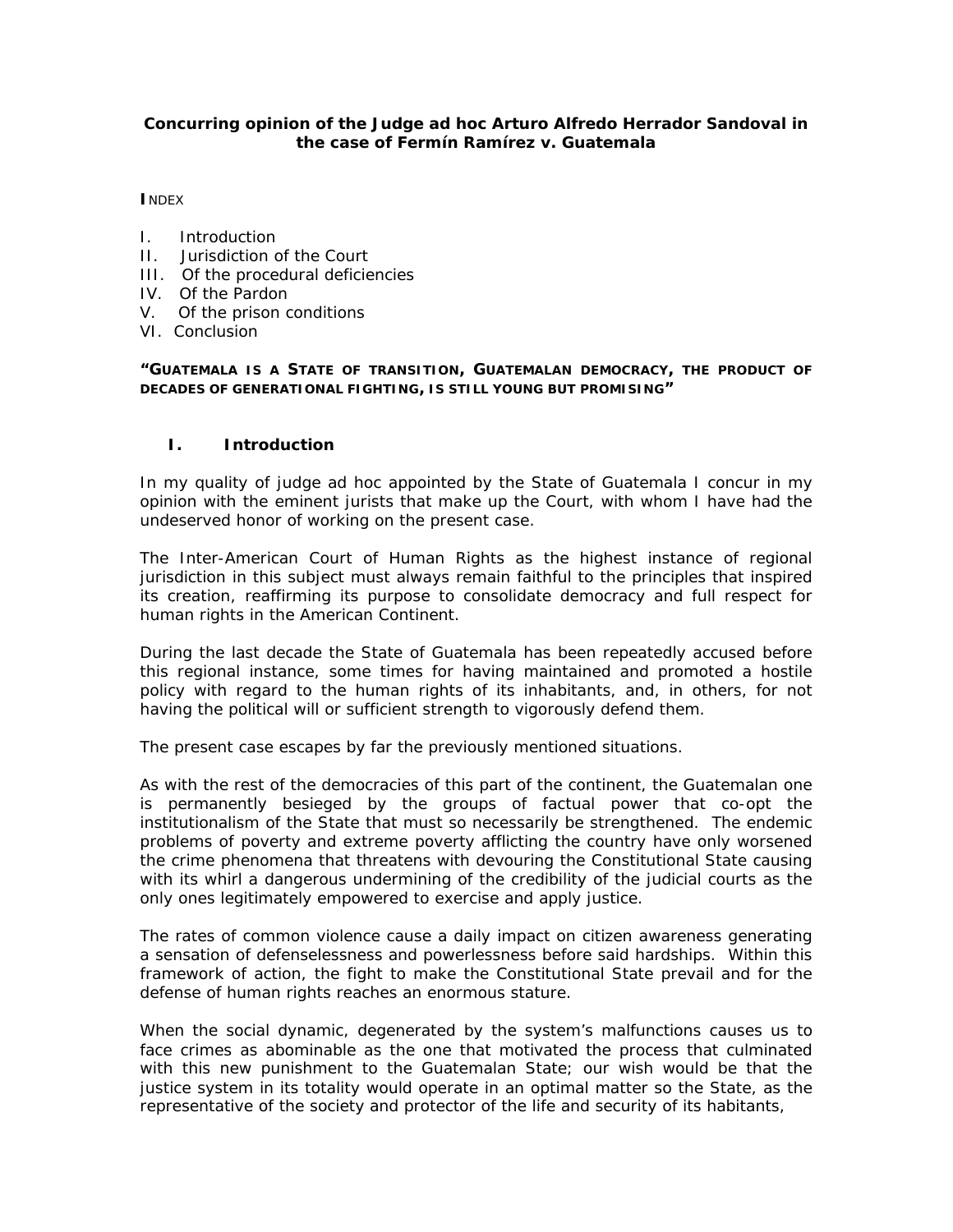### **Concurring opinion of the Judge** *ad hoc* **Arturo Alfredo Herrador Sandoval in the case of Fermín Ramírez v. Guatemala**

**I**NDEX

- I. Introduction
- II. Jurisdiction of the Court
- III. Of the procedural deficiencies
- IV. Of the Pardon
- V. Of the prison conditions
- VI. Conclusion

*"GUATEMALA IS A STATE OF TRANSITION, GUATEMALAN DEMOCRACY, THE PRODUCT OF DECADES OF GENERATIONAL FIGHTING, IS STILL YOUNG BUT PROMISING"* 

### **I. Introduction**

In my quality of judge *ad hoc* appointed by the State of Guatemala I concur in my opinion with the eminent jurists that make up the Court, with whom I have had the undeserved honor of working on the present case.

The Inter-American Court of Human Rights as the highest instance of regional jurisdiction in this subject must always remain faithful to the principles that inspired its creation, reaffirming its purpose to consolidate democracy and full respect for human rights in the American Continent.

During the last decade the State of Guatemala has been repeatedly accused before this regional instance, some times for having maintained and promoted a hostile policy with regard to the human rights of its inhabitants, and, in others, for not having the political will or sufficient strength to vigorously defend them.

The present case escapes by far the previously mentioned situations.

As with the rest of the democracies of this part of the continent, the Guatemalan one is permanently besieged by the groups of factual power that co-opt the institutionalism of the State that must so necessarily be strengthened. The endemic problems of poverty and extreme poverty afflicting the country have only worsened the crime phenomena that threatens with devouring the Constitutional State causing with its whirl a dangerous undermining of the credibility of the judicial courts as the only ones legitimately empowered to exercise and apply justice.

The rates of common violence cause a daily impact on citizen awareness generating a sensation of defenselessness and powerlessness before said hardships. Within this framework of action, the fight to make the Constitutional State prevail and for the defense of human rights reaches an enormous stature.

When the social dynamic, degenerated by the system's malfunctions causes us to face crimes as abominable as the one that motivated the process that culminated with this new punishment to the Guatemalan State; our wish would be that the justice system in its totality would operate in an optimal matter so the State, as the representative of the society and protector of the life and security of its habitants,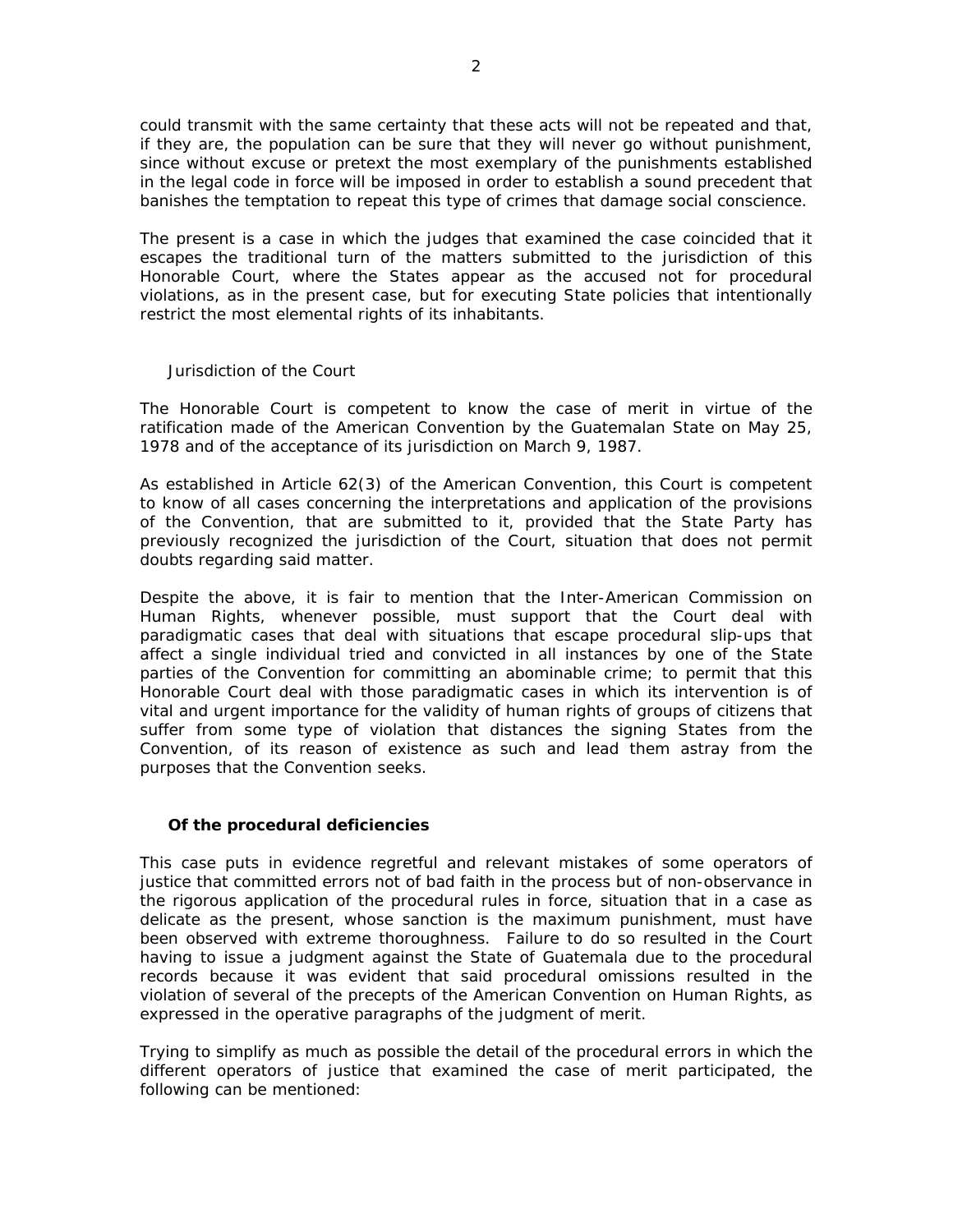could transmit with the same certainty that these acts will not be repeated and that, if they are, the population can be sure that they will never go without punishment, since without excuse or pretext the most exemplary of the punishments established in the legal code in force will be imposed in order to establish a sound precedent that banishes the temptation to repeat this type of crimes that damage social conscience.

The present is a case in which the judges that examined the case coincided that it escapes the traditional turn of the matters submitted to the jurisdiction of this Honorable Court, where the States appear as the accused not for procedural violations, as in the present case, but for executing State policies that intentionally restrict the most elemental rights of its inhabitants.

Jurisdiction of the Court

The Honorable Court is competent to know the case of merit in virtue of the ratification made of the American Convention by the Guatemalan State on May 25, 1978 and of the acceptance of its jurisdiction on March 9, 1987.

As established in Article 62(3) of the American Convention, this Court is competent to know of all cases concerning the interpretations and application of the provisions of the Convention, that are submitted to it, provided that the State Party has previously recognized the jurisdiction of the Court, situation that does not permit doubts regarding said matter.

Despite the above, it is fair to mention that the Inter-American Commission on Human Rights, whenever possible, must support that the Court deal with paradigmatic cases that deal with situations that escape procedural slip-ups that affect a single individual tried and convicted in all instances by one of the State parties of the Convention for committing an abominable crime; to permit that this Honorable Court deal with those paradigmatic cases in which its intervention is of vital and urgent importance for the validity of human rights of groups of citizens that suffer from some type of violation that distances the signing States from the Convention, of its reason of existence as such and lead them astray from the purposes that the Convention seeks.

### **Of the procedural deficiencies**

This case puts in evidence regretful and relevant mistakes of some operators of justice that committed errors not of bad faith in the process but of non-observance in the rigorous application of the procedural rules in force, situation that in a case as delicate as the present, whose sanction is the maximum punishment, must have been observed with extreme thoroughness. Failure to do so resulted in the Court having to issue a judgment against the State of Guatemala due to the procedural records because it was evident that said procedural omissions resulted in the violation of several of the precepts of the American Convention on Human Rights, as expressed in the operative paragraphs of the judgment of merit.

Trying to simplify as much as possible the detail of the procedural errors in which the different operators of justice that examined the case of merit participated, the following can be mentioned: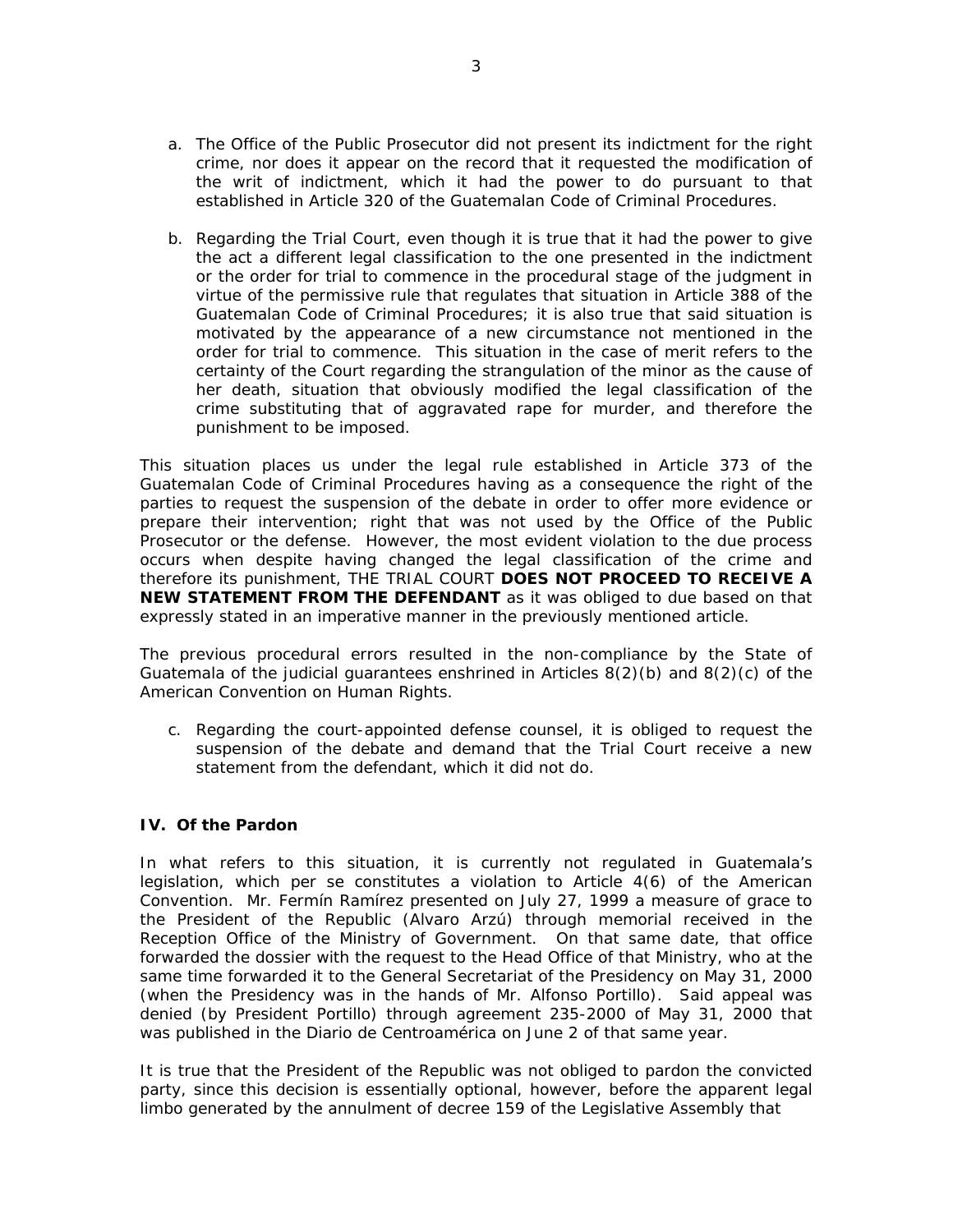- a. The Office of the Public Prosecutor did not present its indictment for the right crime, nor does it appear on the record that it requested the modification of the writ of indictment, which it had the power to do pursuant to that established in Article 320 of the Guatemalan Code of Criminal Procedures.
- b. Regarding the Trial Court, even though it is true that it had the power to give the act a different legal classification to the one presented in the indictment or the order for trial to commence in the procedural stage of the judgment in virtue of the permissive rule that regulates that situation in Article 388 of the Guatemalan Code of Criminal Procedures; it is also true that said situation is motivated by the appearance of a new circumstance not mentioned in the order for trial to commence. This situation in the case of merit refers to the certainty of the Court regarding the strangulation of the minor as the cause of her death, situation that obviously modified the legal classification of the crime substituting that of aggravated rape for murder, and therefore the punishment to be imposed.

This situation places us under the legal rule established in Article 373 of the Guatemalan Code of Criminal Procedures having as a consequence the right of the parties to request the suspension of the debate in order to offer more evidence or prepare their intervention; right that was not used by the Office of the Public Prosecutor or the defense. However, the most evident violation to the due process occurs when despite having changed the legal classification of the crime and therefore its punishment, THE TRIAL COURT **DOES NOT PROCEED TO RECEIVE A NEW STATEMENT FROM THE DEFENDANT** as it was obliged to due based on that expressly stated in an imperative manner in the previously mentioned article.

The previous procedural errors resulted in the non-compliance by the State of Guatemala of the judicial guarantees enshrined in Articles  $8(2)(b)$  and  $8(2)(c)$  of the American Convention on Human Rights.

c. Regarding the court-appointed defense counsel, it is obliged to request the suspension of the debate and demand that the Trial Court receive a new statement from the defendant, which it did not do.

# **IV. Of the Pardon**

In what refers to this situation, it is currently not regulated in Guatemala's legislation, which *per se* constitutes a violation to Article 4(6) of the American Convention. Mr. Fermín Ramírez presented on July 27, 1999 a measure of grace to the President of the Republic (Alvaro Arzú) through memorial received in the Reception Office of the Ministry of Government. On that same date, that office forwarded the dossier with the request to the Head Office of that Ministry, who at the same time forwarded it to the General Secretariat of the Presidency on May 31, 2000 (when the Presidency was in the hands of Mr. Alfonso Portillo). Said appeal was denied (by President Portillo) through agreement 235-2000 of May 31, 2000 that was published in the Diario de Centroamérica on June 2 of that same year.

It is true that the President of the Republic was not obliged to pardon the convicted party, since this decision is essentially optional, however, before the apparent legal limbo generated by the annulment of decree 159 of the Legislative Assembly that